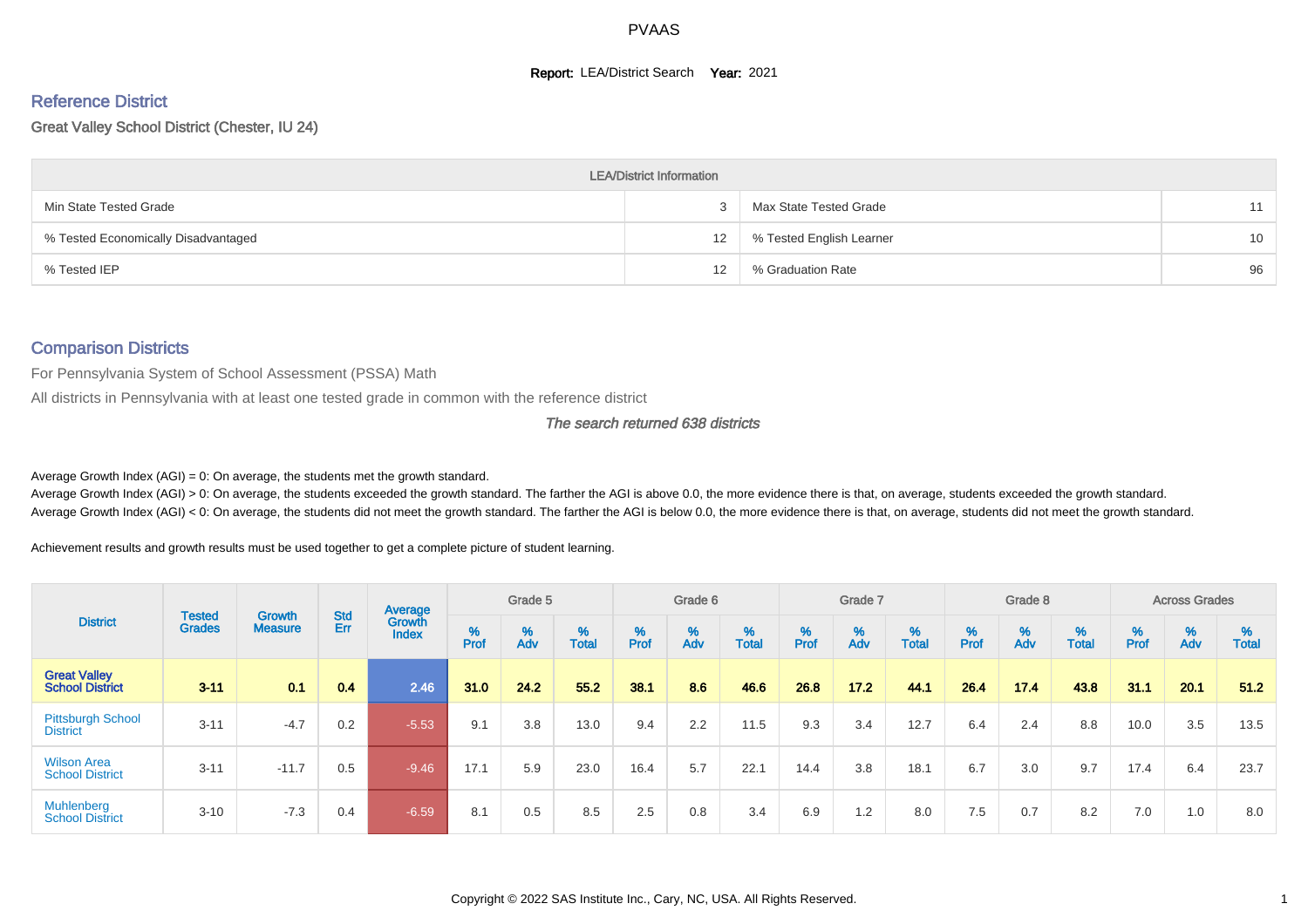#### **Report: LEA/District Search Year: 2021**

# Reference District

Great Valley School District (Chester, IU 24)

|                                     | <b>LEA/District Information</b> |                          |                 |
|-------------------------------------|---------------------------------|--------------------------|-----------------|
| Min State Tested Grade              |                                 | Max State Tested Grade   | 11              |
| % Tested Economically Disadvantaged | 12                              | % Tested English Learner | 10 <sup>1</sup> |
| % Tested IEP                        | 12                              | % Graduation Rate        | 96              |

#### Comparison Districts

For Pennsylvania System of School Assessment (PSSA) Math

All districts in Pennsylvania with at least one tested grade in common with the reference district

The search returned 638 districts

Average Growth Index  $(AGI) = 0$ : On average, the students met the growth standard.

Average Growth Index (AGI) > 0: On average, the students exceeded the growth standard. The farther the AGI is above 0.0, the more evidence there is that, on average, students exceeded the growth standard. Average Growth Index (AGI) < 0: On average, the students did not meet the growth standard. The farther the AGI is below 0.0, the more evidence there is that, on average, students did not meet the growth standard.

Achievement results and growth results must be used together to get a complete picture of student learning.

|                                               |                                |                                 |            | Average                |           | Grade 5  |                   |        | Grade 6  |                   |          | Grade 7  |            |           | Grade 8  |            |                             | <b>Across Grades</b> |                   |
|-----------------------------------------------|--------------------------------|---------------------------------|------------|------------------------|-----------|----------|-------------------|--------|----------|-------------------|----------|----------|------------|-----------|----------|------------|-----------------------------|----------------------|-------------------|
| <b>District</b>                               | <b>Tested</b><br><b>Grades</b> | <b>Growth</b><br><b>Measure</b> | Std<br>Err | Growth<br><b>Index</b> | %<br>Prof | %<br>Adv | %<br><b>Total</b> | % Pref | %<br>Adv | %<br><b>Total</b> | $%$ Prof | %<br>Adv | %<br>Total | %<br>Prof | %<br>Adv | %<br>Total | $% P_{\text{ref}}^{\infty}$ | $\frac{\%}{\%}$      | %<br><b>Total</b> |
| <b>Great Valley</b><br><b>School District</b> | $3 - 11$                       | 0.1                             | 0.4        | 2.46                   | 31.0      | 24.2     | 55.2              | 38.1   | 8.6      | 46.6              | 26.8     | 17.2     | 44.1       | 26.4      | 17.4     | 43.8       | 31.1                        | 20.1                 | 51.2              |
| <b>Pittsburgh School</b><br><b>District</b>   | $3 - 11$                       | $-4.7$                          | 0.2        | $-5.53$                | 9.1       | 3.8      | 13.0              | 9.4    | 2.2      | 11.5              | 9.3      | 3.4      | 12.7       | 6.4       | 2.4      | 8.8        | 10.0                        | 3.5                  | 13.5              |
| <b>Wilson Area</b><br><b>School District</b>  | $3 - 11$                       | $-11.7$                         | 0.5        | $-9.46$                | 17.1      | 5.9      | 23.0              | 16.4   | 5.7      | 22.1              | 14.4     | 3.8      | 18.1       | 6.7       | 3.0      | 9.7        | 17.4                        | 6.4                  | 23.7              |
| Muhlenberg<br><b>School District</b>          | $3 - 10$                       | $-7.3$                          | 0.4        | $-6.59$                | 8.1       | 0.5      | 8.5               | 2.5    | 0.8      | 3.4               | 6.9      | 1.2      | 8.0        | 7.5       | 0.7      | 8.2        | 7.0                         | 1.0                  | 8.0               |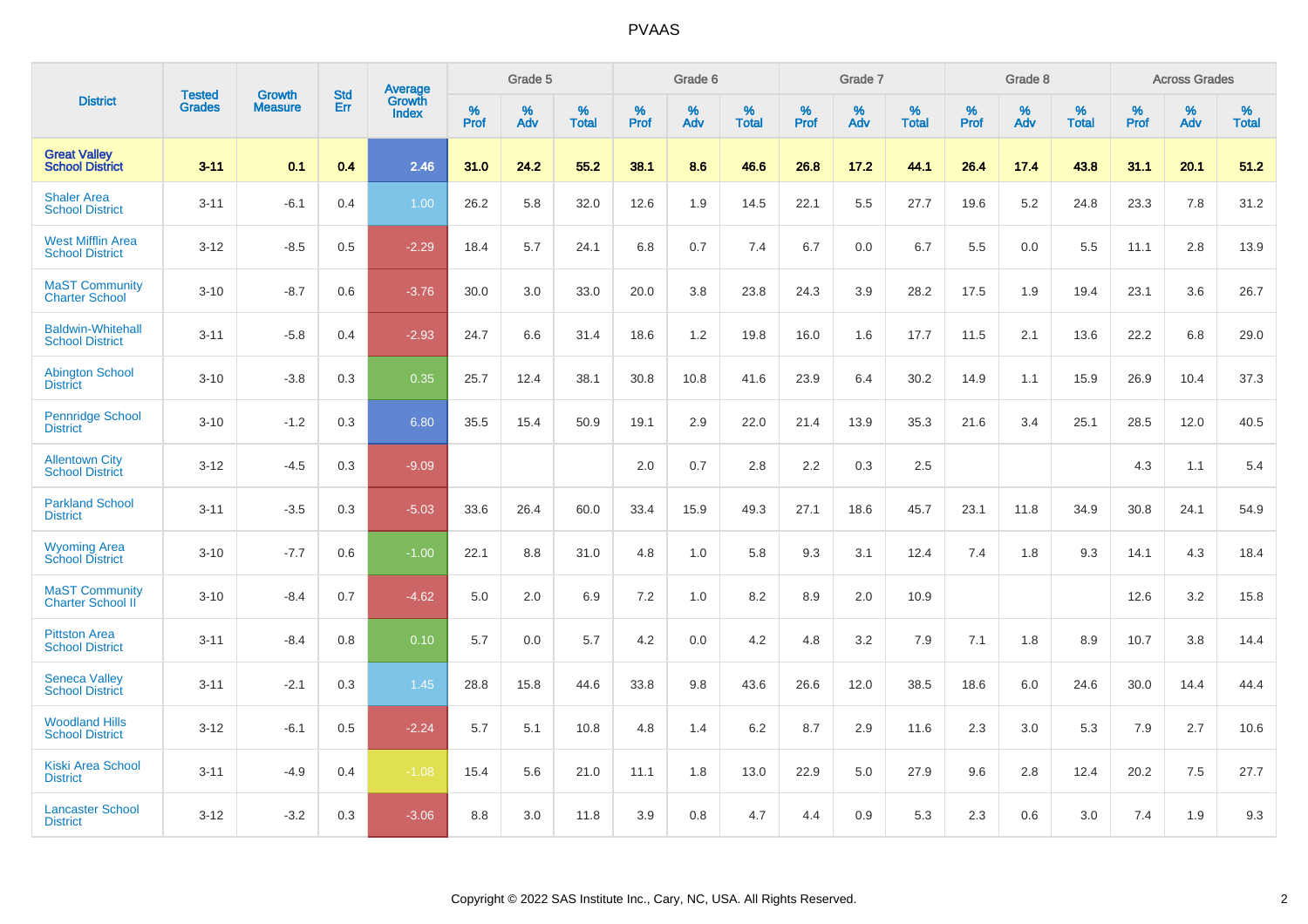| <b>District</b>                                    |                                |                                 | <b>Std</b> | <b>Average</b>         |           | Grade 5  |                   |           | Grade 6  |                   |              | Grade 7  |                   |           | Grade 8  |                   |           | <b>Across Grades</b> |            |
|----------------------------------------------------|--------------------------------|---------------------------------|------------|------------------------|-----------|----------|-------------------|-----------|----------|-------------------|--------------|----------|-------------------|-----------|----------|-------------------|-----------|----------------------|------------|
|                                                    | <b>Tested</b><br><b>Grades</b> | <b>Growth</b><br><b>Measure</b> | Err        | Growth<br><b>Index</b> | %<br>Prof | %<br>Adv | %<br><b>Total</b> | %<br>Prof | %<br>Adv | %<br><b>Total</b> | $\%$<br>Prof | %<br>Adv | %<br><b>Total</b> | %<br>Prof | %<br>Adv | %<br><b>Total</b> | %<br>Prof | %<br>Adv             | %<br>Total |
| <b>Great Valley</b><br><b>School District</b>      | $3 - 11$                       | 0.1                             | 0.4        | 2.46                   | 31.0      | 24.2     | 55.2              | 38.1      | 8.6      | 46.6              | 26.8         | 17.2     | 44.1              | 26.4      | 17.4     | 43.8              | 31.1      | 20.1                 | 51.2       |
| <b>Shaler Area</b><br><b>School District</b>       | $3 - 11$                       | $-6.1$                          | 0.4        | 1.00                   | 26.2      | 5.8      | 32.0              | 12.6      | 1.9      | 14.5              | 22.1         | 5.5      | 27.7              | 19.6      | 5.2      | 24.8              | 23.3      | 7.8                  | 31.2       |
| <b>West Mifflin Area</b><br><b>School District</b> | $3 - 12$                       | $-8.5$                          | 0.5        | $-2.29$                | 18.4      | 5.7      | 24.1              | 6.8       | 0.7      | 7.4               | 6.7          | 0.0      | 6.7               | 5.5       | 0.0      | 5.5               | 11.1      | 2.8                  | 13.9       |
| <b>MaST Community</b><br><b>Charter School</b>     | $3 - 10$                       | $-8.7$                          | 0.6        | $-3.76$                | 30.0      | 3.0      | 33.0              | 20.0      | 3.8      | 23.8              | 24.3         | 3.9      | 28.2              | 17.5      | 1.9      | 19.4              | 23.1      | 3.6                  | 26.7       |
| <b>Baldwin-Whitehall</b><br><b>School District</b> | $3 - 11$                       | $-5.8$                          | 0.4        | $-2.93$                | 24.7      | 6.6      | 31.4              | 18.6      | 1.2      | 19.8              | 16.0         | 1.6      | 17.7              | 11.5      | 2.1      | 13.6              | 22.2      | 6.8                  | 29.0       |
| <b>Abington School</b><br><b>District</b>          | $3 - 10$                       | $-3.8$                          | 0.3        | 0.35                   | 25.7      | 12.4     | 38.1              | 30.8      | 10.8     | 41.6              | 23.9         | 6.4      | 30.2              | 14.9      | 1.1      | 15.9              | 26.9      | 10.4                 | 37.3       |
| <b>Pennridge School</b><br><b>District</b>         | $3 - 10$                       | $-1.2$                          | 0.3        | 6.80                   | 35.5      | 15.4     | 50.9              | 19.1      | 2.9      | 22.0              | 21.4         | 13.9     | 35.3              | 21.6      | 3.4      | 25.1              | 28.5      | 12.0                 | 40.5       |
| <b>Allentown City</b><br><b>School District</b>    | $3 - 12$                       | $-4.5$                          | 0.3        | $-9.09$                |           |          |                   | 2.0       | 0.7      | 2.8               | 2.2          | 0.3      | 2.5               |           |          |                   | 4.3       | 1.1                  | 5.4        |
| <b>Parkland School</b><br><b>District</b>          | $3 - 11$                       | $-3.5$                          | 0.3        | $-5.03$                | 33.6      | 26.4     | 60.0              | 33.4      | 15.9     | 49.3              | 27.1         | 18.6     | 45.7              | 23.1      | 11.8     | 34.9              | 30.8      | 24.1                 | 54.9       |
| <b>Wyoming Area</b><br><b>School District</b>      | $3 - 10$                       | $-7.7$                          | 0.6        | $-1.00$                | 22.1      | 8.8      | 31.0              | 4.8       | 1.0      | 5.8               | 9.3          | 3.1      | 12.4              | 7.4       | 1.8      | 9.3               | 14.1      | 4.3                  | 18.4       |
| <b>MaST Community</b><br><b>Charter School II</b>  | $3 - 10$                       | $-8.4$                          | 0.7        | $-4.62$                | 5.0       | 2.0      | 6.9               | 7.2       | 1.0      | 8.2               | 8.9          | 2.0      | 10.9              |           |          |                   | 12.6      | 3.2                  | 15.8       |
| <b>Pittston Area</b><br><b>School District</b>     | $3 - 11$                       | $-8.4$                          | 0.8        | 0.10                   | 5.7       | 0.0      | 5.7               | 4.2       | 0.0      | 4.2               | 4.8          | 3.2      | 7.9               | 7.1       | 1.8      | 8.9               | 10.7      | 3.8                  | 14.4       |
| <b>Seneca Valley</b><br><b>School District</b>     | $3 - 11$                       | $-2.1$                          | 0.3        | 1.45                   | 28.8      | 15.8     | 44.6              | 33.8      | 9.8      | 43.6              | 26.6         | 12.0     | 38.5              | 18.6      | 6.0      | 24.6              | 30.0      | 14.4                 | 44.4       |
| <b>Woodland Hills</b><br><b>School District</b>    | $3 - 12$                       | $-6.1$                          | 0.5        | $-2.24$                | 5.7       | 5.1      | 10.8              | 4.8       | 1.4      | 6.2               | 8.7          | 2.9      | 11.6              | 2.3       | 3.0      | 5.3               | 7.9       | 2.7                  | 10.6       |
| <b>Kiski Area School</b><br><b>District</b>        | $3 - 11$                       | $-4.9$                          | 0.4        | $-1.08$                | 15.4      | 5.6      | 21.0              | 11.1      | 1.8      | 13.0              | 22.9         | 5.0      | 27.9              | 9.6       | 2.8      | 12.4              | 20.2      | 7.5                  | 27.7       |
| <b>Lancaster School</b><br><b>District</b>         | $3 - 12$                       | $-3.2$                          | 0.3        | $-3.06$                | 8.8       | 3.0      | 11.8              | 3.9       | 0.8      | 4.7               | 4.4          | 0.9      | 5.3               | 2.3       | 0.6      | 3.0               | 7.4       | 1.9                  | 9.3        |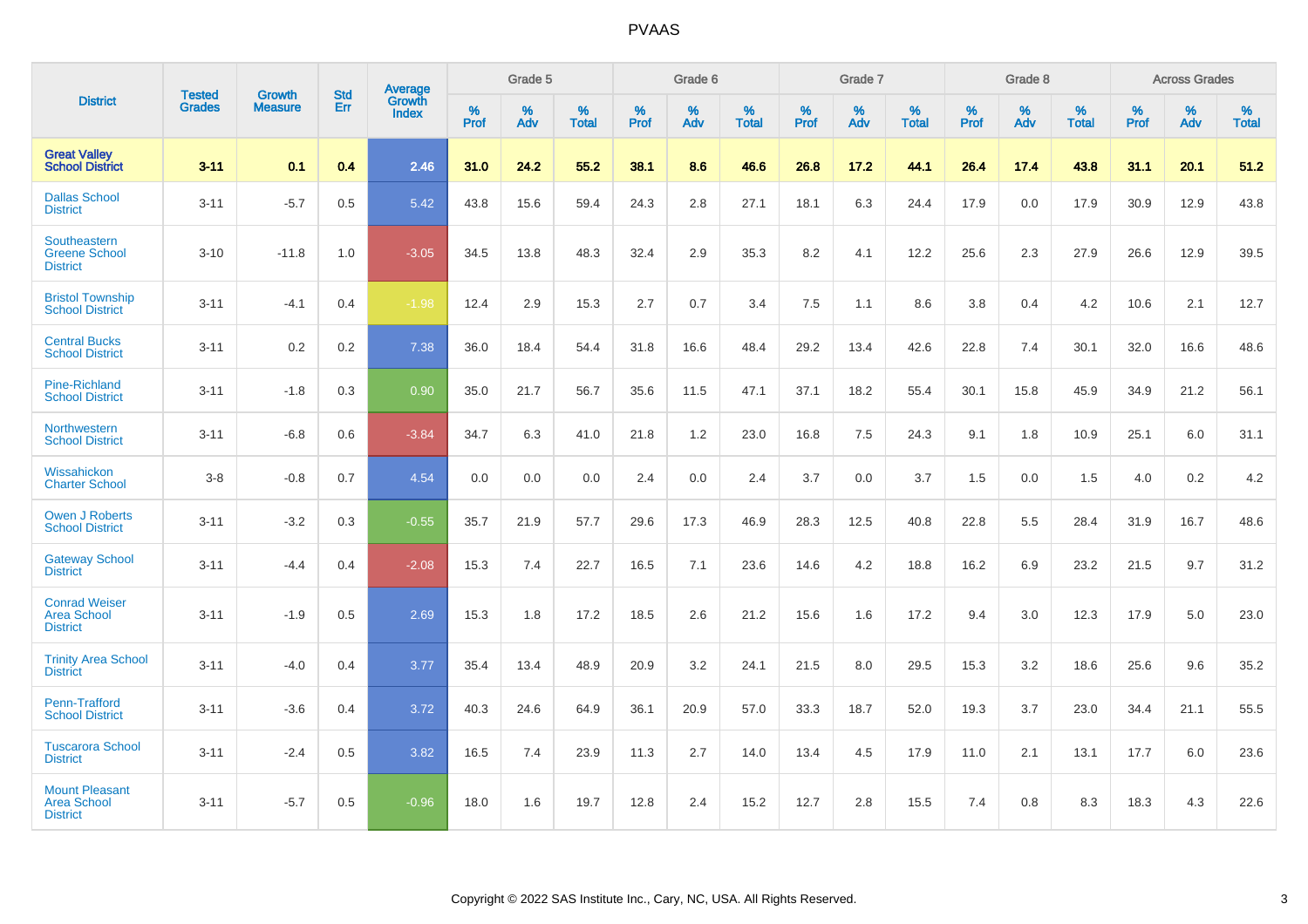|                                                                | <b>Tested</b> | <b>Growth</b>  | <b>Std</b> |                                   |           | Grade 5  |                   |           | Grade 6  |                   |           | Grade 7  |                   |           | Grade 8  |                   |           | <b>Across Grades</b> |                   |
|----------------------------------------------------------------|---------------|----------------|------------|-----------------------------------|-----------|----------|-------------------|-----------|----------|-------------------|-----------|----------|-------------------|-----------|----------|-------------------|-----------|----------------------|-------------------|
| <b>District</b>                                                | <b>Grades</b> | <b>Measure</b> | Err        | Average<br>Growth<br><b>Index</b> | %<br>Prof | %<br>Adv | %<br><b>Total</b> | %<br>Prof | %<br>Adv | %<br><b>Total</b> | %<br>Prof | %<br>Adv | %<br><b>Total</b> | %<br>Prof | %<br>Adv | %<br><b>Total</b> | %<br>Prof | %<br>Adv             | %<br><b>Total</b> |
| <b>Great Valley<br/>School District</b>                        | $3 - 11$      | 0.1            | 0.4        | 2.46                              | 31.0      | 24.2     | 55.2              | 38.1      | 8.6      | 46.6              | 26.8      | 17.2     | 44.1              | 26.4      | 17.4     | 43.8              | 31.1      | 20.1                 | 51.2              |
| <b>Dallas School</b><br><b>District</b>                        | $3 - 11$      | $-5.7$         | 0.5        | 5.42                              | 43.8      | 15.6     | 59.4              | 24.3      | 2.8      | 27.1              | 18.1      | 6.3      | 24.4              | 17.9      | 0.0      | 17.9              | 30.9      | 12.9                 | 43.8              |
| Southeastern<br><b>Greene School</b><br><b>District</b>        | $3 - 10$      | $-11.8$        | 1.0        | $-3.05$                           | 34.5      | 13.8     | 48.3              | 32.4      | 2.9      | 35.3              | 8.2       | 4.1      | 12.2              | 25.6      | 2.3      | 27.9              | 26.6      | 12.9                 | 39.5              |
| <b>Bristol Township</b><br><b>School District</b>              | $3 - 11$      | $-4.1$         | 0.4        | $-1.98$                           | 12.4      | 2.9      | 15.3              | 2.7       | 0.7      | 3.4               | 7.5       | 1.1      | 8.6               | 3.8       | 0.4      | 4.2               | 10.6      | 2.1                  | 12.7              |
| <b>Central Bucks</b><br><b>School District</b>                 | $3 - 11$      | 0.2            | 0.2        | 7.38                              | 36.0      | 18.4     | 54.4              | 31.8      | 16.6     | 48.4              | 29.2      | 13.4     | 42.6              | 22.8      | 7.4      | 30.1              | 32.0      | 16.6                 | 48.6              |
| <b>Pine-Richland</b><br><b>School District</b>                 | $3 - 11$      | $-1.8$         | 0.3        | 0.90                              | 35.0      | 21.7     | 56.7              | 35.6      | 11.5     | 47.1              | 37.1      | 18.2     | 55.4              | 30.1      | 15.8     | 45.9              | 34.9      | 21.2                 | 56.1              |
| Northwestern<br><b>School District</b>                         | $3 - 11$      | $-6.8$         | 0.6        | $-3.84$                           | 34.7      | 6.3      | 41.0              | 21.8      | 1.2      | 23.0              | 16.8      | 7.5      | 24.3              | 9.1       | 1.8      | 10.9              | 25.1      | $6.0\,$              | 31.1              |
| Wissahickon<br><b>Charter School</b>                           | $3-8$         | $-0.8$         | 0.7        | 4.54                              | 0.0       | 0.0      | 0.0               | 2.4       | $0.0\,$  | 2.4               | 3.7       | 0.0      | 3.7               | 1.5       | 0.0      | 1.5               | 4.0       | $0.2\,$              | 4.2               |
| <b>Owen J Roberts</b><br><b>School District</b>                | $3 - 11$      | $-3.2$         | 0.3        | $-0.55$                           | 35.7      | 21.9     | 57.7              | 29.6      | 17.3     | 46.9              | 28.3      | 12.5     | 40.8              | 22.8      | 5.5      | 28.4              | 31.9      | 16.7                 | 48.6              |
| <b>Gateway School</b><br><b>District</b>                       | $3 - 11$      | $-4.4$         | 0.4        | $-2.08$                           | 15.3      | 7.4      | 22.7              | 16.5      | 7.1      | 23.6              | 14.6      | 4.2      | 18.8              | 16.2      | 6.9      | 23.2              | 21.5      | 9.7                  | 31.2              |
| <b>Conrad Weiser</b><br><b>Area School</b><br><b>District</b>  | $3 - 11$      | $-1.9$         | 0.5        | 2.69                              | 15.3      | 1.8      | 17.2              | 18.5      | 2.6      | 21.2              | 15.6      | 1.6      | 17.2              | 9.4       | 3.0      | 12.3              | 17.9      | 5.0                  | 23.0              |
| <b>Trinity Area School</b><br><b>District</b>                  | $3 - 11$      | $-4.0$         | 0.4        | 3.77                              | 35.4      | 13.4     | 48.9              | 20.9      | 3.2      | 24.1              | 21.5      | 8.0      | 29.5              | 15.3      | 3.2      | 18.6              | 25.6      | 9.6                  | 35.2              |
| Penn-Trafford<br><b>School District</b>                        | $3 - 11$      | $-3.6$         | 0.4        | 3.72                              | 40.3      | 24.6     | 64.9              | 36.1      | 20.9     | 57.0              | 33.3      | 18.7     | 52.0              | 19.3      | 3.7      | 23.0              | 34.4      | 21.1                 | 55.5              |
| <b>Tuscarora School</b><br><b>District</b>                     | $3 - 11$      | $-2.4$         | 0.5        | 3.82                              | 16.5      | 7.4      | 23.9              | 11.3      | 2.7      | 14.0              | 13.4      | 4.5      | 17.9              | 11.0      | 2.1      | 13.1              | 17.7      | 6.0                  | 23.6              |
| <b>Mount Pleasant</b><br><b>Area School</b><br><b>District</b> | $3 - 11$      | $-5.7$         | 0.5        | $-0.96$                           | 18.0      | 1.6      | 19.7              | 12.8      | 2.4      | 15.2              | 12.7      | 2.8      | 15.5              | 7.4       | 0.8      | 8.3               | 18.3      | 4.3                  | 22.6              |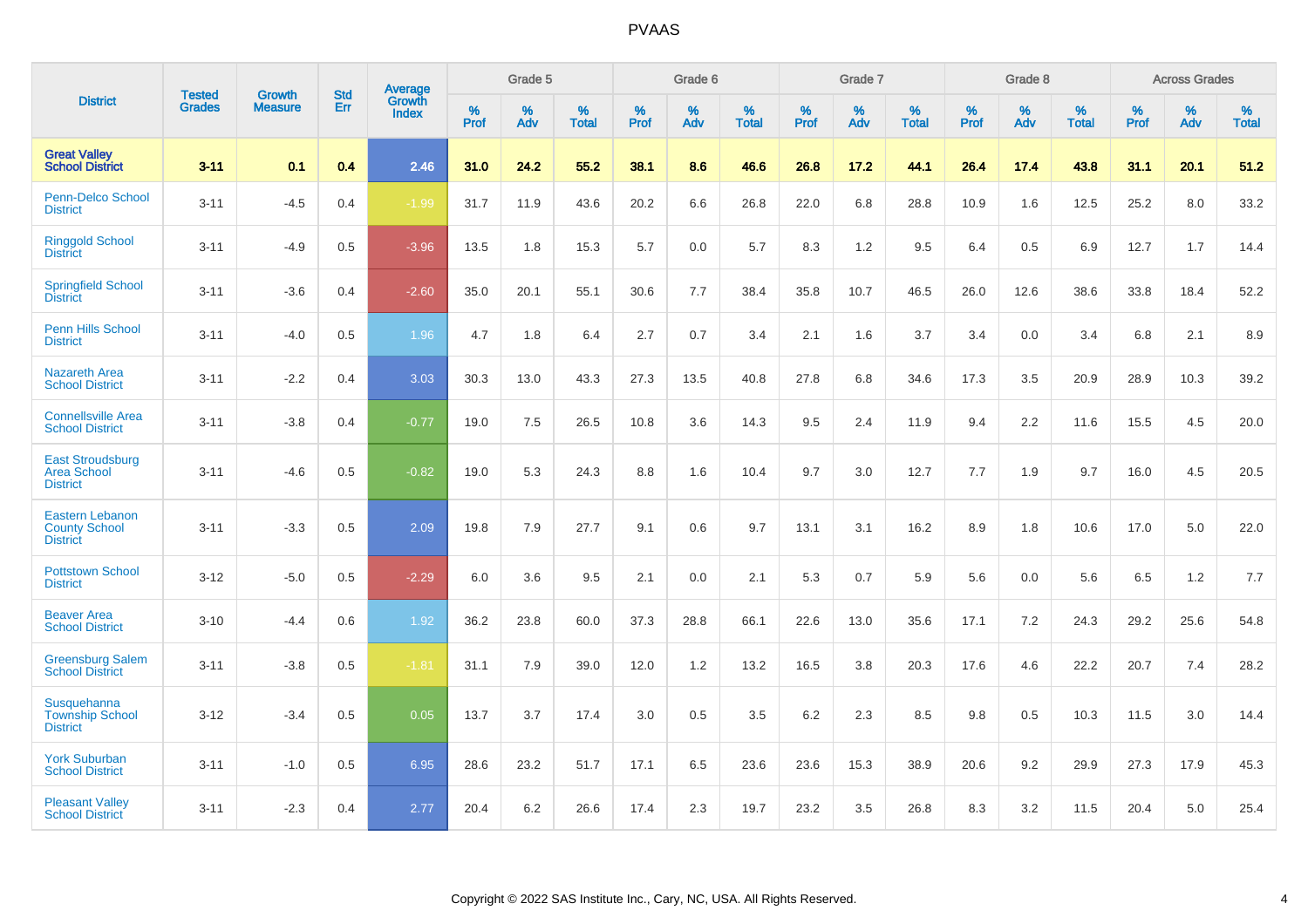| <b>District</b>                                                   |                                |                                 | <b>Std</b> | Average                       |           | Grade 5  |                   |           | Grade 6  |                   |           | Grade 7  |                   |           | Grade 8  |                   |           | <b>Across Grades</b> |                   |
|-------------------------------------------------------------------|--------------------------------|---------------------------------|------------|-------------------------------|-----------|----------|-------------------|-----------|----------|-------------------|-----------|----------|-------------------|-----------|----------|-------------------|-----------|----------------------|-------------------|
|                                                                   | <b>Tested</b><br><b>Grades</b> | <b>Growth</b><br><b>Measure</b> | Err        | <b>Growth</b><br><b>Index</b> | %<br>Prof | %<br>Adv | %<br><b>Total</b> | %<br>Prof | %<br>Adv | %<br><b>Total</b> | %<br>Prof | %<br>Adv | %<br><b>Total</b> | %<br>Prof | %<br>Adv | %<br><b>Total</b> | %<br>Prof | %<br>Adv             | %<br><b>Total</b> |
| <b>Great Valley</b><br><b>School District</b>                     | $3 - 11$                       | 0.1                             | 0.4        | 2.46                          | 31.0      | 24.2     | 55.2              | 38.1      | 8.6      | 46.6              | 26.8      | 17.2     | 44.1              | 26.4      | 17.4     | 43.8              | 31.1      | 20.1                 | 51.2              |
| Penn-Delco School<br><b>District</b>                              | $3 - 11$                       | $-4.5$                          | 0.4        | $-1.99$                       | 31.7      | 11.9     | 43.6              | 20.2      | 6.6      | 26.8              | 22.0      | 6.8      | 28.8              | 10.9      | 1.6      | 12.5              | 25.2      | 8.0                  | 33.2              |
| <b>Ringgold School</b><br><b>District</b>                         | $3 - 11$                       | $-4.9$                          | 0.5        | $-3.96$                       | 13.5      | 1.8      | 15.3              | 5.7       | 0.0      | 5.7               | 8.3       | 1.2      | 9.5               | 6.4       | 0.5      | 6.9               | 12.7      | 1.7                  | 14.4              |
| <b>Springfield School</b><br><b>District</b>                      | $3 - 11$                       | $-3.6$                          | 0.4        | $-2.60$                       | 35.0      | 20.1     | 55.1              | 30.6      | 7.7      | 38.4              | 35.8      | 10.7     | 46.5              | 26.0      | 12.6     | 38.6              | 33.8      | 18.4                 | 52.2              |
| Penn Hills School<br><b>District</b>                              | $3 - 11$                       | $-4.0$                          | 0.5        | 1.96                          | 4.7       | 1.8      | 6.4               | 2.7       | 0.7      | 3.4               | 2.1       | 1.6      | 3.7               | 3.4       | 0.0      | 3.4               | 6.8       | 2.1                  | 8.9               |
| <b>Nazareth Area</b><br><b>School District</b>                    | $3 - 11$                       | $-2.2$                          | 0.4        | 3.03                          | 30.3      | 13.0     | 43.3              | 27.3      | 13.5     | 40.8              | 27.8      | 6.8      | 34.6              | 17.3      | 3.5      | 20.9              | 28.9      | 10.3                 | 39.2              |
| <b>Connellsville Area</b><br><b>School District</b>               | $3 - 11$                       | $-3.8$                          | 0.4        | $-0.77$                       | 19.0      | 7.5      | 26.5              | 10.8      | 3.6      | 14.3              | 9.5       | 2.4      | 11.9              | 9.4       | 2.2      | 11.6              | 15.5      | 4.5                  | 20.0              |
| <b>East Stroudsburg</b><br><b>Area School</b><br><b>District</b>  | $3 - 11$                       | $-4.6$                          | 0.5        | $-0.82$                       | 19.0      | 5.3      | 24.3              | 8.8       | 1.6      | 10.4              | 9.7       | 3.0      | 12.7              | 7.7       | 1.9      | 9.7               | 16.0      | 4.5                  | 20.5              |
| <b>Eastern Lebanon</b><br><b>County School</b><br><b>District</b> | $3 - 11$                       | $-3.3$                          | 0.5        | 2.09                          | 19.8      | 7.9      | 27.7              | 9.1       | 0.6      | 9.7               | 13.1      | 3.1      | 16.2              | 8.9       | 1.8      | 10.6              | 17.0      | 5.0                  | 22.0              |
| <b>Pottstown School</b><br><b>District</b>                        | $3 - 12$                       | $-5.0$                          | 0.5        | $-2.29$                       | 6.0       | 3.6      | 9.5               | 2.1       | 0.0      | 2.1               | 5.3       | 0.7      | 5.9               | 5.6       | 0.0      | 5.6               | 6.5       | 1.2                  | 7.7               |
| <b>Beaver Area</b><br><b>School District</b>                      | $3 - 10$                       | $-4.4$                          | 0.6        | 1.92                          | 36.2      | 23.8     | 60.0              | 37.3      | 28.8     | 66.1              | 22.6      | 13.0     | 35.6              | 17.1      | 7.2      | 24.3              | 29.2      | 25.6                 | 54.8              |
| <b>Greensburg Salem</b><br><b>School District</b>                 | $3 - 11$                       | $-3.8$                          | 0.5        | $-1.81$                       | 31.1      | 7.9      | 39.0              | 12.0      | 1.2      | 13.2              | 16.5      | 3.8      | 20.3              | 17.6      | 4.6      | 22.2              | 20.7      | 7.4                  | 28.2              |
| Susquehanna<br><b>Township School</b><br><b>District</b>          | $3 - 12$                       | $-3.4$                          | 0.5        | 0.05                          | 13.7      | 3.7      | 17.4              | 3.0       | 0.5      | 3.5               | 6.2       | 2.3      | 8.5               | 9.8       | 0.5      | 10.3              | 11.5      | 3.0                  | 14.4              |
| <b>York Suburban</b><br><b>School District</b>                    | $3 - 11$                       | $-1.0$                          | 0.5        | 6.95                          | 28.6      | 23.2     | 51.7              | 17.1      | 6.5      | 23.6              | 23.6      | 15.3     | 38.9              | 20.6      | 9.2      | 29.9              | 27.3      | 17.9                 | 45.3              |
| <b>Pleasant Valley</b><br><b>School District</b>                  | $3 - 11$                       | $-2.3$                          | 0.4        | 2.77                          | 20.4      | 6.2      | 26.6              | 17.4      | 2.3      | 19.7              | 23.2      | 3.5      | 26.8              | 8.3       | 3.2      | 11.5              | 20.4      | 5.0                  | 25.4              |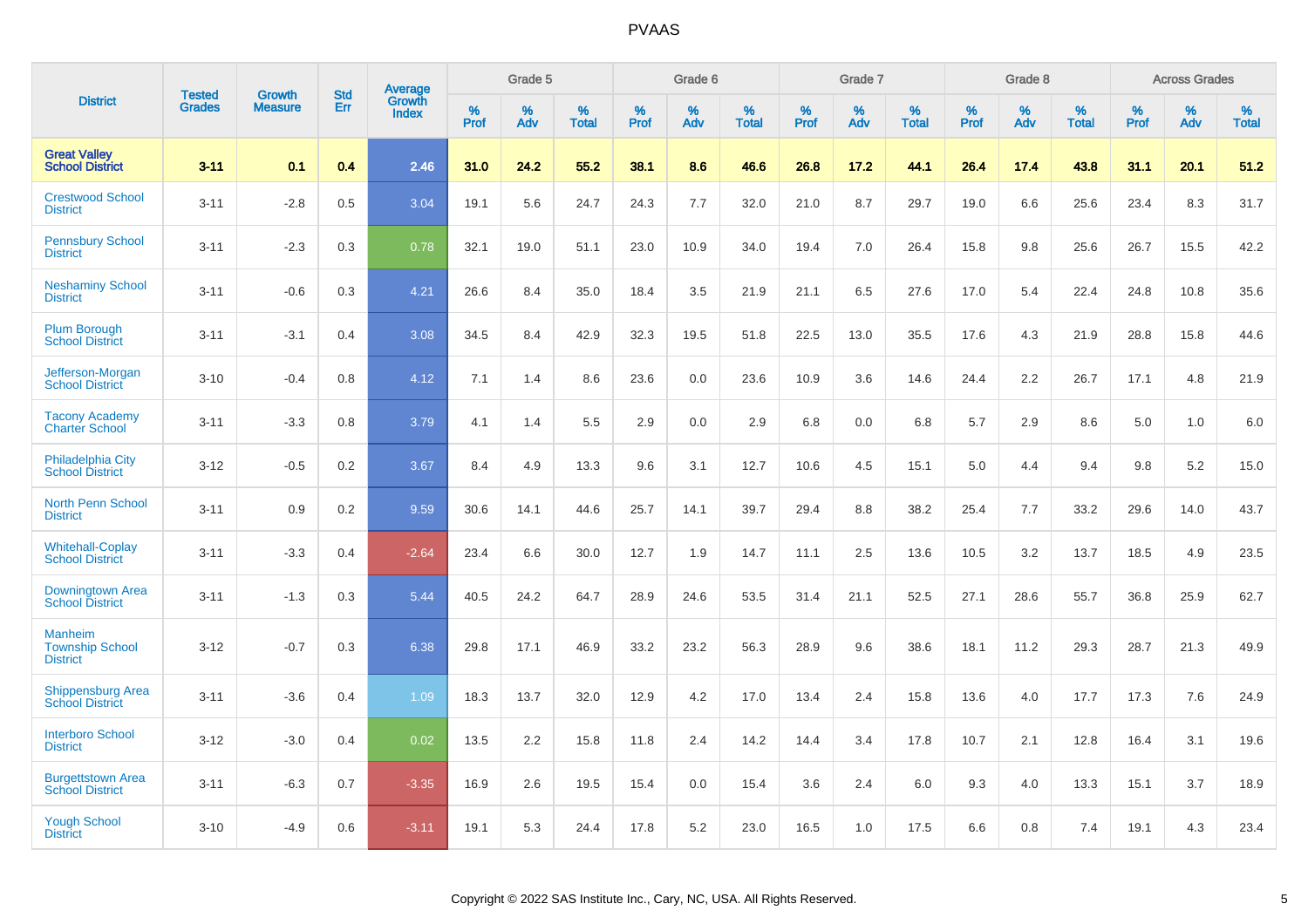| <b>District</b>                                             |                                | <b>Growth</b>  | <b>Std</b> | Average                |              | Grade 5  |                      |              | Grade 6     |                      |              | Grade 7  |                      |              | Grade 8     |                      |              | <b>Across Grades</b> |                      |
|-------------------------------------------------------------|--------------------------------|----------------|------------|------------------------|--------------|----------|----------------------|--------------|-------------|----------------------|--------------|----------|----------------------|--------------|-------------|----------------------|--------------|----------------------|----------------------|
|                                                             | <b>Tested</b><br><b>Grades</b> | <b>Measure</b> | Err        | Growth<br><b>Index</b> | $\%$<br>Prof | %<br>Adv | $\%$<br><b>Total</b> | $\%$<br>Prof | $\%$<br>Adv | $\%$<br><b>Total</b> | $\%$<br>Prof | %<br>Adv | $\%$<br><b>Total</b> | $\%$<br>Prof | $\%$<br>Adv | $\%$<br><b>Total</b> | $\%$<br>Prof | $\%$<br>Adv          | $\%$<br><b>Total</b> |
| <b>Great Valley</b><br><b>School District</b>               | $3 - 11$                       | 0.1            | 0.4        | 2.46                   | 31.0         | 24.2     | 55.2                 | 38.1         | 8.6         | 46.6                 | 26.8         | 17.2     | 44.1                 | 26.4         | 17.4        | 43.8                 | 31.1         | 20.1                 | 51.2                 |
| <b>Crestwood School</b><br><b>District</b>                  | $3 - 11$                       | $-2.8$         | 0.5        | 3.04                   | 19.1         | 5.6      | 24.7                 | 24.3         | 7.7         | 32.0                 | 21.0         | 8.7      | 29.7                 | 19.0         | 6.6         | 25.6                 | 23.4         | 8.3                  | 31.7                 |
| <b>Pennsbury School</b><br><b>District</b>                  | $3 - 11$                       | $-2.3$         | 0.3        | 0.78                   | 32.1         | 19.0     | 51.1                 | 23.0         | 10.9        | 34.0                 | 19.4         | 7.0      | 26.4                 | 15.8         | 9.8         | 25.6                 | 26.7         | 15.5                 | 42.2                 |
| <b>Neshaminy School</b><br><b>District</b>                  | $3 - 11$                       | $-0.6$         | 0.3        | 4.21                   | 26.6         | 8.4      | 35.0                 | 18.4         | 3.5         | 21.9                 | 21.1         | 6.5      | 27.6                 | 17.0         | 5.4         | 22.4                 | 24.8         | 10.8                 | 35.6                 |
| <b>Plum Borough</b><br><b>School District</b>               | $3 - 11$                       | $-3.1$         | 0.4        | 3.08                   | 34.5         | 8.4      | 42.9                 | 32.3         | 19.5        | 51.8                 | 22.5         | 13.0     | 35.5                 | 17.6         | 4.3         | 21.9                 | 28.8         | 15.8                 | 44.6                 |
| Jefferson-Morgan<br><b>School District</b>                  | $3 - 10$                       | $-0.4$         | 0.8        | 4.12                   | 7.1          | 1.4      | 8.6                  | 23.6         | 0.0         | 23.6                 | 10.9         | 3.6      | 14.6                 | 24.4         | 2.2         | 26.7                 | 17.1         | 4.8                  | 21.9                 |
| <b>Tacony Academy</b><br><b>Charter School</b>              | $3 - 11$                       | $-3.3$         | 0.8        | 3.79                   | 4.1          | 1.4      | 5.5                  | 2.9          | 0.0         | 2.9                  | 6.8          | 0.0      | 6.8                  | 5.7          | 2.9         | 8.6                  | 5.0          | 1.0                  | 6.0                  |
| <b>Philadelphia City</b><br><b>School District</b>          | $3 - 12$                       | $-0.5$         | 0.2        | 3.67                   | 8.4          | 4.9      | 13.3                 | 9.6          | 3.1         | 12.7                 | 10.6         | 4.5      | 15.1                 | 5.0          | 4.4         | 9.4                  | 9.8          | 5.2                  | 15.0                 |
| <b>North Penn School</b><br><b>District</b>                 | $3 - 11$                       | 0.9            | 0.2        | 9.59                   | 30.6         | 14.1     | 44.6                 | 25.7         | 14.1        | 39.7                 | 29.4         | 8.8      | 38.2                 | 25.4         | 7.7         | 33.2                 | 29.6         | 14.0                 | 43.7                 |
| <b>Whitehall-Coplay</b><br><b>School District</b>           | $3 - 11$                       | $-3.3$         | 0.4        | $-2.64$                | 23.4         | 6.6      | 30.0                 | 12.7         | 1.9         | 14.7                 | 11.1         | 2.5      | 13.6                 | 10.5         | 3.2         | 13.7                 | 18.5         | 4.9                  | 23.5                 |
| Downingtown Area<br><b>School District</b>                  | $3 - 11$                       | $-1.3$         | 0.3        | 5.44                   | 40.5         | 24.2     | 64.7                 | 28.9         | 24.6        | 53.5                 | 31.4         | 21.1     | 52.5                 | 27.1         | 28.6        | 55.7                 | 36.8         | 25.9                 | 62.7                 |
| <b>Manheim</b><br><b>Township School</b><br><b>District</b> | $3 - 12$                       | $-0.7$         | 0.3        | 6.38                   | 29.8         | 17.1     | 46.9                 | 33.2         | 23.2        | 56.3                 | 28.9         | 9.6      | 38.6                 | 18.1         | 11.2        | 29.3                 | 28.7         | 21.3                 | 49.9                 |
| <b>Shippensburg Area</b><br><b>School District</b>          | $3 - 11$                       | $-3.6$         | 0.4        | 1.09                   | 18.3         | 13.7     | 32.0                 | 12.9         | 4.2         | 17.0                 | 13.4         | 2.4      | 15.8                 | 13.6         | 4.0         | 17.7                 | 17.3         | 7.6                  | 24.9                 |
| <b>Interboro School</b><br><b>District</b>                  | $3 - 12$                       | $-3.0$         | 0.4        | 0.02                   | 13.5         | 2.2      | 15.8                 | 11.8         | 2.4         | 14.2                 | 14.4         | 3.4      | 17.8                 | 10.7         | 2.1         | 12.8                 | 16.4         | 3.1                  | 19.6                 |
| <b>Burgettstown Area</b><br><b>School District</b>          | $3 - 11$                       | $-6.3$         | 0.7        | $-3.35$                | 16.9         | 2.6      | 19.5                 | 15.4         | 0.0         | 15.4                 | 3.6          | 2.4      | 6.0                  | 9.3          | 4.0         | 13.3                 | 15.1         | 3.7                  | 18.9                 |
| <b>Yough School</b><br><b>District</b>                      | $3 - 10$                       | $-4.9$         | 0.6        | $-3.11$                | 19.1         | 5.3      | 24.4                 | 17.8         | 5.2         | 23.0                 | 16.5         | 1.0      | 17.5                 | 6.6          | 0.8         | 7.4                  | 19.1         | 4.3                  | 23.4                 |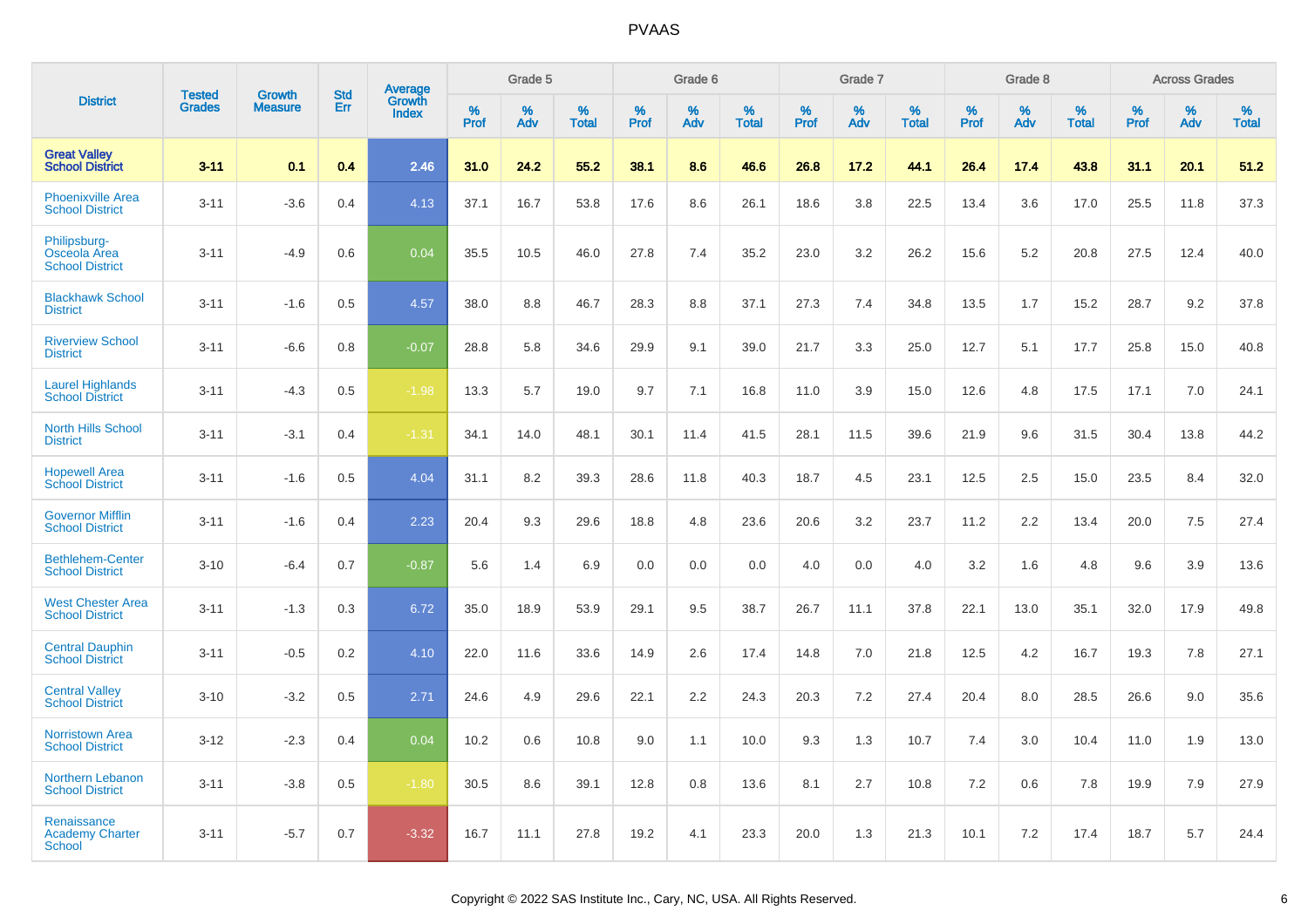| <b>District</b>                                        | <b>Tested</b> | <b>Growth</b>  | <b>Std</b> | Average                |              | Grade 5  |                   |              | Grade 6  |                   |              | Grade 7  |                   |              | Grade 8  |                   |              | <b>Across Grades</b> |                   |
|--------------------------------------------------------|---------------|----------------|------------|------------------------|--------------|----------|-------------------|--------------|----------|-------------------|--------------|----------|-------------------|--------------|----------|-------------------|--------------|----------------------|-------------------|
|                                                        | <b>Grades</b> | <b>Measure</b> | Err        | Growth<br><b>Index</b> | $\%$<br>Prof | %<br>Adv | %<br><b>Total</b> | $\%$<br>Prof | %<br>Adv | %<br><b>Total</b> | $\%$<br>Prof | %<br>Adv | %<br><b>Total</b> | $\%$<br>Prof | %<br>Adv | %<br><b>Total</b> | $\%$<br>Prof | %<br>Adv             | %<br><b>Total</b> |
| <b>Great Valley</b><br><b>School District</b>          | $3 - 11$      | 0.1            | 0.4        | 2.46                   | 31.0         | 24.2     | 55.2              | 38.1         | 8.6      | 46.6              | 26.8         | 17.2     | 44.1              | 26.4         | 17.4     | 43.8              | 31.1         | 20.1                 | 51.2              |
| <b>Phoenixville Area</b><br><b>School District</b>     | $3 - 11$      | $-3.6$         | 0.4        | 4.13                   | 37.1         | 16.7     | 53.8              | 17.6         | 8.6      | 26.1              | 18.6         | 3.8      | 22.5              | 13.4         | 3.6      | 17.0              | 25.5         | 11.8                 | 37.3              |
| Philipsburg-<br>Osceola Area<br><b>School District</b> | $3 - 11$      | $-4.9$         | 0.6        | 0.04                   | 35.5         | 10.5     | 46.0              | 27.8         | 7.4      | 35.2              | 23.0         | 3.2      | 26.2              | 15.6         | 5.2      | 20.8              | 27.5         | 12.4                 | 40.0              |
| <b>Blackhawk School</b><br><b>District</b>             | $3 - 11$      | $-1.6$         | 0.5        | 4.57                   | 38.0         | 8.8      | 46.7              | 28.3         | 8.8      | 37.1              | 27.3         | 7.4      | 34.8              | 13.5         | 1.7      | 15.2              | 28.7         | 9.2                  | 37.8              |
| <b>Riverview School</b><br><b>District</b>             | $3 - 11$      | $-6.6$         | 0.8        | $-0.07$                | 28.8         | 5.8      | 34.6              | 29.9         | 9.1      | 39.0              | 21.7         | 3.3      | 25.0              | 12.7         | 5.1      | 17.7              | 25.8         | 15.0                 | 40.8              |
| <b>Laurel Highlands</b><br><b>School District</b>      | $3 - 11$      | $-4.3$         | 0.5        | $-1.98$                | 13.3         | 5.7      | 19.0              | 9.7          | 7.1      | 16.8              | 11.0         | 3.9      | 15.0              | 12.6         | 4.8      | 17.5              | 17.1         | 7.0                  | 24.1              |
| <b>North Hills School</b><br><b>District</b>           | $3 - 11$      | $-3.1$         | 0.4        | $-1.31$                | 34.1         | 14.0     | 48.1              | 30.1         | 11.4     | 41.5              | 28.1         | 11.5     | 39.6              | 21.9         | 9.6      | 31.5              | 30.4         | 13.8                 | 44.2              |
| <b>Hopewell Area</b><br><b>School District</b>         | $3 - 11$      | $-1.6$         | 0.5        | 4.04                   | 31.1         | 8.2      | 39.3              | 28.6         | 11.8     | 40.3              | 18.7         | 4.5      | 23.1              | 12.5         | 2.5      | 15.0              | 23.5         | 8.4                  | 32.0              |
| <b>Governor Mifflin</b><br><b>School District</b>      | $3 - 11$      | $-1.6$         | 0.4        | 2.23                   | 20.4         | 9.3      | 29.6              | 18.8         | 4.8      | 23.6              | 20.6         | 3.2      | 23.7              | 11.2         | 2.2      | 13.4              | 20.0         | 7.5                  | 27.4              |
| <b>Bethlehem-Center</b><br><b>School District</b>      | $3 - 10$      | $-6.4$         | 0.7        | $-0.87$                | 5.6          | 1.4      | 6.9               | 0.0          | 0.0      | 0.0               | 4.0          | 0.0      | 4.0               | 3.2          | 1.6      | 4.8               | 9.6          | 3.9                  | 13.6              |
| <b>West Chester Area</b><br><b>School District</b>     | $3 - 11$      | $-1.3$         | 0.3        | 6.72                   | 35.0         | 18.9     | 53.9              | 29.1         | 9.5      | 38.7              | 26.7         | 11.1     | 37.8              | 22.1         | 13.0     | 35.1              | 32.0         | 17.9                 | 49.8              |
| <b>Central Dauphin</b><br><b>School District</b>       | $3 - 11$      | $-0.5$         | 0.2        | 4.10                   | 22.0         | 11.6     | 33.6              | 14.9         | 2.6      | 17.4              | 14.8         | 7.0      | 21.8              | 12.5         | 4.2      | 16.7              | 19.3         | 7.8                  | 27.1              |
| <b>Central Valley</b><br><b>School District</b>        | $3 - 10$      | $-3.2$         | 0.5        | 2.71                   | 24.6         | 4.9      | 29.6              | 22.1         | 2.2      | 24.3              | 20.3         | 7.2      | 27.4              | 20.4         | 8.0      | 28.5              | 26.6         | 9.0                  | 35.6              |
| <b>Norristown Area</b><br><b>School District</b>       | $3 - 12$      | $-2.3$         | 0.4        | 0.04                   | 10.2         | 0.6      | 10.8              | 9.0          | 1.1      | 10.0              | 9.3          | 1.3      | 10.7              | 7.4          | 3.0      | 10.4              | 11.0         | 1.9                  | 13.0              |
| Northern Lebanon<br><b>School District</b>             | $3 - 11$      | $-3.8$         | 0.5        | $-1.80$                | 30.5         | 8.6      | 39.1              | 12.8         | 0.8      | 13.6              | 8.1          | 2.7      | 10.8              | 7.2          | 0.6      | 7.8               | 19.9         | 7.9                  | 27.9              |
| Renaissance<br><b>Academy Charter</b><br>School        | $3 - 11$      | $-5.7$         | 0.7        | $-3.32$                | 16.7         | 11.1     | 27.8              | 19.2         | 4.1      | 23.3              | 20.0         | 1.3      | 21.3              | 10.1         | 7.2      | 17.4              | 18.7         | 5.7                  | 24.4              |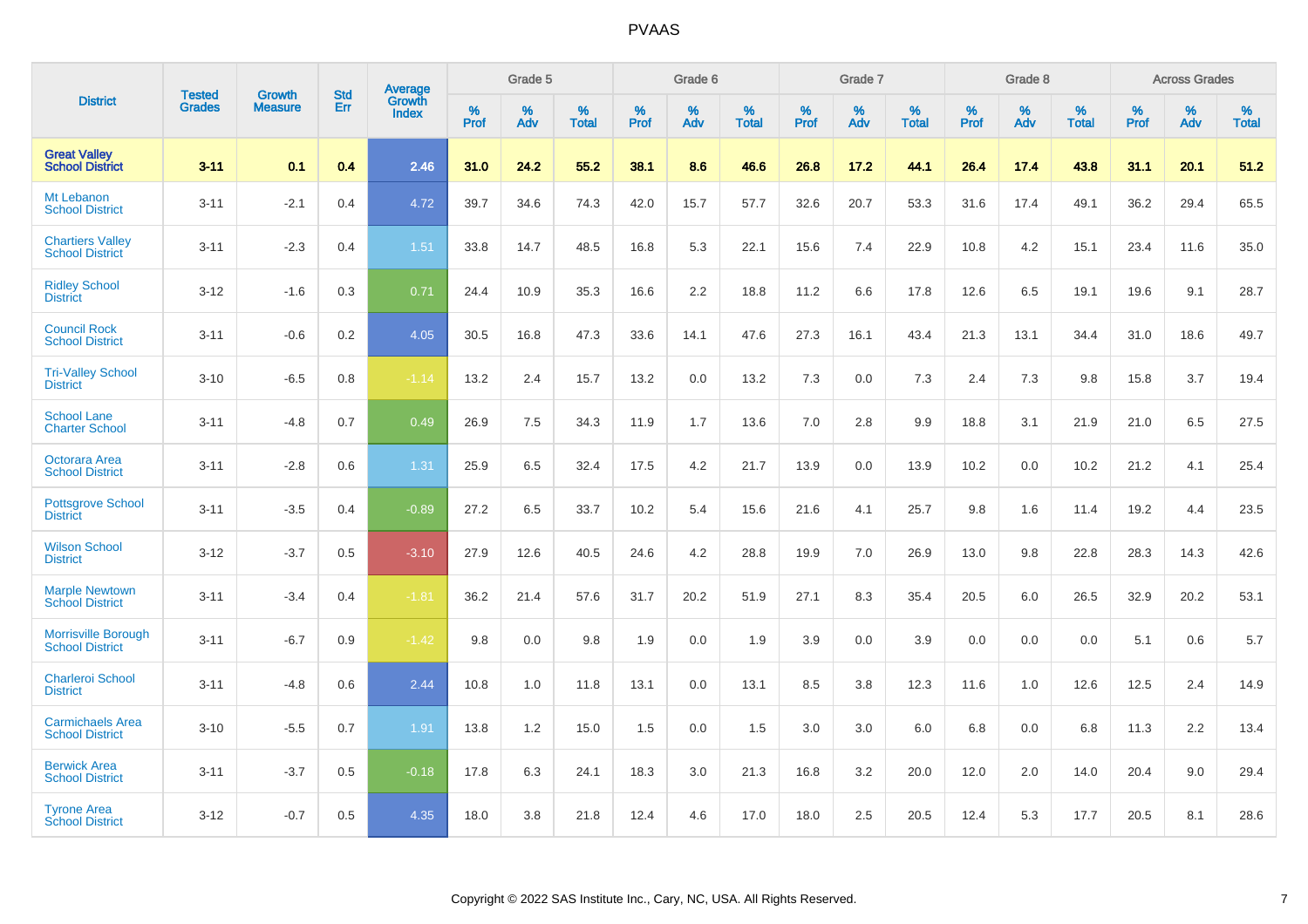|                                                      |                                |                                 | <b>Std</b> | <b>Average</b>         |           | Grade 5  |                   |           | Grade 6  |                   |           | Grade 7  |                   |           | Grade 8  |                   |           | <b>Across Grades</b> |            |
|------------------------------------------------------|--------------------------------|---------------------------------|------------|------------------------|-----------|----------|-------------------|-----------|----------|-------------------|-----------|----------|-------------------|-----------|----------|-------------------|-----------|----------------------|------------|
| <b>District</b>                                      | <b>Tested</b><br><b>Grades</b> | <b>Growth</b><br><b>Measure</b> | Err        | Growth<br><b>Index</b> | %<br>Prof | %<br>Adv | %<br><b>Total</b> | %<br>Prof | %<br>Adv | %<br><b>Total</b> | %<br>Prof | %<br>Adv | %<br><b>Total</b> | %<br>Prof | %<br>Adv | %<br><b>Total</b> | %<br>Prof | %<br>Adv             | %<br>Total |
| <b>Great Valley</b><br><b>School District</b>        | $3 - 11$                       | 0.1                             | 0.4        | 2.46                   | 31.0      | 24.2     | 55.2              | 38.1      | 8.6      | 46.6              | 26.8      | 17.2     | 44.1              | 26.4      | 17.4     | 43.8              | 31.1      | 20.1                 | 51.2       |
| Mt Lebanon<br><b>School District</b>                 | $3 - 11$                       | $-2.1$                          | 0.4        | 4.72                   | 39.7      | 34.6     | 74.3              | 42.0      | 15.7     | 57.7              | 32.6      | 20.7     | 53.3              | 31.6      | 17.4     | 49.1              | 36.2      | 29.4                 | 65.5       |
| <b>Chartiers Valley</b><br><b>School District</b>    | $3 - 11$                       | $-2.3$                          | 0.4        | 1.51                   | 33.8      | 14.7     | 48.5              | 16.8      | 5.3      | 22.1              | 15.6      | 7.4      | 22.9              | 10.8      | 4.2      | 15.1              | 23.4      | 11.6                 | 35.0       |
| <b>Ridley School</b><br><b>District</b>              | $3 - 12$                       | $-1.6$                          | 0.3        | 0.71                   | 24.4      | 10.9     | 35.3              | 16.6      | 2.2      | 18.8              | 11.2      | 6.6      | 17.8              | 12.6      | 6.5      | 19.1              | 19.6      | 9.1                  | 28.7       |
| <b>Council Rock</b><br><b>School District</b>        | $3 - 11$                       | $-0.6$                          | 0.2        | 4.05                   | 30.5      | 16.8     | 47.3              | 33.6      | 14.1     | 47.6              | 27.3      | 16.1     | 43.4              | 21.3      | 13.1     | 34.4              | 31.0      | 18.6                 | 49.7       |
| <b>Tri-Valley School</b><br><b>District</b>          | $3 - 10$                       | $-6.5$                          | 0.8        | $-1.14$                | 13.2      | 2.4      | 15.7              | 13.2      | 0.0      | 13.2              | 7.3       | 0.0      | 7.3               | 2.4       | 7.3      | 9.8               | 15.8      | 3.7                  | 19.4       |
| <b>School Lane</b><br><b>Charter School</b>          | $3 - 11$                       | $-4.8$                          | 0.7        | 0.49                   | 26.9      | 7.5      | 34.3              | 11.9      | 1.7      | 13.6              | 7.0       | 2.8      | 9.9               | 18.8      | 3.1      | 21.9              | 21.0      | 6.5                  | 27.5       |
| Octorara Area<br><b>School District</b>              | $3 - 11$                       | $-2.8$                          | 0.6        | 1.31                   | 25.9      | 6.5      | 32.4              | 17.5      | 4.2      | 21.7              | 13.9      | 0.0      | 13.9              | 10.2      | 0.0      | 10.2              | 21.2      | 4.1                  | 25.4       |
| <b>Pottsgrove School</b><br><b>District</b>          | $3 - 11$                       | $-3.5$                          | 0.4        | $-0.89$                | 27.2      | 6.5      | 33.7              | 10.2      | 5.4      | 15.6              | 21.6      | 4.1      | 25.7              | 9.8       | 1.6      | 11.4              | 19.2      | 4.4                  | 23.5       |
| <b>Wilson School</b><br><b>District</b>              | $3 - 12$                       | $-3.7$                          | 0.5        | $-3.10$                | 27.9      | 12.6     | 40.5              | 24.6      | 4.2      | 28.8              | 19.9      | 7.0      | 26.9              | 13.0      | 9.8      | 22.8              | 28.3      | 14.3                 | 42.6       |
| <b>Marple Newtown</b><br><b>School District</b>      | $3 - 11$                       | $-3.4$                          | 0.4        | $-1.81$                | 36.2      | 21.4     | 57.6              | 31.7      | 20.2     | 51.9              | 27.1      | 8.3      | 35.4              | 20.5      | 6.0      | 26.5              | 32.9      | 20.2                 | 53.1       |
| <b>Morrisville Borough</b><br><b>School District</b> | $3 - 11$                       | $-6.7$                          | 0.9        | $-1.42$                | 9.8       | 0.0      | 9.8               | 1.9       | 0.0      | 1.9               | 3.9       | 0.0      | 3.9               | 0.0       | 0.0      | 0.0               | 5.1       | 0.6                  | 5.7        |
| Charleroi School<br><b>District</b>                  | $3 - 11$                       | $-4.8$                          | 0.6        | 2.44                   | 10.8      | 1.0      | 11.8              | 13.1      | 0.0      | 13.1              | 8.5       | 3.8      | 12.3              | 11.6      | 1.0      | 12.6              | 12.5      | 2.4                  | 14.9       |
| <b>Carmichaels Area</b><br><b>School District</b>    | $3 - 10$                       | $-5.5$                          | 0.7        | 1.91                   | 13.8      | 1.2      | 15.0              | 1.5       | 0.0      | 1.5               | 3.0       | 3.0      | 6.0               | 6.8       | 0.0      | 6.8               | 11.3      | 2.2                  | 13.4       |
| <b>Berwick Area</b><br><b>School District</b>        | $3 - 11$                       | $-3.7$                          | 0.5        | $-0.18$                | 17.8      | 6.3      | 24.1              | 18.3      | 3.0      | 21.3              | 16.8      | 3.2      | 20.0              | 12.0      | 2.0      | 14.0              | 20.4      | 9.0                  | 29.4       |
| <b>Tyrone Area</b><br><b>School District</b>         | $3 - 12$                       | $-0.7$                          | 0.5        | 4.35                   | 18.0      | 3.8      | 21.8              | 12.4      | 4.6      | 17.0              | 18.0      | 2.5      | 20.5              | 12.4      | 5.3      | 17.7              | 20.5      | 8.1                  | 28.6       |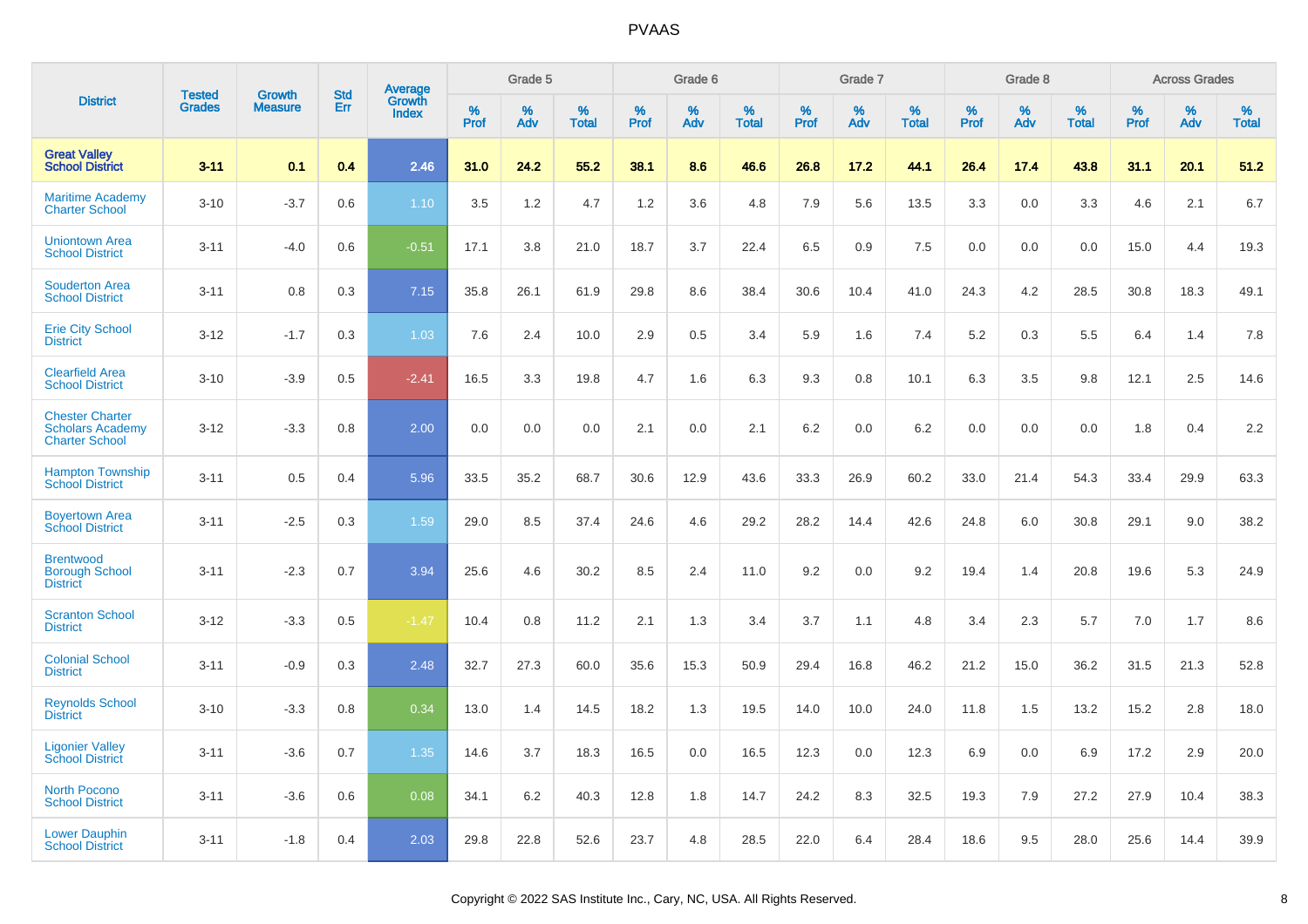| <b>District</b>                                                            | <b>Tested</b> | <b>Growth</b>  | <b>Std</b> | Average                |              | Grade 5  |                   |              | Grade 6  |                   |              | Grade 7  |                   |              | Grade 8  |                   |              | <b>Across Grades</b> |                   |
|----------------------------------------------------------------------------|---------------|----------------|------------|------------------------|--------------|----------|-------------------|--------------|----------|-------------------|--------------|----------|-------------------|--------------|----------|-------------------|--------------|----------------------|-------------------|
|                                                                            | <b>Grades</b> | <b>Measure</b> | Err        | Growth<br><b>Index</b> | $\%$<br>Prof | %<br>Adv | %<br><b>Total</b> | $\%$<br>Prof | %<br>Adv | %<br><b>Total</b> | $\%$<br>Prof | %<br>Adv | %<br><b>Total</b> | $\%$<br>Prof | %<br>Adv | %<br><b>Total</b> | $\%$<br>Prof | %<br>Adv             | %<br><b>Total</b> |
| <b>Great Valley</b><br><b>School District</b>                              | $3 - 11$      | 0.1            | 0.4        | 2.46                   | 31.0         | 24.2     | 55.2              | 38.1         | 8.6      | 46.6              | 26.8         | 17.2     | 44.1              | 26.4         | 17.4     | 43.8              | 31.1         | 20.1                 | 51.2              |
| <b>Maritime Academy</b><br><b>Charter School</b>                           | $3 - 10$      | $-3.7$         | 0.6        | 1.10                   | 3.5          | 1.2      | 4.7               | 1.2          | 3.6      | 4.8               | 7.9          | 5.6      | 13.5              | 3.3          | 0.0      | 3.3               | 4.6          | 2.1                  | 6.7               |
| <b>Uniontown Area</b><br><b>School District</b>                            | $3 - 11$      | $-4.0$         | 0.6        | $-0.51$                | 17.1         | 3.8      | 21.0              | 18.7         | 3.7      | 22.4              | 6.5          | 0.9      | 7.5               | 0.0          | 0.0      | 0.0               | 15.0         | 4.4                  | 19.3              |
| <b>Souderton Area</b><br><b>School District</b>                            | $3 - 11$      | 0.8            | 0.3        | 7.15                   | 35.8         | 26.1     | 61.9              | 29.8         | 8.6      | 38.4              | 30.6         | 10.4     | 41.0              | 24.3         | 4.2      | 28.5              | 30.8         | 18.3                 | 49.1              |
| <b>Erie City School</b><br><b>District</b>                                 | $3 - 12$      | $-1.7$         | 0.3        | 1.03                   | 7.6          | 2.4      | 10.0              | 2.9          | 0.5      | 3.4               | 5.9          | 1.6      | 7.4               | 5.2          | 0.3      | 5.5               | 6.4          | 1.4                  | 7.8               |
| <b>Clearfield Area</b><br><b>School District</b>                           | $3 - 10$      | $-3.9$         | 0.5        | $-2.41$                | 16.5         | 3.3      | 19.8              | 4.7          | 1.6      | 6.3               | 9.3          | 0.8      | 10.1              | 6.3          | 3.5      | 9.8               | 12.1         | 2.5                  | 14.6              |
| <b>Chester Charter</b><br><b>Scholars Academy</b><br><b>Charter School</b> | $3 - 12$      | $-3.3$         | 0.8        | 2.00                   | 0.0          | 0.0      | 0.0               | 2.1          | 0.0      | 2.1               | 6.2          | 0.0      | 6.2               | 0.0          | 0.0      | 0.0               | 1.8          | 0.4                  | 2.2               |
| <b>Hampton Township</b><br><b>School District</b>                          | $3 - 11$      | 0.5            | 0.4        | 5.96                   | 33.5         | 35.2     | 68.7              | 30.6         | 12.9     | 43.6              | 33.3         | 26.9     | 60.2              | 33.0         | 21.4     | 54.3              | 33.4         | 29.9                 | 63.3              |
| <b>Boyertown Area</b><br><b>School District</b>                            | $3 - 11$      | $-2.5$         | 0.3        | 1.59                   | 29.0         | 8.5      | 37.4              | 24.6         | 4.6      | 29.2              | 28.2         | 14.4     | 42.6              | 24.8         | 6.0      | 30.8              | 29.1         | 9.0                  | 38.2              |
| <b>Brentwood</b><br><b>Borough School</b><br><b>District</b>               | $3 - 11$      | $-2.3$         | 0.7        | 3.94                   | 25.6         | 4.6      | 30.2              | 8.5          | 2.4      | 11.0              | 9.2          | 0.0      | 9.2               | 19.4         | 1.4      | 20.8              | 19.6         | 5.3                  | 24.9              |
| <b>Scranton School</b><br><b>District</b>                                  | $3 - 12$      | $-3.3$         | 0.5        | $-1.47$                | 10.4         | 0.8      | 11.2              | 2.1          | 1.3      | 3.4               | 3.7          | 1.1      | 4.8               | 3.4          | 2.3      | 5.7               | 7.0          | 1.7                  | 8.6               |
| <b>Colonial School</b><br><b>District</b>                                  | $3 - 11$      | $-0.9$         | 0.3        | 2.48                   | 32.7         | 27.3     | 60.0              | 35.6         | 15.3     | 50.9              | 29.4         | 16.8     | 46.2              | 21.2         | 15.0     | 36.2              | 31.5         | 21.3                 | 52.8              |
| <b>Reynolds School</b><br><b>District</b>                                  | $3 - 10$      | $-3.3$         | 0.8        | 0.34                   | 13.0         | 1.4      | 14.5              | 18.2         | 1.3      | 19.5              | 14.0         | 10.0     | 24.0              | 11.8         | 1.5      | 13.2              | 15.2         | 2.8                  | 18.0              |
| <b>Ligonier Valley</b><br><b>School District</b>                           | $3 - 11$      | $-3.6$         | 0.7        | 1.35                   | 14.6         | 3.7      | 18.3              | 16.5         | 0.0      | 16.5              | 12.3         | 0.0      | 12.3              | 6.9          | 0.0      | 6.9               | 17.2         | 2.9                  | 20.0              |
| <b>North Pocono</b><br><b>School District</b>                              | $3 - 11$      | $-3.6$         | 0.6        | 0.08                   | 34.1         | 6.2      | 40.3              | 12.8         | 1.8      | 14.7              | 24.2         | 8.3      | 32.5              | 19.3         | 7.9      | 27.2              | 27.9         | 10.4                 | 38.3              |
| <b>Lower Dauphin</b><br><b>School District</b>                             | $3 - 11$      | $-1.8$         | 0.4        | 2.03                   | 29.8         | 22.8     | 52.6              | 23.7         | 4.8      | 28.5              | 22.0         | 6.4      | 28.4              | 18.6         | 9.5      | 28.0              | 25.6         | 14.4                 | 39.9              |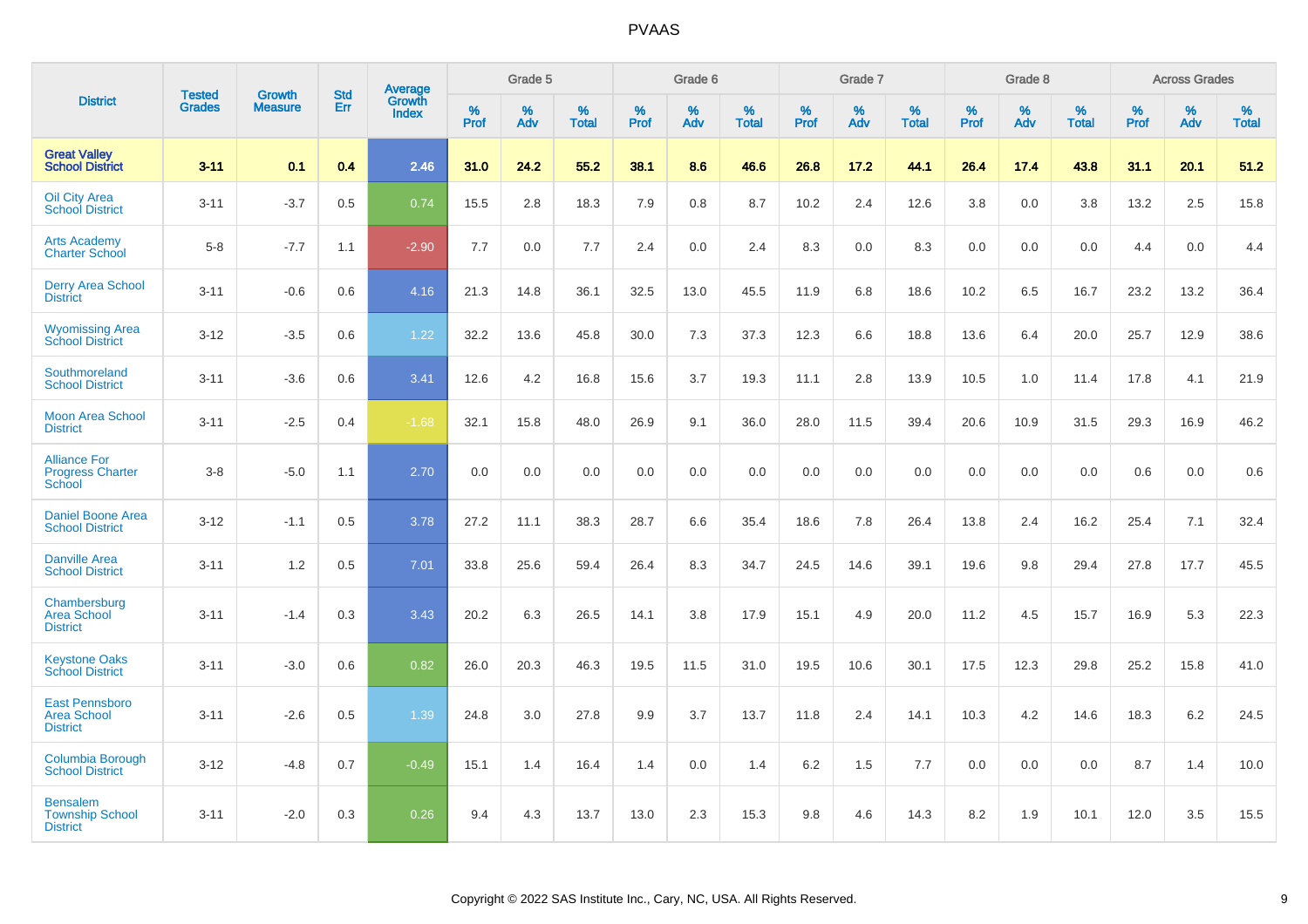| <b>District</b>                                                |                                |                                 | <b>Std</b> | Average                |           | Grade 5  |                   |           | Grade 6  |                   |           | Grade 7  |                      |           | Grade 8  |                   |           | <b>Across Grades</b> |                   |
|----------------------------------------------------------------|--------------------------------|---------------------------------|------------|------------------------|-----------|----------|-------------------|-----------|----------|-------------------|-----------|----------|----------------------|-----------|----------|-------------------|-----------|----------------------|-------------------|
|                                                                | <b>Tested</b><br><b>Grades</b> | <b>Growth</b><br><b>Measure</b> | Err        | Growth<br><b>Index</b> | %<br>Prof | %<br>Adv | %<br><b>Total</b> | %<br>Prof | %<br>Adv | %<br><b>Total</b> | %<br>Prof | %<br>Adv | $\%$<br><b>Total</b> | %<br>Prof | %<br>Adv | %<br><b>Total</b> | %<br>Prof | %<br>Adv             | %<br><b>Total</b> |
| <b>Great Valley</b><br><b>School District</b>                  | $3 - 11$                       | 0.1                             | 0.4        | 2.46                   | 31.0      | 24.2     | 55.2              | 38.1      | 8.6      | 46.6              | 26.8      | 17.2     | 44.1                 | 26.4      | 17.4     | 43.8              | 31.1      | 20.1                 | 51.2              |
| <b>Oil City Area</b><br><b>School District</b>                 | $3 - 11$                       | $-3.7$                          | 0.5        | 0.74                   | 15.5      | 2.8      | 18.3              | 7.9       | 0.8      | 8.7               | 10.2      | 2.4      | 12.6                 | 3.8       | 0.0      | 3.8               | 13.2      | 2.5                  | 15.8              |
| <b>Arts Academy</b><br><b>Charter School</b>                   | $5 - 8$                        | $-7.7$                          | 1.1        | $-2.90$                | 7.7       | 0.0      | 7.7               | 2.4       | 0.0      | 2.4               | 8.3       | 0.0      | 8.3                  | 0.0       | 0.0      | 0.0               | 4.4       | 0.0                  | 4.4               |
| <b>Derry Area School</b><br><b>District</b>                    | $3 - 11$                       | $-0.6$                          | 0.6        | 4.16                   | 21.3      | 14.8     | 36.1              | 32.5      | 13.0     | 45.5              | 11.9      | 6.8      | 18.6                 | 10.2      | 6.5      | 16.7              | 23.2      | 13.2                 | 36.4              |
| <b>Wyomissing Area</b><br><b>School District</b>               | $3 - 12$                       | $-3.5$                          | 0.6        | 1.22                   | 32.2      | 13.6     | 45.8              | 30.0      | 7.3      | 37.3              | 12.3      | 6.6      | 18.8                 | 13.6      | 6.4      | 20.0              | 25.7      | 12.9                 | 38.6              |
| Southmoreland<br><b>School District</b>                        | $3 - 11$                       | $-3.6$                          | 0.6        | 3.41                   | 12.6      | 4.2      | 16.8              | 15.6      | 3.7      | 19.3              | 11.1      | 2.8      | 13.9                 | 10.5      | 1.0      | 11.4              | 17.8      | 4.1                  | 21.9              |
| <b>Moon Area School</b><br><b>District</b>                     | $3 - 11$                       | $-2.5$                          | 0.4        | $-1.68$                | 32.1      | 15.8     | 48.0              | 26.9      | 9.1      | 36.0              | 28.0      | 11.5     | 39.4                 | 20.6      | 10.9     | 31.5              | 29.3      | 16.9                 | 46.2              |
| <b>Alliance For</b><br><b>Progress Charter</b><br>School       | $3 - 8$                        | $-5.0$                          | 1.1        | 2.70                   | 0.0       | 0.0      | 0.0               | 0.0       | 0.0      | 0.0               | 0.0       | 0.0      | 0.0                  | 0.0       | 0.0      | 0.0               | 0.6       | 0.0                  | 0.6               |
| <b>Daniel Boone Area</b><br><b>School District</b>             | $3 - 12$                       | $-1.1$                          | 0.5        | 3.78                   | 27.2      | 11.1     | 38.3              | 28.7      | 6.6      | 35.4              | 18.6      | 7.8      | 26.4                 | 13.8      | 2.4      | 16.2              | 25.4      | 7.1                  | 32.4              |
| <b>Danville Area</b><br><b>School District</b>                 | $3 - 11$                       | 1.2                             | 0.5        | 7.01                   | 33.8      | 25.6     | 59.4              | 26.4      | 8.3      | 34.7              | 24.5      | 14.6     | 39.1                 | 19.6      | 9.8      | 29.4              | 27.8      | 17.7                 | 45.5              |
| Chambersburg<br><b>Area School</b><br><b>District</b>          | $3 - 11$                       | $-1.4$                          | 0.3        | 3.43                   | 20.2      | 6.3      | 26.5              | 14.1      | 3.8      | 17.9              | 15.1      | 4.9      | 20.0                 | 11.2      | 4.5      | 15.7              | 16.9      | 5.3                  | 22.3              |
| <b>Keystone Oaks</b><br><b>School District</b>                 | $3 - 11$                       | $-3.0$                          | 0.6        | 0.82                   | 26.0      | 20.3     | 46.3              | 19.5      | 11.5     | 31.0              | 19.5      | 10.6     | 30.1                 | 17.5      | 12.3     | 29.8              | 25.2      | 15.8                 | 41.0              |
| <b>East Pennsboro</b><br><b>Area School</b><br><b>District</b> | $3 - 11$                       | $-2.6$                          | 0.5        | 1.39                   | 24.8      | 3.0      | 27.8              | 9.9       | 3.7      | 13.7              | 11.8      | 2.4      | 14.1                 | 10.3      | 4.2      | 14.6              | 18.3      | $6.2\,$              | 24.5              |
| Columbia Borough<br><b>School District</b>                     | $3 - 12$                       | $-4.8$                          | 0.7        | $-0.49$                | 15.1      | 1.4      | 16.4              | 1.4       | 0.0      | 1.4               | 6.2       | 1.5      | 7.7                  | 0.0       | 0.0      | 0.0               | 8.7       | 1.4                  | 10.0              |
| <b>Bensalem</b><br><b>Township School</b><br><b>District</b>   | $3 - 11$                       | $-2.0$                          | 0.3        | 0.26                   | 9.4       | 4.3      | 13.7              | 13.0      | 2.3      | 15.3              | 9.8       | 4.6      | 14.3                 | 8.2       | 1.9      | 10.1              | 12.0      | 3.5                  | 15.5              |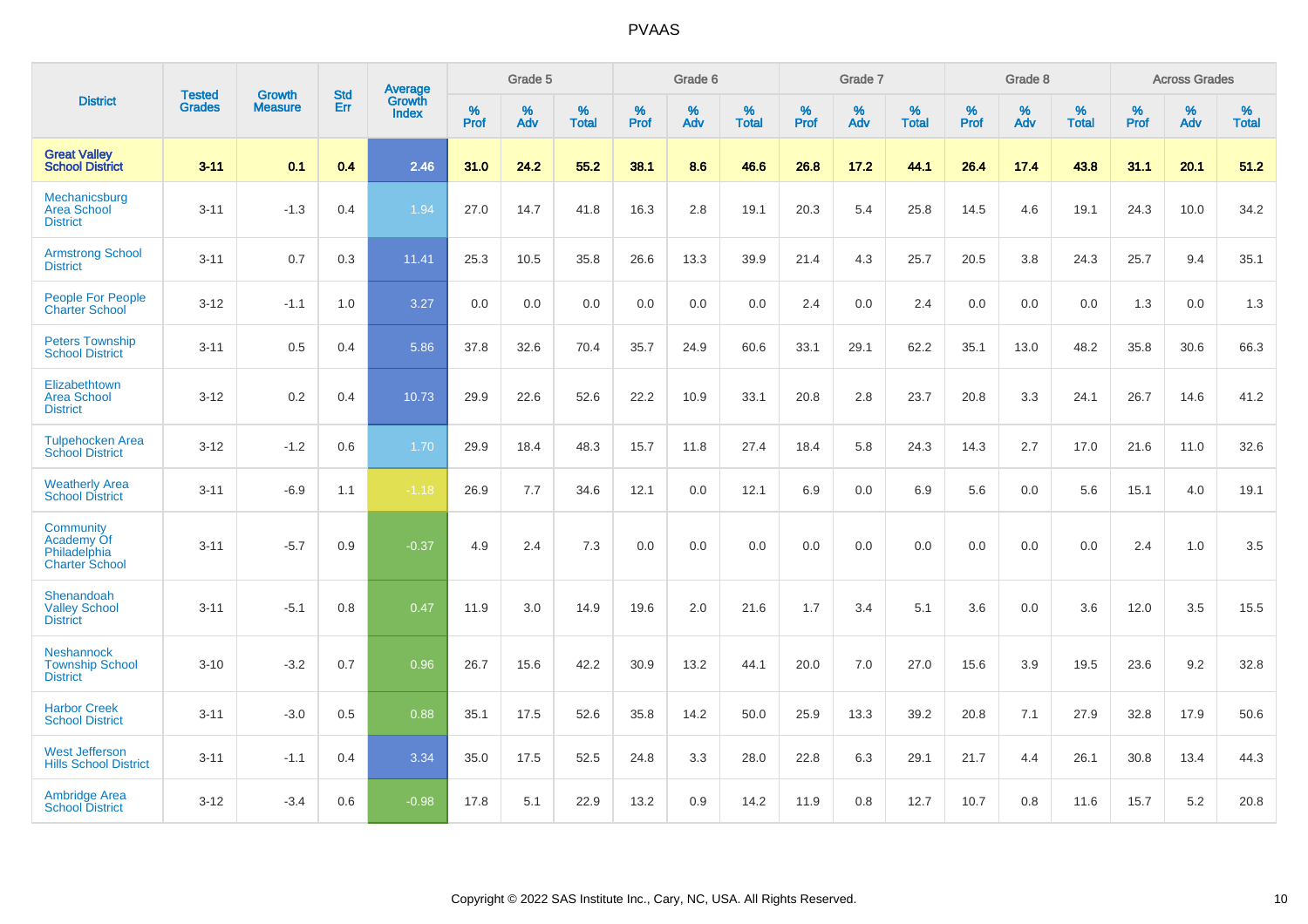| <b>District</b>                                                  | <b>Tested</b> |                          | <b>Std</b> | Average                |           | Grade 5  |                   |           | Grade 6  |                   |           | Grade 7  |                   |           | Grade 8  |                   |           | <b>Across Grades</b> |                   |
|------------------------------------------------------------------|---------------|--------------------------|------------|------------------------|-----------|----------|-------------------|-----------|----------|-------------------|-----------|----------|-------------------|-----------|----------|-------------------|-----------|----------------------|-------------------|
|                                                                  | <b>Grades</b> | Growth<br><b>Measure</b> | Err        | Growth<br><b>Index</b> | %<br>Prof | %<br>Adv | %<br><b>Total</b> | %<br>Prof | %<br>Adv | %<br><b>Total</b> | %<br>Prof | %<br>Adv | %<br><b>Total</b> | %<br>Prof | %<br>Adv | %<br><b>Total</b> | %<br>Prof | %<br>Adv             | %<br><b>Total</b> |
| <b>Great Valley</b><br><b>School District</b>                    | $3 - 11$      | 0.1                      | 0.4        | 2.46                   | 31.0      | 24.2     | 55.2              | 38.1      | 8.6      | 46.6              | 26.8      | 17.2     | 44.1              | 26.4      | 17.4     | 43.8              | 31.1      | 20.1                 | 51.2              |
| Mechanicsburg<br><b>Area School</b><br><b>District</b>           | $3 - 11$      | $-1.3$                   | 0.4        | 1.94                   | 27.0      | 14.7     | 41.8              | 16.3      | 2.8      | 19.1              | 20.3      | 5.4      | 25.8              | 14.5      | 4.6      | 19.1              | 24.3      | 10.0                 | 34.2              |
| <b>Armstrong School</b><br><b>District</b>                       | $3 - 11$      | 0.7                      | 0.3        | 11.41                  | 25.3      | 10.5     | 35.8              | 26.6      | 13.3     | 39.9              | 21.4      | 4.3      | 25.7              | 20.5      | 3.8      | 24.3              | 25.7      | 9.4                  | 35.1              |
| People For People<br><b>Charter School</b>                       | $3 - 12$      | $-1.1$                   | 1.0        | 3.27                   | 0.0       | 0.0      | 0.0               | 0.0       | 0.0      | 0.0               | 2.4       | 0.0      | 2.4               | 0.0       | 0.0      | 0.0               | 1.3       | 0.0                  | 1.3               |
| <b>Peters Township</b><br><b>School District</b>                 | $3 - 11$      | 0.5                      | 0.4        | 5.86                   | 37.8      | 32.6     | 70.4              | 35.7      | 24.9     | 60.6              | 33.1      | 29.1     | 62.2              | 35.1      | 13.0     | 48.2              | 35.8      | 30.6                 | 66.3              |
| Elizabethtown<br><b>Area School</b><br><b>District</b>           | $3 - 12$      | 0.2                      | 0.4        | 10.73                  | 29.9      | 22.6     | 52.6              | 22.2      | 10.9     | 33.1              | 20.8      | 2.8      | 23.7              | 20.8      | 3.3      | 24.1              | 26.7      | 14.6                 | 41.2              |
| <b>Tulpehocken Area</b><br><b>School District</b>                | $3 - 12$      | $-1.2$                   | 0.6        | 1.70                   | 29.9      | 18.4     | 48.3              | 15.7      | 11.8     | 27.4              | 18.4      | 5.8      | 24.3              | 14.3      | 2.7      | 17.0              | 21.6      | 11.0                 | 32.6              |
| <b>Weatherly Area</b><br><b>School District</b>                  | $3 - 11$      | $-6.9$                   | 1.1        | $-1.18$                | 26.9      | 7.7      | 34.6              | 12.1      | 0.0      | 12.1              | 6.9       | 0.0      | 6.9               | 5.6       | 0.0      | 5.6               | 15.1      | 4.0                  | 19.1              |
| Community<br>Academy Of<br>Philadelphia<br><b>Charter School</b> | $3 - 11$      | $-5.7$                   | 0.9        | $-0.37$                | 4.9       | 2.4      | 7.3               | 0.0       | 0.0      | 0.0               | 0.0       | 0.0      | 0.0               | 0.0       | 0.0      | 0.0               | 2.4       | 1.0                  | 3.5               |
| Shenandoah<br><b>Valley School</b><br><b>District</b>            | $3 - 11$      | $-5.1$                   | 0.8        | 0.47                   | 11.9      | 3.0      | 14.9              | 19.6      | 2.0      | 21.6              | 1.7       | 3.4      | 5.1               | 3.6       | 0.0      | 3.6               | 12.0      | 3.5                  | 15.5              |
| <b>Neshannock</b><br><b>Township School</b><br><b>District</b>   | $3 - 10$      | $-3.2$                   | 0.7        | 0.96                   | 26.7      | 15.6     | 42.2              | 30.9      | 13.2     | 44.1              | 20.0      | 7.0      | 27.0              | 15.6      | 3.9      | 19.5              | 23.6      | 9.2                  | 32.8              |
| <b>Harbor Creek</b><br><b>School District</b>                    | $3 - 11$      | $-3.0$                   | 0.5        | 0.88                   | 35.1      | 17.5     | 52.6              | 35.8      | 14.2     | 50.0              | 25.9      | 13.3     | 39.2              | 20.8      | 7.1      | 27.9              | 32.8      | 17.9                 | 50.6              |
| <b>West Jefferson</b><br><b>Hills School District</b>            | $3 - 11$      | $-1.1$                   | 0.4        | 3.34                   | 35.0      | 17.5     | 52.5              | 24.8      | 3.3      | 28.0              | 22.8      | 6.3      | 29.1              | 21.7      | 4.4      | 26.1              | 30.8      | 13.4                 | 44.3              |
| <b>Ambridge Area</b><br><b>School District</b>                   | $3 - 12$      | $-3.4$                   | 0.6        | $-0.98$                | 17.8      | 5.1      | 22.9              | 13.2      | 0.9      | 14.2              | 11.9      | 0.8      | 12.7              | 10.7      | 0.8      | 11.6              | 15.7      | 5.2                  | 20.8              |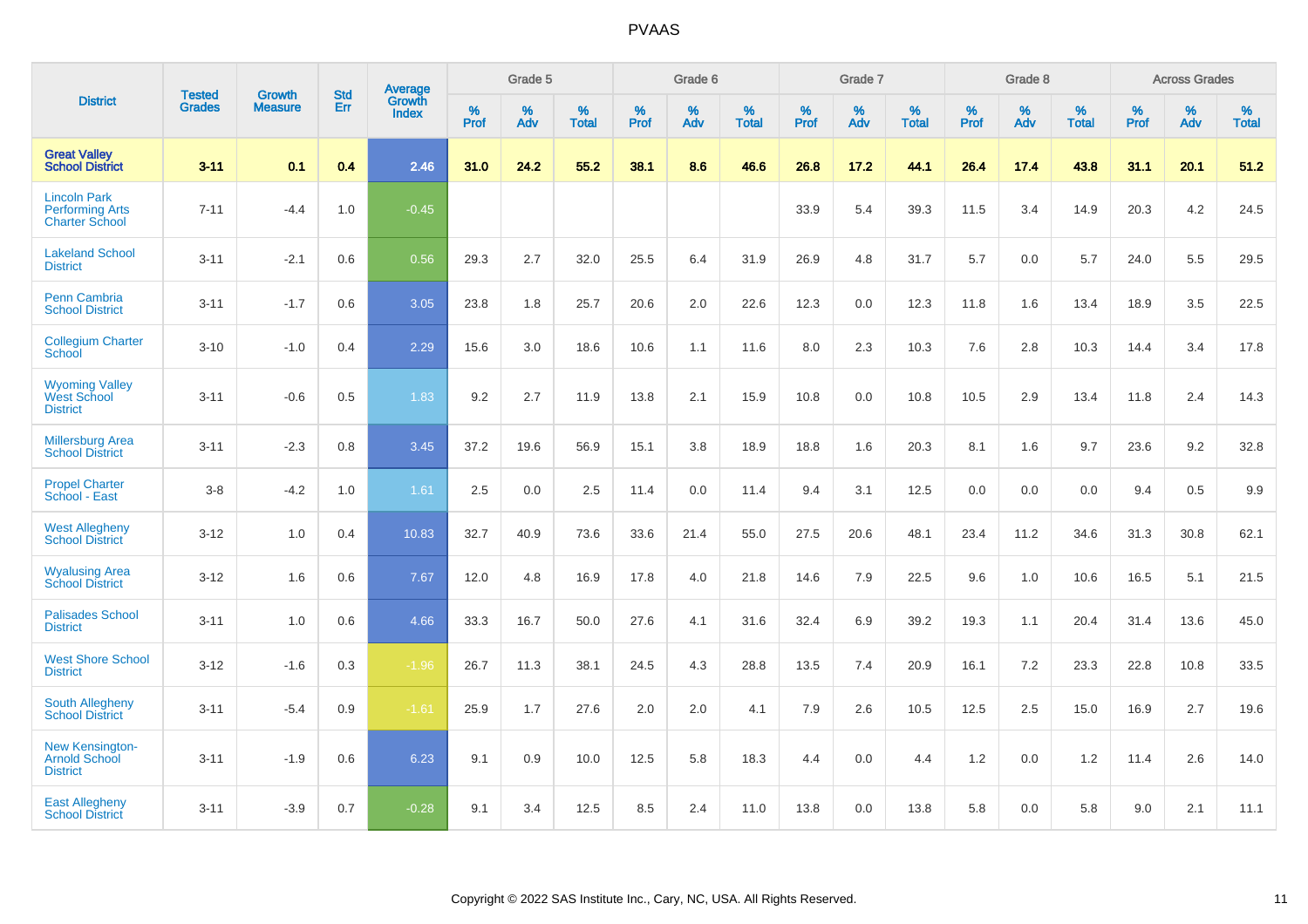| <b>District</b>                                                        | <b>Tested</b> | <b>Growth</b>  | <b>Std</b> | Average                       |           | Grade 5  |                   |           | Grade 6  |                   |           | Grade 7  |                   |           | Grade 8  |                   |           | <b>Across Grades</b> |                   |
|------------------------------------------------------------------------|---------------|----------------|------------|-------------------------------|-----------|----------|-------------------|-----------|----------|-------------------|-----------|----------|-------------------|-----------|----------|-------------------|-----------|----------------------|-------------------|
|                                                                        | <b>Grades</b> | <b>Measure</b> | Err        | <b>Growth</b><br><b>Index</b> | %<br>Prof | %<br>Adv | %<br><b>Total</b> | %<br>Prof | %<br>Adv | %<br><b>Total</b> | %<br>Prof | %<br>Adv | %<br><b>Total</b> | %<br>Prof | %<br>Adv | %<br><b>Total</b> | %<br>Prof | %<br>Adv             | %<br><b>Total</b> |
| <b>Great Valley</b><br><b>School District</b>                          | $3 - 11$      | 0.1            | 0.4        | 2.46                          | 31.0      | 24.2     | 55.2              | 38.1      | 8.6      | 46.6              | 26.8      | 17.2     | 44.1              | 26.4      | 17.4     | 43.8              | 31.1      | 20.1                 | 51.2              |
| <b>Lincoln Park</b><br><b>Performing Arts</b><br><b>Charter School</b> | $7 - 11$      | $-4.4$         | 1.0        | $-0.45$                       |           |          |                   |           |          |                   | 33.9      | 5.4      | 39.3              | 11.5      | 3.4      | 14.9              | 20.3      | 4.2                  | 24.5              |
| <b>Lakeland School</b><br><b>District</b>                              | $3 - 11$      | $-2.1$         | 0.6        | 0.56                          | 29.3      | 2.7      | 32.0              | 25.5      | 6.4      | 31.9              | 26.9      | 4.8      | 31.7              | 5.7       | 0.0      | 5.7               | 24.0      | 5.5                  | 29.5              |
| <b>Penn Cambria</b><br><b>School District</b>                          | $3 - 11$      | $-1.7$         | 0.6        | 3.05                          | 23.8      | 1.8      | 25.7              | 20.6      | 2.0      | 22.6              | 12.3      | 0.0      | 12.3              | 11.8      | 1.6      | 13.4              | 18.9      | 3.5                  | 22.5              |
| <b>Collegium Charter</b><br>School                                     | $3 - 10$      | $-1.0$         | 0.4        | 2.29                          | 15.6      | 3.0      | 18.6              | 10.6      | 1.1      | 11.6              | 8.0       | 2.3      | 10.3              | 7.6       | 2.8      | 10.3              | 14.4      | 3.4                  | 17.8              |
| <b>Wyoming Valley</b><br>West School<br><b>District</b>                | $3 - 11$      | $-0.6$         | 0.5        | 1.83                          | 9.2       | 2.7      | 11.9              | 13.8      | 2.1      | 15.9              | 10.8      | 0.0      | 10.8              | 10.5      | 2.9      | 13.4              | 11.8      | 2.4                  | 14.3              |
| <b>Millersburg Area</b><br><b>School District</b>                      | $3 - 11$      | $-2.3$         | 0.8        | 3.45                          | 37.2      | 19.6     | 56.9              | 15.1      | 3.8      | 18.9              | 18.8      | 1.6      | 20.3              | 8.1       | 1.6      | 9.7               | 23.6      | 9.2                  | 32.8              |
| <b>Propel Charter</b><br>School - East                                 | $3 - 8$       | $-4.2$         | 1.0        | 1.61                          | 2.5       | 0.0      | 2.5               | 11.4      | 0.0      | 11.4              | 9.4       | 3.1      | 12.5              | 0.0       | 0.0      | 0.0               | 9.4       | 0.5                  | 9.9               |
| <b>West Allegheny</b><br><b>School District</b>                        | $3 - 12$      | 1.0            | 0.4        | 10.83                         | 32.7      | 40.9     | 73.6              | 33.6      | 21.4     | 55.0              | 27.5      | 20.6     | 48.1              | 23.4      | 11.2     | 34.6              | 31.3      | 30.8                 | 62.1              |
| <b>Wyalusing Area</b><br><b>School District</b>                        | $3 - 12$      | 1.6            | 0.6        | 7.67                          | 12.0      | 4.8      | 16.9              | 17.8      | 4.0      | 21.8              | 14.6      | 7.9      | 22.5              | 9.6       | 1.0      | 10.6              | 16.5      | 5.1                  | 21.5              |
| <b>Palisades School</b><br><b>District</b>                             | $3 - 11$      | 1.0            | 0.6        | 4.66                          | 33.3      | 16.7     | 50.0              | 27.6      | 4.1      | 31.6              | 32.4      | 6.9      | 39.2              | 19.3      | 1.1      | 20.4              | 31.4      | 13.6                 | 45.0              |
| <b>West Shore School</b><br><b>District</b>                            | $3 - 12$      | $-1.6$         | 0.3        | $-1.96$                       | 26.7      | 11.3     | 38.1              | 24.5      | 4.3      | 28.8              | 13.5      | 7.4      | 20.9              | 16.1      | 7.2      | 23.3              | 22.8      | 10.8                 | 33.5              |
| <b>South Allegheny</b><br><b>School District</b>                       | $3 - 11$      | $-5.4$         | 0.9        | $-1.61$                       | 25.9      | 1.7      | 27.6              | 2.0       | 2.0      | 4.1               | 7.9       | 2.6      | 10.5              | 12.5      | 2.5      | 15.0              | 16.9      | 2.7                  | 19.6              |
| <b>New Kensington-</b><br><b>Arnold School</b><br><b>District</b>      | $3 - 11$      | $-1.9$         | 0.6        | 6.23                          | 9.1       | 0.9      | 10.0              | 12.5      | 5.8      | 18.3              | 4.4       | 0.0      | 4.4               | 1.2       | 0.0      | 1.2               | 11.4      | 2.6                  | 14.0              |
| <b>East Allegheny</b><br><b>School District</b>                        | $3 - 11$      | $-3.9$         | 0.7        | $-0.28$                       | 9.1       | 3.4      | 12.5              | 8.5       | 2.4      | 11.0              | 13.8      | 0.0      | 13.8              | 5.8       | 0.0      | 5.8               | 9.0       | 2.1                  | 11.1              |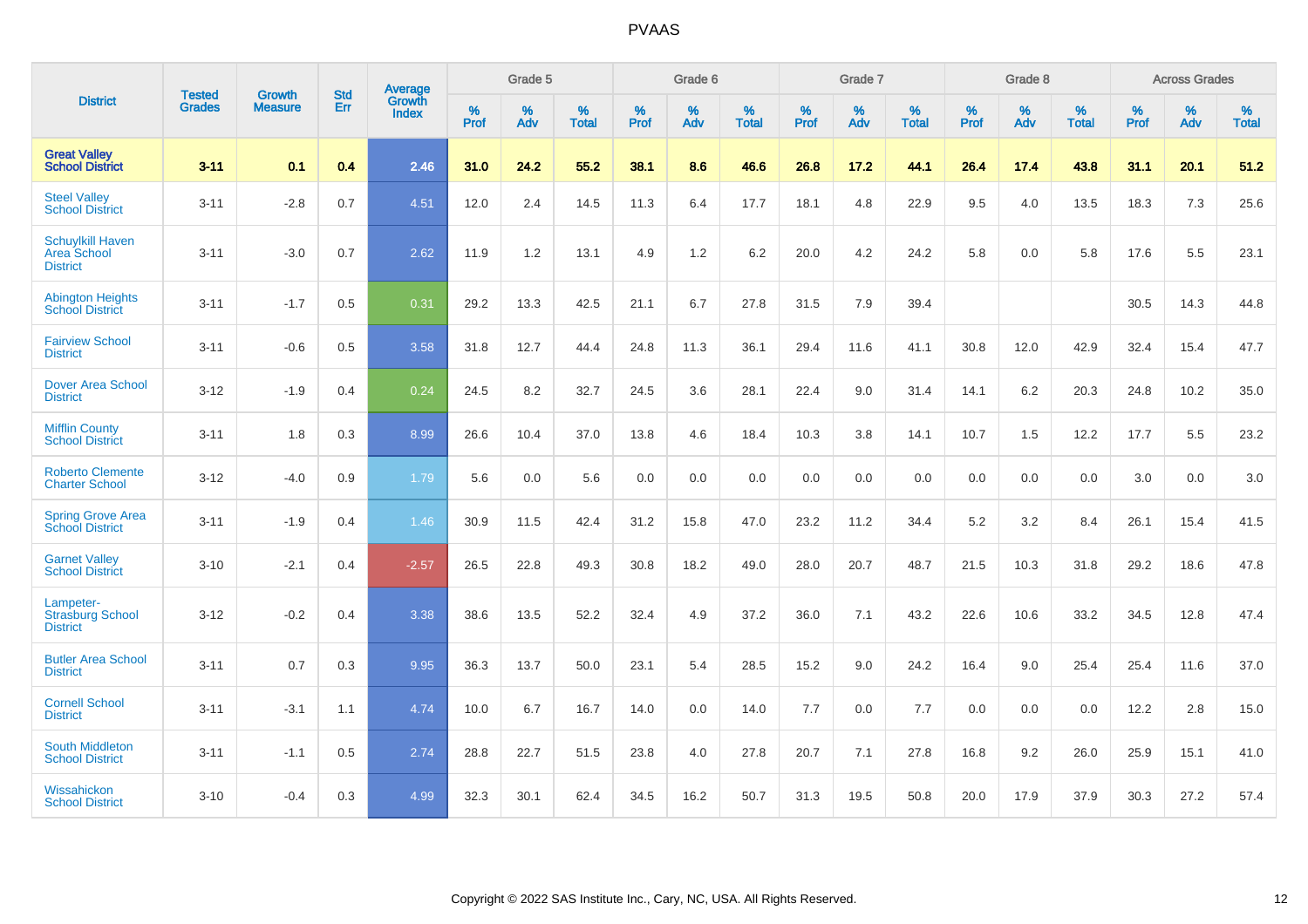|                                                           | <b>Tested</b> | <b>Growth</b>  | <b>Std</b> | Average         |                     | Grade 5  |                   |                     | Grade 6  |                   |                     | Grade 7  |                   |                     | Grade 8  |                   |                     | <b>Across Grades</b> |                   |
|-----------------------------------------------------------|---------------|----------------|------------|-----------------|---------------------|----------|-------------------|---------------------|----------|-------------------|---------------------|----------|-------------------|---------------------|----------|-------------------|---------------------|----------------------|-------------------|
| <b>District</b>                                           | <b>Grades</b> | <b>Measure</b> | Err        | Growth<br>Index | $\%$<br><b>Prof</b> | %<br>Adv | %<br><b>Total</b> | $\%$<br><b>Prof</b> | %<br>Adv | %<br><b>Total</b> | $\%$<br><b>Prof</b> | %<br>Adv | %<br><b>Total</b> | $\%$<br><b>Prof</b> | %<br>Adv | %<br><b>Total</b> | $\%$<br><b>Prof</b> | %<br>Adv             | %<br><b>Total</b> |
| <b>Great Valley</b><br><b>School District</b>             | $3 - 11$      | 0.1            | 0.4        | 2.46            | 31.0                | 24.2     | 55.2              | 38.1                | 8.6      | 46.6              | 26.8                | 17.2     | 44.1              | 26.4                | 17.4     | 43.8              | 31.1                | 20.1                 | 51.2              |
| <b>Steel Valley</b><br><b>School District</b>             | $3 - 11$      | $-2.8$         | 0.7        | 4.51            | 12.0                | 2.4      | 14.5              | 11.3                | 6.4      | 17.7              | 18.1                | 4.8      | 22.9              | 9.5                 | 4.0      | 13.5              | 18.3                | $7.3$                | 25.6              |
| <b>Schuylkill Haven</b><br>Area School<br><b>District</b> | $3 - 11$      | $-3.0$         | 0.7        | 2.62            | 11.9                | 1.2      | 13.1              | 4.9                 | 1.2      | 6.2               | 20.0                | 4.2      | 24.2              | 5.8                 | 0.0      | 5.8               | 17.6                | 5.5                  | 23.1              |
| <b>Abington Heights</b><br><b>School District</b>         | $3 - 11$      | $-1.7$         | 0.5        | 0.31            | 29.2                | 13.3     | 42.5              | 21.1                | 6.7      | 27.8              | 31.5                | 7.9      | 39.4              |                     |          |                   | 30.5                | 14.3                 | 44.8              |
| <b>Fairview School</b><br><b>District</b>                 | $3 - 11$      | $-0.6$         | 0.5        | 3.58            | 31.8                | 12.7     | 44.4              | 24.8                | 11.3     | 36.1              | 29.4                | 11.6     | 41.1              | 30.8                | 12.0     | 42.9              | 32.4                | 15.4                 | 47.7              |
| <b>Dover Area School</b><br><b>District</b>               | $3 - 12$      | $-1.9$         | 0.4        | 0.24            | 24.5                | 8.2      | 32.7              | 24.5                | 3.6      | 28.1              | 22.4                | 9.0      | 31.4              | 14.1                | 6.2      | 20.3              | 24.8                | 10.2                 | 35.0              |
| <b>Mifflin County</b><br><b>School District</b>           | $3 - 11$      | 1.8            | 0.3        | 8.99            | 26.6                | 10.4     | 37.0              | 13.8                | 4.6      | 18.4              | 10.3                | 3.8      | 14.1              | 10.7                | 1.5      | 12.2              | 17.7                | 5.5                  | 23.2              |
| <b>Roberto Clemente</b><br><b>Charter School</b>          | $3 - 12$      | $-4.0$         | 0.9        | 1.79            | 5.6                 | 0.0      | 5.6               | 0.0                 | 0.0      | 0.0               | 0.0                 | 0.0      | 0.0               | 0.0                 | 0.0      | 0.0               | 3.0                 | 0.0                  | 3.0               |
| <b>Spring Grove Area</b><br><b>School District</b>        | $3 - 11$      | $-1.9$         | 0.4        | 1.46            | 30.9                | 11.5     | 42.4              | 31.2                | 15.8     | 47.0              | 23.2                | 11.2     | 34.4              | 5.2                 | 3.2      | 8.4               | 26.1                | 15.4                 | 41.5              |
| <b>Garnet Valley</b><br><b>School District</b>            | $3 - 10$      | $-2.1$         | 0.4        | $-2.57$         | 26.5                | 22.8     | 49.3              | 30.8                | 18.2     | 49.0              | 28.0                | 20.7     | 48.7              | 21.5                | 10.3     | 31.8              | 29.2                | 18.6                 | 47.8              |
| Lampeter-<br><b>Strasburg School</b><br><b>District</b>   | $3 - 12$      | $-0.2$         | 0.4        | 3.38            | 38.6                | 13.5     | 52.2              | 32.4                | 4.9      | 37.2              | 36.0                | 7.1      | 43.2              | 22.6                | 10.6     | 33.2              | 34.5                | 12.8                 | 47.4              |
| <b>Butler Area School</b><br><b>District</b>              | $3 - 11$      | 0.7            | 0.3        | 9.95            | 36.3                | 13.7     | 50.0              | 23.1                | 5.4      | 28.5              | 15.2                | 9.0      | 24.2              | 16.4                | 9.0      | 25.4              | 25.4                | 11.6                 | 37.0              |
| <b>Cornell School</b><br><b>District</b>                  | $3 - 11$      | $-3.1$         | 1.1        | 4.74            | 10.0                | 6.7      | 16.7              | 14.0                | 0.0      | 14.0              | $7.7$               | 0.0      | 7.7               | 0.0                 | 0.0      | 0.0               | 12.2                | 2.8                  | 15.0              |
| South Middleton<br><b>School District</b>                 | $3 - 11$      | $-1.1$         | 0.5        | 2.74            | 28.8                | 22.7     | 51.5              | 23.8                | 4.0      | 27.8              | 20.7                | 7.1      | 27.8              | 16.8                | 9.2      | 26.0              | 25.9                | 15.1                 | 41.0              |
| Wissahickon<br><b>School District</b>                     | $3 - 10$      | $-0.4$         | 0.3        | 4.99            | 32.3                | 30.1     | 62.4              | 34.5                | 16.2     | 50.7              | 31.3                | 19.5     | 50.8              | 20.0                | 17.9     | 37.9              | 30.3                | 27.2                 | 57.4              |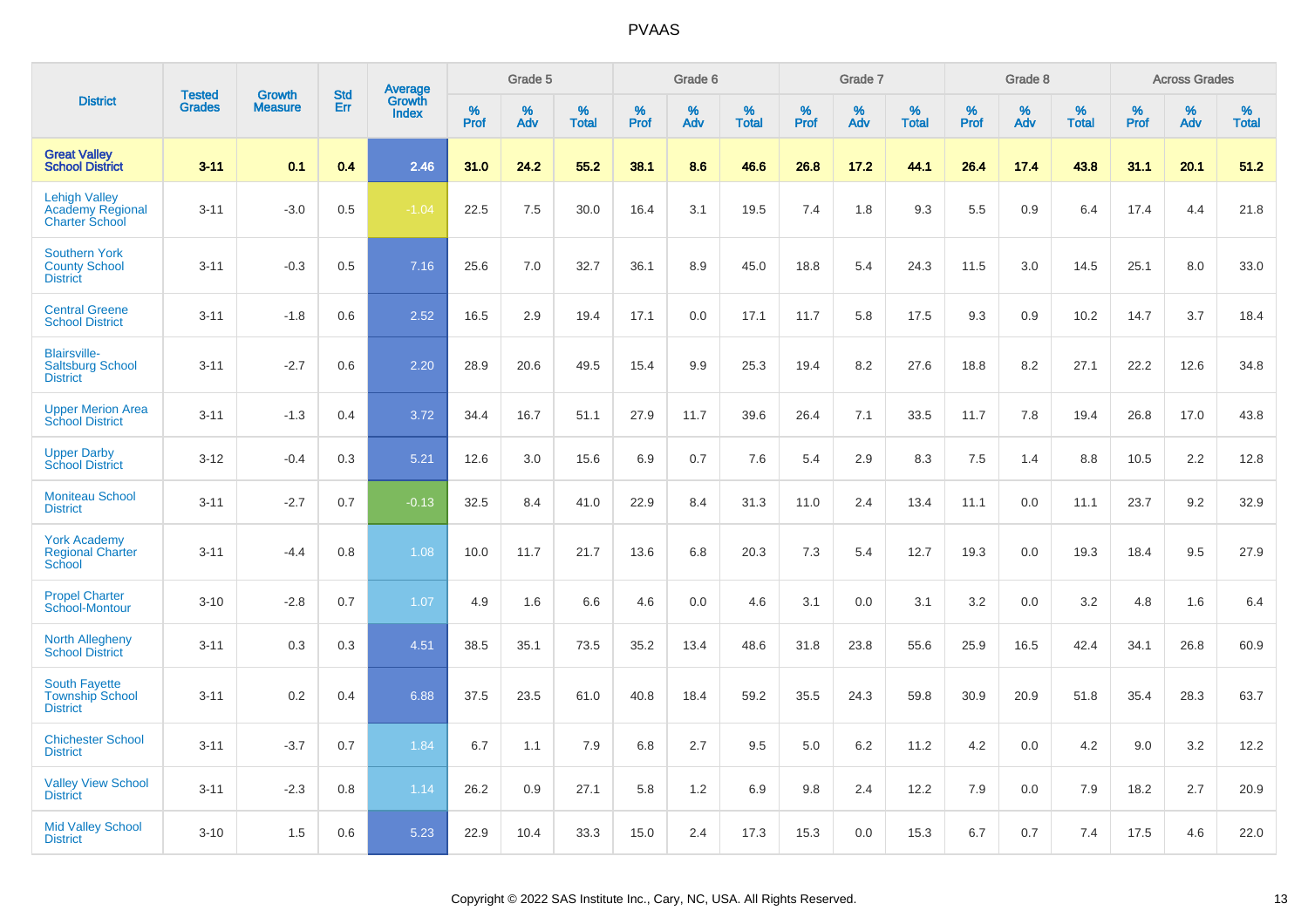|                                                                   | <b>Tested</b> | <b>Growth</b>  | <b>Std</b> | <b>Average</b><br>Growth |           | Grade 5  |                   |           | Grade 6  |                   |           | Grade 7  |                   |           | Grade 8  |                   |              | <b>Across Grades</b> |                   |
|-------------------------------------------------------------------|---------------|----------------|------------|--------------------------|-----------|----------|-------------------|-----------|----------|-------------------|-----------|----------|-------------------|-----------|----------|-------------------|--------------|----------------------|-------------------|
| <b>District</b>                                                   | <b>Grades</b> | <b>Measure</b> | <b>Err</b> | <b>Index</b>             | %<br>Prof | %<br>Adv | %<br><b>Total</b> | %<br>Prof | %<br>Adv | %<br><b>Total</b> | %<br>Prof | %<br>Adv | %<br><b>Total</b> | %<br>Prof | %<br>Adv | %<br><b>Total</b> | $\%$<br>Prof | %<br>Adv             | %<br><b>Total</b> |
| <b>Great Valley</b><br><b>School District</b>                     | $3 - 11$      | 0.1            | 0.4        | 2.46                     | 31.0      | 24.2     | 55.2              | 38.1      | 8.6      | 46.6              | 26.8      | 17.2     | 44.1              | 26.4      | 17.4     | 43.8              | 31.1         | 20.1                 | 51.2              |
| <b>Lehigh Valley</b><br>Academy Regional<br><b>Charter School</b> | $3 - 11$      | $-3.0$         | 0.5        | $-1.04$                  | 22.5      | 7.5      | 30.0              | 16.4      | 3.1      | 19.5              | 7.4       | 1.8      | 9.3               | 5.5       | 0.9      | 6.4               | 17.4         | 4.4                  | 21.8              |
| <b>Southern York</b><br><b>County School</b><br><b>District</b>   | $3 - 11$      | $-0.3$         | 0.5        | 7.16                     | 25.6      | 7.0      | 32.7              | 36.1      | 8.9      | 45.0              | 18.8      | 5.4      | 24.3              | 11.5      | 3.0      | 14.5              | 25.1         | 8.0                  | 33.0              |
| <b>Central Greene</b><br><b>School District</b>                   | $3 - 11$      | $-1.8$         | 0.6        | 2.52                     | 16.5      | 2.9      | 19.4              | 17.1      | 0.0      | 17.1              | 11.7      | 5.8      | 17.5              | 9.3       | 0.9      | 10.2              | 14.7         | 3.7                  | 18.4              |
| <b>Blairsville-</b><br><b>Saltsburg School</b><br><b>District</b> | $3 - 11$      | $-2.7$         | 0.6        | 2.20                     | 28.9      | 20.6     | 49.5              | 15.4      | 9.9      | 25.3              | 19.4      | 8.2      | 27.6              | 18.8      | 8.2      | 27.1              | 22.2         | 12.6                 | 34.8              |
| <b>Upper Merion Area</b><br><b>School District</b>                | $3 - 11$      | $-1.3$         | 0.4        | 3.72                     | 34.4      | 16.7     | 51.1              | 27.9      | 11.7     | 39.6              | 26.4      | 7.1      | 33.5              | 11.7      | 7.8      | 19.4              | 26.8         | 17.0                 | 43.8              |
| <b>Upper Darby</b><br><b>School District</b>                      | $3 - 12$      | $-0.4$         | 0.3        | 5.21                     | 12.6      | 3.0      | 15.6              | 6.9       | 0.7      | 7.6               | 5.4       | 2.9      | 8.3               | 7.5       | 1.4      | 8.8               | 10.5         | $2.2\,$              | 12.8              |
| <b>Moniteau School</b><br><b>District</b>                         | $3 - 11$      | $-2.7$         | 0.7        | $-0.13$                  | 32.5      | 8.4      | 41.0              | 22.9      | 8.4      | 31.3              | 11.0      | 2.4      | 13.4              | 11.1      | 0.0      | 11.1              | 23.7         | 9.2                  | 32.9              |
| <b>York Academy</b><br><b>Regional Charter</b><br>School          | $3 - 11$      | $-4.4$         | 0.8        | 1.08                     | 10.0      | 11.7     | 21.7              | 13.6      | 6.8      | 20.3              | 7.3       | 5.4      | 12.7              | 19.3      | 0.0      | 19.3              | 18.4         | 9.5                  | 27.9              |
| <b>Propel Charter</b><br>School-Montour                           | $3 - 10$      | $-2.8$         | 0.7        | 1.07                     | 4.9       | 1.6      | 6.6               | 4.6       | 0.0      | 4.6               | 3.1       | 0.0      | 3.1               | 3.2       | 0.0      | 3.2               | 4.8          | 1.6                  | 6.4               |
| <b>North Allegheny</b><br><b>School District</b>                  | $3 - 11$      | 0.3            | 0.3        | 4.51                     | 38.5      | 35.1     | 73.5              | 35.2      | 13.4     | 48.6              | 31.8      | 23.8     | 55.6              | 25.9      | 16.5     | 42.4              | 34.1         | 26.8                 | 60.9              |
| <b>South Fayette</b><br><b>Township School</b><br><b>District</b> | $3 - 11$      | 0.2            | 0.4        | 6.88                     | 37.5      | 23.5     | 61.0              | 40.8      | 18.4     | 59.2              | 35.5      | 24.3     | 59.8              | 30.9      | 20.9     | 51.8              | 35.4         | 28.3                 | 63.7              |
| <b>Chichester School</b><br><b>District</b>                       | $3 - 11$      | $-3.7$         | 0.7        | 1.84                     | 6.7       | 1.1      | 7.9               | 6.8       | 2.7      | 9.5               | 5.0       | 6.2      | 11.2              | 4.2       | 0.0      | 4.2               | 9.0          | 3.2                  | 12.2              |
| <b>Valley View School</b><br><b>District</b>                      | $3 - 11$      | $-2.3$         | 0.8        | 1.14                     | 26.2      | 0.9      | 27.1              | 5.8       | 1.2      | 6.9               | 9.8       | 2.4      | 12.2              | 7.9       | 0.0      | 7.9               | 18.2         | 2.7                  | 20.9              |
| <b>Mid Valley School</b><br><b>District</b>                       | $3 - 10$      | 1.5            | 0.6        | 5.23                     | 22.9      | 10.4     | 33.3              | 15.0      | 2.4      | 17.3              | 15.3      | 0.0      | 15.3              | 6.7       | 0.7      | 7.4               | 17.5         | 4.6                  | 22.0              |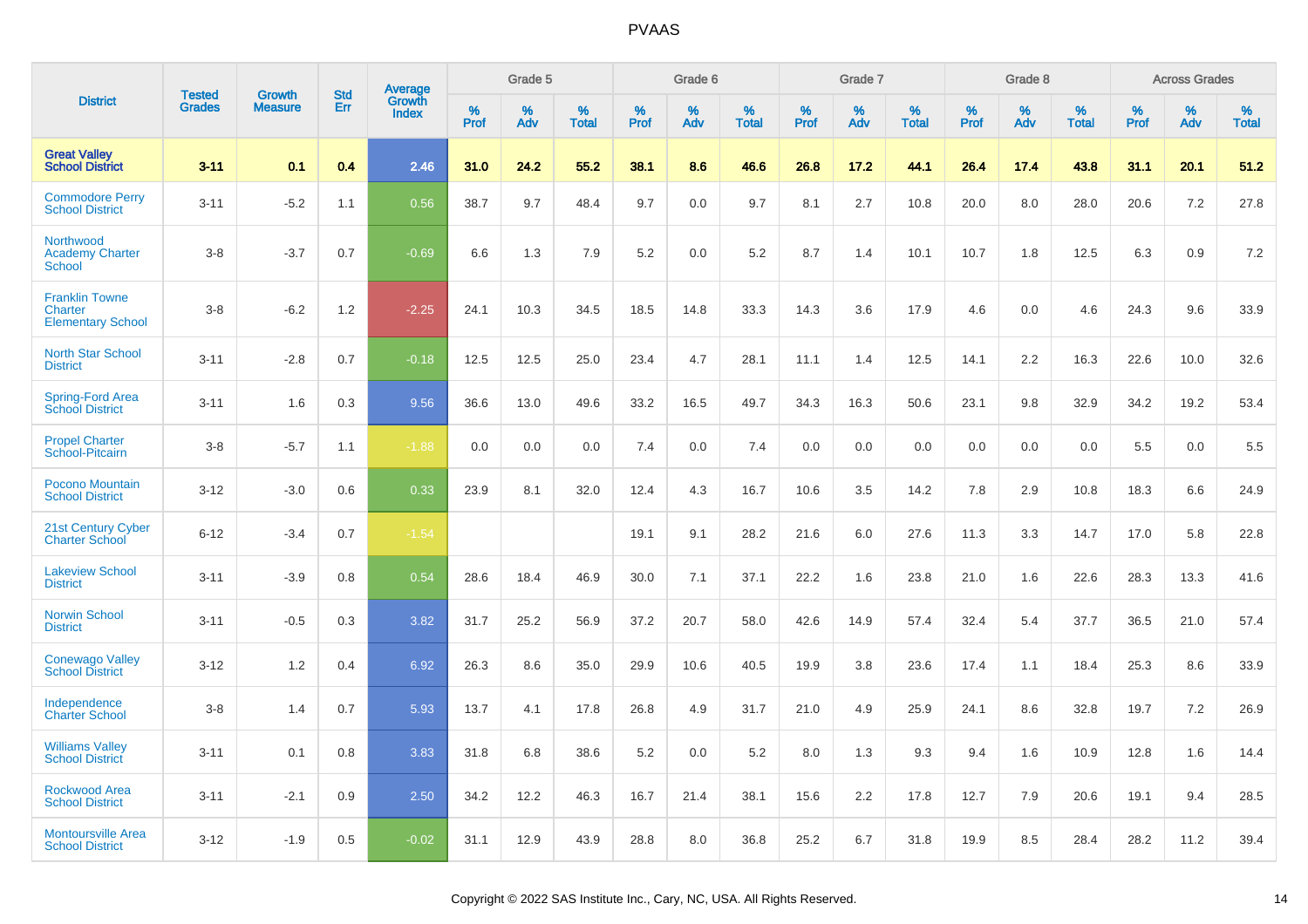|                                                              | <b>Tested</b> |                                 | <b>Std</b> |                                          |              | Grade 5  |                   |              | Grade 6  |                   |              | Grade 7  |                   |              | Grade 8  |                   |              | <b>Across Grades</b> |                   |
|--------------------------------------------------------------|---------------|---------------------------------|------------|------------------------------------------|--------------|----------|-------------------|--------------|----------|-------------------|--------------|----------|-------------------|--------------|----------|-------------------|--------------|----------------------|-------------------|
| <b>District</b>                                              | <b>Grades</b> | <b>Growth</b><br><b>Measure</b> | Err        | <b>Average</b><br>Growth<br><b>Index</b> | $\%$<br>Prof | %<br>Adv | %<br><b>Total</b> | $\%$<br>Prof | %<br>Adv | %<br><b>Total</b> | $\%$<br>Prof | %<br>Adv | %<br><b>Total</b> | $\%$<br>Prof | %<br>Adv | %<br><b>Total</b> | $\%$<br>Prof | %<br>Adv             | %<br><b>Total</b> |
| <b>Great Valley</b><br><b>School District</b>                | $3 - 11$      | 0.1                             | 0.4        | 2.46                                     | 31.0         | 24.2     | 55.2              | 38.1         | 8.6      | 46.6              | 26.8         | 17.2     | 44.1              | 26.4         | 17.4     | 43.8              | 31.1         | 20.1                 | 51.2              |
| <b>Commodore Perry</b><br><b>School District</b>             | $3 - 11$      | $-5.2$                          | 1.1        | 0.56                                     | 38.7         | 9.7      | 48.4              | 9.7          | 0.0      | 9.7               | 8.1          | 2.7      | 10.8              | 20.0         | 8.0      | 28.0              | 20.6         | 7.2                  | 27.8              |
| Northwood<br><b>Academy Charter</b><br><b>School</b>         | $3 - 8$       | $-3.7$                          | 0.7        | $-0.69$                                  | 6.6          | 1.3      | 7.9               | 5.2          | 0.0      | 5.2               | 8.7          | 1.4      | 10.1              | 10.7         | 1.8      | 12.5              | 6.3          | 0.9                  | 7.2               |
| <b>Franklin Towne</b><br>Charter<br><b>Elementary School</b> | $3 - 8$       | $-6.2$                          | 1.2        | $-2.25$                                  | 24.1         | 10.3     | 34.5              | 18.5         | 14.8     | 33.3              | 14.3         | 3.6      | 17.9              | 4.6          | 0.0      | 4.6               | 24.3         | 9.6                  | 33.9              |
| <b>North Star School</b><br><b>District</b>                  | $3 - 11$      | $-2.8$                          | 0.7        | $-0.18$                                  | 12.5         | 12.5     | 25.0              | 23.4         | 4.7      | 28.1              | 11.1         | 1.4      | 12.5              | 14.1         | 2.2      | 16.3              | 22.6         | 10.0                 | 32.6              |
| Spring-Ford Area<br><b>School District</b>                   | $3 - 11$      | 1.6                             | 0.3        | 9.56                                     | 36.6         | 13.0     | 49.6              | 33.2         | 16.5     | 49.7              | 34.3         | 16.3     | 50.6              | 23.1         | 9.8      | 32.9              | 34.2         | 19.2                 | 53.4              |
| <b>Propel Charter</b><br>School-Pitcairn                     | $3 - 8$       | $-5.7$                          | 1.1        | $-1.88$                                  | 0.0          | 0.0      | 0.0               | 7.4          | 0.0      | 7.4               | 0.0          | 0.0      | 0.0               | 0.0          | 0.0      | 0.0               | 5.5          | 0.0                  | 5.5               |
| Pocono Mountain<br><b>School District</b>                    | $3 - 12$      | $-3.0$                          | 0.6        | 0.33                                     | 23.9         | 8.1      | 32.0              | 12.4         | 4.3      | 16.7              | 10.6         | 3.5      | 14.2              | 7.8          | 2.9      | 10.8              | 18.3         | 6.6                  | 24.9              |
| 21st Century Cyber<br><b>Charter School</b>                  | $6 - 12$      | $-3.4$                          | 0.7        | $-1.54$                                  |              |          |                   | 19.1         | 9.1      | 28.2              | 21.6         | 6.0      | 27.6              | 11.3         | 3.3      | 14.7              | 17.0         | 5.8                  | 22.8              |
| <b>Lakeview School</b><br><b>District</b>                    | $3 - 11$      | $-3.9$                          | 0.8        | 0.54                                     | 28.6         | 18.4     | 46.9              | 30.0         | 7.1      | 37.1              | 22.2         | 1.6      | 23.8              | 21.0         | 1.6      | 22.6              | 28.3         | 13.3                 | 41.6              |
| Norwin School<br><b>District</b>                             | $3 - 11$      | $-0.5$                          | 0.3        | 3.82                                     | 31.7         | 25.2     | 56.9              | 37.2         | 20.7     | 58.0              | 42.6         | 14.9     | 57.4              | 32.4         | 5.4      | 37.7              | 36.5         | 21.0                 | 57.4              |
| <b>Conewago Valley</b><br><b>School District</b>             | $3 - 12$      | 1.2                             | 0.4        | 6.92                                     | 26.3         | 8.6      | 35.0              | 29.9         | 10.6     | 40.5              | 19.9         | 3.8      | 23.6              | 17.4         | 1.1      | 18.4              | 25.3         | 8.6                  | 33.9              |
| Independence<br><b>Charter School</b>                        | $3 - 8$       | 1.4                             | 0.7        | 5.93                                     | 13.7         | 4.1      | 17.8              | 26.8         | 4.9      | 31.7              | 21.0         | 4.9      | 25.9              | 24.1         | 8.6      | 32.8              | 19.7         | 7.2                  | 26.9              |
| <b>Williams Valley</b><br><b>School District</b>             | $3 - 11$      | 0.1                             | 0.8        | 3.83                                     | 31.8         | 6.8      | 38.6              | 5.2          | 0.0      | 5.2               | 8.0          | 1.3      | 9.3               | 9.4          | 1.6      | 10.9              | 12.8         | 1.6                  | 14.4              |
| <b>Rockwood Area</b><br><b>School District</b>               | $3 - 11$      | $-2.1$                          | 0.9        | 2.50                                     | 34.2         | 12.2     | 46.3              | 16.7         | 21.4     | 38.1              | 15.6         | 2.2      | 17.8              | 12.7         | 7.9      | 20.6              | 19.1         | 9.4                  | 28.5              |
| <b>Montoursville Area</b><br><b>School District</b>          | $3 - 12$      | $-1.9$                          | 0.5        | $-0.02$                                  | 31.1         | 12.9     | 43.9              | 28.8         | 8.0      | 36.8              | 25.2         | 6.7      | 31.8              | 19.9         | 8.5      | 28.4              | 28.2         | 11.2                 | 39.4              |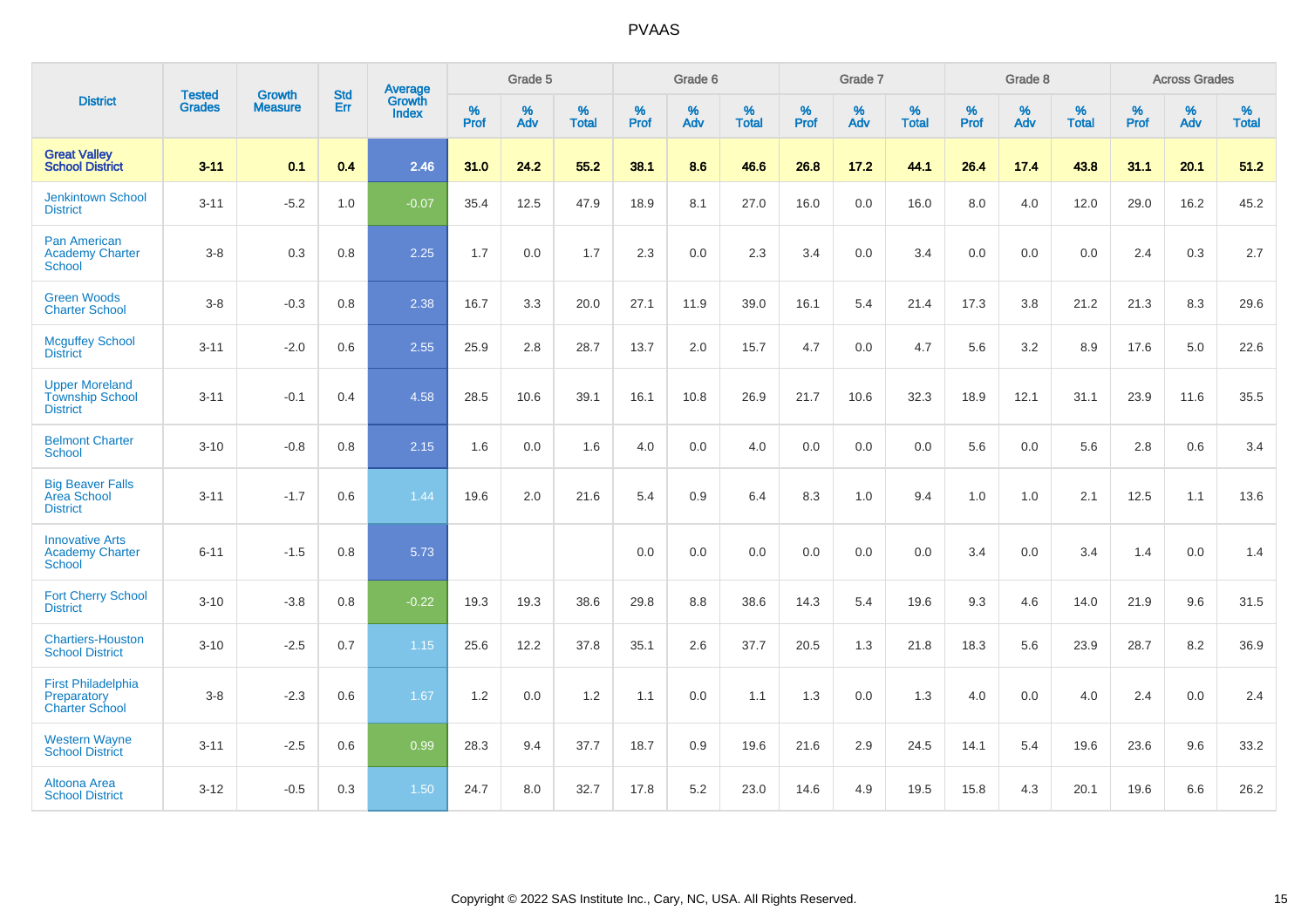|                                                                    |                                |                                 | <b>Std</b> | Average                |                     | Grade 5  |                   |              | Grade 6  |                   |                     | Grade 7  |                   |                     | Grade 8  |                   |              | <b>Across Grades</b> |                   |
|--------------------------------------------------------------------|--------------------------------|---------------------------------|------------|------------------------|---------------------|----------|-------------------|--------------|----------|-------------------|---------------------|----------|-------------------|---------------------|----------|-------------------|--------------|----------------------|-------------------|
| <b>District</b>                                                    | <b>Tested</b><br><b>Grades</b> | <b>Growth</b><br><b>Measure</b> | Err        | Growth<br><b>Index</b> | $\%$<br><b>Prof</b> | %<br>Adv | %<br><b>Total</b> | $\%$<br>Prof | %<br>Adv | %<br><b>Total</b> | $\%$<br><b>Prof</b> | %<br>Adv | %<br><b>Total</b> | $\%$<br><b>Prof</b> | %<br>Adv | %<br><b>Total</b> | $\%$<br>Prof | %<br>Adv             | %<br><b>Total</b> |
| <b>Great Valley</b><br><b>School District</b>                      | $3 - 11$                       | 0.1                             | 0.4        | 2.46                   | 31.0                | 24.2     | 55.2              | 38.1         | 8.6      | 46.6              | 26.8                | 17.2     | 44.1              | 26.4                | 17.4     | 43.8              | 31.1         | 20.1                 | 51.2              |
| <b>Jenkintown School</b><br><b>District</b>                        | $3 - 11$                       | $-5.2$                          | 1.0        | $-0.07$                | 35.4                | 12.5     | 47.9              | 18.9         | 8.1      | 27.0              | 16.0                | 0.0      | 16.0              | 8.0                 | 4.0      | 12.0              | 29.0         | 16.2                 | 45.2              |
| Pan American<br><b>Academy Charter</b><br><b>School</b>            | $3-8$                          | 0.3                             | 0.8        | 2.25                   | 1.7                 | 0.0      | 1.7               | 2.3          | 0.0      | 2.3               | 3.4                 | 0.0      | 3.4               | 0.0                 | 0.0      | 0.0               | 2.4          | 0.3                  | 2.7               |
| <b>Green Woods</b><br><b>Charter School</b>                        | $3-8$                          | $-0.3$                          | 0.8        | 2.38                   | 16.7                | 3.3      | 20.0              | 27.1         | 11.9     | 39.0              | 16.1                | 5.4      | 21.4              | 17.3                | 3.8      | 21.2              | 21.3         | 8.3                  | 29.6              |
| <b>Mcguffey School</b><br><b>District</b>                          | $3 - 11$                       | $-2.0$                          | 0.6        | 2.55                   | 25.9                | 2.8      | 28.7              | 13.7         | 2.0      | 15.7              | 4.7                 | 0.0      | 4.7               | 5.6                 | 3.2      | 8.9               | 17.6         | 5.0                  | 22.6              |
| <b>Upper Moreland</b><br><b>Township School</b><br><b>District</b> | $3 - 11$                       | $-0.1$                          | 0.4        | 4.58                   | 28.5                | 10.6     | 39.1              | 16.1         | 10.8     | 26.9              | 21.7                | 10.6     | 32.3              | 18.9                | 12.1     | 31.1              | 23.9         | 11.6                 | 35.5              |
| <b>Belmont Charter</b><br>School                                   | $3 - 10$                       | $-0.8$                          | 0.8        | 2.15                   | 1.6                 | 0.0      | 1.6               | 4.0          | 0.0      | 4.0               | 0.0                 | 0.0      | 0.0               | 5.6                 | 0.0      | 5.6               | 2.8          | 0.6                  | 3.4               |
| <b>Big Beaver Falls</b><br>Area School<br><b>District</b>          | $3 - 11$                       | $-1.7$                          | 0.6        | 1.44                   | 19.6                | 2.0      | 21.6              | 5.4          | 0.9      | 6.4               | 8.3                 | 1.0      | 9.4               | 1.0                 | 1.0      | 2.1               | 12.5         | 1.1                  | 13.6              |
| <b>Innovative Arts</b><br><b>Academy Charter</b><br><b>School</b>  | $6 - 11$                       | $-1.5$                          | 0.8        | 5.73                   |                     |          |                   | 0.0          | 0.0      | 0.0               | 0.0                 | 0.0      | 0.0               | 3.4                 | 0.0      | 3.4               | 1.4          | 0.0                  | 1.4               |
| <b>Fort Cherry School</b><br><b>District</b>                       | $3 - 10$                       | $-3.8$                          | 0.8        | $-0.22$                | 19.3                | 19.3     | 38.6              | 29.8         | 8.8      | 38.6              | 14.3                | 5.4      | 19.6              | 9.3                 | 4.6      | 14.0              | 21.9         | 9.6                  | 31.5              |
| <b>Chartiers-Houston</b><br><b>School District</b>                 | $3 - 10$                       | $-2.5$                          | 0.7        | 1.15                   | 25.6                | 12.2     | 37.8              | 35.1         | 2.6      | 37.7              | 20.5                | 1.3      | 21.8              | 18.3                | 5.6      | 23.9              | 28.7         | 8.2                  | 36.9              |
| <b>First Philadelphia</b><br>Preparatory<br><b>Charter School</b>  | $3 - 8$                        | $-2.3$                          | 0.6        | 1.67                   | 1.2                 | 0.0      | 1.2               | 1.1          | 0.0      | 1.1               | 1.3                 | 0.0      | 1.3               | 4.0                 | 0.0      | 4.0               | 2.4          | 0.0                  | 2.4               |
| <b>Western Wayne</b><br><b>School District</b>                     | $3 - 11$                       | $-2.5$                          | 0.6        | 0.99                   | 28.3                | 9.4      | 37.7              | 18.7         | 0.9      | 19.6              | 21.6                | 2.9      | 24.5              | 14.1                | 5.4      | 19.6              | 23.6         | 9.6                  | 33.2              |
| Altoona Area<br><b>School District</b>                             | $3 - 12$                       | $-0.5$                          | 0.3        | 1.50                   | 24.7                | 8.0      | 32.7              | 17.8         | 5.2      | 23.0              | 14.6                | 4.9      | 19.5              | 15.8                | 4.3      | 20.1              | 19.6         | 6.6                  | 26.2              |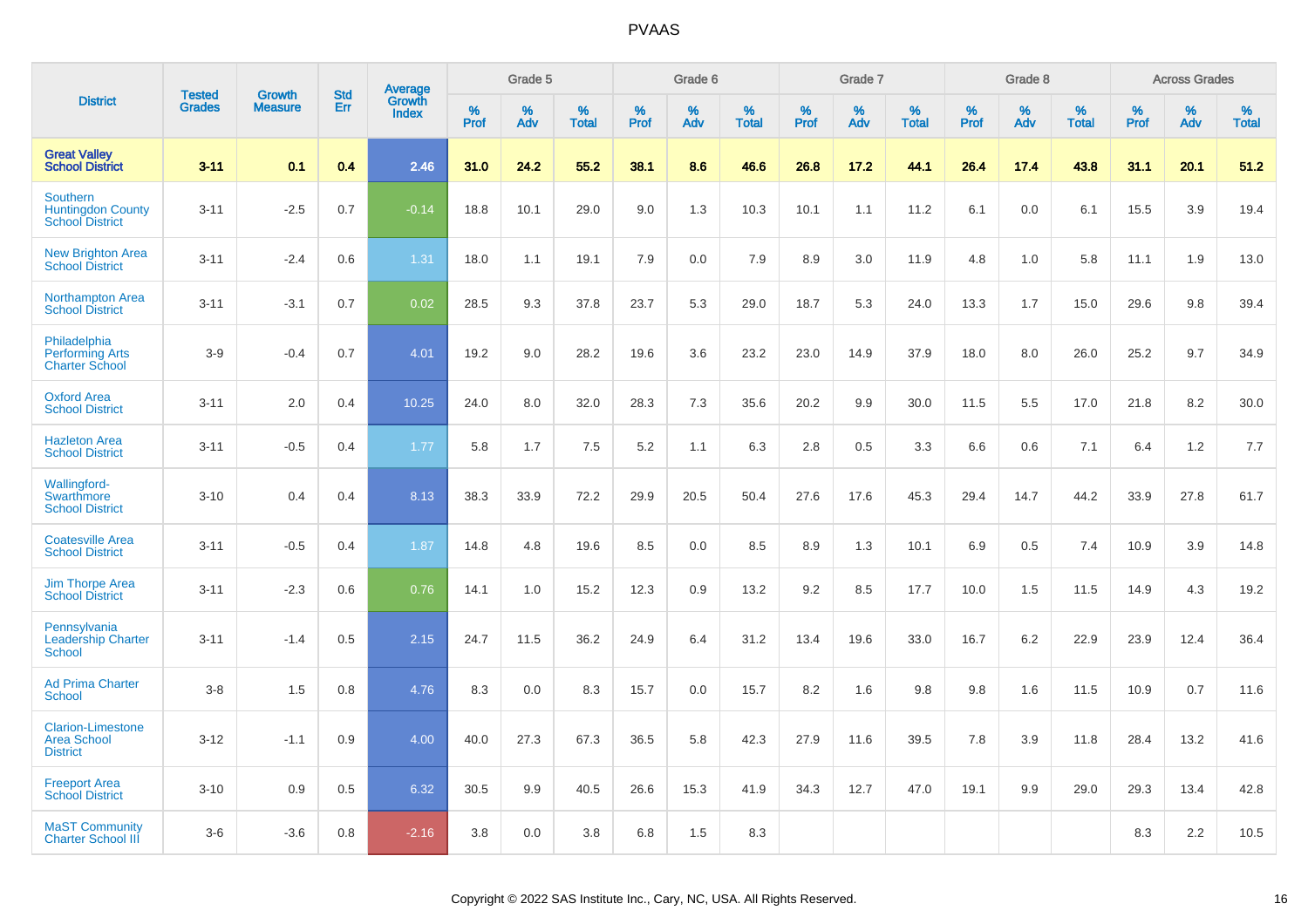|                                                                       | <b>Tested</b> | <b>Growth</b>  | <b>Std</b> | <b>Average</b>         |              | Grade 5  |                   |           | Grade 6  |                   |           | Grade 7  |                   |                  | Grade 8  |                   |              | <b>Across Grades</b> |                   |
|-----------------------------------------------------------------------|---------------|----------------|------------|------------------------|--------------|----------|-------------------|-----------|----------|-------------------|-----------|----------|-------------------|------------------|----------|-------------------|--------------|----------------------|-------------------|
| <b>District</b>                                                       | <b>Grades</b> | <b>Measure</b> | Err        | Growth<br><b>Index</b> | $\%$<br>Prof | %<br>Adv | %<br><b>Total</b> | %<br>Prof | %<br>Adv | %<br><b>Total</b> | %<br>Prof | %<br>Adv | %<br><b>Total</b> | %<br><b>Prof</b> | %<br>Adv | %<br><b>Total</b> | $\%$<br>Prof | $\%$<br>Adv          | %<br><b>Total</b> |
| <b>Great Valley</b><br><b>School District</b>                         | $3 - 11$      | 0.1            | 0.4        | 2.46                   | 31.0         | 24.2     | 55.2              | 38.1      | 8.6      | 46.6              | 26.8      | 17.2     | 44.1              | 26.4             | 17.4     | 43.8              | 31.1         | 20.1                 | 51.2              |
| <b>Southern</b><br><b>Huntingdon County</b><br><b>School District</b> | $3 - 11$      | $-2.5$         | 0.7        | $-0.14$                | 18.8         | 10.1     | 29.0              | 9.0       | 1.3      | 10.3              | 10.1      | 1.1      | 11.2              | 6.1              | 0.0      | 6.1               | 15.5         | 3.9                  | 19.4              |
| <b>New Brighton Area</b><br><b>School District</b>                    | $3 - 11$      | $-2.4$         | 0.6        | 1.31                   | 18.0         | 1.1      | 19.1              | 7.9       | 0.0      | 7.9               | 8.9       | 3.0      | 11.9              | 4.8              | 1.0      | 5.8               | 11.1         | 1.9                  | 13.0              |
| <b>Northampton Area</b><br><b>School District</b>                     | $3 - 11$      | $-3.1$         | 0.7        | 0.02                   | 28.5         | 9.3      | 37.8              | 23.7      | 5.3      | 29.0              | 18.7      | 5.3      | 24.0              | 13.3             | 1.7      | 15.0              | 29.6         | 9.8                  | 39.4              |
| Philadelphia<br><b>Performing Arts</b><br><b>Charter School</b>       | $3-9$         | $-0.4$         | 0.7        | 4.01                   | 19.2         | 9.0      | 28.2              | 19.6      | 3.6      | 23.2              | 23.0      | 14.9     | 37.9              | 18.0             | 8.0      | 26.0              | 25.2         | 9.7                  | 34.9              |
| <b>Oxford Area</b><br><b>School District</b>                          | $3 - 11$      | 2.0            | 0.4        | 10.25                  | 24.0         | 8.0      | 32.0              | 28.3      | 7.3      | 35.6              | 20.2      | 9.9      | 30.0              | 11.5             | 5.5      | 17.0              | 21.8         | 8.2                  | 30.0              |
| <b>Hazleton Area</b><br><b>School District</b>                        | $3 - 11$      | $-0.5$         | 0.4        | 1.77                   | 5.8          | 1.7      | 7.5               | 5.2       | 1.1      | 6.3               | 2.8       | 0.5      | 3.3               | 6.6              | 0.6      | 7.1               | 6.4          | 1.2                  | 7.7               |
| Wallingford-<br>Swarthmore<br><b>School District</b>                  | $3 - 10$      | 0.4            | 0.4        | 8.13                   | 38.3         | 33.9     | 72.2              | 29.9      | 20.5     | 50.4              | 27.6      | 17.6     | 45.3              | 29.4             | 14.7     | 44.2              | 33.9         | 27.8                 | 61.7              |
| <b>Coatesville Area</b><br><b>School District</b>                     | $3 - 11$      | $-0.5$         | 0.4        | 1.87                   | 14.8         | 4.8      | 19.6              | 8.5       | 0.0      | 8.5               | 8.9       | 1.3      | 10.1              | 6.9              | 0.5      | 7.4               | 10.9         | 3.9                  | 14.8              |
| <b>Jim Thorpe Area</b><br><b>School District</b>                      | $3 - 11$      | $-2.3$         | 0.6        | 0.76                   | 14.1         | 1.0      | 15.2              | 12.3      | 0.9      | 13.2              | 9.2       | 8.5      | 17.7              | 10.0             | 1.5      | 11.5              | 14.9         | 4.3                  | 19.2              |
| Pennsylvania<br><b>Leadership Charter</b><br><b>School</b>            | $3 - 11$      | $-1.4$         | 0.5        | 2.15                   | 24.7         | 11.5     | 36.2              | 24.9      | 6.4      | 31.2              | 13.4      | 19.6     | 33.0              | 16.7             | 6.2      | 22.9              | 23.9         | 12.4                 | 36.4              |
| <b>Ad Prima Charter</b><br><b>School</b>                              | $3-8$         | 1.5            | 0.8        | 4.76                   | 8.3          | 0.0      | 8.3               | 15.7      | 0.0      | 15.7              | 8.2       | 1.6      | 9.8               | 9.8              | 1.6      | 11.5              | 10.9         | 0.7                  | 11.6              |
| <b>Clarion-Limestone</b><br><b>Area School</b><br><b>District</b>     | $3 - 12$      | $-1.1$         | 0.9        | 4.00                   | 40.0         | 27.3     | 67.3              | 36.5      | 5.8      | 42.3              | 27.9      | 11.6     | 39.5              | 7.8              | 3.9      | 11.8              | 28.4         | 13.2                 | 41.6              |
| <b>Freeport Area</b><br><b>School District</b>                        | $3 - 10$      | 0.9            | 0.5        | 6.32                   | 30.5         | 9.9      | 40.5              | 26.6      | 15.3     | 41.9              | 34.3      | 12.7     | 47.0              | 19.1             | 9.9      | 29.0              | 29.3         | 13.4                 | 42.8              |
| <b>MaST Community</b><br><b>Charter School III</b>                    | $3-6$         | $-3.6$         | 0.8        | $-2.16$                | 3.8          | 0.0      | 3.8               | 6.8       | 1.5      | 8.3               |           |          |                   |                  |          |                   | 8.3          | 2.2                  | 10.5              |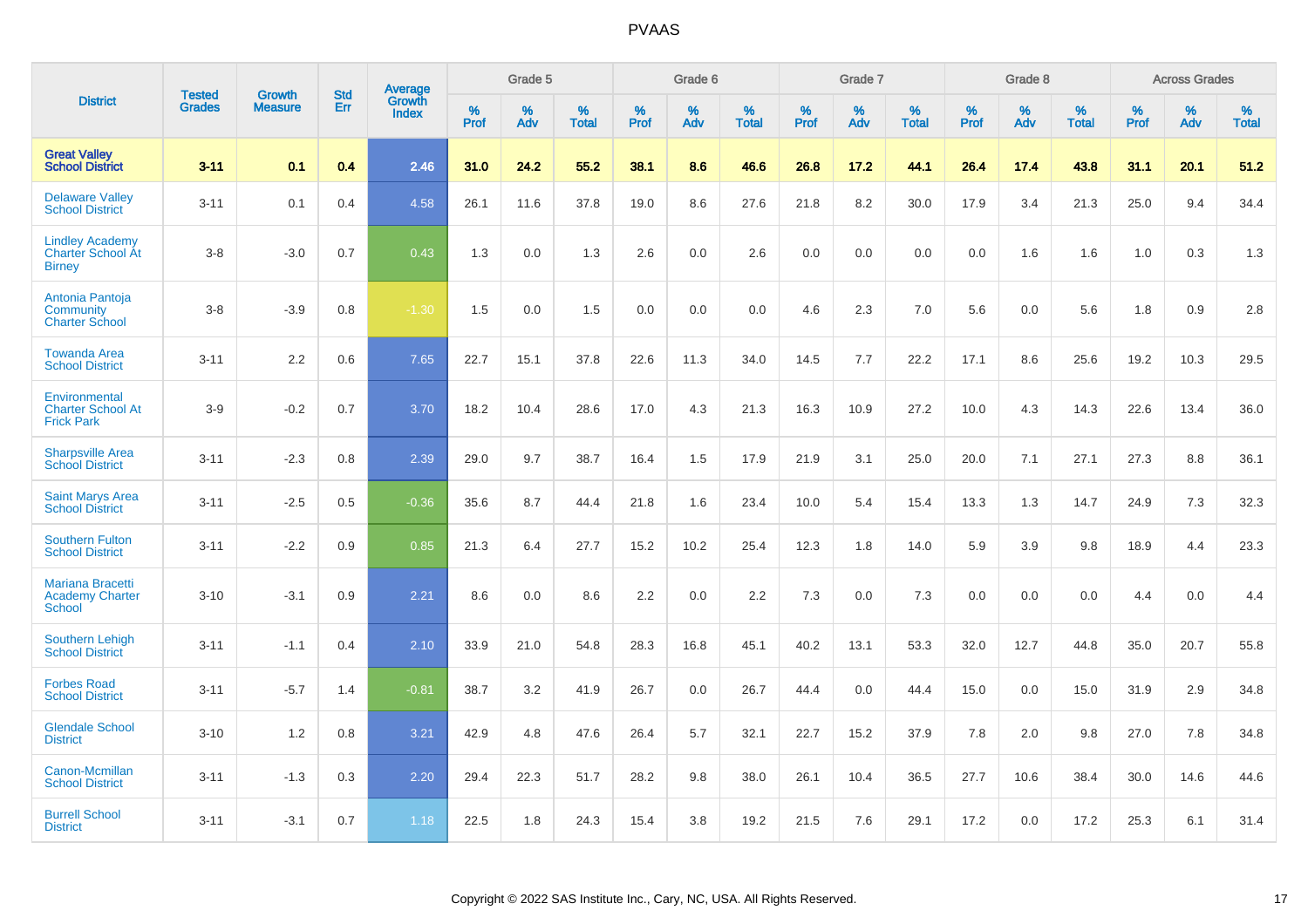|                                                                     |                                | <b>Growth</b>  | <b>Std</b> | <b>Average</b>         |              | Grade 5  |                   |           | Grade 6  |                   |              | Grade 7  |                   |              | Grade 8  |                   |              | <b>Across Grades</b> |                   |
|---------------------------------------------------------------------|--------------------------------|----------------|------------|------------------------|--------------|----------|-------------------|-----------|----------|-------------------|--------------|----------|-------------------|--------------|----------|-------------------|--------------|----------------------|-------------------|
| <b>District</b>                                                     | <b>Tested</b><br><b>Grades</b> | <b>Measure</b> | <b>Err</b> | Growth<br><b>Index</b> | $\%$<br>Prof | %<br>Adv | %<br><b>Total</b> | %<br>Prof | %<br>Adv | %<br><b>Total</b> | $\%$<br>Prof | %<br>Adv | %<br><b>Total</b> | $\%$<br>Prof | %<br>Adv | %<br><b>Total</b> | $\%$<br>Prof | %<br>Adv             | %<br><b>Total</b> |
| <b>Great Valley</b><br><b>School District</b>                       | $3 - 11$                       | 0.1            | 0.4        | 2.46                   | 31.0         | 24.2     | 55.2              | 38.1      | 8.6      | 46.6              | 26.8         | 17.2     | 44.1              | 26.4         | 17.4     | 43.8              | 31.1         | 20.1                 | 51.2              |
| <b>Delaware Valley</b><br><b>School District</b>                    | $3 - 11$                       | 0.1            | 0.4        | 4.58                   | 26.1         | 11.6     | 37.8              | 19.0      | 8.6      | 27.6              | 21.8         | 8.2      | 30.0              | 17.9         | 3.4      | 21.3              | 25.0         | 9.4                  | 34.4              |
| <b>Lindley Academy</b><br><b>Charter School At</b><br><b>Birney</b> | $3 - 8$                        | $-3.0$         | 0.7        | 0.43                   | 1.3          | 0.0      | 1.3               | 2.6       | 0.0      | 2.6               | 0.0          | 0.0      | 0.0               | 0.0          | 1.6      | 1.6               | 1.0          | 0.3                  | 1.3               |
| Antonia Pantoja<br>Community<br><b>Charter School</b>               | $3 - 8$                        | $-3.9$         | 0.8        | $-1.30$                | 1.5          | 0.0      | 1.5               | 0.0       | 0.0      | 0.0               | 4.6          | 2.3      | 7.0               | 5.6          | 0.0      | 5.6               | 1.8          | 0.9                  | 2.8               |
| <b>Towanda Area</b><br><b>School District</b>                       | $3 - 11$                       | 2.2            | 0.6        | 7.65                   | 22.7         | 15.1     | 37.8              | 22.6      | 11.3     | 34.0              | 14.5         | 7.7      | 22.2              | 17.1         | 8.6      | 25.6              | 19.2         | 10.3                 | 29.5              |
| Environmental<br><b>Charter School At</b><br><b>Frick Park</b>      | $3-9$                          | $-0.2$         | 0.7        | 3.70                   | 18.2         | 10.4     | 28.6              | 17.0      | 4.3      | 21.3              | 16.3         | 10.9     | 27.2              | 10.0         | 4.3      | 14.3              | 22.6         | 13.4                 | 36.0              |
| <b>Sharpsville Area</b><br><b>School District</b>                   | $3 - 11$                       | $-2.3$         | 0.8        | 2.39                   | 29.0         | 9.7      | 38.7              | 16.4      | 1.5      | 17.9              | 21.9         | 3.1      | 25.0              | 20.0         | 7.1      | 27.1              | 27.3         | 8.8                  | 36.1              |
| <b>Saint Marys Area</b><br><b>School District</b>                   | $3 - 11$                       | $-2.5$         | 0.5        | $-0.36$                | 35.6         | 8.7      | 44.4              | 21.8      | 1.6      | 23.4              | 10.0         | 5.4      | 15.4              | 13.3         | 1.3      | 14.7              | 24.9         | 7.3                  | 32.3              |
| <b>Southern Fulton</b><br><b>School District</b>                    | $3 - 11$                       | $-2.2$         | 0.9        | 0.85                   | 21.3         | 6.4      | 27.7              | 15.2      | 10.2     | 25.4              | 12.3         | 1.8      | 14.0              | 5.9          | 3.9      | 9.8               | 18.9         | 4.4                  | 23.3              |
| <b>Mariana Bracetti</b><br><b>Academy Charter</b><br><b>School</b>  | $3 - 10$                       | $-3.1$         | 0.9        | 2.21                   | 8.6          | 0.0      | 8.6               | 2.2       | 0.0      | 2.2               | 7.3          | 0.0      | 7.3               | 0.0          | 0.0      | 0.0               | 4.4          | 0.0                  | 4.4               |
| <b>Southern Lehigh</b><br><b>School District</b>                    | $3 - 11$                       | $-1.1$         | 0.4        | 2.10                   | 33.9         | 21.0     | 54.8              | 28.3      | 16.8     | 45.1              | 40.2         | 13.1     | 53.3              | 32.0         | 12.7     | 44.8              | 35.0         | 20.7                 | 55.8              |
| <b>Forbes Road</b><br><b>School District</b>                        | $3 - 11$                       | $-5.7$         | 1.4        | $-0.81$                | 38.7         | 3.2      | 41.9              | 26.7      | 0.0      | 26.7              | 44.4         | 0.0      | 44.4              | 15.0         | 0.0      | 15.0              | 31.9         | 2.9                  | 34.8              |
| <b>Glendale School</b><br><b>District</b>                           | $3 - 10$                       | 1.2            | 0.8        | 3.21                   | 42.9         | 4.8      | 47.6              | 26.4      | 5.7      | 32.1              | 22.7         | 15.2     | 37.9              | 7.8          | 2.0      | 9.8               | 27.0         | 7.8                  | 34.8              |
| Canon-Mcmillan<br><b>School District</b>                            | $3 - 11$                       | $-1.3$         | 0.3        | 2.20                   | 29.4         | 22.3     | 51.7              | 28.2      | 9.8      | 38.0              | 26.1         | 10.4     | 36.5              | 27.7         | 10.6     | 38.4              | 30.0         | 14.6                 | 44.6              |
| <b>Burrell School</b><br><b>District</b>                            | $3 - 11$                       | $-3.1$         | 0.7        | 1.18                   | 22.5         | 1.8      | 24.3              | 15.4      | 3.8      | 19.2              | 21.5         | 7.6      | 29.1              | 17.2         | 0.0      | 17.2              | 25.3         | 6.1                  | 31.4              |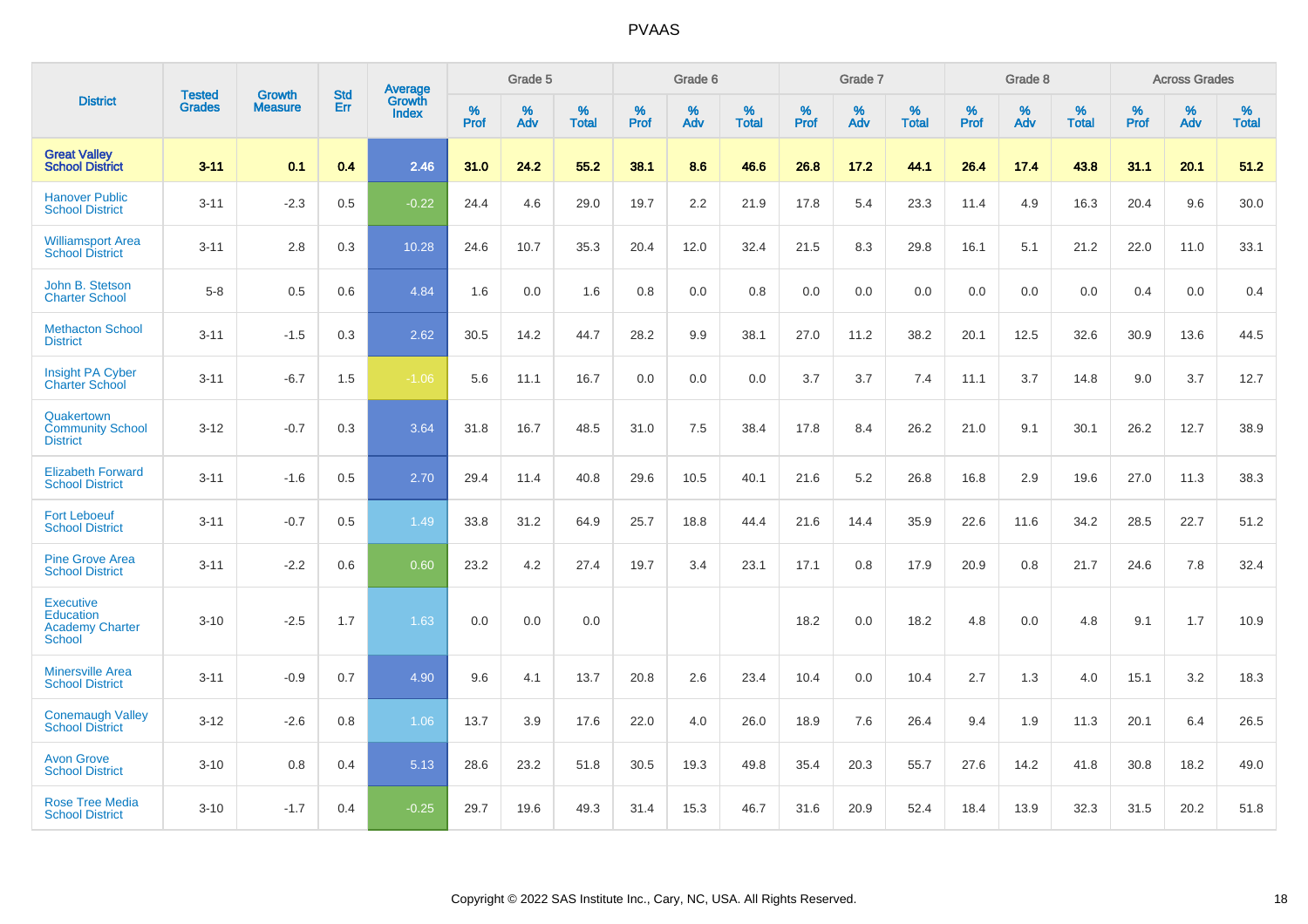|                                                                          | <b>Tested</b> | <b>Growth</b>  | <b>Std</b> | Average                |              | Grade 5  |                   |           | Grade 6  |                   |           | Grade 7  |                   |           | Grade 8  |                   |              | <b>Across Grades</b> |                   |
|--------------------------------------------------------------------------|---------------|----------------|------------|------------------------|--------------|----------|-------------------|-----------|----------|-------------------|-----------|----------|-------------------|-----------|----------|-------------------|--------------|----------------------|-------------------|
| <b>District</b>                                                          | <b>Grades</b> | <b>Measure</b> | Err        | Growth<br><b>Index</b> | $\%$<br>Prof | %<br>Adv | %<br><b>Total</b> | %<br>Prof | %<br>Adv | %<br><b>Total</b> | %<br>Prof | %<br>Adv | %<br><b>Total</b> | %<br>Prof | %<br>Adv | %<br><b>Total</b> | $\%$<br>Prof | %<br>Adv             | %<br><b>Total</b> |
| <b>Great Valley</b><br><b>School District</b>                            | $3 - 11$      | 0.1            | 0.4        | 2.46                   | 31.0         | 24.2     | 55.2              | 38.1      | 8.6      | 46.6              | 26.8      | 17.2     | 44.1              | 26.4      | 17.4     | 43.8              | 31.1         | 20.1                 | 51.2              |
| <b>Hanover Public</b><br><b>School District</b>                          | $3 - 11$      | $-2.3$         | 0.5        | $-0.22$                | 24.4         | 4.6      | 29.0              | 19.7      | 2.2      | 21.9              | 17.8      | 5.4      | 23.3              | 11.4      | 4.9      | 16.3              | 20.4         | 9.6                  | 30.0              |
| <b>Williamsport Area</b><br><b>School District</b>                       | $3 - 11$      | 2.8            | 0.3        | 10.28                  | 24.6         | 10.7     | 35.3              | 20.4      | 12.0     | 32.4              | 21.5      | 8.3      | 29.8              | 16.1      | 5.1      | 21.2              | 22.0         | 11.0                 | 33.1              |
| John B. Stetson<br><b>Charter School</b>                                 | $5-8$         | 0.5            | 0.6        | 4.84                   | 1.6          | 0.0      | 1.6               | 0.8       | 0.0      | 0.8               | 0.0       | 0.0      | 0.0               | 0.0       | 0.0      | 0.0               | 0.4          | 0.0                  | 0.4               |
| <b>Methacton School</b><br><b>District</b>                               | $3 - 11$      | $-1.5$         | 0.3        | 2.62                   | 30.5         | 14.2     | 44.7              | 28.2      | 9.9      | 38.1              | 27.0      | 11.2     | 38.2              | 20.1      | 12.5     | 32.6              | 30.9         | 13.6                 | 44.5              |
| Insight PA Cyber<br><b>Charter School</b>                                | $3 - 11$      | $-6.7$         | 1.5        | $-1.06$                | 5.6          | 11.1     | 16.7              | 0.0       | 0.0      | 0.0               | 3.7       | 3.7      | 7.4               | 11.1      | 3.7      | 14.8              | 9.0          | 3.7                  | 12.7              |
| Quakertown<br><b>Community School</b><br><b>District</b>                 | $3 - 12$      | $-0.7$         | 0.3        | 3.64                   | 31.8         | 16.7     | 48.5              | 31.0      | 7.5      | 38.4              | 17.8      | 8.4      | 26.2              | 21.0      | 9.1      | 30.1              | 26.2         | 12.7                 | 38.9              |
| <b>Elizabeth Forward</b><br><b>School District</b>                       | $3 - 11$      | $-1.6$         | 0.5        | 2.70                   | 29.4         | 11.4     | 40.8              | 29.6      | 10.5     | 40.1              | 21.6      | 5.2      | 26.8              | 16.8      | 2.9      | 19.6              | 27.0         | 11.3                 | 38.3              |
| <b>Fort Leboeuf</b><br><b>School District</b>                            | $3 - 11$      | $-0.7$         | 0.5        | 1.49                   | 33.8         | 31.2     | 64.9              | 25.7      | 18.8     | 44.4              | 21.6      | 14.4     | 35.9              | 22.6      | 11.6     | 34.2              | 28.5         | 22.7                 | 51.2              |
| <b>Pine Grove Area</b><br><b>School District</b>                         | $3 - 11$      | $-2.2$         | 0.6        | 0.60                   | 23.2         | 4.2      | 27.4              | 19.7      | 3.4      | 23.1              | 17.1      | 0.8      | 17.9              | 20.9      | 0.8      | 21.7              | 24.6         | 7.8                  | 32.4              |
| <b>Executive</b><br><b>Education</b><br><b>Academy Charter</b><br>School | $3 - 10$      | $-2.5$         | 1.7        | 1.63                   | 0.0          | 0.0      | 0.0               |           |          |                   | 18.2      | 0.0      | 18.2              | 4.8       | 0.0      | 4.8               | 9.1          | 1.7                  | 10.9              |
| <b>Minersville Area</b><br><b>School District</b>                        | $3 - 11$      | $-0.9$         | 0.7        | 4.90                   | 9.6          | 4.1      | 13.7              | 20.8      | 2.6      | 23.4              | 10.4      | 0.0      | 10.4              | 2.7       | 1.3      | 4.0               | 15.1         | 3.2                  | 18.3              |
| <b>Conemaugh Valley</b><br><b>School District</b>                        | $3 - 12$      | $-2.6$         | 0.8        | 1.06                   | 13.7         | 3.9      | 17.6              | 22.0      | 4.0      | 26.0              | 18.9      | 7.6      | 26.4              | 9.4       | 1.9      | 11.3              | 20.1         | 6.4                  | 26.5              |
| <b>Avon Grove</b><br><b>School District</b>                              | $3 - 10$      | 0.8            | 0.4        | 5.13                   | 28.6         | 23.2     | 51.8              | 30.5      | 19.3     | 49.8              | 35.4      | 20.3     | 55.7              | 27.6      | 14.2     | 41.8              | 30.8         | 18.2                 | 49.0              |
| <b>Rose Tree Media</b><br><b>School District</b>                         | $3 - 10$      | $-1.7$         | 0.4        | $-0.25$                | 29.7         | 19.6     | 49.3              | 31.4      | 15.3     | 46.7              | 31.6      | 20.9     | 52.4              | 18.4      | 13.9     | 32.3              | 31.5         | 20.2                 | 51.8              |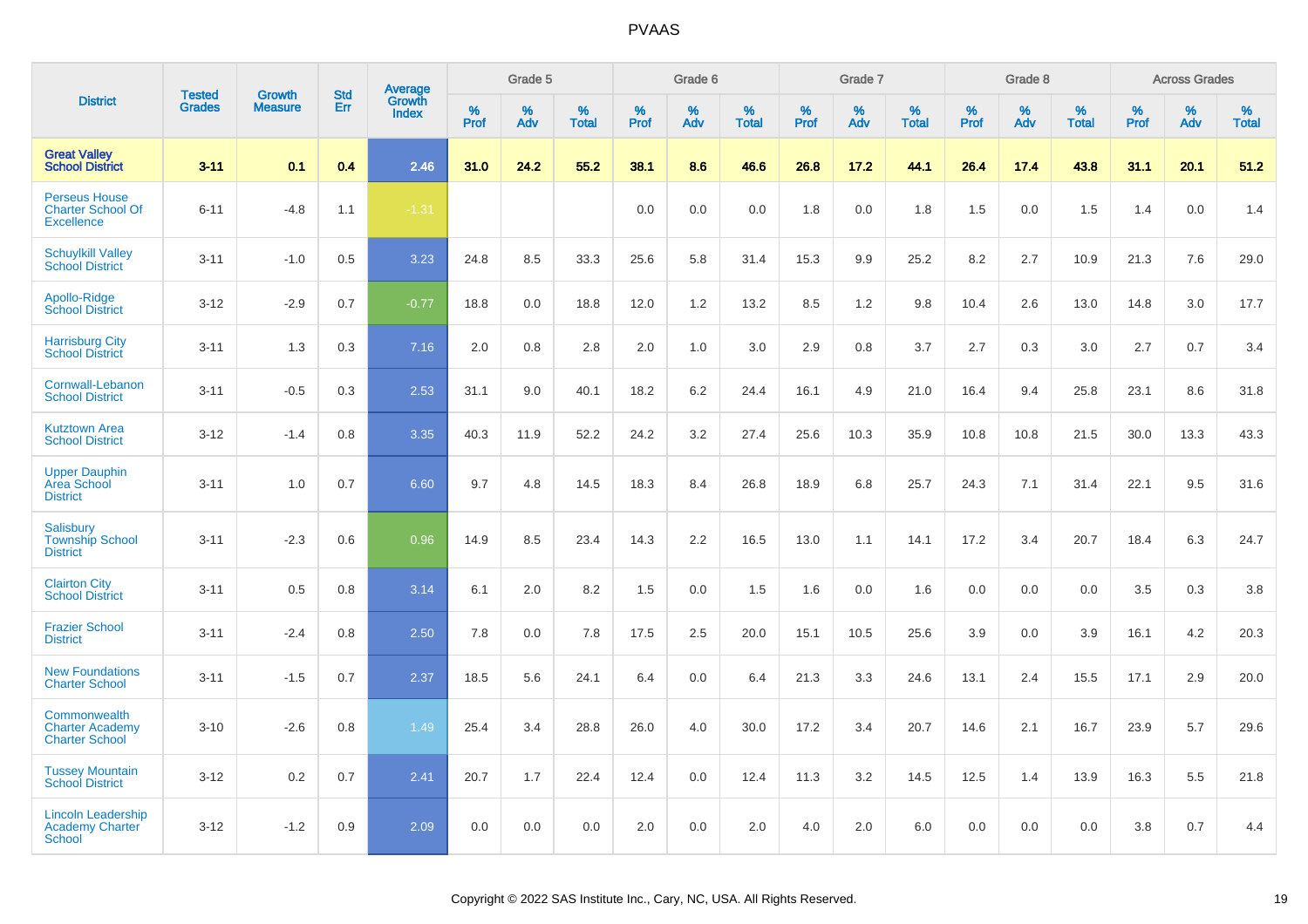|                                                                       |                                |                                 | <b>Std</b> | <b>Average</b>         |                     | Grade 5     |                   |                  | Grade 6  |                   |                  | Grade 7  |                   |           | Grade 8  |                   |              | <b>Across Grades</b> |                   |
|-----------------------------------------------------------------------|--------------------------------|---------------------------------|------------|------------------------|---------------------|-------------|-------------------|------------------|----------|-------------------|------------------|----------|-------------------|-----------|----------|-------------------|--------------|----------------------|-------------------|
| <b>District</b>                                                       | <b>Tested</b><br><b>Grades</b> | <b>Growth</b><br><b>Measure</b> | Err        | Growth<br><b>Index</b> | $\%$<br><b>Prof</b> | $\%$<br>Adv | %<br><b>Total</b> | %<br><b>Prof</b> | %<br>Adv | %<br><b>Total</b> | %<br><b>Prof</b> | %<br>Adv | %<br><b>Total</b> | %<br>Prof | %<br>Adv | %<br><b>Total</b> | $\%$<br>Prof | %<br>Adv             | %<br><b>Total</b> |
| <b>Great Valley</b><br><b>School District</b>                         | $3 - 11$                       | 0.1                             | 0.4        | 2.46                   | 31.0                | 24.2        | 55.2              | 38.1             | 8.6      | 46.6              | 26.8             | 17.2     | 44.1              | 26.4      | 17.4     | 43.8              | 31.1         | 20.1                 | 51.2              |
| <b>Perseus House</b><br><b>Charter School Of</b><br><b>Excellence</b> | $6 - 11$                       | $-4.8$                          | 1.1        | $-1.31$                |                     |             |                   | 0.0              | 0.0      | 0.0               | 1.8              | 0.0      | 1.8               | 1.5       | 0.0      | 1.5               | 1.4          | 0.0                  | 1.4               |
| <b>Schuylkill Valley</b><br><b>School District</b>                    | $3 - 11$                       | $-1.0$                          | 0.5        | 3.23                   | 24.8                | 8.5         | 33.3              | 25.6             | 5.8      | 31.4              | 15.3             | 9.9      | 25.2              | 8.2       | 2.7      | 10.9              | 21.3         | 7.6                  | 29.0              |
| Apollo-Ridge<br><b>School District</b>                                | $3-12$                         | $-2.9$                          | 0.7        | $-0.77$                | 18.8                | 0.0         | 18.8              | 12.0             | 1.2      | 13.2              | 8.5              | 1.2      | 9.8               | 10.4      | 2.6      | 13.0              | 14.8         | 3.0                  | 17.7              |
| <b>Harrisburg City</b><br><b>School District</b>                      | $3 - 11$                       | 1.3                             | 0.3        | 7.16                   | 2.0                 | 0.8         | 2.8               | 2.0              | 1.0      | 3.0               | 2.9              | 0.8      | 3.7               | 2.7       | 0.3      | 3.0               | 2.7          | 0.7                  | 3.4               |
| Cornwall-Lebanon<br><b>School District</b>                            | $3 - 11$                       | $-0.5$                          | 0.3        | 2.53                   | 31.1                | 9.0         | 40.1              | 18.2             | 6.2      | 24.4              | 16.1             | 4.9      | 21.0              | 16.4      | 9.4      | 25.8              | 23.1         | 8.6                  | 31.8              |
| <b>Kutztown Area</b><br><b>School District</b>                        | $3 - 12$                       | $-1.4$                          | 0.8        | 3.35                   | 40.3                | 11.9        | 52.2              | 24.2             | 3.2      | 27.4              | 25.6             | 10.3     | 35.9              | 10.8      | 10.8     | 21.5              | 30.0         | 13.3                 | 43.3              |
| <b>Upper Dauphin</b><br><b>Area School</b><br><b>District</b>         | $3 - 11$                       | 1.0                             | 0.7        | 6.60                   | 9.7                 | 4.8         | 14.5              | 18.3             | 8.4      | 26.8              | 18.9             | 6.8      | 25.7              | 24.3      | 7.1      | 31.4              | 22.1         | 9.5                  | 31.6              |
| Salisbury<br><b>Township School</b><br><b>District</b>                | $3 - 11$                       | $-2.3$                          | 0.6        | 0.96                   | 14.9                | 8.5         | 23.4              | 14.3             | 2.2      | 16.5              | 13.0             | 1.1      | 14.1              | 17.2      | 3.4      | 20.7              | 18.4         | 6.3                  | 24.7              |
| <b>Clairton City</b><br><b>School District</b>                        | $3 - 11$                       | 0.5                             | 0.8        | 3.14                   | 6.1                 | 2.0         | 8.2               | 1.5              | 0.0      | 1.5               | 1.6              | 0.0      | 1.6               | 0.0       | 0.0      | 0.0               | 3.5          | 0.3                  | 3.8               |
| <b>Frazier School</b><br><b>District</b>                              | $3 - 11$                       | $-2.4$                          | 0.8        | 2.50                   | 7.8                 | 0.0         | 7.8               | 17.5             | 2.5      | 20.0              | 15.1             | 10.5     | 25.6              | 3.9       | 0.0      | 3.9               | 16.1         | 4.2                  | 20.3              |
| <b>New Foundations</b><br><b>Charter School</b>                       | $3 - 11$                       | $-1.5$                          | 0.7        | 2.37                   | 18.5                | 5.6         | 24.1              | 6.4              | 0.0      | 6.4               | 21.3             | 3.3      | 24.6              | 13.1      | 2.4      | 15.5              | 17.1         | 2.9                  | 20.0              |
| Commonwealth<br><b>Charter Academy</b><br><b>Charter School</b>       | $3 - 10$                       | $-2.6$                          | 0.8        | 1.49                   | 25.4                | 3.4         | 28.8              | 26.0             | 4.0      | 30.0              | 17.2             | 3.4      | 20.7              | 14.6      | 2.1      | 16.7              | 23.9         | 5.7                  | 29.6              |
| <b>Tussey Mountain</b><br><b>School District</b>                      | $3 - 12$                       | 0.2                             | 0.7        | 2.41                   | 20.7                | 1.7         | 22.4              | 12.4             | 0.0      | 12.4              | 11.3             | 3.2      | 14.5              | 12.5      | 1.4      | 13.9              | 16.3         | 5.5                  | 21.8              |
| <b>Lincoln Leadership</b><br>Academy Charter<br>School                | $3 - 12$                       | $-1.2$                          | 0.9        | 2.09                   | 0.0                 | 0.0         | 0.0               | 2.0              | 0.0      | 2.0               | 4.0              | 2.0      | 6.0               | 0.0       | 0.0      | 0.0               | 3.8          | 0.7                  | 4.4               |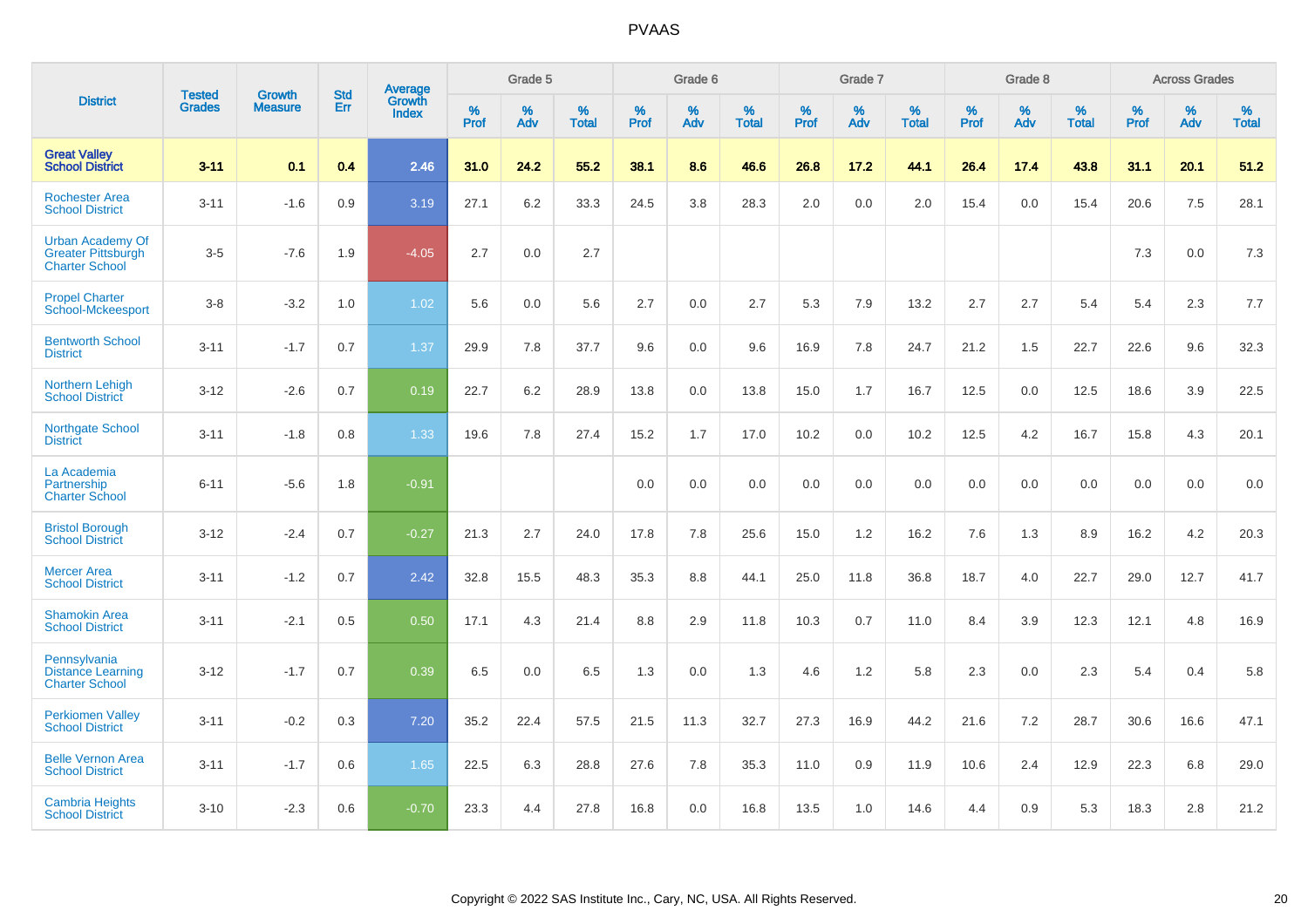|                                                                               | <b>Tested</b> | <b>Growth</b>  | <b>Std</b> | <b>Average</b>         |              | Grade 5  |                   |           | Grade 6  |                   |           | Grade 7  |                   |           | Grade 8  |                   |              | <b>Across Grades</b> |                   |
|-------------------------------------------------------------------------------|---------------|----------------|------------|------------------------|--------------|----------|-------------------|-----------|----------|-------------------|-----------|----------|-------------------|-----------|----------|-------------------|--------------|----------------------|-------------------|
| <b>District</b>                                                               | <b>Grades</b> | <b>Measure</b> | Err        | Growth<br><b>Index</b> | $\%$<br>Prof | %<br>Adv | %<br><b>Total</b> | %<br>Prof | %<br>Adv | %<br><b>Total</b> | %<br>Prof | %<br>Adv | %<br><b>Total</b> | %<br>Prof | %<br>Adv | %<br><b>Total</b> | $\%$<br>Prof | %<br>Adv             | %<br><b>Total</b> |
| <b>Great Valley</b><br><b>School District</b>                                 | $3 - 11$      | 0.1            | 0.4        | 2.46                   | 31.0         | 24.2     | 55.2              | 38.1      | 8.6      | 46.6              | 26.8      | 17.2     | 44.1              | 26.4      | 17.4     | 43.8              | 31.1         | 20.1                 | 51.2              |
| <b>Rochester Area</b><br><b>School District</b>                               | $3 - 11$      | $-1.6$         | 0.9        | 3.19                   | 27.1         | 6.2      | 33.3              | 24.5      | 3.8      | 28.3              | 2.0       | 0.0      | 2.0               | 15.4      | 0.0      | 15.4              | 20.6         | 7.5                  | 28.1              |
| <b>Urban Academy Of</b><br><b>Greater Pittsburgh</b><br><b>Charter School</b> | $3-5$         | $-7.6$         | 1.9        | $-4.05$                | 2.7          | 0.0      | 2.7               |           |          |                   |           |          |                   |           |          |                   | 7.3          | 0.0                  | $7.3$             |
| <b>Propel Charter</b><br><b>School-Mckeesport</b>                             | $3 - 8$       | $-3.2$         | 1.0        | 1.02                   | 5.6          | 0.0      | 5.6               | 2.7       | 0.0      | 2.7               | 5.3       | 7.9      | 13.2              | 2.7       | 2.7      | 5.4               | 5.4          | 2.3                  | 7.7               |
| <b>Bentworth School</b><br><b>District</b>                                    | $3 - 11$      | $-1.7$         | 0.7        | 1.37                   | 29.9         | 7.8      | 37.7              | 9.6       | 0.0      | 9.6               | 16.9      | 7.8      | 24.7              | 21.2      | 1.5      | 22.7              | 22.6         | 9.6                  | 32.3              |
| Northern Lehigh<br><b>School District</b>                                     | $3 - 12$      | $-2.6$         | 0.7        | 0.19                   | 22.7         | 6.2      | 28.9              | 13.8      | 0.0      | 13.8              | 15.0      | 1.7      | 16.7              | 12.5      | 0.0      | 12.5              | 18.6         | 3.9                  | 22.5              |
| Northgate School<br><b>District</b>                                           | $3 - 11$      | $-1.8$         | 0.8        | 1.33                   | 19.6         | 7.8      | 27.4              | 15.2      | 1.7      | 17.0              | 10.2      | 0.0      | 10.2              | 12.5      | 4.2      | 16.7              | 15.8         | 4.3                  | 20.1              |
| La Academia<br>Partnership<br><b>Charter School</b>                           | $6 - 11$      | $-5.6$         | 1.8        | $-0.91$                |              |          |                   | 0.0       | 0.0      | 0.0               | 0.0       | 0.0      | 0.0               | 0.0       | 0.0      | 0.0               | 0.0          | 0.0                  | 0.0               |
| <b>Bristol Borough</b><br><b>School District</b>                              | $3 - 12$      | $-2.4$         | 0.7        | $-0.27$                | 21.3         | 2.7      | 24.0              | 17.8      | 7.8      | 25.6              | 15.0      | 1.2      | 16.2              | 7.6       | 1.3      | 8.9               | 16.2         | 4.2                  | 20.3              |
| <b>Mercer Area</b><br><b>School District</b>                                  | $3 - 11$      | $-1.2$         | 0.7        | 2.42                   | 32.8         | 15.5     | 48.3              | 35.3      | 8.8      | 44.1              | 25.0      | 11.8     | 36.8              | 18.7      | 4.0      | 22.7              | 29.0         | 12.7                 | 41.7              |
| <b>Shamokin Area</b><br><b>School District</b>                                | $3 - 11$      | $-2.1$         | 0.5        | 0.50                   | 17.1         | 4.3      | 21.4              | 8.8       | 2.9      | 11.8              | 10.3      | 0.7      | 11.0              | 8.4       | 3.9      | 12.3              | 12.1         | 4.8                  | 16.9              |
| Pennsylvania<br><b>Distance Learning</b><br><b>Charter School</b>             | $3 - 12$      | $-1.7$         | 0.7        | 0.39                   | 6.5          | 0.0      | 6.5               | 1.3       | 0.0      | 1.3               | 4.6       | 1.2      | 5.8               | 2.3       | 0.0      | 2.3               | 5.4          | 0.4                  | 5.8               |
| <b>Perkiomen Valley</b><br><b>School District</b>                             | $3 - 11$      | $-0.2$         | 0.3        | 7.20                   | 35.2         | 22.4     | 57.5              | 21.5      | 11.3     | 32.7              | 27.3      | 16.9     | 44.2              | 21.6      | 7.2      | 28.7              | 30.6         | 16.6                 | 47.1              |
| <b>Belle Vernon Area</b><br><b>School District</b>                            | $3 - 11$      | $-1.7$         | 0.6        | 1.65                   | 22.5         | 6.3      | 28.8              | 27.6      | 7.8      | 35.3              | 11.0      | 0.9      | 11.9              | 10.6      | 2.4      | 12.9              | 22.3         | 6.8                  | 29.0              |
| <b>Cambria Heights</b><br><b>School District</b>                              | $3 - 10$      | $-2.3$         | 0.6        | $-0.70$                | 23.3         | 4.4      | 27.8              | 16.8      | 0.0      | 16.8              | 13.5      | 1.0      | 14.6              | 4.4       | 0.9      | 5.3               | 18.3         | 2.8                  | 21.2              |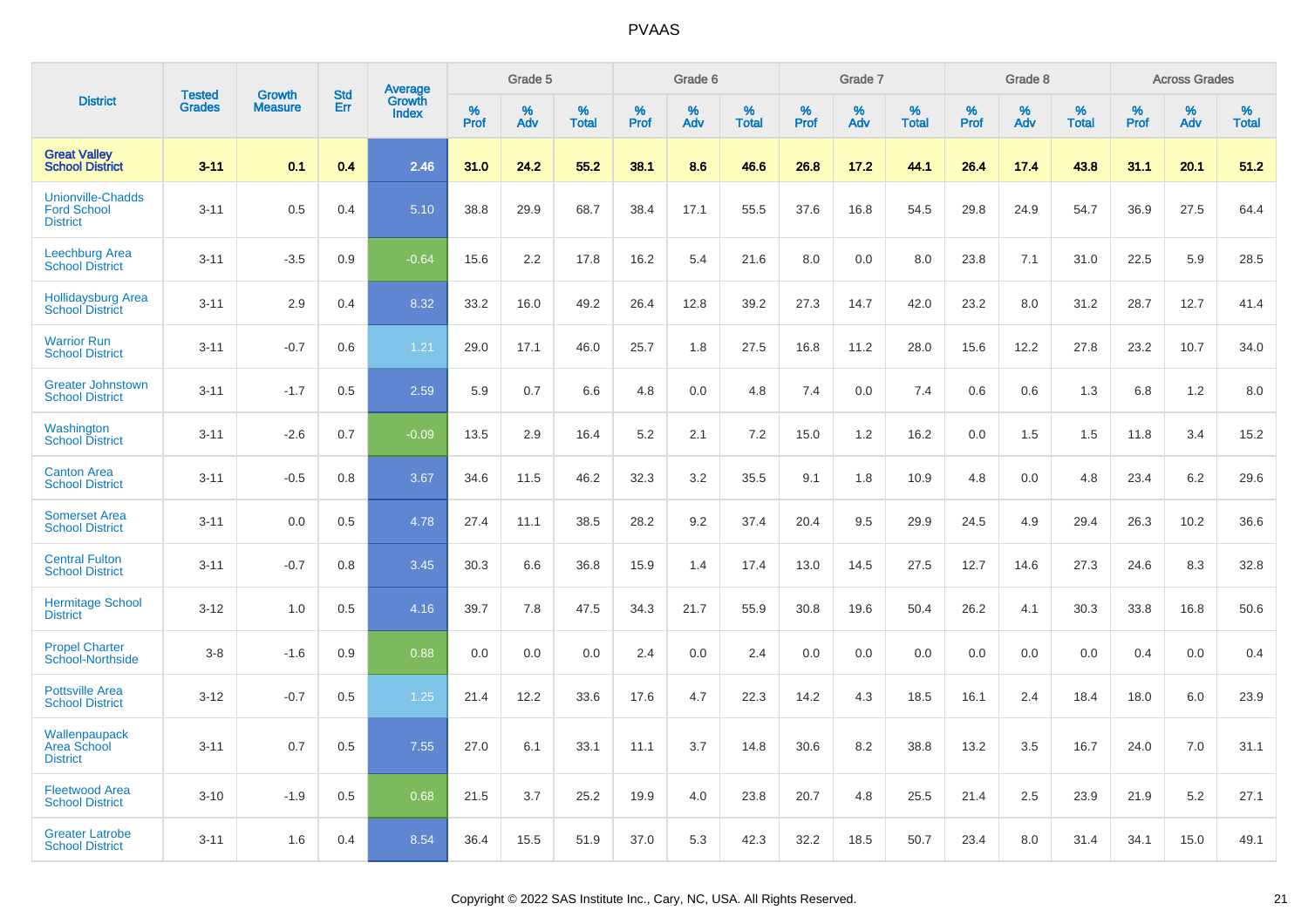|                                                                   | <b>Tested</b> |                                 | <b>Std</b> | Average                |              | Grade 5  |                   |              | Grade 6  |                   |              | Grade 7  |                   |              | Grade 8  |                   |              | <b>Across Grades</b> |                   |
|-------------------------------------------------------------------|---------------|---------------------------------|------------|------------------------|--------------|----------|-------------------|--------------|----------|-------------------|--------------|----------|-------------------|--------------|----------|-------------------|--------------|----------------------|-------------------|
| <b>District</b>                                                   | <b>Grades</b> | <b>Growth</b><br><b>Measure</b> | Err        | Growth<br><b>Index</b> | $\%$<br>Prof | %<br>Adv | %<br><b>Total</b> | $\%$<br>Prof | %<br>Adv | %<br><b>Total</b> | $\%$<br>Prof | %<br>Adv | %<br><b>Total</b> | $\%$<br>Prof | %<br>Adv | %<br><b>Total</b> | $\%$<br>Prof | %<br>Adv             | %<br><b>Total</b> |
| <b>Great Valley</b><br><b>School District</b>                     | $3 - 11$      | 0.1                             | 0.4        | 2.46                   | 31.0         | 24.2     | 55.2              | 38.1         | 8.6      | 46.6              | 26.8         | 17.2     | 44.1              | 26.4         | 17.4     | 43.8              | 31.1         | 20.1                 | 51.2              |
| <b>Unionville-Chadds</b><br><b>Ford School</b><br><b>District</b> | $3 - 11$      | 0.5                             | 0.4        | 5.10                   | 38.8         | 29.9     | 68.7              | 38.4         | 17.1     | 55.5              | 37.6         | 16.8     | 54.5              | 29.8         | 24.9     | 54.7              | 36.9         | 27.5                 | 64.4              |
| <b>Leechburg Area</b><br><b>School District</b>                   | $3 - 11$      | $-3.5$                          | 0.9        | $-0.64$                | 15.6         | 2.2      | 17.8              | 16.2         | 5.4      | 21.6              | 8.0          | 0.0      | 8.0               | 23.8         | 7.1      | 31.0              | 22.5         | 5.9                  | 28.5              |
| <b>Hollidaysburg Area</b><br><b>School District</b>               | $3 - 11$      | 2.9                             | 0.4        | 8.32                   | 33.2         | 16.0     | 49.2              | 26.4         | 12.8     | 39.2              | 27.3         | 14.7     | 42.0              | 23.2         | 8.0      | 31.2              | 28.7         | 12.7                 | 41.4              |
| <b>Warrior Run</b><br><b>School District</b>                      | $3 - 11$      | $-0.7$                          | 0.6        | 1.21                   | 29.0         | 17.1     | 46.0              | 25.7         | 1.8      | 27.5              | 16.8         | 11.2     | 28.0              | 15.6         | 12.2     | 27.8              | 23.2         | 10.7                 | 34.0              |
| <b>Greater Johnstown</b><br><b>School District</b>                | $3 - 11$      | $-1.7$                          | 0.5        | 2.59                   | 5.9          | 0.7      | 6.6               | 4.8          | 0.0      | 4.8               | 7.4          | 0.0      | 7.4               | 0.6          | 0.6      | 1.3               | 6.8          | 1.2                  | 8.0               |
| Washington<br><b>School District</b>                              | $3 - 11$      | $-2.6$                          | 0.7        | $-0.09$                | 13.5         | 2.9      | 16.4              | 5.2          | 2.1      | 7.2               | 15.0         | 1.2      | 16.2              | 0.0          | 1.5      | 1.5               | 11.8         | 3.4                  | 15.2              |
| <b>Canton Area</b><br><b>School District</b>                      | $3 - 11$      | $-0.5$                          | 0.8        | 3.67                   | 34.6         | 11.5     | 46.2              | 32.3         | 3.2      | 35.5              | 9.1          | 1.8      | 10.9              | 4.8          | 0.0      | 4.8               | 23.4         | 6.2                  | 29.6              |
| <b>Somerset Area</b><br><b>School District</b>                    | $3 - 11$      | 0.0                             | 0.5        | 4.78                   | 27.4         | 11.1     | 38.5              | 28.2         | 9.2      | 37.4              | 20.4         | 9.5      | 29.9              | 24.5         | 4.9      | 29.4              | 26.3         | 10.2                 | 36.6              |
| <b>Central Fulton</b><br><b>School District</b>                   | $3 - 11$      | $-0.7$                          | 0.8        | 3.45                   | 30.3         | 6.6      | 36.8              | 15.9         | 1.4      | 17.4              | 13.0         | 14.5     | 27.5              | 12.7         | 14.6     | 27.3              | 24.6         | 8.3                  | 32.8              |
| <b>Hermitage School</b><br><b>District</b>                        | $3 - 12$      | 1.0                             | 0.5        | 4.16                   | 39.7         | 7.8      | 47.5              | 34.3         | 21.7     | 55.9              | 30.8         | 19.6     | 50.4              | 26.2         | 4.1      | 30.3              | 33.8         | 16.8                 | 50.6              |
| <b>Propel Charter</b><br><b>School-Northside</b>                  | $3 - 8$       | $-1.6$                          | 0.9        | 0.88                   | 0.0          | 0.0      | 0.0               | 2.4          | 0.0      | 2.4               | 0.0          | 0.0      | 0.0               | 0.0          | 0.0      | 0.0               | 0.4          | 0.0                  | 0.4               |
| <b>Pottsville Area</b><br><b>School District</b>                  | $3 - 12$      | $-0.7$                          | 0.5        | 1.25                   | 21.4         | 12.2     | 33.6              | 17.6         | 4.7      | 22.3              | 14.2         | 4.3      | 18.5              | 16.1         | 2.4      | 18.4              | 18.0         | 6.0                  | 23.9              |
| Wallenpaupack<br><b>Area School</b><br><b>District</b>            | $3 - 11$      | 0.7                             | 0.5        | 7.55                   | 27.0         | 6.1      | 33.1              | 11.1         | 3.7      | 14.8              | 30.6         | 8.2      | 38.8              | 13.2         | 3.5      | 16.7              | 24.0         | 7.0                  | 31.1              |
| <b>Fleetwood Area</b><br><b>School District</b>                   | $3 - 10$      | $-1.9$                          | 0.5        | 0.68                   | 21.5         | 3.7      | 25.2              | 19.9         | 4.0      | 23.8              | 20.7         | 4.8      | 25.5              | 21.4         | 2.5      | 23.9              | 21.9         | 5.2                  | 27.1              |
| <b>Greater Latrobe</b><br><b>School District</b>                  | $3 - 11$      | 1.6                             | 0.4        | 8.54                   | 36.4         | 15.5     | 51.9              | 37.0         | 5.3      | 42.3              | 32.2         | 18.5     | 50.7              | 23.4         | 8.0      | 31.4              | 34.1         | 15.0                 | 49.1              |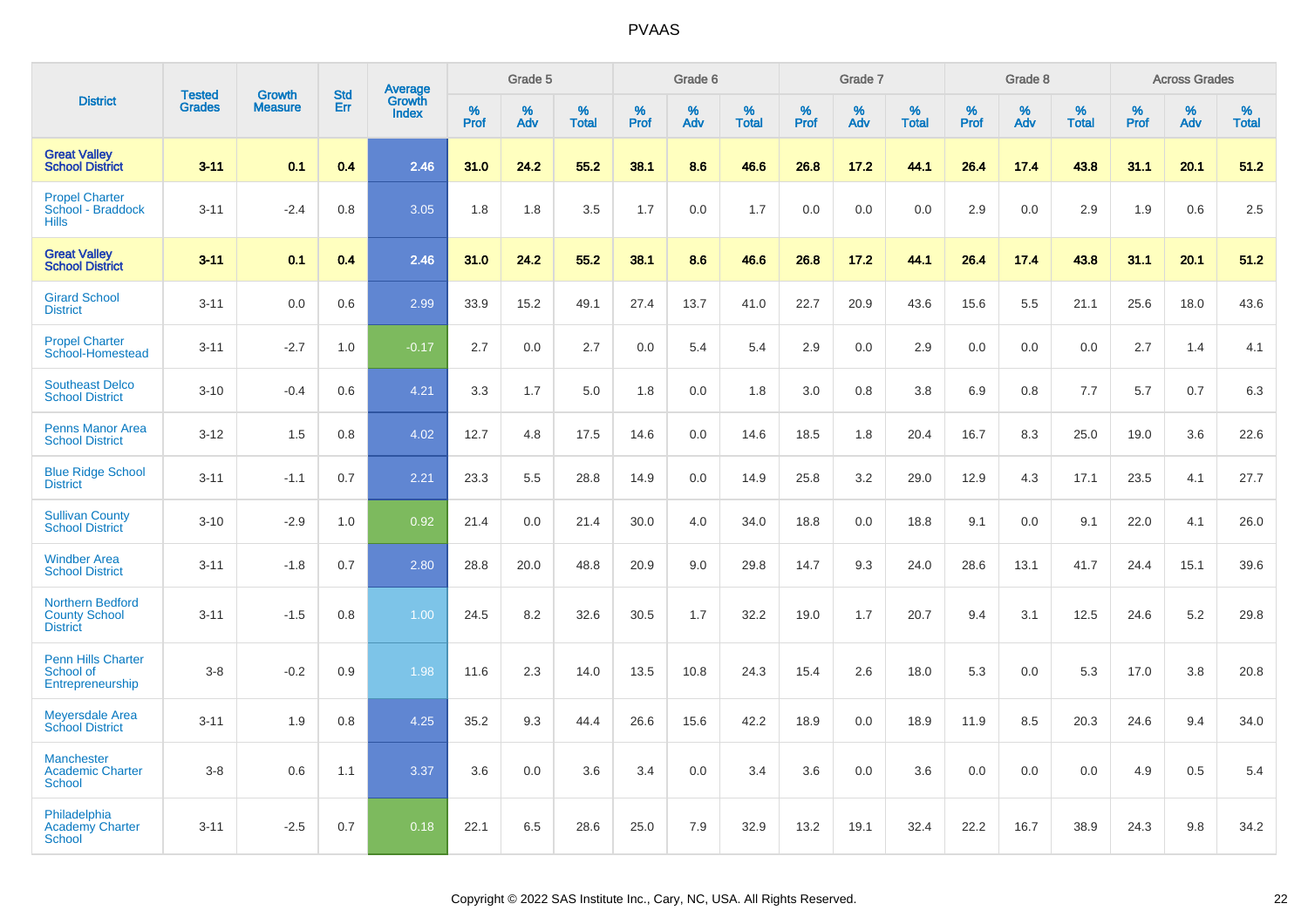|                                                                    | <b>Tested</b> | <b>Growth</b>  | <b>Std</b> | Average                |                  | Grade 5  |                   |                  | Grade 6  |                   |                  | Grade 7  |                   |           | Grade 8  |                   |                  | <b>Across Grades</b> |                   |
|--------------------------------------------------------------------|---------------|----------------|------------|------------------------|------------------|----------|-------------------|------------------|----------|-------------------|------------------|----------|-------------------|-----------|----------|-------------------|------------------|----------------------|-------------------|
| <b>District</b>                                                    | <b>Grades</b> | <b>Measure</b> | Err        | Growth<br><b>Index</b> | %<br><b>Prof</b> | %<br>Adv | %<br><b>Total</b> | %<br><b>Prof</b> | %<br>Adv | %<br><b>Total</b> | %<br><b>Prof</b> | %<br>Adv | %<br><b>Total</b> | %<br>Prof | %<br>Adv | %<br><b>Total</b> | %<br><b>Prof</b> | %<br>Adv             | %<br><b>Total</b> |
| <b>Great Valley</b><br><b>School District</b>                      | $3 - 11$      | 0.1            | 0.4        | 2.46                   | 31.0             | 24.2     | 55.2              | 38.1             | 8.6      | 46.6              | 26.8             | 17.2     | 44.1              | 26.4      | 17.4     | 43.8              | 31.1             | 20.1                 | 51.2              |
| <b>Propel Charter</b><br>School - Braddock<br><b>Hills</b>         | $3 - 11$      | $-2.4$         | 0.8        | 3.05                   | 1.8              | 1.8      | 3.5               | 1.7              | 0.0      | 1.7               | 0.0              | 0.0      | 0.0               | 2.9       | 0.0      | 2.9               | 1.9              | 0.6                  | 2.5               |
| <b>Great Valley</b><br><b>School District</b>                      | $3 - 11$      | 0.1            | 0.4        | 2.46                   | 31.0             | 24.2     | 55.2              | 38.1             | 8.6      | 46.6              | 26.8             | 17.2     | 44.1              | 26.4      | 17.4     | 43.8              | 31.1             | 20.1                 | 51.2              |
| <b>Girard School</b><br><b>District</b>                            | $3 - 11$      | 0.0            | 0.6        | 2.99                   | 33.9             | 15.2     | 49.1              | 27.4             | 13.7     | 41.0              | 22.7             | 20.9     | 43.6              | 15.6      | 5.5      | 21.1              | 25.6             | 18.0                 | 43.6              |
| <b>Propel Charter</b><br>School-Homestead                          | $3 - 11$      | $-2.7$         | 1.0        | $-0.17$                | 2.7              | 0.0      | 2.7               | 0.0              | 5.4      | 5.4               | 2.9              | 0.0      | 2.9               | 0.0       | 0.0      | 0.0               | 2.7              | 1.4                  | 4.1               |
| <b>Southeast Delco</b><br><b>School District</b>                   | $3 - 10$      | $-0.4$         | 0.6        | 4.21                   | 3.3              | 1.7      | 5.0               | 1.8              | 0.0      | 1.8               | 3.0              | 0.8      | 3.8               | 6.9       | 0.8      | 7.7               | 5.7              | 0.7                  | 6.3               |
| <b>Penns Manor Area</b><br><b>School District</b>                  | $3 - 12$      | 1.5            | 0.8        | 4.02                   | 12.7             | 4.8      | 17.5              | 14.6             | 0.0      | 14.6              | 18.5             | 1.8      | 20.4              | 16.7      | 8.3      | 25.0              | 19.0             | 3.6                  | 22.6              |
| <b>Blue Ridge School</b><br><b>District</b>                        | $3 - 11$      | $-1.1$         | 0.7        | 2.21                   | 23.3             | 5.5      | 28.8              | 14.9             | 0.0      | 14.9              | 25.8             | 3.2      | 29.0              | 12.9      | 4.3      | 17.1              | 23.5             | 4.1                  | 27.7              |
| <b>Sullivan County</b><br><b>School District</b>                   | $3 - 10$      | $-2.9$         | 1.0        | 0.92                   | 21.4             | 0.0      | 21.4              | 30.0             | 4.0      | 34.0              | 18.8             | 0.0      | 18.8              | 9.1       | 0.0      | 9.1               | 22.0             | 4.1                  | 26.0              |
| <b>Windber Area</b><br><b>School District</b>                      | $3 - 11$      | $-1.8$         | 0.7        | 2.80                   | 28.8             | 20.0     | 48.8              | 20.9             | 9.0      | 29.8              | 14.7             | 9.3      | 24.0              | 28.6      | 13.1     | 41.7              | 24.4             | 15.1                 | 39.6              |
| <b>Northern Bedford</b><br><b>County School</b><br><b>District</b> | $3 - 11$      | $-1.5$         | 0.8        | 1.00                   | 24.5             | 8.2      | 32.6              | 30.5             | 1.7      | 32.2              | 19.0             | 1.7      | 20.7              | 9.4       | 3.1      | 12.5              | 24.6             | 5.2                  | 29.8              |
| <b>Penn Hills Charter</b><br>School of<br>Entrepreneurship         | $3-8$         | $-0.2$         | 0.9        | 1.98                   | 11.6             | 2.3      | 14.0              | 13.5             | 10.8     | 24.3              | 15.4             | 2.6      | 18.0              | 5.3       | 0.0      | 5.3               | 17.0             | 3.8                  | 20.8              |
| <b>Meyersdale Area</b><br><b>School District</b>                   | $3 - 11$      | 1.9            | 0.8        | 4.25                   | 35.2             | 9.3      | 44.4              | 26.6             | 15.6     | 42.2              | 18.9             | 0.0      | 18.9              | 11.9      | 8.5      | 20.3              | 24.6             | 9.4                  | 34.0              |
| <b>Manchester</b><br><b>Academic Charter</b><br>School             | $3-8$         | 0.6            | 1.1        | 3.37                   | 3.6              | 0.0      | 3.6               | 3.4              | 0.0      | 3.4               | 3.6              | 0.0      | 3.6               | 0.0       | 0.0      | 0.0               | 4.9              | 0.5                  | 5.4               |
| Philadelphia<br><b>Academy Charter</b><br><b>School</b>            | $3 - 11$      | $-2.5$         | 0.7        | 0.18                   | 22.1             | 6.5      | 28.6              | 25.0             | 7.9      | 32.9              | 13.2             | 19.1     | 32.4              | 22.2      | 16.7     | 38.9              | 24.3             | 9.8                  | 34.2              |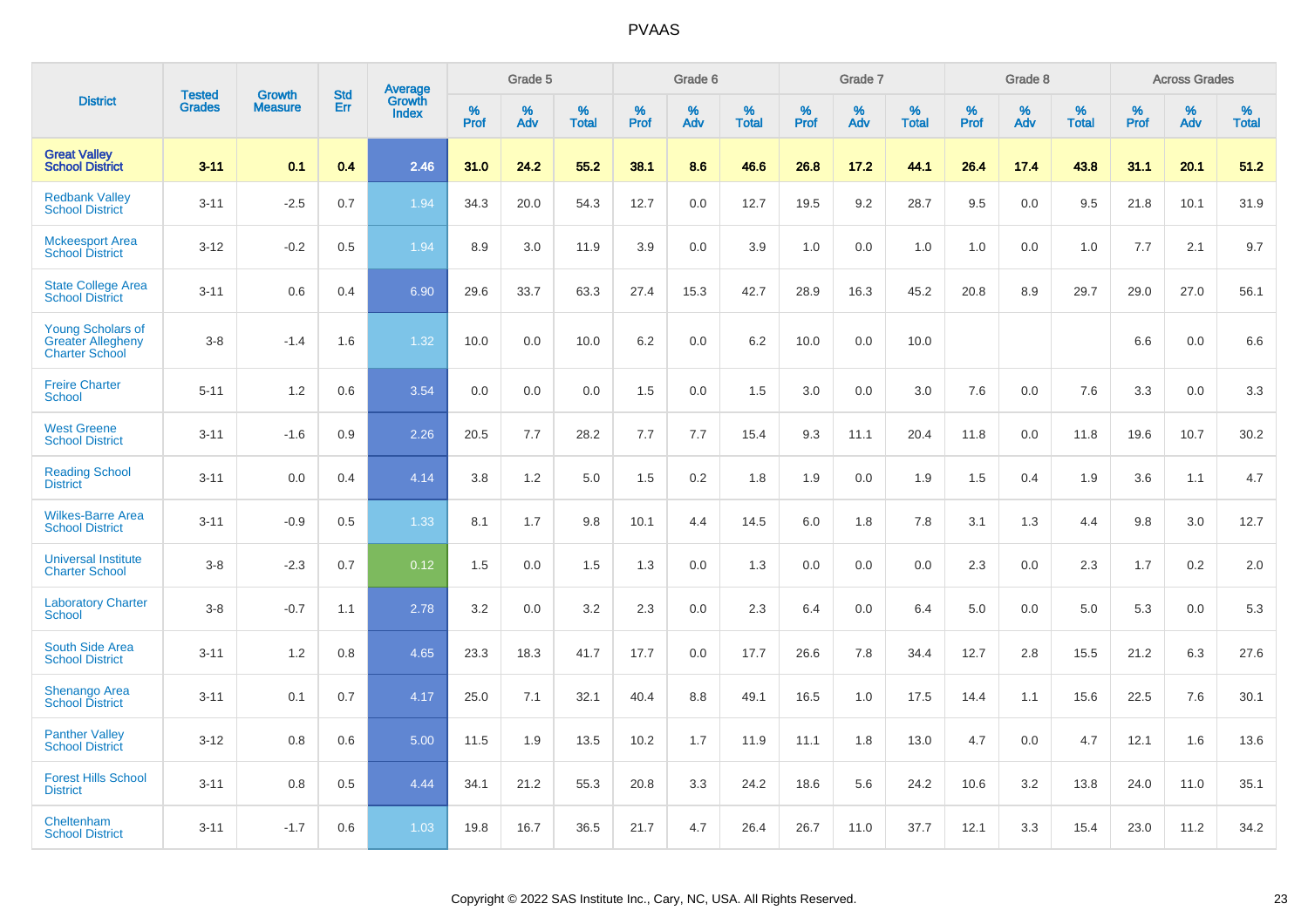|                                                                               | <b>Tested</b> | <b>Growth</b>  | <b>Std</b> | <b>Average</b><br>Growth |                     | Grade 5  |                      |                     | Grade 6  |                      |              | Grade 7  |                      |                     | Grade 8  |                      |                     | <b>Across Grades</b> |                      |
|-------------------------------------------------------------------------------|---------------|----------------|------------|--------------------------|---------------------|----------|----------------------|---------------------|----------|----------------------|--------------|----------|----------------------|---------------------|----------|----------------------|---------------------|----------------------|----------------------|
| <b>District</b>                                                               | <b>Grades</b> | <b>Measure</b> | Err        | <b>Index</b>             | $\%$<br><b>Prof</b> | %<br>Adv | $\%$<br><b>Total</b> | $\%$<br><b>Prof</b> | %<br>Adv | $\%$<br><b>Total</b> | $\%$<br>Prof | %<br>Adv | $\%$<br><b>Total</b> | $\%$<br><b>Prof</b> | %<br>Adv | $\%$<br><b>Total</b> | $\%$<br><b>Prof</b> | $\%$<br>Adv          | $\%$<br><b>Total</b> |
| <b>Great Valley</b><br><b>School District</b>                                 | $3 - 11$      | 0.1            | 0.4        | 2.46                     | 31.0                | 24.2     | 55.2                 | 38.1                | 8.6      | 46.6                 | 26.8         | 17.2     | 44.1                 | 26.4                | 17.4     | 43.8                 | 31.1                | 20.1                 | 51.2                 |
| <b>Redbank Valley</b><br><b>School District</b>                               | $3 - 11$      | $-2.5$         | 0.7        | 1.94                     | 34.3                | 20.0     | 54.3                 | 12.7                | 0.0      | 12.7                 | 19.5         | 9.2      | 28.7                 | 9.5                 | 0.0      | 9.5                  | 21.8                | 10.1                 | 31.9                 |
| <b>Mckeesport Area</b><br><b>School District</b>                              | $3 - 12$      | $-0.2$         | 0.5        | 1.94                     | 8.9                 | 3.0      | 11.9                 | 3.9                 | 0.0      | 3.9                  | 1.0          | 0.0      | 1.0                  | 1.0                 | 0.0      | 1.0                  | 7.7                 | 2.1                  | 9.7                  |
| <b>State College Area</b><br><b>School District</b>                           | $3 - 11$      | 0.6            | 0.4        | 6.90                     | 29.6                | 33.7     | 63.3                 | 27.4                | 15.3     | 42.7                 | 28.9         | 16.3     | 45.2                 | 20.8                | 8.9      | 29.7                 | 29.0                | 27.0                 | 56.1                 |
| <b>Young Scholars of</b><br><b>Greater Allegheny</b><br><b>Charter School</b> | $3 - 8$       | $-1.4$         | 1.6        | 1.32                     | 10.0                | 0.0      | 10.0                 | 6.2                 | 0.0      | 6.2                  | 10.0         | 0.0      | 10.0                 |                     |          |                      | 6.6                 | 0.0                  | 6.6                  |
| <b>Freire Charter</b><br><b>School</b>                                        | $5 - 11$      | 1.2            | 0.6        | 3.54                     | 0.0                 | 0.0      | 0.0                  | 1.5                 | 0.0      | 1.5                  | 3.0          | 0.0      | 3.0                  | 7.6                 | 0.0      | 7.6                  | 3.3                 | 0.0                  | 3.3                  |
| <b>West Greene</b><br><b>School District</b>                                  | $3 - 11$      | $-1.6$         | 0.9        | 2.26                     | 20.5                | 7.7      | 28.2                 | 7.7                 | 7.7      | 15.4                 | 9.3          | 11.1     | 20.4                 | 11.8                | 0.0      | 11.8                 | 19.6                | 10.7                 | 30.2                 |
| <b>Reading School</b><br><b>District</b>                                      | $3 - 11$      | 0.0            | 0.4        | 4.14                     | 3.8                 | 1.2      | 5.0                  | 1.5                 | 0.2      | 1.8                  | 1.9          | 0.0      | 1.9                  | 1.5                 | 0.4      | 1.9                  | 3.6                 | 1.1                  | 4.7                  |
| <b>Wilkes-Barre Area</b><br><b>School District</b>                            | $3 - 11$      | $-0.9$         | 0.5        | 1.33                     | 8.1                 | 1.7      | 9.8                  | 10.1                | 4.4      | 14.5                 | 6.0          | 1.8      | 7.8                  | 3.1                 | 1.3      | 4.4                  | 9.8                 | 3.0                  | 12.7                 |
| <b>Universal Institute</b><br><b>Charter School</b>                           | $3 - 8$       | $-2.3$         | 0.7        | 0.12                     | 1.5                 | 0.0      | 1.5                  | 1.3                 | 0.0      | 1.3                  | 0.0          | 0.0      | 0.0                  | 2.3                 | 0.0      | 2.3                  | 1.7                 | 0.2                  | 2.0                  |
| <b>Laboratory Charter</b><br><b>School</b>                                    | $3 - 8$       | $-0.7$         | 1.1        | 2.78                     | 3.2                 | 0.0      | 3.2                  | 2.3                 | 0.0      | 2.3                  | 6.4          | 0.0      | 6.4                  | 5.0                 | 0.0      | 5.0                  | 5.3                 | 0.0                  | 5.3                  |
| South Side Area<br><b>School District</b>                                     | $3 - 11$      | 1.2            | 0.8        | 4.65                     | 23.3                | 18.3     | 41.7                 | 17.7                | 0.0      | 17.7                 | 26.6         | 7.8      | 34.4                 | 12.7                | 2.8      | 15.5                 | 21.2                | 6.3                  | 27.6                 |
| <b>Shenango Area</b><br><b>School District</b>                                | $3 - 11$      | 0.1            | 0.7        | 4.17                     | 25.0                | 7.1      | 32.1                 | 40.4                | 8.8      | 49.1                 | 16.5         | 1.0      | 17.5                 | 14.4                | 1.1      | 15.6                 | 22.5                | 7.6                  | 30.1                 |
| <b>Panther Valley</b><br><b>School District</b>                               | $3 - 12$      | 0.8            | 0.6        | 5.00                     | 11.5                | 1.9      | 13.5                 | 10.2                | 1.7      | 11.9                 | 11.1         | 1.8      | 13.0                 | 4.7                 | 0.0      | 4.7                  | 12.1                | 1.6                  | 13.6                 |
| <b>Forest Hills School</b><br><b>District</b>                                 | $3 - 11$      | 0.8            | 0.5        | 4.44                     | 34.1                | 21.2     | 55.3                 | 20.8                | 3.3      | 24.2                 | 18.6         | 5.6      | 24.2                 | 10.6                | 3.2      | 13.8                 | 24.0                | 11.0                 | 35.1                 |
| Cheltenham<br><b>School District</b>                                          | $3 - 11$      | $-1.7$         | 0.6        | 1.03                     | 19.8                | 16.7     | 36.5                 | 21.7                | 4.7      | 26.4                 | 26.7         | 11.0     | 37.7                 | 12.1                | 3.3      | 15.4                 | 23.0                | 11.2                 | 34.2                 |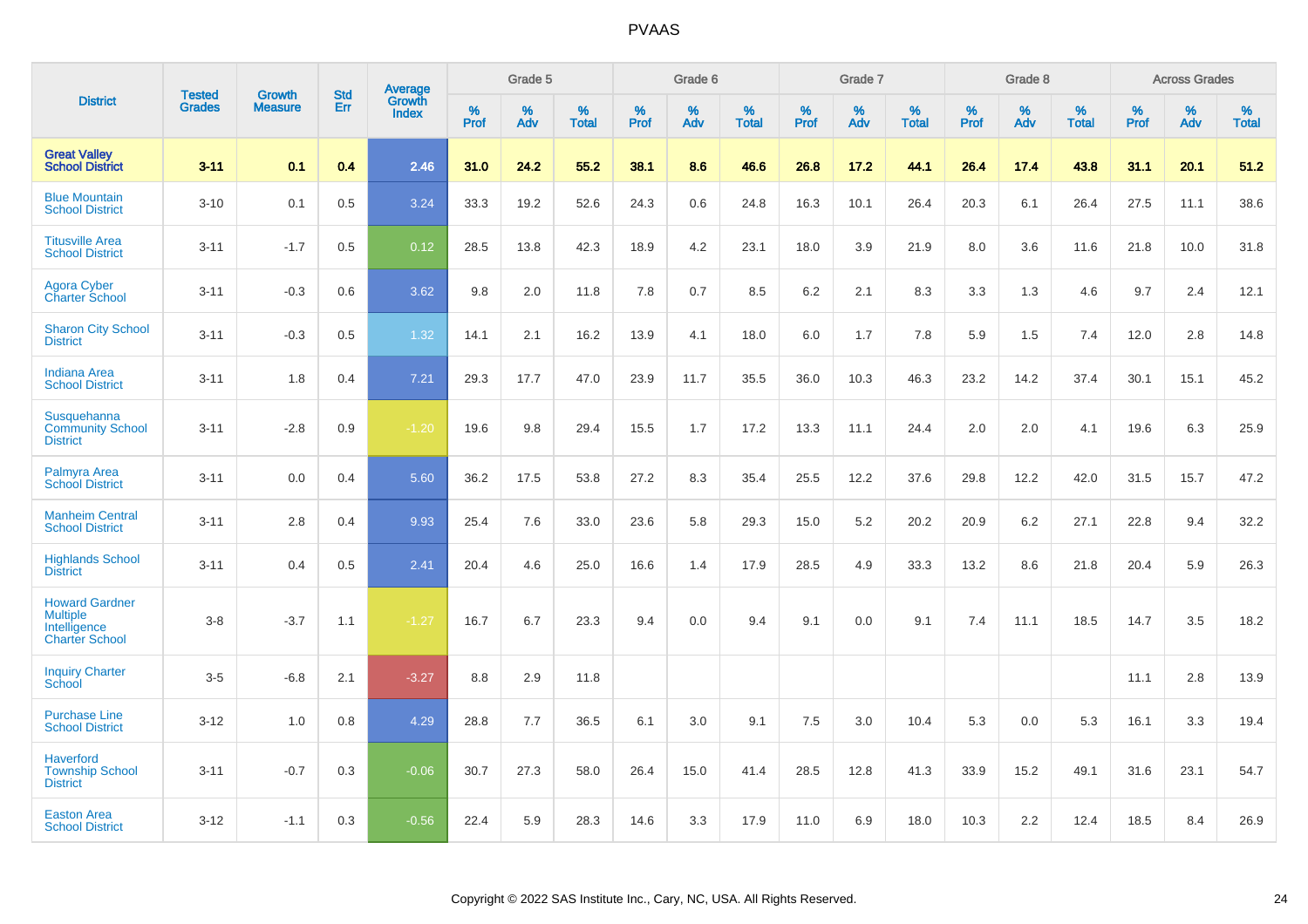|                                                                                   | <b>Tested</b> | <b>Growth</b>  | <b>Std</b> | Average         |              | Grade 5  |                   |              | Grade 6  |                   |           | Grade 7  |                   |                     | Grade 8  |                   |                     | <b>Across Grades</b> |                   |
|-----------------------------------------------------------------------------------|---------------|----------------|------------|-----------------|--------------|----------|-------------------|--------------|----------|-------------------|-----------|----------|-------------------|---------------------|----------|-------------------|---------------------|----------------------|-------------------|
| <b>District</b>                                                                   | <b>Grades</b> | <b>Measure</b> | Err        | Growth<br>Index | $\%$<br>Prof | %<br>Adv | %<br><b>Total</b> | $\%$<br>Prof | %<br>Adv | %<br><b>Total</b> | %<br>Prof | %<br>Adv | %<br><b>Total</b> | $\%$<br><b>Prof</b> | %<br>Adv | %<br><b>Total</b> | $\%$<br><b>Prof</b> | $\%$<br>Adv          | %<br><b>Total</b> |
| <b>Great Valley</b><br><b>School District</b>                                     | $3 - 11$      | 0.1            | 0.4        | 2.46            | 31.0         | 24.2     | 55.2              | 38.1         | 8.6      | 46.6              | 26.8      | 17.2     | 44.1              | 26.4                | 17.4     | 43.8              | 31.1                | 20.1                 | 51.2              |
| <b>Blue Mountain</b><br><b>School District</b>                                    | $3 - 10$      | 0.1            | 0.5        | 3.24            | 33.3         | 19.2     | 52.6              | 24.3         | 0.6      | 24.8              | 16.3      | 10.1     | 26.4              | 20.3                | 6.1      | 26.4              | 27.5                | 11.1                 | 38.6              |
| <b>Titusville Area</b><br><b>School District</b>                                  | $3 - 11$      | $-1.7$         | 0.5        | 0.12            | 28.5         | 13.8     | 42.3              | 18.9         | 4.2      | 23.1              | 18.0      | 3.9      | 21.9              | 8.0                 | 3.6      | 11.6              | 21.8                | 10.0                 | 31.8              |
| <b>Agora Cyber</b><br><b>Charter School</b>                                       | $3 - 11$      | $-0.3$         | 0.6        | 3.62            | 9.8          | 2.0      | 11.8              | 7.8          | 0.7      | 8.5               | 6.2       | 2.1      | 8.3               | 3.3                 | 1.3      | 4.6               | 9.7                 | 2.4                  | 12.1              |
| <b>Sharon City School</b><br><b>District</b>                                      | $3 - 11$      | $-0.3$         | 0.5        | 1.32            | 14.1         | 2.1      | 16.2              | 13.9         | 4.1      | 18.0              | 6.0       | 1.7      | 7.8               | 5.9                 | 1.5      | 7.4               | 12.0                | 2.8                  | 14.8              |
| <b>Indiana Area</b><br><b>School District</b>                                     | $3 - 11$      | 1.8            | 0.4        | 7.21            | 29.3         | 17.7     | 47.0              | 23.9         | 11.7     | 35.5              | 36.0      | 10.3     | 46.3              | 23.2                | 14.2     | 37.4              | 30.1                | 15.1                 | 45.2              |
| Susquehanna<br><b>Community School</b><br><b>District</b>                         | $3 - 11$      | $-2.8$         | 0.9        | $-1.20$         | 19.6         | 9.8      | 29.4              | 15.5         | 1.7      | 17.2              | 13.3      | 11.1     | 24.4              | 2.0                 | 2.0      | 4.1               | 19.6                | 6.3                  | 25.9              |
| Palmyra Area<br><b>School District</b>                                            | $3 - 11$      | 0.0            | 0.4        | 5.60            | 36.2         | 17.5     | 53.8              | 27.2         | 8.3      | 35.4              | 25.5      | 12.2     | 37.6              | 29.8                | 12.2     | 42.0              | 31.5                | 15.7                 | 47.2              |
| <b>Manheim Central</b><br><b>School District</b>                                  | $3 - 11$      | 2.8            | 0.4        | 9.93            | 25.4         | 7.6      | 33.0              | 23.6         | 5.8      | 29.3              | 15.0      | 5.2      | 20.2              | 20.9                | 6.2      | 27.1              | 22.8                | 9.4                  | 32.2              |
| <b>Highlands School</b><br><b>District</b>                                        | $3 - 11$      | 0.4            | 0.5        | 2.41            | 20.4         | 4.6      | 25.0              | 16.6         | 1.4      | 17.9              | 28.5      | 4.9      | 33.3              | 13.2                | 8.6      | 21.8              | 20.4                | 5.9                  | 26.3              |
| <b>Howard Gardner</b><br><b>Multiple</b><br>Intelligence<br><b>Charter School</b> | $3-8$         | $-3.7$         | 1.1        | $-1.27$         | 16.7         | 6.7      | 23.3              | 9.4          | 0.0      | 9.4               | 9.1       | 0.0      | 9.1               | 7.4                 | 11.1     | 18.5              | 14.7                | 3.5                  | 18.2              |
| <b>Inquiry Charter</b><br>School                                                  | $3 - 5$       | $-6.8$         | 2.1        | $-3.27$         | 8.8          | 2.9      | 11.8              |              |          |                   |           |          |                   |                     |          |                   | 11.1                | 2.8                  | 13.9              |
| <b>Purchase Line</b><br><b>School District</b>                                    | $3 - 12$      | 1.0            | 0.8        | 4.29            | 28.8         | 7.7      | 36.5              | 6.1          | 3.0      | 9.1               | 7.5       | 3.0      | 10.4              | 5.3                 | 0.0      | 5.3               | 16.1                | 3.3                  | 19.4              |
| <b>Haverford</b><br><b>Township School</b><br><b>District</b>                     | $3 - 11$      | $-0.7$         | 0.3        | $-0.06$         | 30.7         | 27.3     | 58.0              | 26.4         | 15.0     | 41.4              | 28.5      | 12.8     | 41.3              | 33.9                | 15.2     | 49.1              | 31.6                | 23.1                 | 54.7              |
| <b>Easton Area</b><br><b>School District</b>                                      | $3 - 12$      | $-1.1$         | 0.3        | $-0.56$         | 22.4         | 5.9      | 28.3              | 14.6         | 3.3      | 17.9              | 11.0      | 6.9      | 18.0              | 10.3                | 2.2      | 12.4              | 18.5                | 8.4                  | 26.9              |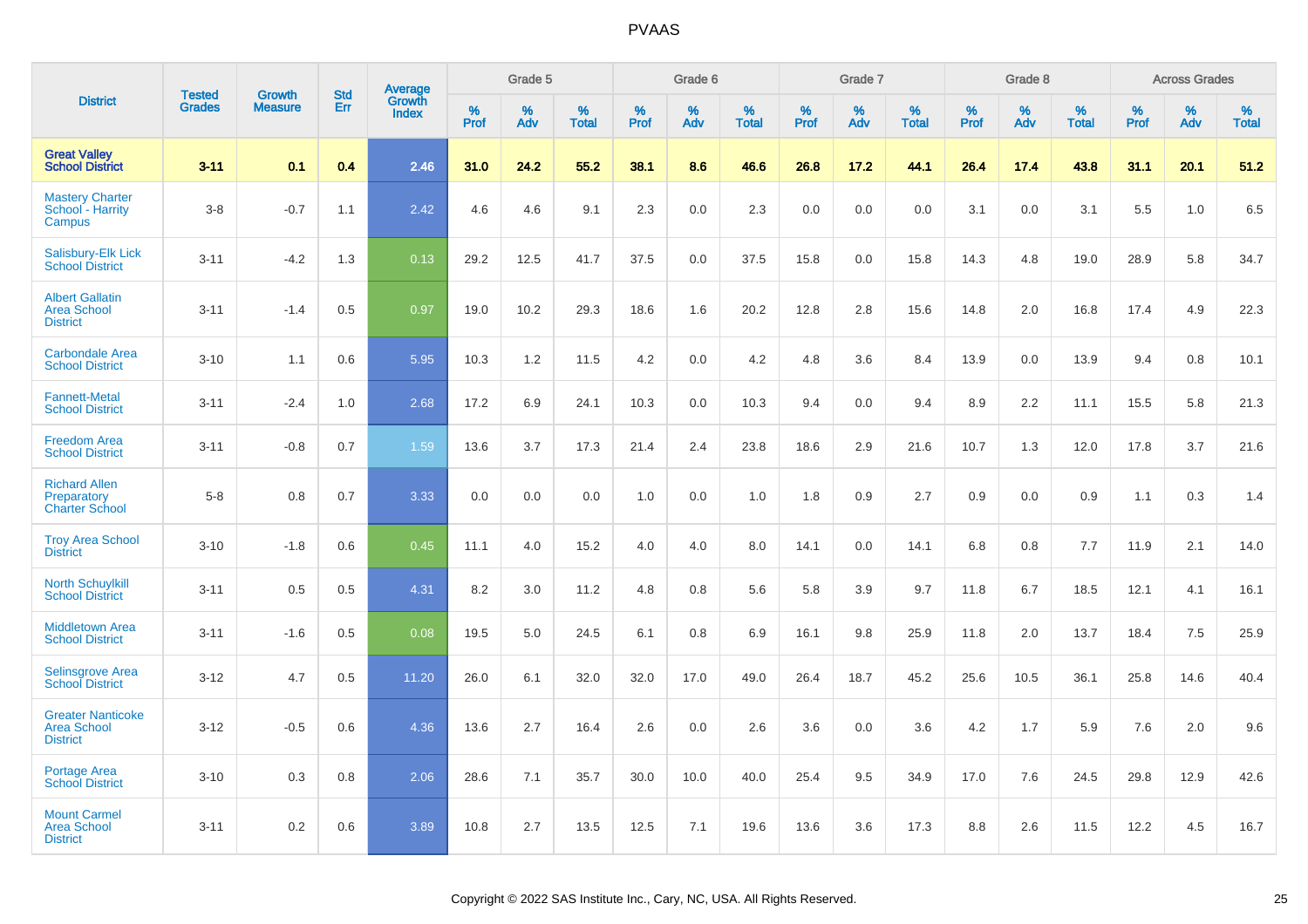|                                                                   |                                | <b>Growth</b>  |                          |                                   |           | Grade 5  |                   |                  | Grade 6  |                   |           | Grade 7  |                   |           | Grade 8  |                   |           | <b>Across Grades</b> |                   |
|-------------------------------------------------------------------|--------------------------------|----------------|--------------------------|-----------------------------------|-----------|----------|-------------------|------------------|----------|-------------------|-----------|----------|-------------------|-----------|----------|-------------------|-----------|----------------------|-------------------|
| <b>District</b>                                                   | <b>Tested</b><br><b>Grades</b> | <b>Measure</b> | <b>Std</b><br><b>Err</b> | Average<br>Growth<br><b>Index</b> | %<br>Prof | %<br>Adv | %<br><b>Total</b> | %<br><b>Prof</b> | %<br>Adv | %<br><b>Total</b> | %<br>Prof | %<br>Adv | %<br><b>Total</b> | %<br>Prof | %<br>Adv | %<br><b>Total</b> | %<br>Prof | %<br>Adv             | %<br><b>Total</b> |
| <b>Great Valley</b><br><b>School District</b>                     | $3 - 11$                       | 0.1            | 0.4                      | 2.46                              | 31.0      | 24.2     | 55.2              | 38.1             | 8.6      | 46.6              | 26.8      | 17.2     | 44.1              | 26.4      | 17.4     | 43.8              | 31.1      | 20.1                 | 51.2              |
| <b>Mastery Charter</b><br>School - Harrity<br>Campus              | $3 - 8$                        | $-0.7$         | 1.1                      | 2.42                              | 4.6       | 4.6      | 9.1               | 2.3              | 0.0      | 2.3               | 0.0       | 0.0      | 0.0               | 3.1       | 0.0      | 3.1               | 5.5       | 1.0                  | 6.5               |
| <b>Salisbury-Elk Lick</b><br><b>School District</b>               | $3 - 11$                       | $-4.2$         | 1.3                      | 0.13                              | 29.2      | 12.5     | 41.7              | 37.5             | 0.0      | 37.5              | 15.8      | 0.0      | 15.8              | 14.3      | 4.8      | 19.0              | 28.9      | 5.8                  | 34.7              |
| <b>Albert Gallatin</b><br><b>Area School</b><br><b>District</b>   | $3 - 11$                       | $-1.4$         | 0.5                      | 0.97                              | 19.0      | 10.2     | 29.3              | 18.6             | 1.6      | 20.2              | 12.8      | 2.8      | 15.6              | 14.8      | 2.0      | 16.8              | 17.4      | 4.9                  | 22.3              |
| <b>Carbondale Area</b><br><b>School District</b>                  | $3 - 10$                       | 1.1            | 0.6                      | 5.95                              | 10.3      | 1.2      | 11.5              | 4.2              | 0.0      | 4.2               | 4.8       | 3.6      | 8.4               | 13.9      | 0.0      | 13.9              | 9.4       | 0.8                  | 10.1              |
| <b>Fannett-Metal</b><br><b>School District</b>                    | $3 - 11$                       | $-2.4$         | 1.0                      | 2.68                              | 17.2      | 6.9      | 24.1              | 10.3             | 0.0      | 10.3              | 9.4       | 0.0      | 9.4               | 8.9       | 2.2      | 11.1              | 15.5      | 5.8                  | 21.3              |
| <b>Freedom Area</b><br><b>School District</b>                     | $3 - 11$                       | $-0.8$         | 0.7                      | 1.59                              | 13.6      | 3.7      | 17.3              | 21.4             | 2.4      | 23.8              | 18.6      | 2.9      | 21.6              | 10.7      | 1.3      | 12.0              | 17.8      | 3.7                  | 21.6              |
| <b>Richard Allen</b><br>Preparatory<br><b>Charter School</b>      | $5 - 8$                        | 0.8            | 0.7                      | 3.33                              | 0.0       | 0.0      | 0.0               | 1.0              | 0.0      | 1.0               | 1.8       | 0.9      | 2.7               | 0.9       | 0.0      | 0.9               | 1.1       | 0.3                  | 1.4               |
| <b>Troy Area School</b><br><b>District</b>                        | $3 - 10$                       | $-1.8$         | 0.6                      | 0.45                              | 11.1      | 4.0      | 15.2              | 4.0              | 4.0      | 8.0               | 14.1      | 0.0      | 14.1              | 6.8       | 0.8      | 7.7               | 11.9      | 2.1                  | 14.0              |
| <b>North Schuylkill</b><br><b>School District</b>                 | $3 - 11$                       | 0.5            | 0.5                      | 4.31                              | 8.2       | 3.0      | 11.2              | 4.8              | 0.8      | 5.6               | 5.8       | 3.9      | 9.7               | 11.8      | 6.7      | 18.5              | 12.1      | 4.1                  | 16.1              |
| <b>Middletown Area</b><br><b>School District</b>                  | $3 - 11$                       | $-1.6$         | 0.5                      | 0.08                              | 19.5      | 5.0      | 24.5              | 6.1              | 0.8      | 6.9               | 16.1      | 9.8      | 25.9              | 11.8      | 2.0      | 13.7              | 18.4      | 7.5                  | 25.9              |
| <b>Selinsgrove Area</b><br><b>School District</b>                 | $3 - 12$                       | 4.7            | 0.5                      | 11.20                             | 26.0      | 6.1      | 32.0              | 32.0             | 17.0     | 49.0              | 26.4      | 18.7     | 45.2              | 25.6      | 10.5     | 36.1              | 25.8      | 14.6                 | 40.4              |
| <b>Greater Nanticoke</b><br><b>Area School</b><br><b>District</b> | $3 - 12$                       | $-0.5$         | 0.6                      | 4.36                              | 13.6      | 2.7      | 16.4              | 2.6              | 0.0      | 2.6               | 3.6       | 0.0      | 3.6               | 4.2       | 1.7      | 5.9               | 7.6       | 2.0                  | 9.6               |
| Portage Area<br><b>School District</b>                            | $3 - 10$                       | 0.3            | 0.8                      | 2.06                              | 28.6      | 7.1      | 35.7              | 30.0             | 10.0     | 40.0              | 25.4      | 9.5      | 34.9              | 17.0      | 7.6      | 24.5              | 29.8      | 12.9                 | 42.6              |
| <b>Mount Carmel</b><br><b>Area School</b><br><b>District</b>      | $3 - 11$                       | 0.2            | 0.6                      | 3.89                              | 10.8      | 2.7      | 13.5              | 12.5             | 7.1      | 19.6              | 13.6      | 3.6      | 17.3              | 8.8       | 2.6      | 11.5              | 12.2      | 4.5                  | 16.7              |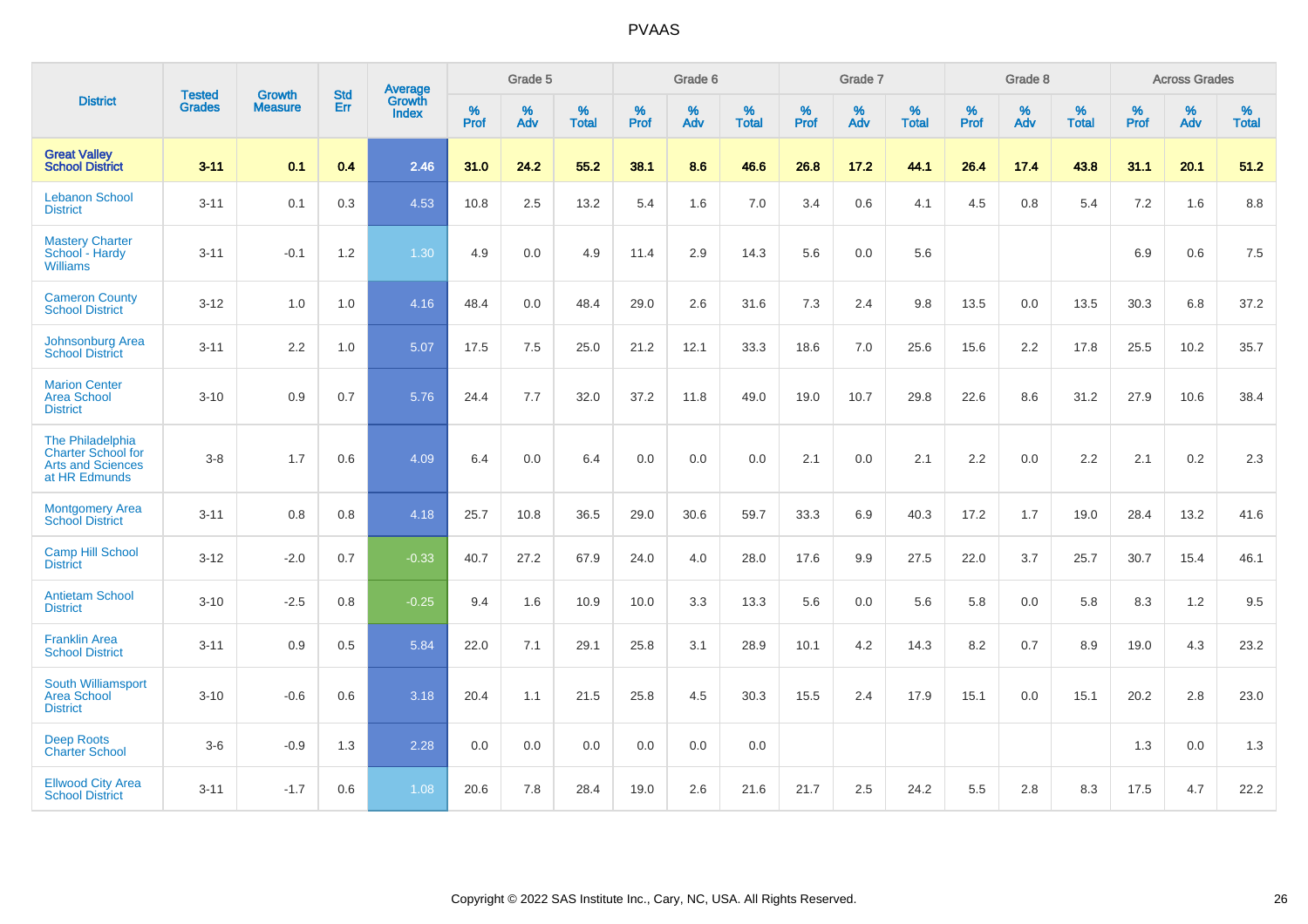|                                                                                            | <b>Tested</b> | <b>Growth</b>  | <b>Std</b> | Average                |           | Grade 5  |                   |              | Grade 6  |                   |              | Grade 7  |                   |              | Grade 8  |                   |           | <b>Across Grades</b> |                   |
|--------------------------------------------------------------------------------------------|---------------|----------------|------------|------------------------|-----------|----------|-------------------|--------------|----------|-------------------|--------------|----------|-------------------|--------------|----------|-------------------|-----------|----------------------|-------------------|
| <b>District</b>                                                                            | <b>Grades</b> | <b>Measure</b> | <b>Err</b> | Growth<br><b>Index</b> | %<br>Prof | %<br>Adv | %<br><b>Total</b> | $\%$<br>Prof | %<br>Adv | %<br><b>Total</b> | $\%$<br>Prof | %<br>Adv | %<br><b>Total</b> | $\%$<br>Prof | %<br>Adv | %<br><b>Total</b> | %<br>Prof | %<br>Adv             | %<br><b>Total</b> |
| <b>Great Valley</b><br><b>School District</b>                                              | $3 - 11$      | 0.1            | 0.4        | 2.46                   | 31.0      | 24.2     | 55.2              | 38.1         | 8.6      | 46.6              | 26.8         | 17.2     | 44.1              | 26.4         | 17.4     | 43.8              | 31.1      | 20.1                 | 51.2              |
| <b>Lebanon School</b><br><b>District</b>                                                   | $3 - 11$      | 0.1            | 0.3        | 4.53                   | 10.8      | 2.5      | 13.2              | 5.4          | 1.6      | 7.0               | 3.4          | 0.6      | 4.1               | 4.5          | 0.8      | 5.4               | 7.2       | 1.6                  | 8.8               |
| <b>Mastery Charter</b><br>School - Hardy<br><b>Williams</b>                                | $3 - 11$      | $-0.1$         | 1.2        | 1.30                   | 4.9       | 0.0      | 4.9               | 11.4         | 2.9      | 14.3              | 5.6          | 0.0      | 5.6               |              |          |                   | 6.9       | 0.6                  | 7.5               |
| <b>Cameron County</b><br><b>School District</b>                                            | $3 - 12$      | 1.0            | 1.0        | 4.16                   | 48.4      | 0.0      | 48.4              | 29.0         | 2.6      | 31.6              | 7.3          | 2.4      | 9.8               | 13.5         | 0.0      | 13.5              | 30.3      | 6.8                  | 37.2              |
| Johnsonburg Area<br><b>School District</b>                                                 | $3 - 11$      | 2.2            | 1.0        | 5.07                   | 17.5      | 7.5      | 25.0              | 21.2         | 12.1     | 33.3              | 18.6         | 7.0      | 25.6              | 15.6         | 2.2      | 17.8              | 25.5      | 10.2                 | 35.7              |
| <b>Marion Center</b><br><b>Area School</b><br><b>District</b>                              | $3 - 10$      | 0.9            | 0.7        | 5.76                   | 24.4      | 7.7      | 32.0              | 37.2         | 11.8     | 49.0              | 19.0         | 10.7     | 29.8              | 22.6         | 8.6      | 31.2              | 27.9      | 10.6                 | 38.4              |
| The Philadelphia<br><b>Charter School for</b><br><b>Arts and Sciences</b><br>at HR Edmunds | $3 - 8$       | 1.7            | 0.6        | 4.09                   | 6.4       | 0.0      | 6.4               | 0.0          | 0.0      | 0.0               | 2.1          | 0.0      | 2.1               | 2.2          | 0.0      | 2.2               | 2.1       | $0.2\,$              | 2.3               |
| <b>Montgomery Area</b><br><b>School District</b>                                           | $3 - 11$      | 0.8            | 0.8        | 4.18                   | 25.7      | 10.8     | 36.5              | 29.0         | 30.6     | 59.7              | 33.3         | 6.9      | 40.3              | 17.2         | 1.7      | 19.0              | 28.4      | 13.2                 | 41.6              |
| <b>Camp Hill School</b><br><b>District</b>                                                 | $3 - 12$      | $-2.0$         | 0.7        | $-0.33$                | 40.7      | 27.2     | 67.9              | 24.0         | 4.0      | 28.0              | 17.6         | 9.9      | 27.5              | 22.0         | 3.7      | 25.7              | 30.7      | 15.4                 | 46.1              |
| <b>Antietam School</b><br><b>District</b>                                                  | $3 - 10$      | $-2.5$         | 0.8        | $-0.25$                | 9.4       | 1.6      | 10.9              | 10.0         | 3.3      | 13.3              | 5.6          | 0.0      | 5.6               | 5.8          | 0.0      | 5.8               | 8.3       | 1.2                  | 9.5               |
| <b>Franklin Area</b><br><b>School District</b>                                             | $3 - 11$      | 0.9            | 0.5        | 5.84                   | 22.0      | 7.1      | 29.1              | 25.8         | 3.1      | 28.9              | 10.1         | 4.2      | 14.3              | 8.2          | 0.7      | 8.9               | 19.0      | 4.3                  | 23.2              |
| South Williamsport<br><b>Area School</b><br><b>District</b>                                | $3 - 10$      | $-0.6$         | 0.6        | 3.18                   | 20.4      | 1.1      | 21.5              | 25.8         | 4.5      | 30.3              | 15.5         | 2.4      | 17.9              | 15.1         | 0.0      | 15.1              | 20.2      | 2.8                  | 23.0              |
| <b>Deep Roots</b><br><b>Charter School</b>                                                 | $3-6$         | $-0.9$         | 1.3        | 2.28                   | 0.0       | 0.0      | 0.0               | 0.0          | 0.0      | 0.0               |              |          |                   |              |          |                   | 1.3       | 0.0                  | 1.3               |
| <b>Ellwood City Area</b><br><b>School District</b>                                         | $3 - 11$      | $-1.7$         | 0.6        | 1.08                   | 20.6      | 7.8      | 28.4              | 19.0         | 2.6      | 21.6              | 21.7         | 2.5      | 24.2              | 5.5          | 2.8      | 8.3               | 17.5      | 4.7                  | 22.2              |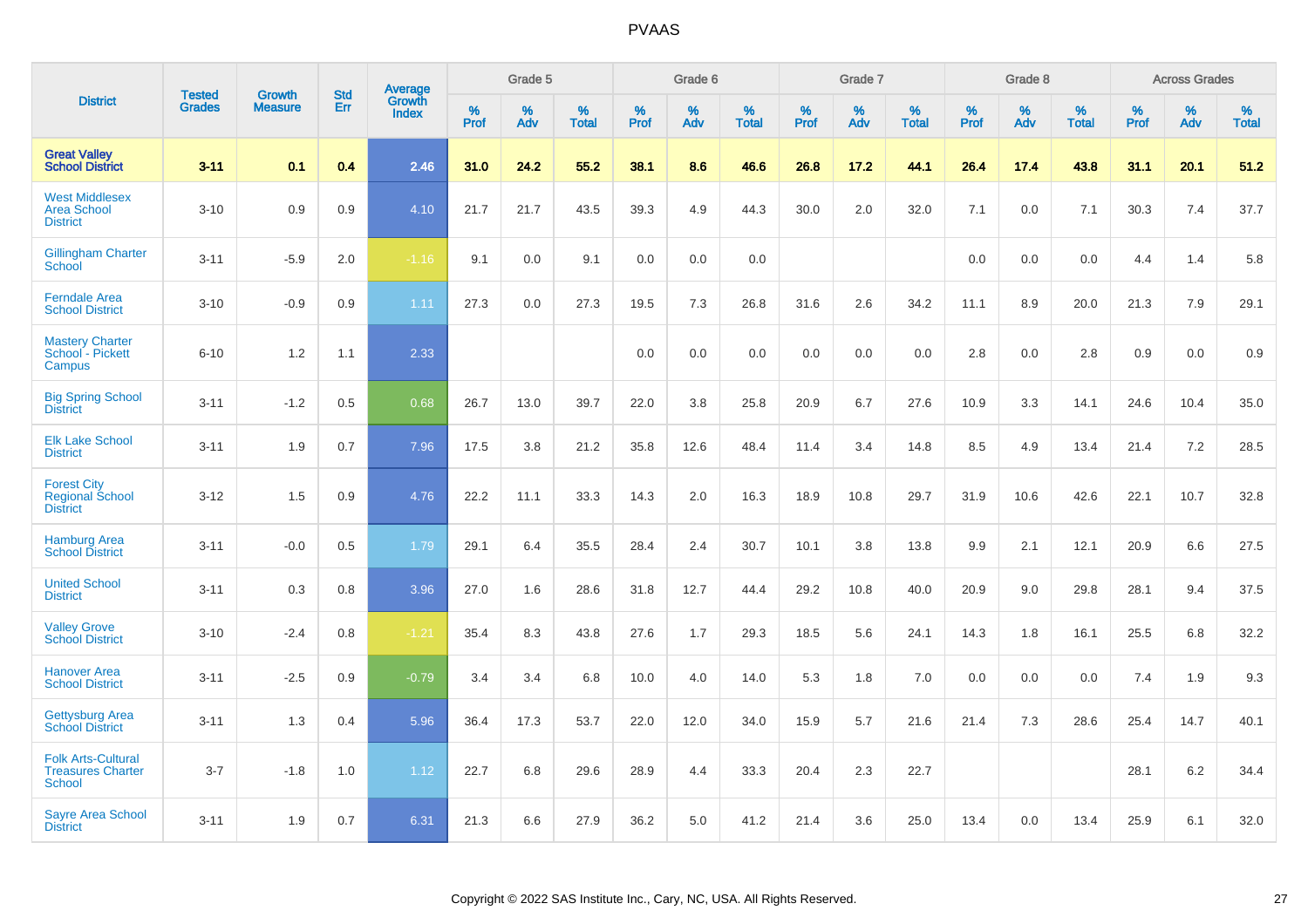|                                                                 |                                | <b>Growth</b>  | <b>Std</b> |                                   |              | Grade 5  |                   |           | Grade 6  |                   |              | Grade 7  |                   |              | Grade 8  |                   |              | <b>Across Grades</b> |                   |
|-----------------------------------------------------------------|--------------------------------|----------------|------------|-----------------------------------|--------------|----------|-------------------|-----------|----------|-------------------|--------------|----------|-------------------|--------------|----------|-------------------|--------------|----------------------|-------------------|
| <b>District</b>                                                 | <b>Tested</b><br><b>Grades</b> | <b>Measure</b> | <b>Err</b> | Average<br>Growth<br><b>Index</b> | $\%$<br>Prof | %<br>Adv | %<br><b>Total</b> | %<br>Prof | %<br>Adv | %<br><b>Total</b> | $\%$<br>Prof | %<br>Adv | %<br><b>Total</b> | $\%$<br>Prof | %<br>Adv | %<br><b>Total</b> | $\%$<br>Prof | %<br>Adv             | %<br><b>Total</b> |
| <b>Great Valley</b><br><b>School District</b>                   | $3 - 11$                       | 0.1            | 0.4        | 2.46                              | 31.0         | 24.2     | 55.2              | 38.1      | 8.6      | 46.6              | 26.8         | 17.2     | 44.1              | 26.4         | 17.4     | 43.8              | 31.1         | 20.1                 | 51.2              |
| <b>West Middlesex</b><br><b>Area School</b><br><b>District</b>  | $3 - 10$                       | 0.9            | 0.9        | 4.10                              | 21.7         | 21.7     | 43.5              | 39.3      | 4.9      | 44.3              | 30.0         | 2.0      | 32.0              | 7.1          | 0.0      | 7.1               | 30.3         | 7.4                  | 37.7              |
| <b>Gillingham Charter</b><br>School                             | $3 - 11$                       | $-5.9$         | 2.0        | $-1.16$                           | 9.1          | 0.0      | 9.1               | 0.0       | 0.0      | 0.0               |              |          |                   | 0.0          | 0.0      | 0.0               | 4.4          | 1.4                  | 5.8               |
| <b>Ferndale Area</b><br><b>School District</b>                  | $3 - 10$                       | $-0.9$         | 0.9        | 1.11                              | 27.3         | 0.0      | 27.3              | 19.5      | 7.3      | 26.8              | 31.6         | 2.6      | 34.2              | 11.1         | 8.9      | 20.0              | 21.3         | 7.9                  | 29.1              |
| <b>Mastery Charter</b><br>School - Pickett<br>Campus            | $6 - 10$                       | 1.2            | 1.1        | 2.33                              |              |          |                   | 0.0       | 0.0      | 0.0               | 0.0          | 0.0      | 0.0               | 2.8          | 0.0      | 2.8               | 0.9          | 0.0                  | 0.9               |
| <b>Big Spring School</b><br><b>District</b>                     | $3 - 11$                       | $-1.2$         | 0.5        | 0.68                              | 26.7         | 13.0     | 39.7              | 22.0      | 3.8      | 25.8              | 20.9         | 6.7      | 27.6              | 10.9         | 3.3      | 14.1              | 24.6         | 10.4                 | 35.0              |
| <b>Elk Lake School</b><br><b>District</b>                       | $3 - 11$                       | 1.9            | 0.7        | 7.96                              | 17.5         | 3.8      | 21.2              | 35.8      | 12.6     | 48.4              | 11.4         | 3.4      | 14.8              | 8.5          | 4.9      | 13.4              | 21.4         | 7.2                  | 28.5              |
| <b>Forest City</b><br><b>Regional School</b><br><b>District</b> | $3 - 12$                       | 1.5            | 0.9        | 4.76                              | 22.2         | 11.1     | 33.3              | 14.3      | 2.0      | 16.3              | 18.9         | 10.8     | 29.7              | 31.9         | 10.6     | 42.6              | 22.1         | 10.7                 | 32.8              |
| <b>Hamburg Area</b><br><b>School District</b>                   | $3 - 11$                       | $-0.0$         | 0.5        | 1.79                              | 29.1         | 6.4      | 35.5              | 28.4      | 2.4      | 30.7              | 10.1         | 3.8      | 13.8              | 9.9          | 2.1      | 12.1              | 20.9         | 6.6                  | 27.5              |
| <b>United School</b><br><b>District</b>                         | $3 - 11$                       | 0.3            | 0.8        | 3.96                              | 27.0         | 1.6      | 28.6              | 31.8      | 12.7     | 44.4              | 29.2         | 10.8     | 40.0              | 20.9         | 9.0      | 29.8              | 28.1         | 9.4                  | 37.5              |
| <b>Valley Grove</b><br><b>School District</b>                   | $3 - 10$                       | $-2.4$         | 0.8        | $-1.21$                           | 35.4         | 8.3      | 43.8              | 27.6      | 1.7      | 29.3              | 18.5         | 5.6      | 24.1              | 14.3         | 1.8      | 16.1              | 25.5         | 6.8                  | 32.2              |
| <b>Hanover Area</b><br><b>School District</b>                   | $3 - 11$                       | $-2.5$         | 0.9        | $-0.79$                           | 3.4          | 3.4      | 6.8               | 10.0      | 4.0      | 14.0              | 5.3          | 1.8      | 7.0               | 0.0          | 0.0      | 0.0               | 7.4          | 1.9                  | 9.3               |
| <b>Gettysburg Area</b><br><b>School District</b>                | $3 - 11$                       | 1.3            | 0.4        | 5.96                              | 36.4         | 17.3     | 53.7              | 22.0      | 12.0     | 34.0              | 15.9         | 5.7      | 21.6              | 21.4         | 7.3      | 28.6              | 25.4         | 14.7                 | 40.1              |
| <b>Folk Arts-Cultural</b><br><b>Treasures Charter</b><br>School | $3 - 7$                        | $-1.8$         | 1.0        | 1.12                              | 22.7         | 6.8      | 29.6              | 28.9      | 4.4      | 33.3              | 20.4         | 2.3      | 22.7              |              |          |                   | 28.1         | 6.2                  | 34.4              |
| <b>Sayre Area School</b><br><b>District</b>                     | $3 - 11$                       | 1.9            | 0.7        | 6.31                              | 21.3         | 6.6      | 27.9              | 36.2      | 5.0      | 41.2              | 21.4         | 3.6      | 25.0              | 13.4         | 0.0      | 13.4              | 25.9         | 6.1                  | 32.0              |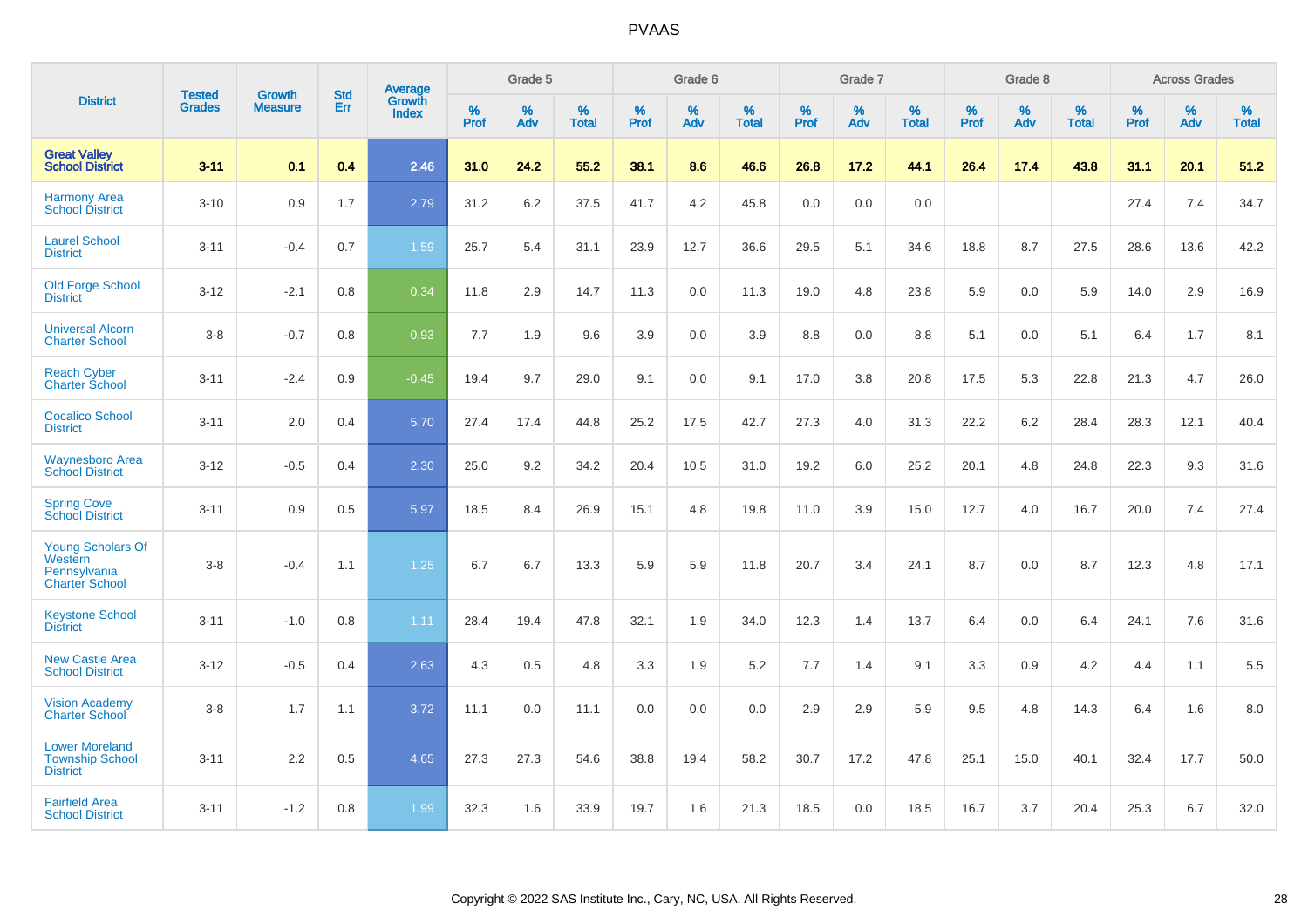|                                                                              |                                |                                 | <b>Std</b> | Average                       |           | Grade 5  |                   |           | Grade 6  |                   |           | Grade 7  |                   |           | Grade 8  |                   |           | <b>Across Grades</b> |                   |
|------------------------------------------------------------------------------|--------------------------------|---------------------------------|------------|-------------------------------|-----------|----------|-------------------|-----------|----------|-------------------|-----------|----------|-------------------|-----------|----------|-------------------|-----------|----------------------|-------------------|
| <b>District</b>                                                              | <b>Tested</b><br><b>Grades</b> | <b>Growth</b><br><b>Measure</b> | Err        | <b>Growth</b><br><b>Index</b> | %<br>Prof | %<br>Adv | %<br><b>Total</b> | %<br>Prof | %<br>Adv | %<br><b>Total</b> | %<br>Prof | %<br>Adv | %<br><b>Total</b> | %<br>Prof | %<br>Adv | %<br><b>Total</b> | %<br>Prof | %<br>Adv             | %<br><b>Total</b> |
| <b>Great Valley</b><br><b>School District</b>                                | $3 - 11$                       | 0.1                             | 0.4        | 2.46                          | 31.0      | 24.2     | 55.2              | 38.1      | 8.6      | 46.6              | 26.8      | 17.2     | 44.1              | 26.4      | 17.4     | 43.8              | 31.1      | 20.1                 | 51.2              |
| <b>Harmony Area</b><br><b>School District</b>                                | $3 - 10$                       | 0.9                             | 1.7        | 2.79                          | 31.2      | 6.2      | 37.5              | 41.7      | 4.2      | 45.8              | 0.0       | 0.0      | 0.0               |           |          |                   | 27.4      | 7.4                  | 34.7              |
| <b>Laurel School</b><br><b>District</b>                                      | $3 - 11$                       | $-0.4$                          | 0.7        | 1.59                          | 25.7      | 5.4      | 31.1              | 23.9      | 12.7     | 36.6              | 29.5      | 5.1      | 34.6              | 18.8      | 8.7      | 27.5              | 28.6      | 13.6                 | 42.2              |
| <b>Old Forge School</b><br><b>District</b>                                   | $3 - 12$                       | $-2.1$                          | 0.8        | 0.34                          | 11.8      | 2.9      | 14.7              | 11.3      | 0.0      | 11.3              | 19.0      | 4.8      | 23.8              | 5.9       | 0.0      | 5.9               | 14.0      | 2.9                  | 16.9              |
| <b>Universal Alcorn</b><br><b>Charter School</b>                             | $3 - 8$                        | $-0.7$                          | 0.8        | 0.93                          | 7.7       | 1.9      | 9.6               | 3.9       | 0.0      | 3.9               | 8.8       | 0.0      | 8.8               | 5.1       | 0.0      | 5.1               | 6.4       | 1.7                  | 8.1               |
| <b>Reach Cyber</b><br><b>Charter School</b>                                  | $3 - 11$                       | $-2.4$                          | 0.9        | $-0.45$                       | 19.4      | 9.7      | 29.0              | 9.1       | 0.0      | 9.1               | 17.0      | 3.8      | 20.8              | 17.5      | 5.3      | 22.8              | 21.3      | 4.7                  | 26.0              |
| <b>Cocalico School</b><br><b>District</b>                                    | $3 - 11$                       | 2.0                             | 0.4        | 5.70                          | 27.4      | 17.4     | 44.8              | 25.2      | 17.5     | 42.7              | 27.3      | 4.0      | 31.3              | 22.2      | $6.2\,$  | 28.4              | 28.3      | 12.1                 | 40.4              |
| <b>Waynesboro Area</b><br><b>School District</b>                             | $3 - 12$                       | $-0.5$                          | 0.4        | 2.30                          | 25.0      | 9.2      | 34.2              | 20.4      | 10.5     | 31.0              | 19.2      | 6.0      | 25.2              | 20.1      | 4.8      | 24.8              | 22.3      | 9.3                  | 31.6              |
| <b>Spring Cove</b><br><b>School District</b>                                 | $3 - 11$                       | 0.9                             | 0.5        | 5.97                          | 18.5      | 8.4      | 26.9              | 15.1      | 4.8      | 19.8              | 11.0      | 3.9      | 15.0              | 12.7      | 4.0      | 16.7              | 20.0      | 7.4                  | 27.4              |
| <b>Young Scholars Of</b><br>Western<br>Pennsylvania<br><b>Charter School</b> | $3 - 8$                        | $-0.4$                          | 1.1        | 1.25                          | 6.7       | 6.7      | 13.3              | 5.9       | 5.9      | 11.8              | 20.7      | 3.4      | 24.1              | 8.7       | 0.0      | 8.7               | 12.3      | 4.8                  | 17.1              |
| <b>Keystone School</b><br><b>District</b>                                    | $3 - 11$                       | $-1.0$                          | 0.8        | 1.11                          | 28.4      | 19.4     | 47.8              | 32.1      | 1.9      | 34.0              | 12.3      | 1.4      | 13.7              | 6.4       | 0.0      | 6.4               | 24.1      | 7.6                  | 31.6              |
| <b>New Castle Area</b><br><b>School District</b>                             | $3 - 12$                       | $-0.5$                          | 0.4        | 2.63                          | 4.3       | 0.5      | 4.8               | 3.3       | 1.9      | 5.2               | 7.7       | 1.4      | 9.1               | 3.3       | 0.9      | 4.2               | 4.4       | 1.1                  | 5.5               |
| <b>Vision Academy</b><br>Charter School                                      | $3 - 8$                        | 1.7                             | 1.1        | 3.72                          | 11.1      | 0.0      | 11.1              | 0.0       | 0.0      | 0.0               | 2.9       | 2.9      | 5.9               | 9.5       | 4.8      | 14.3              | 6.4       | 1.6                  | 8.0               |
| <b>Lower Moreland</b><br><b>Township School</b><br><b>District</b>           | $3 - 11$                       | 2.2                             | 0.5        | 4.65                          | 27.3      | 27.3     | 54.6              | 38.8      | 19.4     | 58.2              | 30.7      | 17.2     | 47.8              | 25.1      | 15.0     | 40.1              | 32.4      | 17.7                 | 50.0              |
| <b>Fairfield Area</b><br><b>School District</b>                              | $3 - 11$                       | $-1.2$                          | 0.8        | 1.99                          | 32.3      | 1.6      | 33.9              | 19.7      | 1.6      | 21.3              | 18.5      | 0.0      | 18.5              | 16.7      | 3.7      | 20.4              | 25.3      | 6.7                  | 32.0              |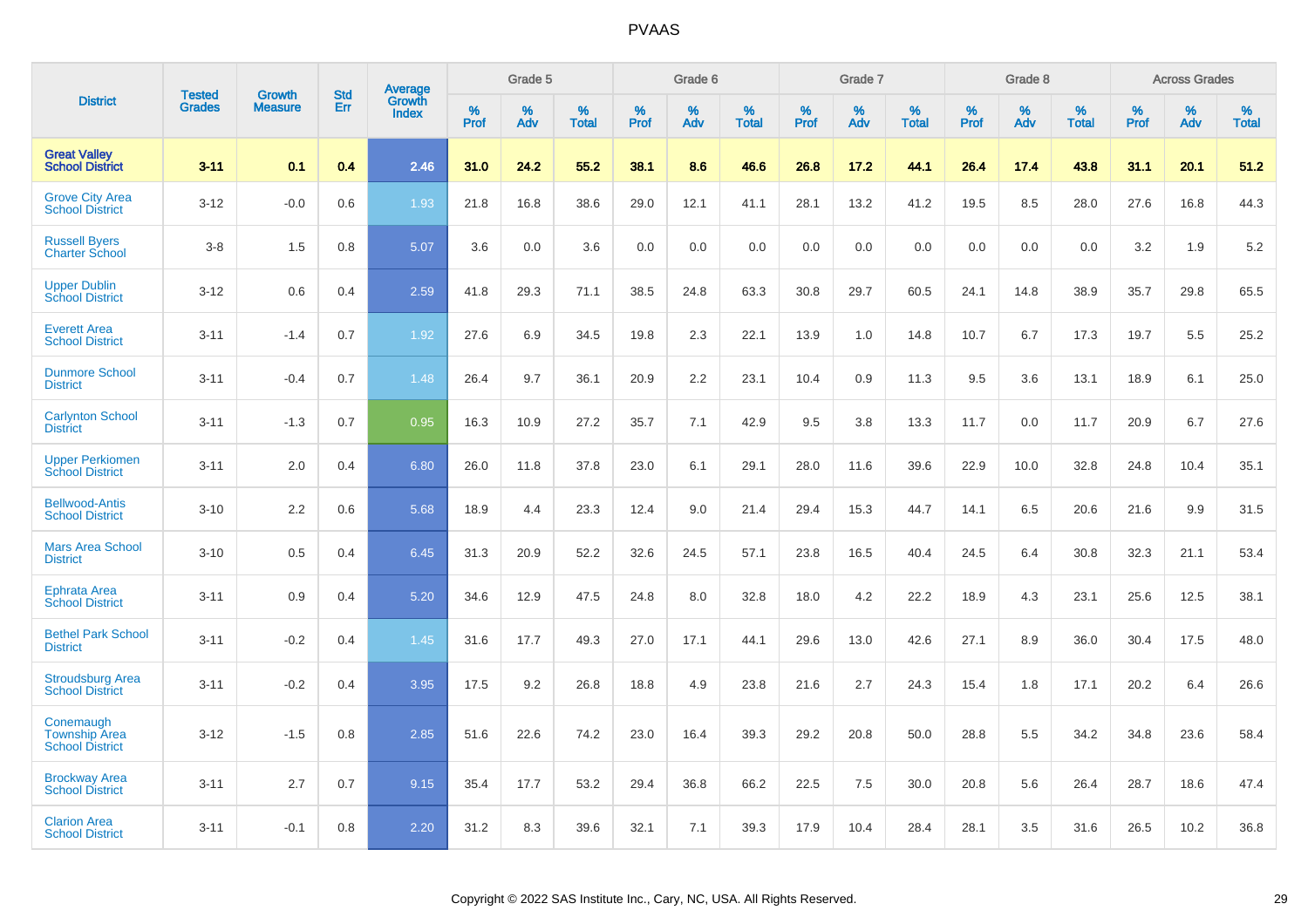|                                                             |                                |                          | <b>Std</b> |                                          |                     | Grade 5  |                      |              | Grade 6     |                      |              | Grade 7  |                      |              | Grade 8     |                      |              | <b>Across Grades</b> |                      |
|-------------------------------------------------------------|--------------------------------|--------------------------|------------|------------------------------------------|---------------------|----------|----------------------|--------------|-------------|----------------------|--------------|----------|----------------------|--------------|-------------|----------------------|--------------|----------------------|----------------------|
| <b>District</b>                                             | <b>Tested</b><br><b>Grades</b> | Growth<br><b>Measure</b> | Err        | <b>Average</b><br>Growth<br><b>Index</b> | $\%$<br><b>Prof</b> | %<br>Adv | $\%$<br><b>Total</b> | $\%$<br>Prof | $\%$<br>Adv | $\%$<br><b>Total</b> | $\%$<br>Prof | %<br>Adv | $\%$<br><b>Total</b> | $\%$<br>Prof | $\%$<br>Adv | $\%$<br><b>Total</b> | $\%$<br>Prof | $\%$<br>Adv          | $\%$<br><b>Total</b> |
| <b>Great Valley</b><br><b>School District</b>               | $3 - 11$                       | 0.1                      | 0.4        | 2.46                                     | 31.0                | 24.2     | 55.2                 | 38.1         | 8.6         | 46.6                 | 26.8         | 17.2     | 44.1                 | 26.4         | 17.4        | 43.8                 | 31.1         | 20.1                 | 51.2                 |
| <b>Grove City Area</b><br><b>School District</b>            | $3 - 12$                       | $-0.0$                   | 0.6        | 1.93                                     | 21.8                | 16.8     | 38.6                 | 29.0         | 12.1        | 41.1                 | 28.1         | 13.2     | 41.2                 | 19.5         | 8.5         | 28.0                 | 27.6         | 16.8                 | 44.3                 |
| <b>Russell Byers</b><br><b>Charter School</b>               | $3 - 8$                        | 1.5                      | 0.8        | 5.07                                     | 3.6                 | 0.0      | 3.6                  | 0.0          | 0.0         | 0.0                  | 0.0          | 0.0      | 0.0                  | 0.0          | 0.0         | 0.0                  | 3.2          | 1.9                  | 5.2                  |
| <b>Upper Dublin</b><br><b>School District</b>               | $3 - 12$                       | 0.6                      | 0.4        | 2.59                                     | 41.8                | 29.3     | 71.1                 | 38.5         | 24.8        | 63.3                 | 30.8         | 29.7     | 60.5                 | 24.1         | 14.8        | 38.9                 | 35.7         | 29.8                 | 65.5                 |
| <b>Everett Area</b><br><b>School District</b>               | $3 - 11$                       | $-1.4$                   | 0.7        | 1.92                                     | 27.6                | 6.9      | 34.5                 | 19.8         | 2.3         | 22.1                 | 13.9         | 1.0      | 14.8                 | 10.7         | 6.7         | 17.3                 | 19.7         | 5.5                  | 25.2                 |
| <b>Dunmore School</b><br><b>District</b>                    | $3 - 11$                       | $-0.4$                   | 0.7        | 1.48                                     | 26.4                | 9.7      | 36.1                 | 20.9         | 2.2         | 23.1                 | 10.4         | 0.9      | 11.3                 | 9.5          | 3.6         | 13.1                 | 18.9         | 6.1                  | 25.0                 |
| <b>Carlynton School</b><br><b>District</b>                  | $3 - 11$                       | $-1.3$                   | 0.7        | 0.95                                     | 16.3                | 10.9     | 27.2                 | 35.7         | 7.1         | 42.9                 | 9.5          | 3.8      | 13.3                 | 11.7         | 0.0         | 11.7                 | 20.9         | 6.7                  | 27.6                 |
| <b>Upper Perkiomen</b><br><b>School District</b>            | $3 - 11$                       | 2.0                      | 0.4        | 6.80                                     | 26.0                | 11.8     | 37.8                 | 23.0         | 6.1         | 29.1                 | 28.0         | 11.6     | 39.6                 | 22.9         | 10.0        | 32.8                 | 24.8         | 10.4                 | 35.1                 |
| <b>Bellwood-Antis</b><br><b>School District</b>             | $3 - 10$                       | 2.2                      | 0.6        | 5.68                                     | 18.9                | 4.4      | 23.3                 | 12.4         | 9.0         | 21.4                 | 29.4         | 15.3     | 44.7                 | 14.1         | 6.5         | 20.6                 | 21.6         | 9.9                  | 31.5                 |
| <b>Mars Area School</b><br><b>District</b>                  | $3 - 10$                       | 0.5                      | 0.4        | 6.45                                     | 31.3                | 20.9     | 52.2                 | 32.6         | 24.5        | 57.1                 | 23.8         | 16.5     | 40.4                 | 24.5         | 6.4         | 30.8                 | 32.3         | 21.1                 | 53.4                 |
| <b>Ephrata Area</b><br><b>School District</b>               | $3 - 11$                       | 0.9                      | 0.4        | 5.20                                     | 34.6                | 12.9     | 47.5                 | 24.8         | 8.0         | 32.8                 | 18.0         | 4.2      | 22.2                 | 18.9         | 4.3         | 23.1                 | 25.6         | 12.5                 | 38.1                 |
| <b>Bethel Park School</b><br><b>District</b>                | $3 - 11$                       | $-0.2$                   | 0.4        | 1.45                                     | 31.6                | 17.7     | 49.3                 | 27.0         | 17.1        | 44.1                 | 29.6         | 13.0     | 42.6                 | 27.1         | 8.9         | 36.0                 | 30.4         | 17.5                 | 48.0                 |
| <b>Stroudsburg Area</b><br><b>School District</b>           | $3 - 11$                       | $-0.2$                   | 0.4        | 3.95                                     | 17.5                | 9.2      | 26.8                 | 18.8         | 4.9         | 23.8                 | 21.6         | 2.7      | 24.3                 | 15.4         | 1.8         | 17.1                 | 20.2         | 6.4                  | 26.6                 |
| Conemaugh<br><b>Township Area</b><br><b>School District</b> | $3 - 12$                       | $-1.5$                   | 0.8        | 2.85                                     | 51.6                | 22.6     | 74.2                 | 23.0         | 16.4        | 39.3                 | 29.2         | 20.8     | 50.0                 | 28.8         | 5.5         | 34.2                 | 34.8         | 23.6                 | 58.4                 |
| <b>Brockway Area</b><br><b>School District</b>              | $3 - 11$                       | 2.7                      | 0.7        | 9.15                                     | 35.4                | 17.7     | 53.2                 | 29.4         | 36.8        | 66.2                 | 22.5         | 7.5      | 30.0                 | 20.8         | 5.6         | 26.4                 | 28.7         | 18.6                 | 47.4                 |
| <b>Clarion Area</b><br><b>School District</b>               | $3 - 11$                       | $-0.1$                   | 0.8        | 2.20                                     | 31.2                | 8.3      | 39.6                 | 32.1         | 7.1         | 39.3                 | 17.9         | 10.4     | 28.4                 | 28.1         | 3.5         | 31.6                 | 26.5         | 10.2                 | 36.8                 |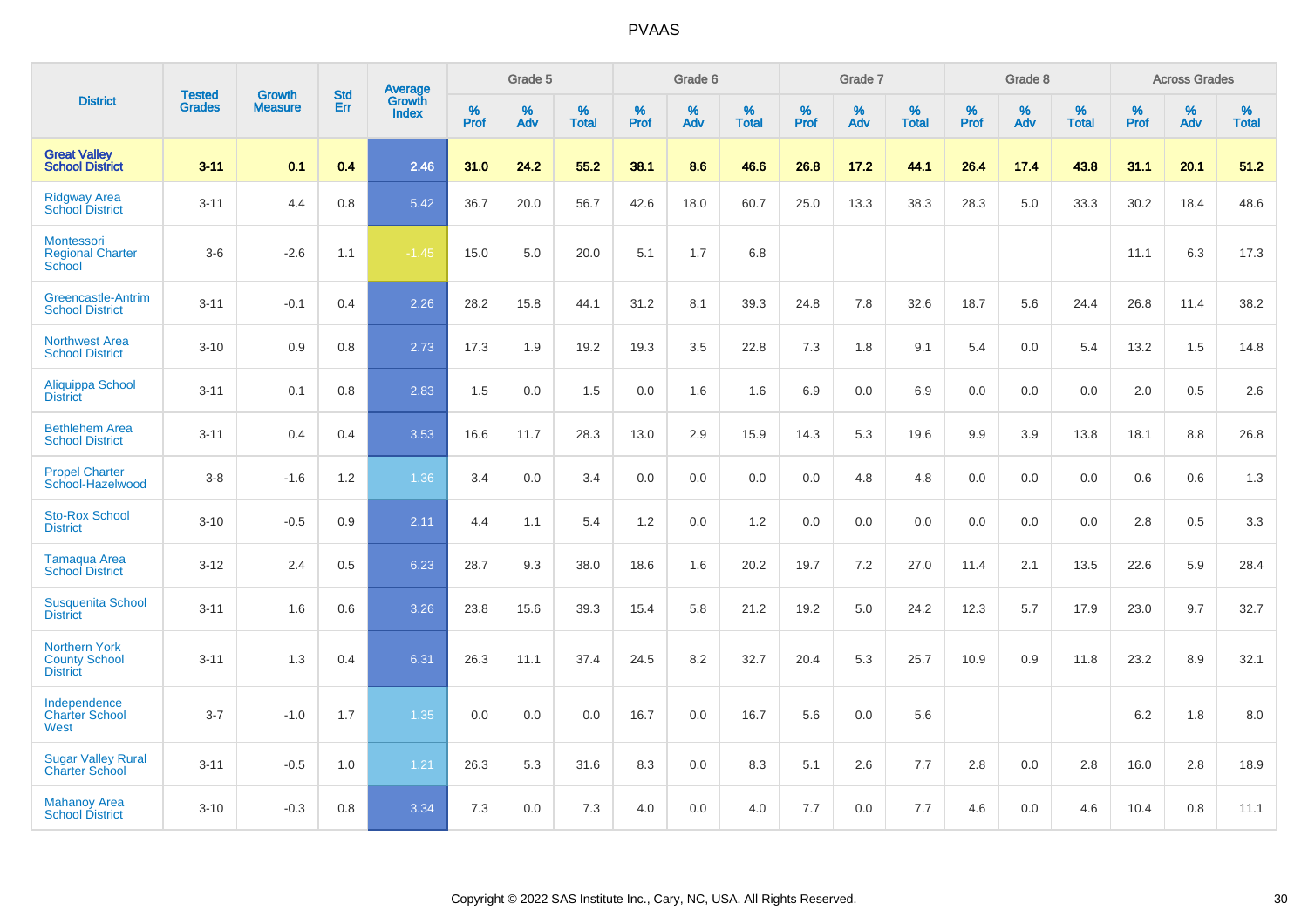|                                                                 | <b>Tested</b> | <b>Growth</b>  | <b>Std</b> | Average                |              | Grade 5  |                   |           | Grade 6  |                   |           | Grade 7  |                   |           | Grade 8  |                   |           | <b>Across Grades</b> |                   |
|-----------------------------------------------------------------|---------------|----------------|------------|------------------------|--------------|----------|-------------------|-----------|----------|-------------------|-----------|----------|-------------------|-----------|----------|-------------------|-----------|----------------------|-------------------|
| <b>District</b>                                                 | <b>Grades</b> | <b>Measure</b> | Err        | Growth<br><b>Index</b> | $\%$<br>Prof | %<br>Adv | %<br><b>Total</b> | %<br>Prof | %<br>Adv | %<br><b>Total</b> | %<br>Prof | %<br>Adv | %<br><b>Total</b> | %<br>Prof | %<br>Adv | %<br><b>Total</b> | %<br>Prof | %<br>Adv             | %<br><b>Total</b> |
| <b>Great Valley</b><br><b>School District</b>                   | $3 - 11$      | 0.1            | 0.4        | 2.46                   | 31.0         | 24.2     | 55.2              | 38.1      | 8.6      | 46.6              | 26.8      | 17.2     | 44.1              | 26.4      | 17.4     | 43.8              | 31.1      | 20.1                 | 51.2              |
| <b>Ridgway Area</b><br><b>School District</b>                   | $3 - 11$      | 4.4            | 0.8        | 5.42                   | 36.7         | 20.0     | 56.7              | 42.6      | 18.0     | 60.7              | 25.0      | 13.3     | 38.3              | 28.3      | 5.0      | 33.3              | 30.2      | 18.4                 | 48.6              |
| Montessori<br><b>Regional Charter</b><br>School                 | $3-6$         | $-2.6$         | 1.1        | $-1.45$                | 15.0         | 5.0      | 20.0              | 5.1       | 1.7      | 6.8               |           |          |                   |           |          |                   | 11.1      | 6.3                  | 17.3              |
| Greencastle-Antrim<br><b>School District</b>                    | $3 - 11$      | $-0.1$         | 0.4        | 2.26                   | 28.2         | 15.8     | 44.1              | 31.2      | 8.1      | 39.3              | 24.8      | 7.8      | 32.6              | 18.7      | 5.6      | 24.4              | 26.8      | 11.4                 | 38.2              |
| <b>Northwest Area</b><br><b>School District</b>                 | $3 - 10$      | 0.9            | 0.8        | 2.73                   | 17.3         | 1.9      | 19.2              | 19.3      | 3.5      | 22.8              | 7.3       | 1.8      | 9.1               | 5.4       | 0.0      | 5.4               | 13.2      | 1.5                  | 14.8              |
| <b>Aliquippa School</b><br><b>District</b>                      | $3 - 11$      | 0.1            | 0.8        | 2.83                   | 1.5          | 0.0      | 1.5               | 0.0       | 1.6      | 1.6               | 6.9       | 0.0      | 6.9               | 0.0       | 0.0      | 0.0               | 2.0       | 0.5                  | 2.6               |
| <b>Bethlehem Area</b><br><b>School District</b>                 | $3 - 11$      | 0.4            | 0.4        | 3.53                   | 16.6         | 11.7     | 28.3              | 13.0      | 2.9      | 15.9              | 14.3      | 5.3      | 19.6              | 9.9       | 3.9      | 13.8              | 18.1      | 8.8                  | 26.8              |
| <b>Propel Charter</b><br>School-Hazelwood                       | $3 - 8$       | $-1.6$         | $1.2$      | 1.36                   | 3.4          | 0.0      | 3.4               | 0.0       | 0.0      | 0.0               | 0.0       | 4.8      | 4.8               | 0.0       | 0.0      | 0.0               | 0.6       | 0.6                  | 1.3               |
| <b>Sto-Rox School</b><br><b>District</b>                        | $3 - 10$      | $-0.5$         | 0.9        | 2.11                   | 4.4          | 1.1      | 5.4               | 1.2       | 0.0      | 1.2               | 0.0       | 0.0      | 0.0               | 0.0       | 0.0      | 0.0               | 2.8       | 0.5                  | 3.3               |
| Tamaqua Area<br><b>School District</b>                          | $3 - 12$      | 2.4            | 0.5        | 6.23                   | 28.7         | 9.3      | 38.0              | 18.6      | 1.6      | 20.2              | 19.7      | $7.2\,$  | 27.0              | 11.4      | 2.1      | 13.5              | 22.6      | 5.9                  | 28.4              |
| <b>Susquenita School</b><br><b>District</b>                     | $3 - 11$      | 1.6            | 0.6        | 3.26                   | 23.8         | 15.6     | 39.3              | 15.4      | 5.8      | 21.2              | 19.2      | 5.0      | 24.2              | 12.3      | 5.7      | 17.9              | 23.0      | 9.7                  | 32.7              |
| <b>Northern York</b><br><b>County School</b><br><b>District</b> | $3 - 11$      | 1.3            | 0.4        | 6.31                   | 26.3         | 11.1     | 37.4              | 24.5      | 8.2      | 32.7              | 20.4      | 5.3      | 25.7              | 10.9      | 0.9      | 11.8              | 23.2      | 8.9                  | 32.1              |
| Independence<br><b>Charter School</b><br>West                   | $3 - 7$       | $-1.0$         | 1.7        | 1.35                   | 0.0          | 0.0      | 0.0               | 16.7      | 0.0      | 16.7              | 5.6       | 0.0      | 5.6               |           |          |                   | $6.2\,$   | 1.8                  | $8.0\,$           |
| <b>Sugar Valley Rural</b><br><b>Charter School</b>              | $3 - 11$      | $-0.5$         | 1.0        | 1.21                   | 26.3         | 5.3      | 31.6              | 8.3       | 0.0      | 8.3               | 5.1       | 2.6      | 7.7               | 2.8       | 0.0      | 2.8               | 16.0      | 2.8                  | 18.9              |
| <b>Mahanoy Area</b><br><b>School District</b>                   | $3 - 10$      | $-0.3$         | 0.8        | 3.34                   | 7.3          | 0.0      | 7.3               | 4.0       | 0.0      | 4.0               | 7.7       | 0.0      | 7.7               | 4.6       | 0.0      | 4.6               | 10.4      | 0.8                  | 11.1              |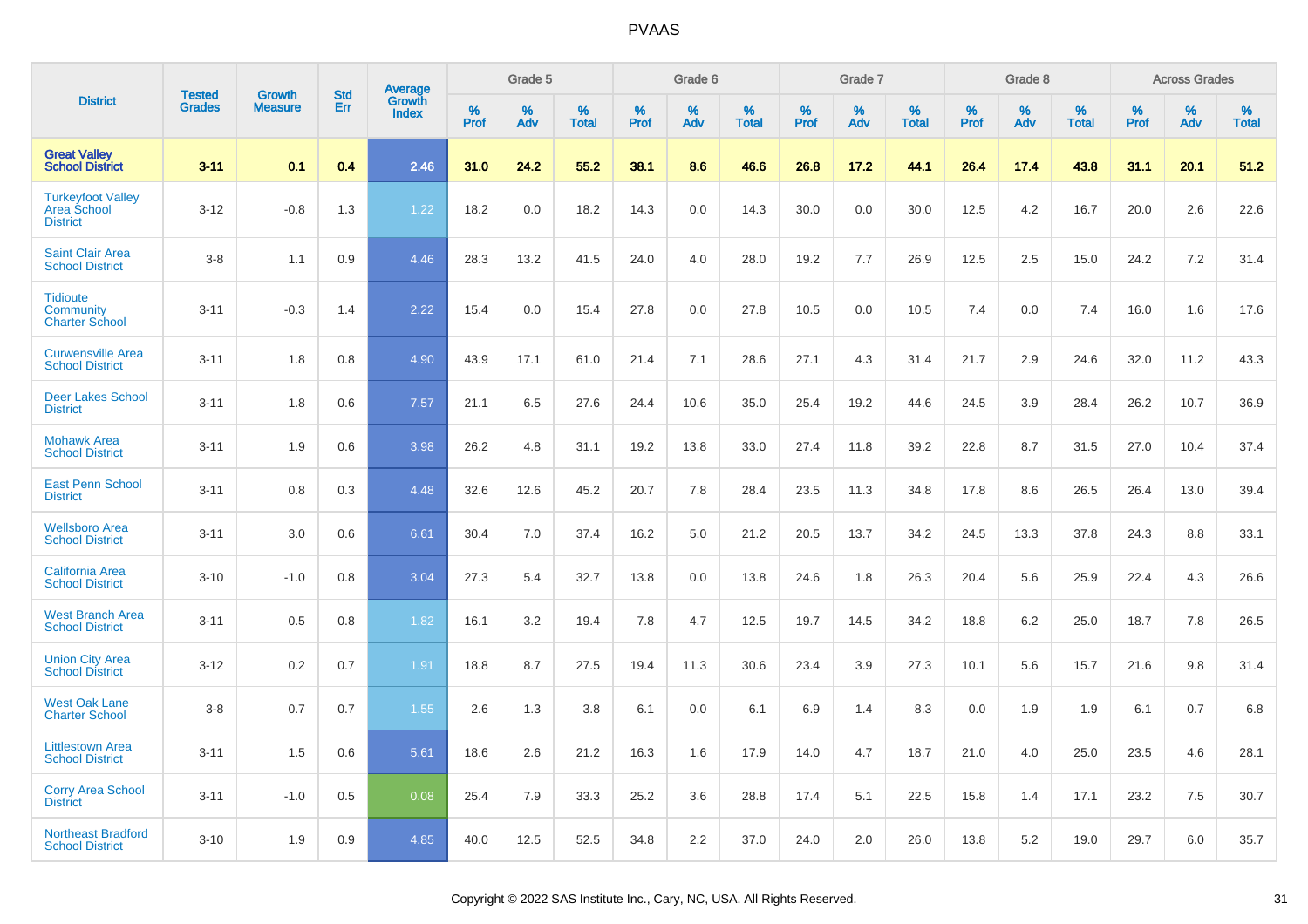|                                                                   |                                |                                 | <b>Std</b> |                                          |              | Grade 5  |                   |           | Grade 6  |                   |              | Grade 7  |                   |              | Grade 8  |                   |              | <b>Across Grades</b> |                   |
|-------------------------------------------------------------------|--------------------------------|---------------------------------|------------|------------------------------------------|--------------|----------|-------------------|-----------|----------|-------------------|--------------|----------|-------------------|--------------|----------|-------------------|--------------|----------------------|-------------------|
| <b>District</b>                                                   | <b>Tested</b><br><b>Grades</b> | <b>Growth</b><br><b>Measure</b> | Err        | <b>Average</b><br>Growth<br><b>Index</b> | $\%$<br>Prof | %<br>Adv | %<br><b>Total</b> | %<br>Prof | %<br>Adv | %<br><b>Total</b> | $\%$<br>Prof | %<br>Adv | %<br><b>Total</b> | $\%$<br>Prof | %<br>Adv | %<br><b>Total</b> | $\%$<br>Prof | %<br>Adv             | %<br><b>Total</b> |
| <b>Great Valley</b><br><b>School District</b>                     | $3 - 11$                       | 0.1                             | 0.4        | 2.46                                     | 31.0         | 24.2     | 55.2              | 38.1      | 8.6      | 46.6              | 26.8         | 17.2     | 44.1              | 26.4         | 17.4     | 43.8              | 31.1         | 20.1                 | 51.2              |
| <b>Turkeyfoot Valley</b><br><b>Area School</b><br><b>District</b> | $3 - 12$                       | $-0.8$                          | 1.3        | 1.22                                     | 18.2         | 0.0      | 18.2              | 14.3      | 0.0      | 14.3              | 30.0         | 0.0      | 30.0              | 12.5         | 4.2      | 16.7              | 20.0         | 2.6                  | 22.6              |
| <b>Saint Clair Area</b><br><b>School District</b>                 | $3 - 8$                        | 1.1                             | 0.9        | 4.46                                     | 28.3         | 13.2     | 41.5              | 24.0      | 4.0      | 28.0              | 19.2         | 7.7      | 26.9              | 12.5         | 2.5      | 15.0              | 24.2         | 7.2                  | 31.4              |
| <b>Tidioute</b><br><b>Community</b><br><b>Charter School</b>      | $3 - 11$                       | $-0.3$                          | 1.4        | 2.22                                     | 15.4         | 0.0      | 15.4              | 27.8      | 0.0      | 27.8              | 10.5         | 0.0      | 10.5              | 7.4          | 0.0      | 7.4               | 16.0         | 1.6                  | 17.6              |
| <b>Curwensville Area</b><br><b>School District</b>                | $3 - 11$                       | 1.8                             | 0.8        | 4.90                                     | 43.9         | 17.1     | 61.0              | 21.4      | 7.1      | 28.6              | 27.1         | 4.3      | 31.4              | 21.7         | 2.9      | 24.6              | 32.0         | 11.2                 | 43.3              |
| <b>Deer Lakes School</b><br><b>District</b>                       | $3 - 11$                       | 1.8                             | 0.6        | 7.57                                     | 21.1         | 6.5      | 27.6              | 24.4      | 10.6     | 35.0              | 25.4         | 19.2     | 44.6              | 24.5         | 3.9      | 28.4              | 26.2         | 10.7                 | 36.9              |
| <b>Mohawk Area</b><br><b>School District</b>                      | $3 - 11$                       | 1.9                             | 0.6        | 3.98                                     | 26.2         | 4.8      | 31.1              | 19.2      | 13.8     | 33.0              | 27.4         | 11.8     | 39.2              | 22.8         | 8.7      | 31.5              | 27.0         | 10.4                 | 37.4              |
| <b>East Penn School</b><br><b>District</b>                        | $3 - 11$                       | 0.8                             | 0.3        | 4.48                                     | 32.6         | 12.6     | 45.2              | 20.7      | 7.8      | 28.4              | 23.5         | 11.3     | 34.8              | 17.8         | 8.6      | 26.5              | 26.4         | 13.0                 | 39.4              |
| <b>Wellsboro Area</b><br><b>School District</b>                   | $3 - 11$                       | 3.0                             | 0.6        | 6.61                                     | 30.4         | 7.0      | 37.4              | 16.2      | 5.0      | 21.2              | 20.5         | 13.7     | 34.2              | 24.5         | 13.3     | 37.8              | 24.3         | 8.8                  | 33.1              |
| <b>California Area</b><br><b>School District</b>                  | $3 - 10$                       | $-1.0$                          | 0.8        | 3.04                                     | 27.3         | 5.4      | 32.7              | 13.8      | 0.0      | 13.8              | 24.6         | 1.8      | 26.3              | 20.4         | 5.6      | 25.9              | 22.4         | 4.3                  | 26.6              |
| <b>West Branch Area</b><br><b>School District</b>                 | $3 - 11$                       | 0.5                             | 0.8        | 1.82                                     | 16.1         | 3.2      | 19.4              | 7.8       | 4.7      | 12.5              | 19.7         | 14.5     | 34.2              | 18.8         | 6.2      | 25.0              | 18.7         | 7.8                  | 26.5              |
| <b>Union City Area</b><br><b>School District</b>                  | $3 - 12$                       | 0.2                             | 0.7        | 1.91                                     | 18.8         | 8.7      | 27.5              | 19.4      | 11.3     | 30.6              | 23.4         | 3.9      | 27.3              | 10.1         | 5.6      | 15.7              | 21.6         | 9.8                  | 31.4              |
| <b>West Oak Lane</b><br><b>Charter School</b>                     | $3 - 8$                        | 0.7                             | 0.7        | 1.55                                     | 2.6          | 1.3      | 3.8               | 6.1       | 0.0      | 6.1               | 6.9          | 1.4      | 8.3               | 0.0          | 1.9      | 1.9               | 6.1          | 0.7                  | 6.8               |
| <b>Littlestown Area</b><br><b>School District</b>                 | $3 - 11$                       | 1.5                             | 0.6        | 5.61                                     | 18.6         | 2.6      | 21.2              | 16.3      | 1.6      | 17.9              | 14.0         | 4.7      | 18.7              | 21.0         | 4.0      | 25.0              | 23.5         | 4.6                  | 28.1              |
| <b>Corry Area School</b><br><b>District</b>                       | $3 - 11$                       | $-1.0$                          | 0.5        | 0.08                                     | 25.4         | 7.9      | 33.3              | 25.2      | 3.6      | 28.8              | 17.4         | 5.1      | 22.5              | 15.8         | 1.4      | 17.1              | 23.2         | 7.5                  | 30.7              |
| <b>Northeast Bradford</b><br><b>School District</b>               | $3 - 10$                       | 1.9                             | 0.9        | 4.85                                     | 40.0         | 12.5     | 52.5              | 34.8      | 2.2      | 37.0              | 24.0         | 2.0      | 26.0              | 13.8         | 5.2      | 19.0              | 29.7         | 6.0                  | 35.7              |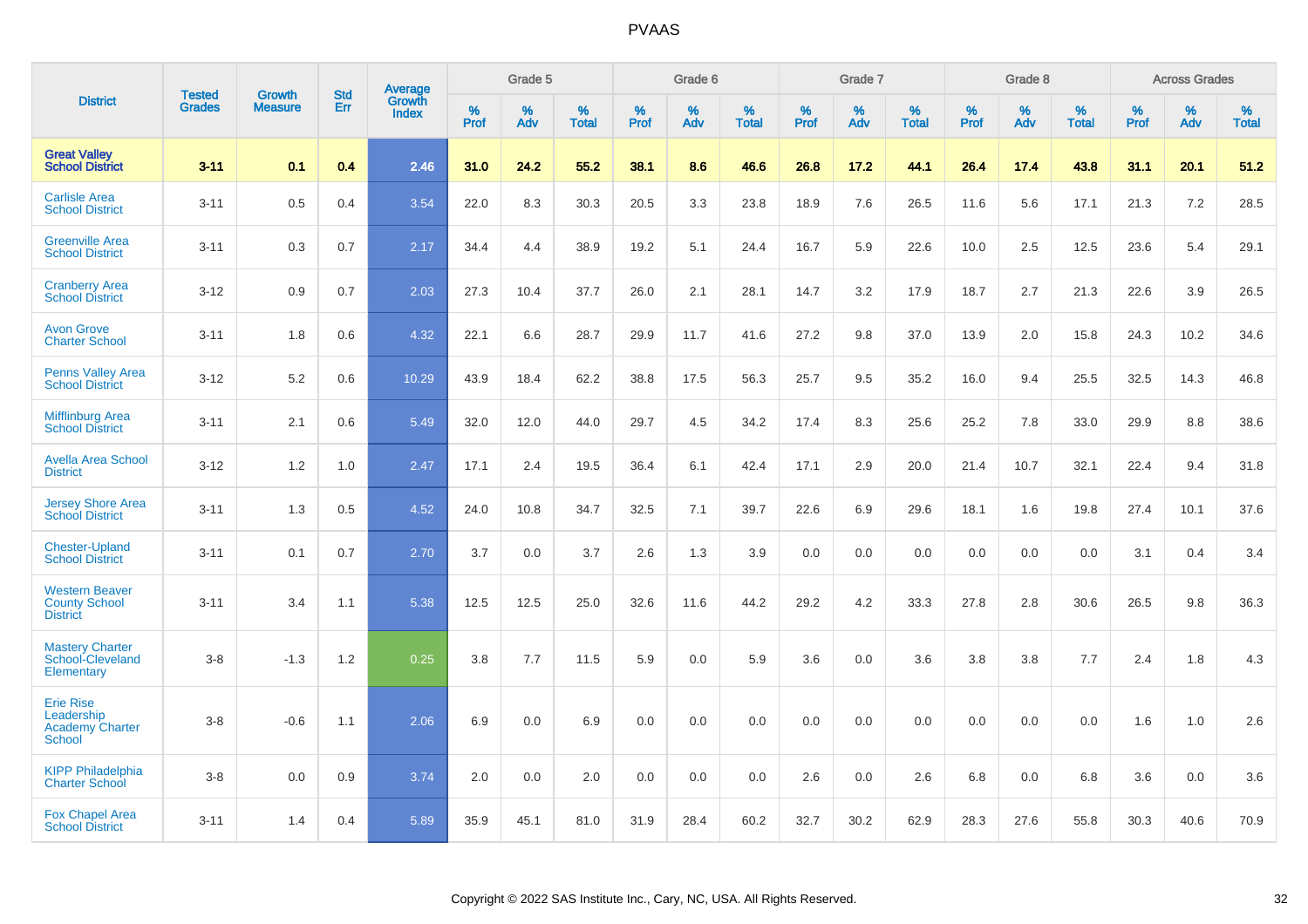|                                                                           | <b>Tested</b> | <b>Growth</b>  | <b>Std</b> | Average                |              | Grade 5  |                   |           | Grade 6  |                   |              | Grade 7  |                   |              | Grade 8  |                   |              | <b>Across Grades</b> |                   |
|---------------------------------------------------------------------------|---------------|----------------|------------|------------------------|--------------|----------|-------------------|-----------|----------|-------------------|--------------|----------|-------------------|--------------|----------|-------------------|--------------|----------------------|-------------------|
| <b>District</b>                                                           | <b>Grades</b> | <b>Measure</b> | Err        | Growth<br><b>Index</b> | $\%$<br>Prof | %<br>Adv | %<br><b>Total</b> | %<br>Prof | %<br>Adv | %<br><b>Total</b> | $\%$<br>Prof | %<br>Adv | %<br><b>Total</b> | $\%$<br>Prof | %<br>Adv | %<br><b>Total</b> | $\%$<br>Prof | $\%$<br>Adv          | %<br><b>Total</b> |
| <b>Great Valley</b><br><b>School District</b>                             | $3 - 11$      | 0.1            | 0.4        | 2.46                   | 31.0         | 24.2     | 55.2              | 38.1      | 8.6      | 46.6              | 26.8         | 17.2     | 44.1              | 26.4         | 17.4     | 43.8              | 31.1         | 20.1                 | 51.2              |
| <b>Carlisle Area</b><br><b>School District</b>                            | $3 - 11$      | 0.5            | 0.4        | 3.54                   | 22.0         | 8.3      | 30.3              | 20.5      | 3.3      | 23.8              | 18.9         | 7.6      | 26.5              | 11.6         | 5.6      | 17.1              | 21.3         | 7.2                  | 28.5              |
| <b>Greenville Area</b><br><b>School District</b>                          | $3 - 11$      | 0.3            | 0.7        | 2.17                   | 34.4         | 4.4      | 38.9              | 19.2      | 5.1      | 24.4              | 16.7         | 5.9      | 22.6              | 10.0         | 2.5      | 12.5              | 23.6         | 5.4                  | 29.1              |
| <b>Cranberry Area</b><br><b>School District</b>                           | $3 - 12$      | 0.9            | 0.7        | 2.03                   | 27.3         | 10.4     | 37.7              | 26.0      | 2.1      | 28.1              | 14.7         | 3.2      | 17.9              | 18.7         | 2.7      | 21.3              | 22.6         | 3.9                  | 26.5              |
| <b>Avon Grove</b><br><b>Charter School</b>                                | $3 - 11$      | 1.8            | 0.6        | 4.32                   | 22.1         | 6.6      | 28.7              | 29.9      | 11.7     | 41.6              | 27.2         | 9.8      | 37.0              | 13.9         | 2.0      | 15.8              | 24.3         | 10.2                 | 34.6              |
| <b>Penns Valley Area</b><br><b>School District</b>                        | $3 - 12$      | 5.2            | 0.6        | 10.29                  | 43.9         | 18.4     | 62.2              | 38.8      | 17.5     | 56.3              | 25.7         | 9.5      | 35.2              | 16.0         | 9.4      | 25.5              | 32.5         | 14.3                 | 46.8              |
| <b>Mifflinburg Area</b><br><b>School District</b>                         | $3 - 11$      | 2.1            | 0.6        | 5.49                   | 32.0         | 12.0     | 44.0              | 29.7      | 4.5      | 34.2              | 17.4         | 8.3      | 25.6              | 25.2         | 7.8      | 33.0              | 29.9         | 8.8                  | 38.6              |
| <b>Avella Area School</b><br><b>District</b>                              | $3 - 12$      | 1.2            | 1.0        | 2.47                   | 17.1         | 2.4      | 19.5              | 36.4      | 6.1      | 42.4              | 17.1         | 2.9      | 20.0              | 21.4         | 10.7     | 32.1              | 22.4         | 9.4                  | 31.8              |
| <b>Jersey Shore Area</b><br><b>School District</b>                        | $3 - 11$      | 1.3            | 0.5        | 4.52                   | 24.0         | 10.8     | 34.7              | 32.5      | 7.1      | 39.7              | 22.6         | 6.9      | 29.6              | 18.1         | 1.6      | 19.8              | 27.4         | 10.1                 | 37.6              |
| <b>Chester-Upland</b><br><b>School District</b>                           | $3 - 11$      | 0.1            | 0.7        | 2.70                   | 3.7          | 0.0      | 3.7               | 2.6       | 1.3      | 3.9               | 0.0          | 0.0      | 0.0               | 0.0          | 0.0      | 0.0               | 3.1          | 0.4                  | 3.4               |
| <b>Western Beaver</b><br><b>County School</b><br><b>District</b>          | $3 - 11$      | 3.4            | 1.1        | 5.38                   | 12.5         | 12.5     | 25.0              | 32.6      | 11.6     | 44.2              | 29.2         | 4.2      | 33.3              | 27.8         | 2.8      | 30.6              | 26.5         | 9.8                  | 36.3              |
| <b>Mastery Charter</b><br>School-Cleveland<br>Elementary                  | $3 - 8$       | $-1.3$         | 1.2        | 0.25                   | 3.8          | 7.7      | 11.5              | 5.9       | 0.0      | 5.9               | 3.6          | 0.0      | 3.6               | 3.8          | 3.8      | 7.7               | 2.4          | 1.8                  | 4.3               |
| <b>Erie Rise</b><br>Leadership<br><b>Academy Charter</b><br><b>School</b> | $3 - 8$       | $-0.6$         | 1.1        | 2.06                   | 6.9          | 0.0      | 6.9               | 0.0       | 0.0      | 0.0               | 0.0          | 0.0      | 0.0               | 0.0          | 0.0      | 0.0               | 1.6          | 1.0                  | 2.6               |
| <b>KIPP Philadelphia</b><br><b>Charter School</b>                         | $3 - 8$       | 0.0            | 0.9        | 3.74                   | 2.0          | 0.0      | 2.0               | 0.0       | 0.0      | 0.0               | 2.6          | 0.0      | 2.6               | 6.8          | 0.0      | 6.8               | 3.6          | 0.0                  | 3.6               |
| <b>Fox Chapel Area</b><br><b>School District</b>                          | $3 - 11$      | 1.4            | 0.4        | 5.89                   | 35.9         | 45.1     | 81.0              | 31.9      | 28.4     | 60.2              | 32.7         | 30.2     | 62.9              | 28.3         | 27.6     | 55.8              | 30.3         | 40.6                 | 70.9              |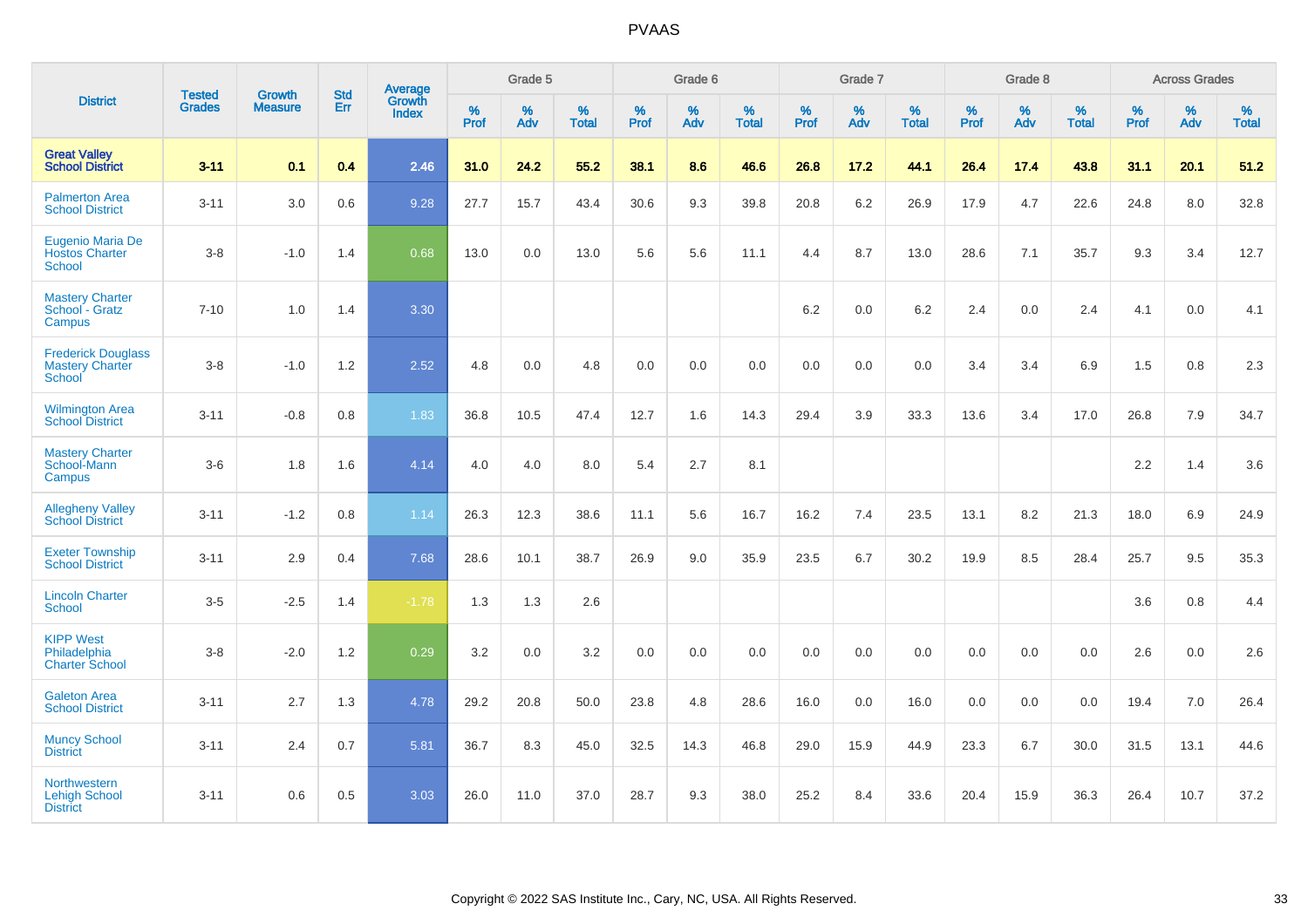|                                                                      | <b>Tested</b> | <b>Growth</b>  | <b>Std</b> | Average                |              | Grade 5  |                   |              | Grade 6  |                   |              | Grade 7  |                   |              | Grade 8  |                   |              | <b>Across Grades</b> |                   |
|----------------------------------------------------------------------|---------------|----------------|------------|------------------------|--------------|----------|-------------------|--------------|----------|-------------------|--------------|----------|-------------------|--------------|----------|-------------------|--------------|----------------------|-------------------|
| <b>District</b>                                                      | <b>Grades</b> | <b>Measure</b> | Err        | Growth<br><b>Index</b> | $\%$<br>Prof | %<br>Adv | %<br><b>Total</b> | $\%$<br>Prof | %<br>Adv | %<br><b>Total</b> | $\%$<br>Prof | %<br>Adv | %<br><b>Total</b> | $\%$<br>Prof | %<br>Adv | %<br><b>Total</b> | $\%$<br>Prof | %<br>Adv             | %<br><b>Total</b> |
| <b>Great Valley</b><br><b>School District</b>                        | $3 - 11$      | 0.1            | 0.4        | 2.46                   | 31.0         | 24.2     | 55.2              | 38.1         | 8.6      | 46.6              | 26.8         | 17.2     | 44.1              | 26.4         | 17.4     | 43.8              | 31.1         | 20.1                 | 51.2              |
| <b>Palmerton Area</b><br><b>School District</b>                      | $3 - 11$      | 3.0            | 0.6        | 9.28                   | 27.7         | 15.7     | 43.4              | 30.6         | 9.3      | 39.8              | 20.8         | 6.2      | 26.9              | 17.9         | 4.7      | 22.6              | 24.8         | 8.0                  | 32.8              |
| Eugenio Maria De<br><b>Hostos Charter</b><br><b>School</b>           | $3 - 8$       | $-1.0$         | 1.4        | 0.68                   | 13.0         | 0.0      | 13.0              | 5.6          | 5.6      | 11.1              | 4.4          | 8.7      | 13.0              | 28.6         | 7.1      | 35.7              | 9.3          | 3.4                  | 12.7              |
| <b>Mastery Charter</b><br>School - Gratz<br>Campus                   | $7 - 10$      | 1.0            | 1.4        | 3.30                   |              |          |                   |              |          |                   | 6.2          | $0.0\,$  | 6.2               | 2.4          | $0.0\,$  | 2.4               | 4.1          | $0.0\,$              | 4.1               |
| <b>Frederick Douglass</b><br><b>Mastery Charter</b><br><b>School</b> | $3 - 8$       | $-1.0$         | 1.2        | 2.52                   | 4.8          | 0.0      | 4.8               | 0.0          | 0.0      | 0.0               | 0.0          | 0.0      | 0.0               | 3.4          | 3.4      | 6.9               | 1.5          | 0.8                  | $2.3\,$           |
| <b>Wilmington Area</b><br><b>School District</b>                     | $3 - 11$      | $-0.8$         | 0.8        | 1.83                   | 36.8         | 10.5     | 47.4              | 12.7         | 1.6      | 14.3              | 29.4         | 3.9      | 33.3              | 13.6         | 3.4      | 17.0              | 26.8         | 7.9                  | 34.7              |
| <b>Mastery Charter</b><br>School-Mann<br>Campus                      | $3-6$         | 1.8            | 1.6        | 4.14                   | 4.0          | 4.0      | 8.0               | 5.4          | 2.7      | 8.1               |              |          |                   |              |          |                   | 2.2          | 1.4                  | 3.6               |
| <b>Allegheny Valley</b><br><b>School District</b>                    | $3 - 11$      | $-1.2$         | 0.8        | 1.14                   | 26.3         | 12.3     | 38.6              | 11.1         | 5.6      | 16.7              | 16.2         | 7.4      | 23.5              | 13.1         | 8.2      | 21.3              | 18.0         | 6.9                  | 24.9              |
| <b>Exeter Township</b><br><b>School District</b>                     | $3 - 11$      | 2.9            | 0.4        | 7.68                   | 28.6         | 10.1     | 38.7              | 26.9         | 9.0      | 35.9              | 23.5         | 6.7      | 30.2              | 19.9         | 8.5      | 28.4              | 25.7         | 9.5                  | 35.3              |
| <b>Lincoln Charter</b><br><b>School</b>                              | $3-5$         | $-2.5$         | 1.4        | $-1.78$                | 1.3          | 1.3      | 2.6               |              |          |                   |              |          |                   |              |          |                   | 3.6          | 0.8                  | 4.4               |
| <b>KIPP West</b><br>Philadelphia<br><b>Charter School</b>            | $3 - 8$       | $-2.0$         | 1.2        | 0.29                   | 3.2          | 0.0      | 3.2               | 0.0          | 0.0      | 0.0               | 0.0          | 0.0      | 0.0               | 0.0          | 0.0      | 0.0               | 2.6          | 0.0                  | 2.6               |
| <b>Galeton Area</b><br><b>School District</b>                        | $3 - 11$      | 2.7            | 1.3        | 4.78                   | 29.2         | 20.8     | 50.0              | 23.8         | 4.8      | 28.6              | 16.0         | 0.0      | 16.0              | 0.0          | 0.0      | 0.0               | 19.4         | 7.0                  | 26.4              |
| <b>Muncy School</b><br><b>District</b>                               | $3 - 11$      | 2.4            | 0.7        | 5.81                   | 36.7         | 8.3      | 45.0              | 32.5         | 14.3     | 46.8              | 29.0         | 15.9     | 44.9              | 23.3         | 6.7      | 30.0              | 31.5         | 13.1                 | 44.6              |
| <b>Northwestern</b><br><b>Lehigh School</b><br><b>District</b>       | $3 - 11$      | 0.6            | 0.5        | 3.03                   | 26.0         | 11.0     | 37.0              | 28.7         | 9.3      | 38.0              | 25.2         | 8.4      | 33.6              | 20.4         | 15.9     | 36.3              | 26.4         | 10.7                 | 37.2              |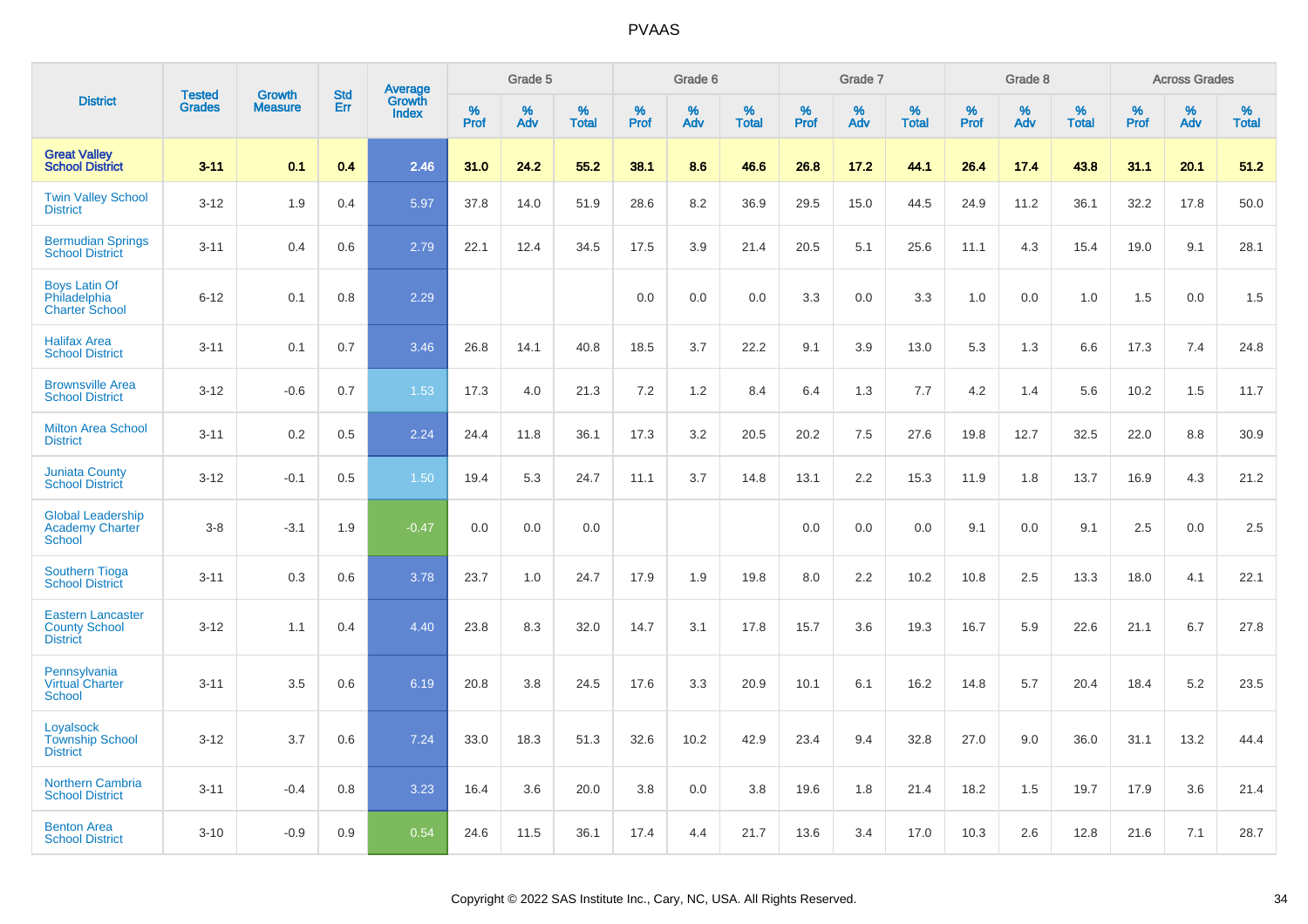|                                                                     | <b>Tested</b> | <b>Growth</b>  | <b>Std</b> |                                   |              | Grade 5  |                   |           | Grade 6  |                   |           | Grade 7  |                   |           | Grade 8  |                   |              | <b>Across Grades</b> |                   |
|---------------------------------------------------------------------|---------------|----------------|------------|-----------------------------------|--------------|----------|-------------------|-----------|----------|-------------------|-----------|----------|-------------------|-----------|----------|-------------------|--------------|----------------------|-------------------|
| <b>District</b>                                                     | <b>Grades</b> | <b>Measure</b> | <b>Err</b> | Average<br>Growth<br><b>Index</b> | $\%$<br>Prof | %<br>Adv | %<br><b>Total</b> | %<br>Prof | %<br>Adv | %<br><b>Total</b> | %<br>Prof | %<br>Adv | %<br><b>Total</b> | %<br>Prof | %<br>Adv | %<br><b>Total</b> | $\%$<br>Prof | %<br>Adv             | %<br><b>Total</b> |
| <b>Great Valley</b><br><b>School District</b>                       | $3 - 11$      | 0.1            | 0.4        | 2.46                              | 31.0         | 24.2     | 55.2              | 38.1      | 8.6      | 46.6              | 26.8      | 17.2     | 44.1              | 26.4      | 17.4     | 43.8              | 31.1         | 20.1                 | 51.2              |
| <b>Twin Valley School</b><br><b>District</b>                        | $3 - 12$      | 1.9            | 0.4        | 5.97                              | 37.8         | 14.0     | 51.9              | 28.6      | 8.2      | 36.9              | 29.5      | 15.0     | 44.5              | 24.9      | 11.2     | 36.1              | 32.2         | 17.8                 | 50.0              |
| <b>Bermudian Springs</b><br><b>School District</b>                  | $3 - 11$      | 0.4            | 0.6        | 2.79                              | 22.1         | 12.4     | 34.5              | 17.5      | 3.9      | 21.4              | 20.5      | 5.1      | 25.6              | 11.1      | 4.3      | 15.4              | 19.0         | 9.1                  | 28.1              |
| <b>Boys Latin Of</b><br>Philadelphia<br><b>Charter School</b>       | $6 - 12$      | 0.1            | 0.8        | 2.29                              |              |          |                   | 0.0       | 0.0      | 0.0               | 3.3       | 0.0      | 3.3               | 1.0       | 0.0      | 1.0               | 1.5          | 0.0                  | 1.5               |
| <b>Halifax Area</b><br><b>School District</b>                       | $3 - 11$      | 0.1            | 0.7        | 3.46                              | 26.8         | 14.1     | 40.8              | 18.5      | 3.7      | 22.2              | 9.1       | 3.9      | 13.0              | 5.3       | 1.3      | 6.6               | 17.3         | 7.4                  | 24.8              |
| <b>Brownsville Area</b><br><b>School District</b>                   | $3 - 12$      | $-0.6$         | 0.7        | 1.53                              | 17.3         | 4.0      | 21.3              | 7.2       | $1.2$    | 8.4               | 6.4       | 1.3      | 7.7               | 4.2       | 1.4      | 5.6               | 10.2         | 1.5                  | 11.7              |
| <b>Milton Area School</b><br><b>District</b>                        | $3 - 11$      | 0.2            | 0.5        | 2.24                              | 24.4         | 11.8     | 36.1              | 17.3      | 3.2      | 20.5              | 20.2      | 7.5      | 27.6              | 19.8      | 12.7     | 32.5              | 22.0         | 8.8                  | 30.9              |
| <b>Juniata County</b><br><b>School District</b>                     | $3 - 12$      | $-0.1$         | 0.5        | 1.50                              | 19.4         | 5.3      | 24.7              | 11.1      | 3.7      | 14.8              | 13.1      | 2.2      | 15.3              | 11.9      | 1.8      | 13.7              | 16.9         | 4.3                  | 21.2              |
| <b>Global Leadership</b><br><b>Academy Charter</b><br>School        | $3 - 8$       | $-3.1$         | 1.9        | $-0.47$                           | 0.0          | 0.0      | 0.0               |           |          |                   | 0.0       | 0.0      | 0.0               | 9.1       | 0.0      | 9.1               | 2.5          | 0.0                  | 2.5               |
| <b>Southern Tioga</b><br><b>School District</b>                     | $3 - 11$      | 0.3            | 0.6        | 3.78                              | 23.7         | 1.0      | 24.7              | 17.9      | 1.9      | 19.8              | $8.0\,$   | 2.2      | 10.2              | 10.8      | 2.5      | 13.3              | 18.0         | 4.1                  | 22.1              |
| <b>Eastern Lancaster</b><br><b>County School</b><br><b>District</b> | $3 - 12$      | 1.1            | 0.4        | 4.40                              | 23.8         | 8.3      | 32.0              | 14.7      | 3.1      | 17.8              | 15.7      | 3.6      | 19.3              | 16.7      | 5.9      | 22.6              | 21.1         | 6.7                  | 27.8              |
| Pennsylvania<br><b>Virtual Charter</b><br><b>School</b>             | $3 - 11$      | 3.5            | 0.6        | 6.19                              | 20.8         | 3.8      | 24.5              | 17.6      | 3.3      | 20.9              | 10.1      | 6.1      | 16.2              | 14.8      | 5.7      | 20.4              | 18.4         | 5.2                  | 23.5              |
| Loyalsock<br><b>Township School</b><br><b>District</b>              | $3 - 12$      | 3.7            | 0.6        | 7.24                              | 33.0         | 18.3     | 51.3              | 32.6      | 10.2     | 42.9              | 23.4      | 9.4      | 32.8              | 27.0      | 9.0      | 36.0              | 31.1         | 13.2                 | 44.4              |
| <b>Northern Cambria</b><br><b>School District</b>                   | $3 - 11$      | $-0.4$         | 0.8        | 3.23                              | 16.4         | 3.6      | 20.0              | 3.8       | 0.0      | 3.8               | 19.6      | 1.8      | 21.4              | 18.2      | 1.5      | 19.7              | 17.9         | 3.6                  | 21.4              |
| <b>Benton Area</b><br><b>School District</b>                        | $3 - 10$      | $-0.9$         | 0.9        | 0.54                              | 24.6         | 11.5     | 36.1              | 17.4      | 4.4      | 21.7              | 13.6      | 3.4      | 17.0              | 10.3      | 2.6      | 12.8              | 21.6         | 7.1                  | 28.7              |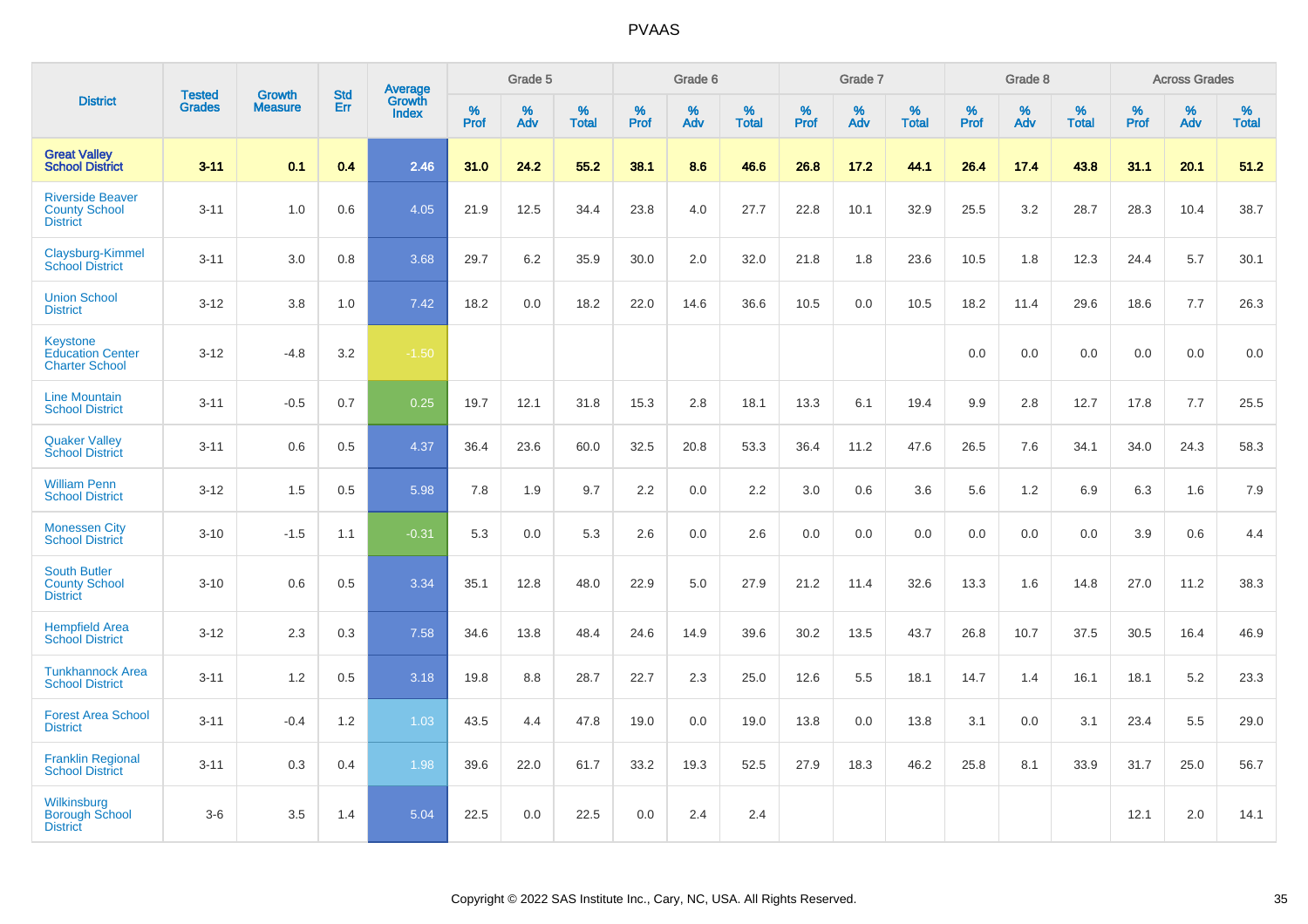|                                                                     |                                |                                 | <b>Std</b> | Average                |              | Grade 5  |                   |           | Grade 6  |                   |           | Grade 7  |                   |           | Grade 8  |                   |              | <b>Across Grades</b> |                   |
|---------------------------------------------------------------------|--------------------------------|---------------------------------|------------|------------------------|--------------|----------|-------------------|-----------|----------|-------------------|-----------|----------|-------------------|-----------|----------|-------------------|--------------|----------------------|-------------------|
| <b>District</b>                                                     | <b>Tested</b><br><b>Grades</b> | <b>Growth</b><br><b>Measure</b> | <b>Err</b> | Growth<br><b>Index</b> | $\%$<br>Prof | %<br>Adv | %<br><b>Total</b> | %<br>Prof | %<br>Adv | %<br><b>Total</b> | %<br>Prof | %<br>Adv | %<br><b>Total</b> | %<br>Prof | %<br>Adv | %<br><b>Total</b> | $\%$<br>Prof | %<br>Adv             | %<br><b>Total</b> |
| <b>Great Valley</b><br><b>School District</b>                       | $3 - 11$                       | 0.1                             | 0.4        | 2.46                   | 31.0         | 24.2     | 55.2              | 38.1      | 8.6      | 46.6              | 26.8      | 17.2     | 44.1              | 26.4      | 17.4     | 43.8              | 31.1         | 20.1                 | 51.2              |
| <b>Riverside Beaver</b><br><b>County School</b><br><b>District</b>  | $3 - 11$                       | 1.0                             | 0.6        | 4.05                   | 21.9         | 12.5     | 34.4              | 23.8      | 4.0      | 27.7              | 22.8      | 10.1     | 32.9              | 25.5      | 3.2      | 28.7              | 28.3         | 10.4                 | 38.7              |
| Claysburg-Kimmel<br><b>School District</b>                          | $3 - 11$                       | 3.0                             | 0.8        | 3.68                   | 29.7         | 6.2      | 35.9              | 30.0      | 2.0      | 32.0              | 21.8      | 1.8      | 23.6              | 10.5      | 1.8      | 12.3              | 24.4         | 5.7                  | 30.1              |
| <b>Union School</b><br><b>District</b>                              | $3 - 12$                       | 3.8                             | 1.0        | 7.42                   | 18.2         | 0.0      | 18.2              | 22.0      | 14.6     | 36.6              | 10.5      | 0.0      | 10.5              | 18.2      | 11.4     | 29.6              | 18.6         | 7.7                  | 26.3              |
| <b>Keystone</b><br><b>Education Center</b><br><b>Charter School</b> | $3 - 12$                       | $-4.8$                          | 3.2        | $-1.50$                |              |          |                   |           |          |                   |           |          |                   | 0.0       | 0.0      | 0.0               | 0.0          | 0.0                  | 0.0               |
| <b>Line Mountain</b><br><b>School District</b>                      | $3 - 11$                       | $-0.5$                          | 0.7        | 0.25                   | 19.7         | 12.1     | 31.8              | 15.3      | 2.8      | 18.1              | 13.3      | 6.1      | 19.4              | 9.9       | 2.8      | 12.7              | 17.8         | 7.7                  | 25.5              |
| <b>Quaker Valley</b><br><b>School District</b>                      | $3 - 11$                       | 0.6                             | 0.5        | 4.37                   | 36.4         | 23.6     | 60.0              | 32.5      | 20.8     | 53.3              | 36.4      | 11.2     | 47.6              | 26.5      | 7.6      | 34.1              | 34.0         | 24.3                 | 58.3              |
| <b>William Penn</b><br><b>School District</b>                       | $3 - 12$                       | 1.5                             | 0.5        | 5.98                   | 7.8          | 1.9      | 9.7               | 2.2       | 0.0      | 2.2               | 3.0       | 0.6      | 3.6               | 5.6       | 1.2      | 6.9               | 6.3          | 1.6                  | 7.9               |
| <b>Monessen City</b><br><b>School District</b>                      | $3 - 10$                       | $-1.5$                          | 1.1        | $-0.31$                | 5.3          | 0.0      | 5.3               | 2.6       | 0.0      | 2.6               | 0.0       | 0.0      | 0.0               | 0.0       | 0.0      | 0.0               | 3.9          | 0.6                  | 4.4               |
| <b>South Butler</b><br><b>County School</b><br><b>District</b>      | $3 - 10$                       | 0.6                             | 0.5        | 3.34                   | 35.1         | 12.8     | 48.0              | 22.9      | 5.0      | 27.9              | 21.2      | 11.4     | 32.6              | 13.3      | 1.6      | 14.8              | 27.0         | 11.2                 | 38.3              |
| <b>Hempfield Area</b><br><b>School District</b>                     | $3 - 12$                       | 2.3                             | 0.3        | 7.58                   | 34.6         | 13.8     | 48.4              | 24.6      | 14.9     | 39.6              | 30.2      | 13.5     | 43.7              | 26.8      | 10.7     | 37.5              | 30.5         | 16.4                 | 46.9              |
| <b>Tunkhannock Area</b><br><b>School District</b>                   | $3 - 11$                       | 1.2                             | 0.5        | 3.18                   | 19.8         | 8.8      | 28.7              | 22.7      | 2.3      | 25.0              | 12.6      | 5.5      | 18.1              | 14.7      | 1.4      | 16.1              | 18.1         | 5.2                  | 23.3              |
| <b>Forest Area School</b><br><b>District</b>                        | $3 - 11$                       | $-0.4$                          | 1.2        | 1.03                   | 43.5         | 4.4      | 47.8              | 19.0      | 0.0      | 19.0              | 13.8      | 0.0      | 13.8              | 3.1       | 0.0      | 3.1               | 23.4         | 5.5                  | 29.0              |
| <b>Franklin Regional</b><br><b>School District</b>                  | $3 - 11$                       | 0.3                             | 0.4        | 1.98                   | 39.6         | 22.0     | 61.7              | 33.2      | 19.3     | 52.5              | 27.9      | 18.3     | 46.2              | 25.8      | 8.1      | 33.9              | 31.7         | 25.0                 | 56.7              |
| Wilkinsburg<br><b>Borough School</b><br><b>District</b>             | $3 - 6$                        | 3.5                             | 1.4        | 5.04                   | 22.5         | 0.0      | 22.5              | 0.0       | 2.4      | 2.4               |           |          |                   |           |          |                   | 12.1         | 2.0                  | 14.1              |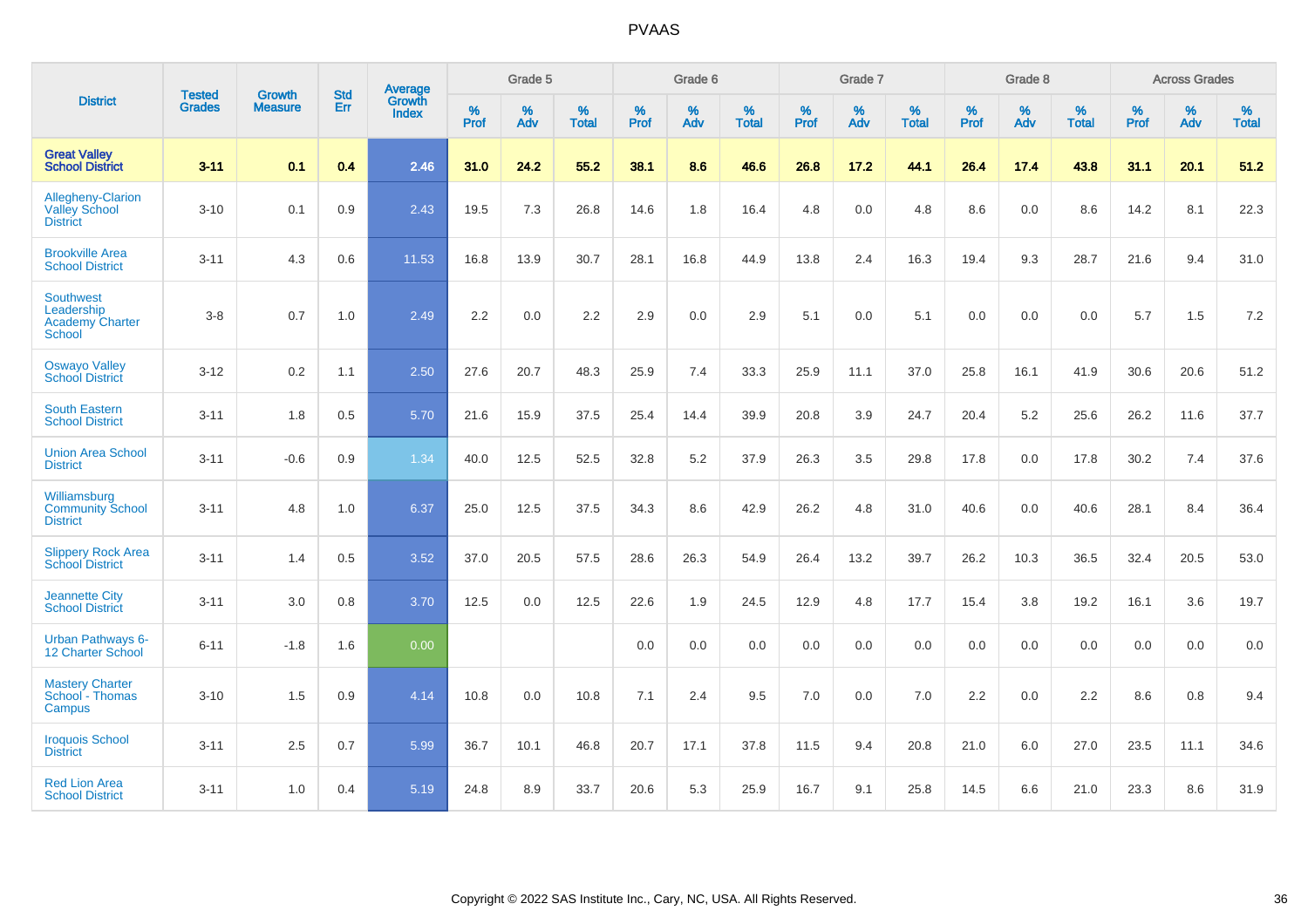|                                                                    | <b>Tested</b> | <b>Growth</b>  | <b>Std</b> | Average                |                     | Grade 5  |                   |                     | Grade 6  |                   |              | Grade 7  |                   |                     | Grade 8  |                   |                     | <b>Across Grades</b> |                   |
|--------------------------------------------------------------------|---------------|----------------|------------|------------------------|---------------------|----------|-------------------|---------------------|----------|-------------------|--------------|----------|-------------------|---------------------|----------|-------------------|---------------------|----------------------|-------------------|
| <b>District</b>                                                    | <b>Grades</b> | <b>Measure</b> | Err        | Growth<br><b>Index</b> | $\%$<br><b>Prof</b> | %<br>Adv | %<br><b>Total</b> | $\%$<br><b>Prof</b> | %<br>Adv | %<br><b>Total</b> | $\%$<br>Prof | %<br>Adv | %<br><b>Total</b> | $\%$<br><b>Prof</b> | %<br>Adv | %<br><b>Total</b> | $\%$<br><b>Prof</b> | %<br>Adv             | %<br><b>Total</b> |
| <b>Great Valley</b><br><b>School District</b>                      | $3 - 11$      | 0.1            | 0.4        | 2.46                   | 31.0                | 24.2     | 55.2              | 38.1                | 8.6      | 46.6              | 26.8         | 17.2     | 44.1              | 26.4                | 17.4     | 43.8              | 31.1                | 20.1                 | 51.2              |
| Allegheny-Clarion<br><b>Valley School</b><br><b>District</b>       | $3 - 10$      | 0.1            | 0.9        | 2.43                   | 19.5                | 7.3      | 26.8              | 14.6                | 1.8      | 16.4              | 4.8          | 0.0      | 4.8               | 8.6                 | 0.0      | 8.6               | 14.2                | 8.1                  | 22.3              |
| <b>Brookville Area</b><br><b>School District</b>                   | $3 - 11$      | 4.3            | 0.6        | 11.53                  | 16.8                | 13.9     | 30.7              | 28.1                | 16.8     | 44.9              | 13.8         | 2.4      | 16.3              | 19.4                | 9.3      | 28.7              | 21.6                | 9.4                  | 31.0              |
| <b>Southwest</b><br>Leadership<br><b>Academy Charter</b><br>School | $3 - 8$       | 0.7            | 1.0        | 2.49                   | 2.2                 | 0.0      | 2.2               | 2.9                 | 0.0      | 2.9               | 5.1          | 0.0      | 5.1               | 0.0                 | 0.0      | 0.0               | 5.7                 | 1.5                  | 7.2               |
| <b>Oswayo Valley</b><br><b>School District</b>                     | $3 - 12$      | 0.2            | 1.1        | 2.50                   | 27.6                | 20.7     | 48.3              | 25.9                | 7.4      | 33.3              | 25.9         | 11.1     | 37.0              | 25.8                | 16.1     | 41.9              | 30.6                | 20.6                 | 51.2              |
| <b>South Eastern</b><br><b>School District</b>                     | $3 - 11$      | 1.8            | 0.5        | 5.70                   | 21.6                | 15.9     | 37.5              | 25.4                | 14.4     | 39.9              | 20.8         | 3.9      | 24.7              | 20.4                | 5.2      | 25.6              | 26.2                | 11.6                 | 37.7              |
| <b>Union Area School</b><br><b>District</b>                        | $3 - 11$      | $-0.6$         | 0.9        | 1.34                   | 40.0                | 12.5     | 52.5              | 32.8                | $5.2\,$  | 37.9              | 26.3         | 3.5      | 29.8              | 17.8                | 0.0      | 17.8              | 30.2                | 7.4                  | 37.6              |
| Williamsburg<br><b>Community School</b><br><b>District</b>         | $3 - 11$      | 4.8            | 1.0        | 6.37                   | 25.0                | 12.5     | 37.5              | 34.3                | 8.6      | 42.9              | 26.2         | 4.8      | 31.0              | 40.6                | 0.0      | 40.6              | 28.1                | 8.4                  | 36.4              |
| <b>Slippery Rock Area</b><br><b>School District</b>                | $3 - 11$      | 1.4            | 0.5        | 3.52                   | 37.0                | 20.5     | 57.5              | 28.6                | 26.3     | 54.9              | 26.4         | 13.2     | 39.7              | 26.2                | 10.3     | 36.5              | 32.4                | 20.5                 | 53.0              |
| <b>Jeannette City</b><br><b>School District</b>                    | $3 - 11$      | 3.0            | 0.8        | 3.70                   | 12.5                | 0.0      | 12.5              | 22.6                | 1.9      | 24.5              | 12.9         | 4.8      | 17.7              | 15.4                | 3.8      | 19.2              | 16.1                | 3.6                  | 19.7              |
| <b>Urban Pathways 6-</b><br>12 Charter School                      | $6 - 11$      | $-1.8$         | 1.6        | 0.00                   |                     |          |                   | 0.0                 | 0.0      | 0.0               | 0.0          | 0.0      | 0.0               | 0.0                 | 0.0      | 0.0               | 0.0                 | 0.0                  | 0.0               |
| <b>Mastery Charter</b><br>School - Thomas<br>Campus                | $3 - 10$      | 1.5            | 0.9        | 4.14                   | 10.8                | 0.0      | 10.8              | 7.1                 | 2.4      | 9.5               | 7.0          | 0.0      | 7.0               | 2.2                 | 0.0      | 2.2               | 8.6                 | 0.8                  | 9.4               |
| <b>Iroquois School</b><br><b>District</b>                          | $3 - 11$      | 2.5            | 0.7        | 5.99                   | 36.7                | 10.1     | 46.8              | 20.7                | 17.1     | 37.8              | 11.5         | 9.4      | 20.8              | 21.0                | 6.0      | 27.0              | 23.5                | 11.1                 | 34.6              |
| <b>Red Lion Area</b><br><b>School District</b>                     | $3 - 11$      | 1.0            | 0.4        | 5.19                   | 24.8                | 8.9      | 33.7              | 20.6                | 5.3      | 25.9              | 16.7         | 9.1      | 25.8              | 14.5                | 6.6      | 21.0              | 23.3                | 8.6                  | 31.9              |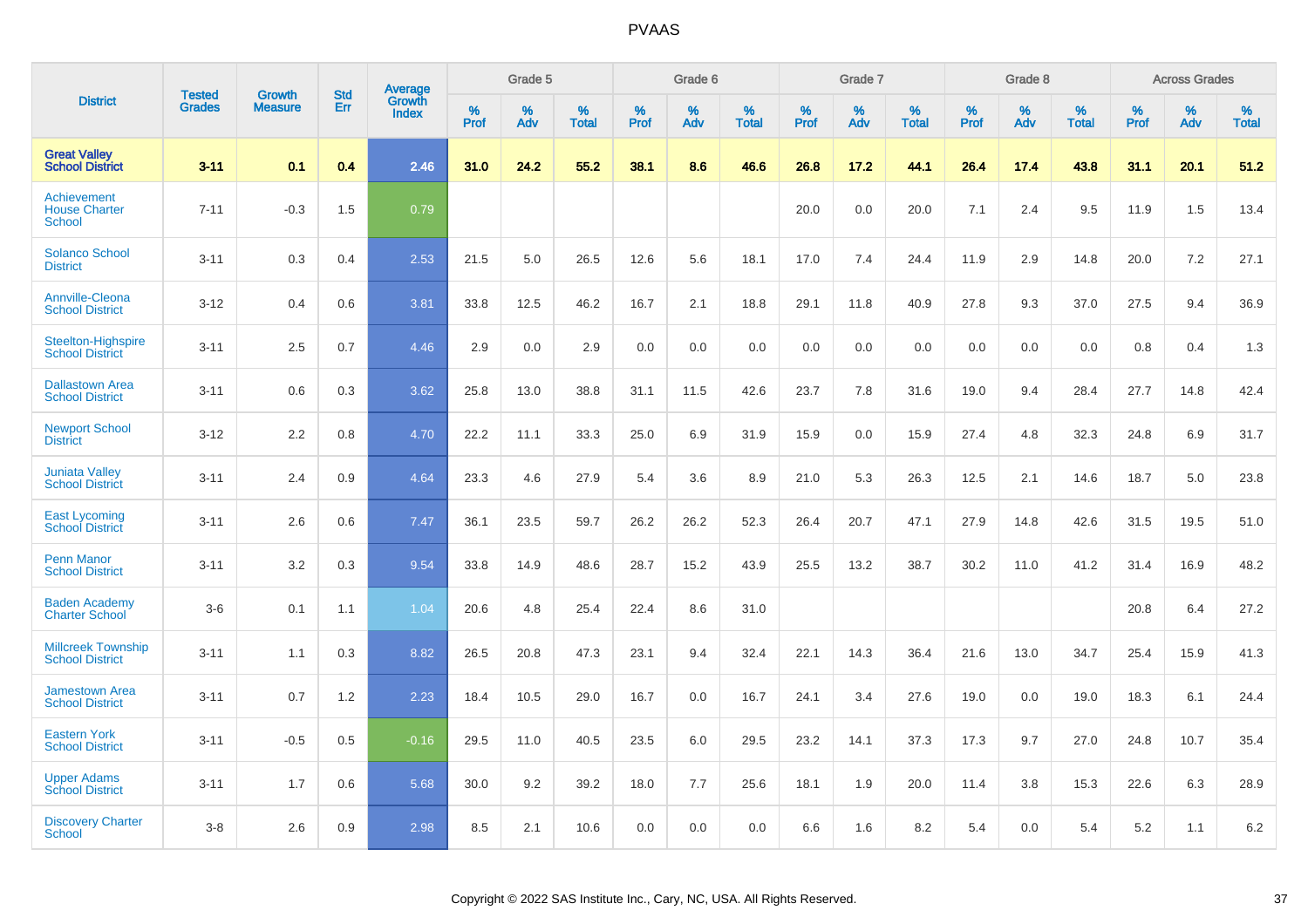|                                                     |                                |                                 | <b>Std</b> | Average                |           | Grade 5  |                      |           | Grade 6  |                   |           | Grade 7  |                   |           | Grade 8  |                   |           | <b>Across Grades</b> |                   |
|-----------------------------------------------------|--------------------------------|---------------------------------|------------|------------------------|-----------|----------|----------------------|-----------|----------|-------------------|-----------|----------|-------------------|-----------|----------|-------------------|-----------|----------------------|-------------------|
| <b>District</b>                                     | <b>Tested</b><br><b>Grades</b> | <b>Growth</b><br><b>Measure</b> | Err        | Growth<br><b>Index</b> | %<br>Prof | %<br>Adv | $\%$<br><b>Total</b> | %<br>Prof | %<br>Adv | %<br><b>Total</b> | %<br>Prof | %<br>Adv | %<br><b>Total</b> | %<br>Prof | %<br>Adv | %<br><b>Total</b> | %<br>Prof | %<br>Adv             | %<br><b>Total</b> |
| <b>Great Valley</b><br><b>School District</b>       | $3 - 11$                       | 0.1                             | 0.4        | 2.46                   | 31.0      | 24.2     | 55.2                 | 38.1      | 8.6      | 46.6              | 26.8      | 17.2     | 44.1              | 26.4      | 17.4     | 43.8              | 31.1      | 20.1                 | 51.2              |
| Achievement<br><b>House Charter</b><br>School       | $7 - 11$                       | $-0.3$                          | 1.5        | 0.79                   |           |          |                      |           |          |                   | 20.0      | 0.0      | 20.0              | 7.1       | 2.4      | 9.5               | 11.9      | 1.5                  | 13.4              |
| <b>Solanco School</b><br><b>District</b>            | $3 - 11$                       | 0.3                             | 0.4        | 2.53                   | 21.5      | 5.0      | 26.5                 | 12.6      | 5.6      | 18.1              | 17.0      | 7.4      | 24.4              | 11.9      | 2.9      | 14.8              | 20.0      | 7.2                  | 27.1              |
| <b>Annville-Cleona</b><br><b>School District</b>    | $3 - 12$                       | 0.4                             | 0.6        | 3.81                   | 33.8      | 12.5     | 46.2                 | 16.7      | 2.1      | 18.8              | 29.1      | 11.8     | 40.9              | 27.8      | 9.3      | 37.0              | 27.5      | 9.4                  | 36.9              |
| <b>Steelton-Highspire</b><br><b>School District</b> | $3 - 11$                       | 2.5                             | 0.7        | 4.46                   | 2.9       | 0.0      | 2.9                  | 0.0       | 0.0      | 0.0               | 0.0       | 0.0      | 0.0               | 0.0       | 0.0      | 0.0               | 0.8       | 0.4                  | 1.3               |
| <b>Dallastown Area</b><br><b>School District</b>    | $3 - 11$                       | 0.6                             | 0.3        | 3.62                   | 25.8      | 13.0     | 38.8                 | 31.1      | 11.5     | 42.6              | 23.7      | 7.8      | 31.6              | 19.0      | 9.4      | 28.4              | 27.7      | 14.8                 | 42.4              |
| <b>Newport School</b><br><b>District</b>            | $3 - 12$                       | 2.2                             | 0.8        | 4.70                   | 22.2      | 11.1     | 33.3                 | 25.0      | 6.9      | 31.9              | 15.9      | 0.0      | 15.9              | 27.4      | 4.8      | 32.3              | 24.8      | 6.9                  | 31.7              |
| <b>Juniata Valley</b><br><b>School District</b>     | $3 - 11$                       | 2.4                             | 0.9        | 4.64                   | 23.3      | 4.6      | 27.9                 | 5.4       | 3.6      | 8.9               | 21.0      | 5.3      | 26.3              | 12.5      | 2.1      | 14.6              | 18.7      | 5.0                  | 23.8              |
| <b>East Lycoming</b><br><b>School District</b>      | $3 - 11$                       | 2.6                             | 0.6        | 7.47                   | 36.1      | 23.5     | 59.7                 | 26.2      | 26.2     | 52.3              | 26.4      | 20.7     | 47.1              | 27.9      | 14.8     | 42.6              | 31.5      | 19.5                 | 51.0              |
| <b>Penn Manor</b><br><b>School District</b>         | $3 - 11$                       | 3.2                             | 0.3        | 9.54                   | 33.8      | 14.9     | 48.6                 | 28.7      | 15.2     | 43.9              | 25.5      | 13.2     | 38.7              | 30.2      | 11.0     | 41.2              | 31.4      | 16.9                 | 48.2              |
| <b>Baden Academy</b><br><b>Charter School</b>       | $3-6$                          | 0.1                             | 1.1        | 1.04                   | 20.6      | 4.8      | 25.4                 | 22.4      | 8.6      | 31.0              |           |          |                   |           |          |                   | 20.8      | 6.4                  | 27.2              |
| <b>Millcreek Township</b><br><b>School District</b> | $3 - 11$                       | 1.1                             | 0.3        | 8.82                   | 26.5      | 20.8     | 47.3                 | 23.1      | 9.4      | 32.4              | 22.1      | 14.3     | 36.4              | 21.6      | 13.0     | 34.7              | 25.4      | 15.9                 | 41.3              |
| <b>Jamestown Area</b><br><b>School District</b>     | $3 - 11$                       | 0.7                             | 1.2        | 2.23                   | 18.4      | 10.5     | 29.0                 | 16.7      | 0.0      | 16.7              | 24.1      | 3.4      | 27.6              | 19.0      | 0.0      | 19.0              | 18.3      | 6.1                  | 24.4              |
| <b>Eastern York</b><br><b>School District</b>       | $3 - 11$                       | $-0.5$                          | 0.5        | $-0.16$                | 29.5      | 11.0     | 40.5                 | 23.5      | 6.0      | 29.5              | 23.2      | 14.1     | 37.3              | 17.3      | 9.7      | 27.0              | 24.8      | 10.7                 | 35.4              |
| <b>Upper Adams</b><br><b>School District</b>        | $3 - 11$                       | 1.7                             | 0.6        | 5.68                   | 30.0      | 9.2      | 39.2                 | 18.0      | 7.7      | 25.6              | 18.1      | 1.9      | 20.0              | 11.4      | 3.8      | 15.3              | 22.6      | 6.3                  | 28.9              |
| <b>Discovery Charter</b><br>School                  | $3 - 8$                        | 2.6                             | 0.9        | 2.98                   | 8.5       | 2.1      | 10.6                 | 0.0       | 0.0      | 0.0               | 6.6       | 1.6      | 8.2               | 5.4       | $0.0\,$  | 5.4               | 5.2       | 1.1                  | 6.2               |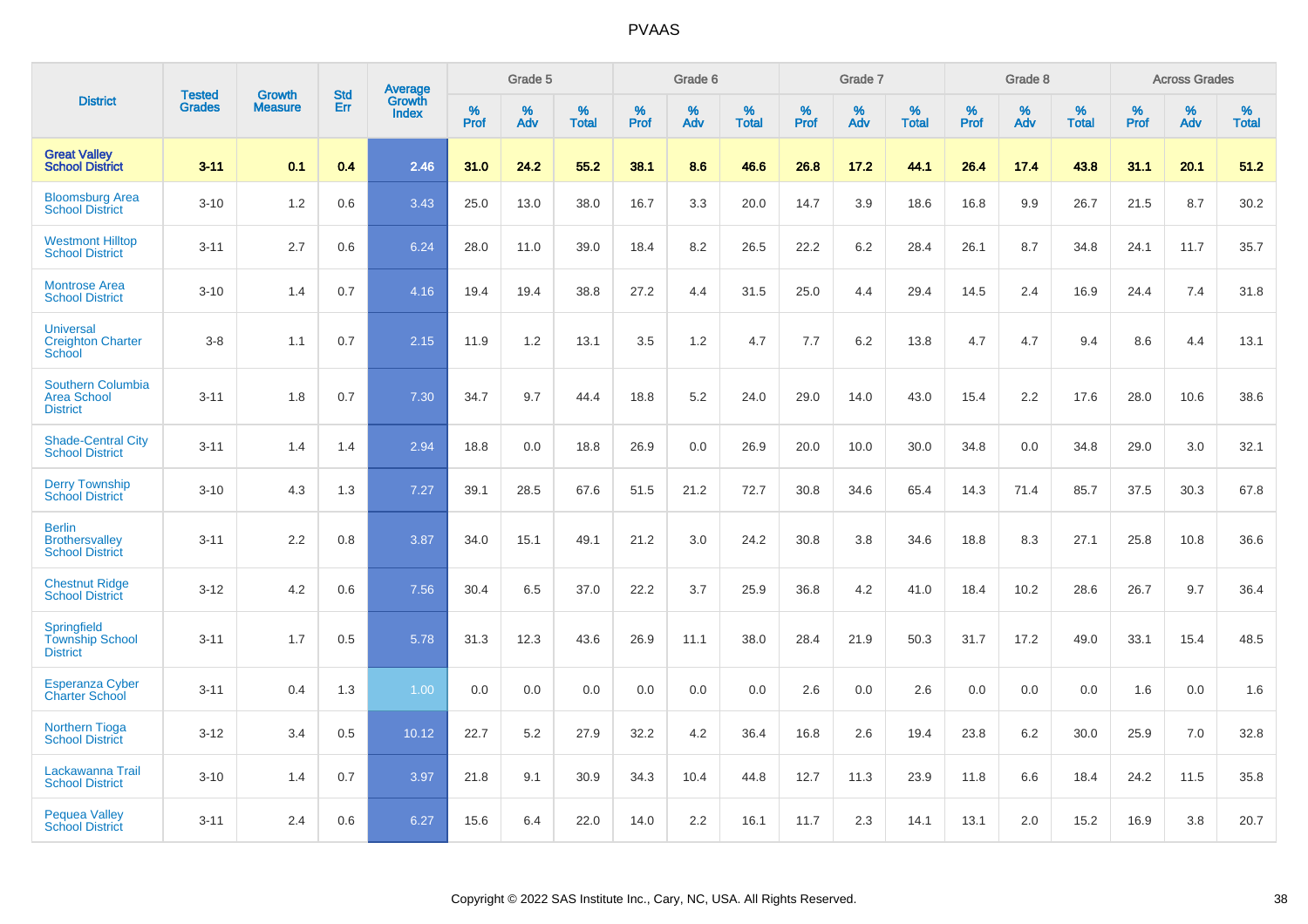|                                                                   | <b>Tested</b> | <b>Growth</b>  | <b>Std</b> | Average                |              | Grade 5  |                   |           | Grade 6  |                   |              | Grade 7  |                   |           | Grade 8  |                   |              | <b>Across Grades</b> |                   |
|-------------------------------------------------------------------|---------------|----------------|------------|------------------------|--------------|----------|-------------------|-----------|----------|-------------------|--------------|----------|-------------------|-----------|----------|-------------------|--------------|----------------------|-------------------|
| <b>District</b>                                                   | <b>Grades</b> | <b>Measure</b> | Err        | Growth<br><b>Index</b> | $\%$<br>Prof | %<br>Adv | %<br><b>Total</b> | %<br>Prof | %<br>Adv | %<br><b>Total</b> | $\%$<br>Prof | %<br>Adv | %<br><b>Total</b> | %<br>Prof | %<br>Adv | %<br><b>Total</b> | $\%$<br>Prof | %<br>Adv             | %<br><b>Total</b> |
| <b>Great Valley</b><br><b>School District</b>                     | $3 - 11$      | 0.1            | 0.4        | 2.46                   | 31.0         | 24.2     | 55.2              | 38.1      | 8.6      | 46.6              | 26.8         | 17.2     | 44.1              | 26.4      | 17.4     | 43.8              | 31.1         | 20.1                 | 51.2              |
| <b>Bloomsburg Area</b><br><b>School District</b>                  | $3 - 10$      | 1.2            | 0.6        | 3.43                   | 25.0         | 13.0     | 38.0              | 16.7      | 3.3      | 20.0              | 14.7         | 3.9      | 18.6              | 16.8      | 9.9      | 26.7              | 21.5         | 8.7                  | 30.2              |
| <b>Westmont Hilltop</b><br><b>School District</b>                 | $3 - 11$      | 2.7            | 0.6        | 6.24                   | 28.0         | 11.0     | 39.0              | 18.4      | 8.2      | 26.5              | 22.2         | 6.2      | 28.4              | 26.1      | 8.7      | 34.8              | 24.1         | 11.7                 | 35.7              |
| <b>Montrose Area</b><br><b>School District</b>                    | $3 - 10$      | 1.4            | 0.7        | 4.16                   | 19.4         | 19.4     | 38.8              | 27.2      | 4.4      | 31.5              | 25.0         | 4.4      | 29.4              | 14.5      | 2.4      | 16.9              | 24.4         | 7.4                  | 31.8              |
| <b>Universal</b><br><b>Creighton Charter</b><br>School            | $3 - 8$       | 1.1            | 0.7        | 2.15                   | 11.9         | 1.2      | 13.1              | 3.5       | 1.2      | 4.7               | 7.7          | 6.2      | 13.8              | 4.7       | 4.7      | 9.4               | 8.6          | 4.4                  | 13.1              |
| <b>Southern Columbia</b><br><b>Area School</b><br><b>District</b> | $3 - 11$      | 1.8            | 0.7        | 7.30                   | 34.7         | 9.7      | 44.4              | 18.8      | 5.2      | 24.0              | 29.0         | 14.0     | 43.0              | 15.4      | 2.2      | 17.6              | 28.0         | 10.6                 | 38.6              |
| <b>Shade-Central City</b><br><b>School District</b>               | $3 - 11$      | 1.4            | 1.4        | 2.94                   | 18.8         | 0.0      | 18.8              | 26.9      | 0.0      | 26.9              | 20.0         | 10.0     | 30.0              | 34.8      | 0.0      | 34.8              | 29.0         | 3.0                  | 32.1              |
| <b>Derry Township</b><br><b>School District</b>                   | $3 - 10$      | 4.3            | 1.3        | 7.27                   | 39.1         | 28.5     | 67.6              | 51.5      | 21.2     | 72.7              | 30.8         | 34.6     | 65.4              | 14.3      | 71.4     | 85.7              | 37.5         | 30.3                 | 67.8              |
| <b>Berlin</b><br><b>Brothersvalley</b><br><b>School District</b>  | $3 - 11$      | 2.2            | 0.8        | 3.87                   | 34.0         | 15.1     | 49.1              | 21.2      | 3.0      | 24.2              | 30.8         | 3.8      | 34.6              | 18.8      | 8.3      | 27.1              | 25.8         | 10.8                 | 36.6              |
| <b>Chestnut Ridge</b><br><b>School District</b>                   | $3 - 12$      | 4.2            | 0.6        | 7.56                   | 30.4         | 6.5      | 37.0              | 22.2      | 3.7      | 25.9              | 36.8         | 4.2      | 41.0              | 18.4      | 10.2     | 28.6              | 26.7         | 9.7                  | 36.4              |
| Springfield<br><b>Township School</b><br><b>District</b>          | $3 - 11$      | 1.7            | 0.5        | 5.78                   | 31.3         | 12.3     | 43.6              | 26.9      | 11.1     | 38.0              | 28.4         | 21.9     | 50.3              | 31.7      | 17.2     | 49.0              | 33.1         | 15.4                 | 48.5              |
| <b>Esperanza Cyber</b><br><b>Charter School</b>                   | $3 - 11$      | 0.4            | 1.3        | 1.00                   | 0.0          | 0.0      | 0.0               | 0.0       | 0.0      | 0.0               | 2.6          | 0.0      | 2.6               | 0.0       | 0.0      | 0.0               | 1.6          | 0.0                  | 1.6               |
| <b>Northern Tioga</b><br><b>School District</b>                   | $3 - 12$      | 3.4            | 0.5        | 10.12                  | 22.7         | 5.2      | 27.9              | 32.2      | 4.2      | 36.4              | 16.8         | 2.6      | 19.4              | 23.8      | 6.2      | 30.0              | 25.9         | 7.0                  | 32.8              |
| Lackawanna Trail<br><b>School District</b>                        | $3 - 10$      | 1.4            | 0.7        | 3.97                   | 21.8         | 9.1      | 30.9              | 34.3      | 10.4     | 44.8              | 12.7         | 11.3     | 23.9              | 11.8      | 6.6      | 18.4              | 24.2         | 11.5                 | 35.8              |
| <b>Pequea Valley</b><br><b>School District</b>                    | $3 - 11$      | 2.4            | 0.6        | 6.27                   | 15.6         | 6.4      | 22.0              | 14.0      | 2.2      | 16.1              | 11.7         | 2.3      | 14.1              | 13.1      | 2.0      | 15.2              | 16.9         | 3.8                  | 20.7              |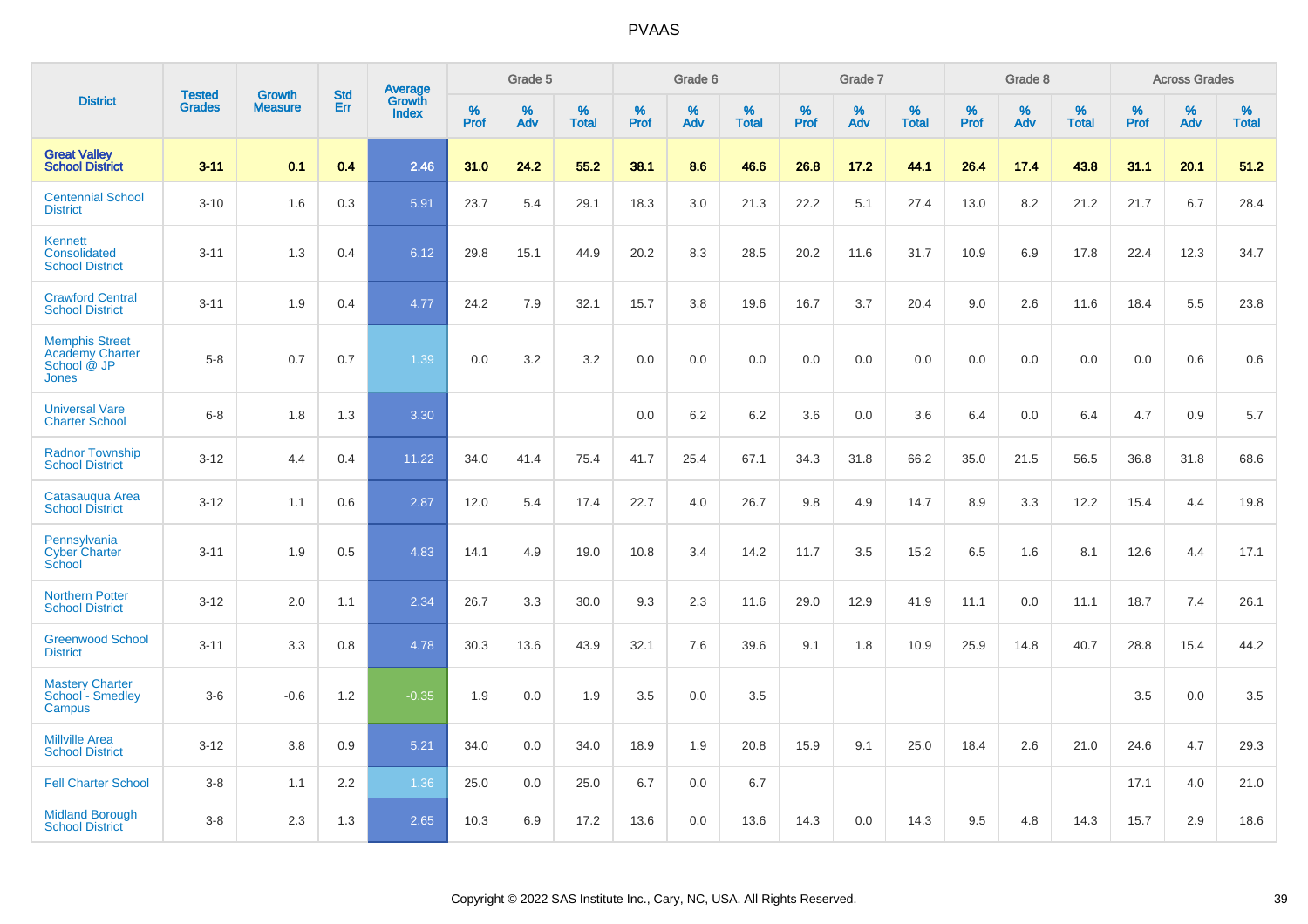|                                                                         |                                |                                 | <b>Std</b> | Average                |           | Grade 5  |                   |           | Grade 6  |                   |           | Grade 7  |                   |           | Grade 8  |                   |           | <b>Across Grades</b> |                   |
|-------------------------------------------------------------------------|--------------------------------|---------------------------------|------------|------------------------|-----------|----------|-------------------|-----------|----------|-------------------|-----------|----------|-------------------|-----------|----------|-------------------|-----------|----------------------|-------------------|
| <b>District</b>                                                         | <b>Tested</b><br><b>Grades</b> | <b>Growth</b><br><b>Measure</b> | <b>Err</b> | Growth<br><b>Index</b> | %<br>Prof | %<br>Adv | %<br><b>Total</b> | %<br>Prof | %<br>Adv | %<br><b>Total</b> | %<br>Prof | %<br>Adv | %<br><b>Total</b> | %<br>Prof | %<br>Adv | %<br><b>Total</b> | %<br>Prof | %<br>Adv             | %<br><b>Total</b> |
| <b>Great Valley</b><br><b>School District</b>                           | $3 - 11$                       | 0.1                             | 0.4        | 2.46                   | 31.0      | 24.2     | 55.2              | 38.1      | 8.6      | 46.6              | 26.8      | 17.2     | 44.1              | 26.4      | 17.4     | 43.8              | 31.1      | 20.1                 | 51.2              |
| <b>Centennial School</b><br><b>District</b>                             | $3 - 10$                       | 1.6                             | 0.3        | 5.91                   | 23.7      | 5.4      | 29.1              | 18.3      | 3.0      | 21.3              | 22.2      | 5.1      | 27.4              | 13.0      | 8.2      | 21.2              | 21.7      | 6.7                  | 28.4              |
| Kennett<br>Consolidated<br><b>School District</b>                       | $3 - 11$                       | 1.3                             | 0.4        | 6.12                   | 29.8      | 15.1     | 44.9              | 20.2      | 8.3      | 28.5              | 20.2      | 11.6     | 31.7              | 10.9      | 6.9      | 17.8              | 22.4      | 12.3                 | 34.7              |
| <b>Crawford Central</b><br><b>School District</b>                       | $3 - 11$                       | 1.9                             | 0.4        | 4.77                   | 24.2      | 7.9      | 32.1              | 15.7      | 3.8      | 19.6              | 16.7      | 3.7      | 20.4              | 9.0       | 2.6      | 11.6              | 18.4      | 5.5                  | 23.8              |
| <b>Memphis Street</b><br><b>Academy Charter</b><br>School @ JP<br>Jones | $5 - 8$                        | 0.7                             | 0.7        | 1.39                   | 0.0       | 3.2      | 3.2               | $0.0\,$   | 0.0      | 0.0               | 0.0       | 0.0      | 0.0               | 0.0       | 0.0      | 0.0               | 0.0       | 0.6                  | 0.6               |
| <b>Universal Vare</b><br><b>Charter School</b>                          | $6-8$                          | 1.8                             | 1.3        | 3.30                   |           |          |                   | 0.0       | 6.2      | 6.2               | 3.6       | 0.0      | 3.6               | 6.4       | 0.0      | 6.4               | 4.7       | 0.9                  | 5.7               |
| <b>Radnor Township</b><br><b>School District</b>                        | $3 - 12$                       | 4.4                             | 0.4        | 11.22                  | 34.0      | 41.4     | 75.4              | 41.7      | 25.4     | 67.1              | 34.3      | 31.8     | 66.2              | 35.0      | 21.5     | 56.5              | 36.8      | 31.8                 | 68.6              |
| Catasaugua Area<br><b>School District</b>                               | $3 - 12$                       | 1.1                             | 0.6        | 2.87                   | 12.0      | 5.4      | 17.4              | 22.7      | 4.0      | 26.7              | 9.8       | 4.9      | 14.7              | 8.9       | 3.3      | 12.2              | 15.4      | 4.4                  | 19.8              |
| Pennsylvania<br><b>Cyber Charter</b><br>School                          | $3 - 11$                       | 1.9                             | 0.5        | 4.83                   | 14.1      | 4.9      | 19.0              | 10.8      | 3.4      | 14.2              | 11.7      | 3.5      | 15.2              | 6.5       | 1.6      | 8.1               | 12.6      | 4.4                  | 17.1              |
| <b>Northern Potter</b><br><b>School District</b>                        | $3 - 12$                       | 2.0                             | 1.1        | 2.34                   | 26.7      | 3.3      | 30.0              | 9.3       | 2.3      | 11.6              | 29.0      | 12.9     | 41.9              | 11.1      | 0.0      | 11.1              | 18.7      | 7.4                  | 26.1              |
| <b>Greenwood School</b><br><b>District</b>                              | $3 - 11$                       | 3.3                             | 0.8        | 4.78                   | 30.3      | 13.6     | 43.9              | 32.1      | 7.6      | 39.6              | 9.1       | 1.8      | 10.9              | 25.9      | 14.8     | 40.7              | 28.8      | 15.4                 | 44.2              |
| <b>Mastery Charter</b><br>School <sup>-</sup> Smedley<br>Campus         | $3-6$                          | $-0.6$                          | 1.2        | $-0.35$                | 1.9       | 0.0      | 1.9               | 3.5       | 0.0      | 3.5               |           |          |                   |           |          |                   | 3.5       | 0.0                  | 3.5               |
| <b>Millville Area</b><br><b>School District</b>                         | $3 - 12$                       | 3.8                             | 0.9        | 5.21                   | 34.0      | 0.0      | 34.0              | 18.9      | 1.9      | 20.8              | 15.9      | 9.1      | 25.0              | 18.4      | 2.6      | 21.0              | 24.6      | 4.7                  | 29.3              |
| <b>Fell Charter School</b>                                              | $3 - 8$                        | 1.1                             | 2.2        | 1.36                   | 25.0      | 0.0      | 25.0              | 6.7       | 0.0      | 6.7               |           |          |                   |           |          |                   | 17.1      | 4.0                  | 21.0              |
| <b>Midland Borough</b><br><b>School District</b>                        | $3 - 8$                        | 2.3                             | 1.3        | 2.65                   | 10.3      | 6.9      | 17.2              | 13.6      | 0.0      | 13.6              | 14.3      | 0.0      | 14.3              | 9.5       | 4.8      | 14.3              | 15.7      | 2.9                  | 18.6              |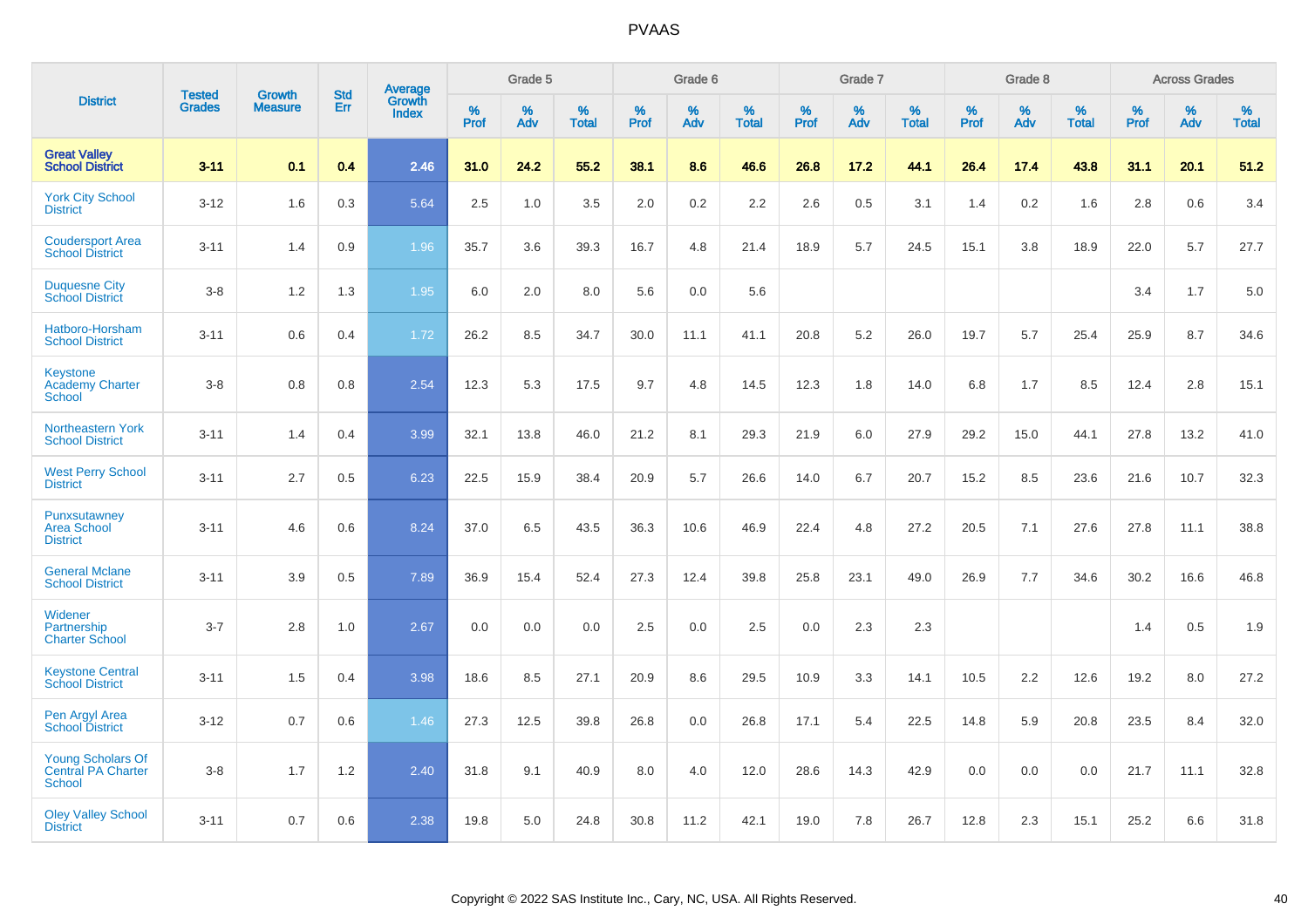|                                                                 | <b>Tested</b> | <b>Growth</b>  | <b>Std</b> |                                          |              | Grade 5  |                   |              | Grade 6  |                   |              | Grade 7  |                      |              | Grade 8  |                   |              | <b>Across Grades</b> |                   |
|-----------------------------------------------------------------|---------------|----------------|------------|------------------------------------------|--------------|----------|-------------------|--------------|----------|-------------------|--------------|----------|----------------------|--------------|----------|-------------------|--------------|----------------------|-------------------|
| <b>District</b>                                                 | <b>Grades</b> | <b>Measure</b> | <b>Err</b> | <b>Average</b><br>Growth<br><b>Index</b> | $\%$<br>Prof | %<br>Adv | %<br><b>Total</b> | $\%$<br>Prof | %<br>Adv | %<br><b>Total</b> | $\%$<br>Prof | %<br>Adv | $\%$<br><b>Total</b> | $\%$<br>Prof | %<br>Adv | %<br><b>Total</b> | $\%$<br>Prof | %<br>Adv             | %<br><b>Total</b> |
| <b>Great Valley</b><br><b>School District</b>                   | $3 - 11$      | 0.1            | 0.4        | 2.46                                     | 31.0         | 24.2     | 55.2              | 38.1         | 8.6      | 46.6              | 26.8         | 17.2     | 44.1                 | 26.4         | 17.4     | 43.8              | 31.1         | 20.1                 | 51.2              |
| <b>York City School</b><br><b>District</b>                      | $3 - 12$      | 1.6            | 0.3        | 5.64                                     | 2.5          | 1.0      | 3.5               | 2.0          | $0.2\,$  | 2.2               | 2.6          | 0.5      | 3.1                  | 1.4          | 0.2      | 1.6               | 2.8          | 0.6                  | 3.4               |
| <b>Coudersport Area</b><br><b>School District</b>               | $3 - 11$      | 1.4            | 0.9        | 1.96                                     | 35.7         | 3.6      | 39.3              | 16.7         | 4.8      | 21.4              | 18.9         | 5.7      | 24.5                 | 15.1         | 3.8      | 18.9              | 22.0         | 5.7                  | 27.7              |
| <b>Duquesne City</b><br><b>School District</b>                  | $3 - 8$       | 1.2            | 1.3        | 1.95                                     | 6.0          | 2.0      | 8.0               | 5.6          | 0.0      | 5.6               |              |          |                      |              |          |                   | 3.4          | 1.7                  | 5.0               |
| Hatboro-Horsham<br><b>School District</b>                       | $3 - 11$      | 0.6            | 0.4        | 1.72                                     | 26.2         | 8.5      | 34.7              | 30.0         | 11.1     | 41.1              | 20.8         | 5.2      | 26.0                 | 19.7         | 5.7      | 25.4              | 25.9         | 8.7                  | 34.6              |
| <b>Keystone</b><br><b>Academy Charter</b><br>School             | $3 - 8$       | 0.8            | 0.8        | 2.54                                     | 12.3         | 5.3      | 17.5              | 9.7          | 4.8      | 14.5              | 12.3         | 1.8      | 14.0                 | 6.8          | 1.7      | 8.5               | 12.4         | 2.8                  | 15.1              |
| <b>Northeastern York</b><br><b>School District</b>              | $3 - 11$      | 1.4            | 0.4        | 3.99                                     | 32.1         | 13.8     | 46.0              | 21.2         | 8.1      | 29.3              | 21.9         | 6.0      | 27.9                 | 29.2         | 15.0     | 44.1              | 27.8         | 13.2                 | 41.0              |
| <b>West Perry School</b><br><b>District</b>                     | $3 - 11$      | 2.7            | 0.5        | 6.23                                     | 22.5         | 15.9     | 38.4              | 20.9         | 5.7      | 26.6              | 14.0         | 6.7      | 20.7                 | 15.2         | 8.5      | 23.6              | 21.6         | 10.7                 | 32.3              |
| Punxsutawney<br><b>Area School</b><br><b>District</b>           | $3 - 11$      | 4.6            | 0.6        | 8.24                                     | 37.0         | 6.5      | 43.5              | 36.3         | 10.6     | 46.9              | 22.4         | 4.8      | 27.2                 | 20.5         | 7.1      | 27.6              | 27.8         | 11.1                 | 38.8              |
| <b>General Mclane</b><br><b>School District</b>                 | $3 - 11$      | 3.9            | 0.5        | 7.89                                     | 36.9         | 15.4     | 52.4              | 27.3         | 12.4     | 39.8              | 25.8         | 23.1     | 49.0                 | 26.9         | 7.7      | 34.6              | 30.2         | 16.6                 | 46.8              |
| Widener<br>Partnership<br><b>Charter School</b>                 | $3 - 7$       | 2.8            | 1.0        | 2.67                                     | 0.0          | 0.0      | 0.0               | 2.5          | 0.0      | 2.5               | 0.0          | 2.3      | 2.3                  |              |          |                   | 1.4          | 0.5                  | 1.9               |
| <b>Keystone Central</b><br><b>School District</b>               | $3 - 11$      | 1.5            | 0.4        | 3.98                                     | 18.6         | 8.5      | 27.1              | 20.9         | 8.6      | 29.5              | 10.9         | 3.3      | 14.1                 | 10.5         | 2.2      | 12.6              | 19.2         | 8.0                  | 27.2              |
| Pen Argyl Area<br><b>School District</b>                        | $3 - 12$      | 0.7            | 0.6        | 1.46                                     | 27.3         | 12.5     | 39.8              | 26.8         | 0.0      | 26.8              | 17.1         | 5.4      | 22.5                 | 14.8         | 5.9      | 20.8              | 23.5         | 8.4                  | 32.0              |
| <b>Young Scholars Of</b><br>Central PA Charter<br><b>School</b> | $3 - 8$       | 1.7            | $1.2$      | 2.40                                     | 31.8         | 9.1      | 40.9              | 8.0          | 4.0      | 12.0              | 28.6         | 14.3     | 42.9                 | 0.0          | 0.0      | 0.0               | 21.7         | 11.1                 | 32.8              |
| <b>Oley Valley School</b><br><b>District</b>                    | $3 - 11$      | 0.7            | 0.6        | 2.38                                     | 19.8         | 5.0      | 24.8              | 30.8         | 11.2     | 42.1              | 19.0         | 7.8      | 26.7                 | 12.8         | 2.3      | 15.1              | 25.2         | 6.6                  | 31.8              |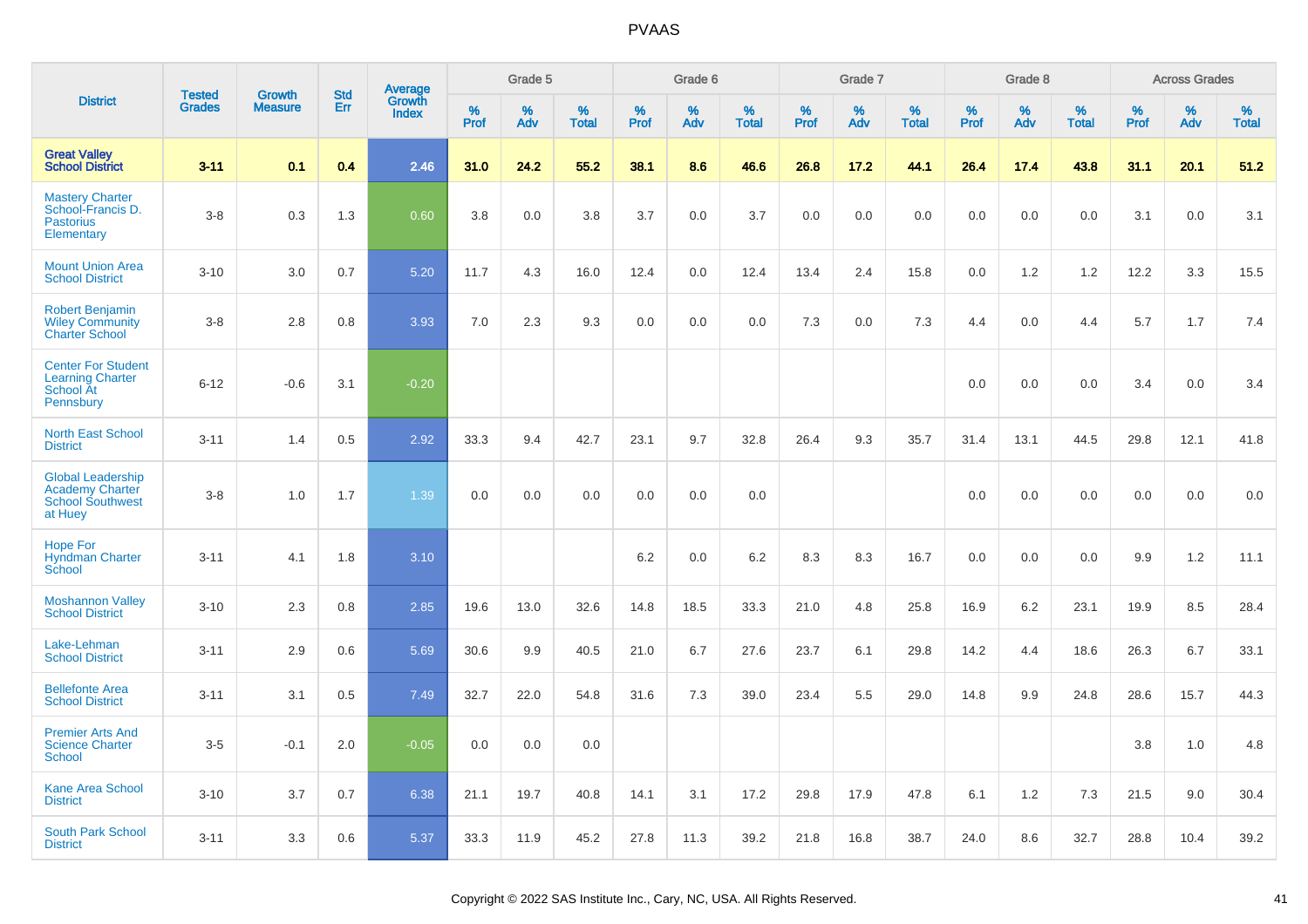|                                                                                          | <b>Tested</b> | <b>Growth</b>  | <b>Std</b> |                                          |              | Grade 5  |                   |              | Grade 6  |                   |              | Grade 7  |                   |              | Grade 8  |                   |              | <b>Across Grades</b> |                   |
|------------------------------------------------------------------------------------------|---------------|----------------|------------|------------------------------------------|--------------|----------|-------------------|--------------|----------|-------------------|--------------|----------|-------------------|--------------|----------|-------------------|--------------|----------------------|-------------------|
| <b>District</b>                                                                          | <b>Grades</b> | <b>Measure</b> | Err        | <b>Average</b><br>Growth<br><b>Index</b> | $\%$<br>Prof | %<br>Adv | %<br><b>Total</b> | $\%$<br>Prof | %<br>Adv | %<br><b>Total</b> | $\%$<br>Prof | %<br>Adv | %<br><b>Total</b> | $\%$<br>Prof | %<br>Adv | %<br><b>Total</b> | $\%$<br>Prof | %<br>Adv             | %<br><b>Total</b> |
| <b>Great Valley</b><br><b>School District</b>                                            | $3 - 11$      | 0.1            | 0.4        | 2.46                                     | 31.0         | 24.2     | 55.2              | 38.1         | 8.6      | 46.6              | 26.8         | 17.2     | 44.1              | 26.4         | 17.4     | 43.8              | 31.1         | 20.1                 | 51.2              |
| <b>Mastery Charter</b><br>School-Francis D.<br><b>Pastorius</b><br>Elementary            | $3 - 8$       | 0.3            | 1.3        | 0.60                                     | 3.8          | 0.0      | 3.8               | 3.7          | 0.0      | 3.7               | 0.0          | 0.0      | 0.0               | 0.0          | 0.0      | 0.0               | 3.1          | 0.0                  | 3.1               |
| <b>Mount Union Area</b><br><b>School District</b>                                        | $3 - 10$      | 3.0            | 0.7        | 5.20                                     | 11.7         | 4.3      | 16.0              | 12.4         | 0.0      | 12.4              | 13.4         | 2.4      | 15.8              | 0.0          | 1.2      | 1.2               | 12.2         | 3.3                  | 15.5              |
| <b>Robert Benjamin</b><br><b>Wiley Community</b><br><b>Charter School</b>                | $3 - 8$       | 2.8            | 0.8        | 3.93                                     | 7.0          | 2.3      | 9.3               | 0.0          | 0.0      | 0.0               | 7.3          | 0.0      | 7.3               | 4.4          | 0.0      | 4.4               | 5.7          | 1.7                  | 7.4               |
| <b>Center For Student</b><br><b>Learning Charter</b><br>School At<br>Pennsbury           | $6 - 12$      | $-0.6$         | 3.1        | $-0.20$                                  |              |          |                   |              |          |                   |              |          |                   | 0.0          | 0.0      | 0.0               | 3.4          | 0.0                  | 3.4               |
| <b>North East School</b><br><b>District</b>                                              | $3 - 11$      | 1.4            | 0.5        | 2.92                                     | 33.3         | 9.4      | 42.7              | 23.1         | 9.7      | 32.8              | 26.4         | 9.3      | 35.7              | 31.4         | 13.1     | 44.5              | 29.8         | 12.1                 | 41.8              |
| <b>Global Leadership</b><br><b>Academy Charter</b><br><b>School Southwest</b><br>at Huey | $3 - 8$       | 1.0            | 1.7        | 1.39                                     | 0.0          | 0.0      | 0.0               | 0.0          | 0.0      | 0.0               |              |          |                   | 0.0          | 0.0      | 0.0               | 0.0          | 0.0                  | 0.0               |
| <b>Hope For</b><br><b>Hyndman Charter</b><br>School                                      | $3 - 11$      | 4.1            | 1.8        | 3.10                                     |              |          |                   | 6.2          | 0.0      | 6.2               | 8.3          | 8.3      | 16.7              | 0.0          | 0.0      | 0.0               | 9.9          | $1.2$                | 11.1              |
| <b>Moshannon Valley</b><br><b>School District</b>                                        | $3 - 10$      | 2.3            | 0.8        | 2.85                                     | 19.6         | 13.0     | 32.6              | 14.8         | 18.5     | 33.3              | 21.0         | 4.8      | 25.8              | 16.9         | 6.2      | 23.1              | 19.9         | 8.5                  | 28.4              |
| Lake-Lehman<br><b>School District</b>                                                    | $3 - 11$      | 2.9            | 0.6        | 5.69                                     | 30.6         | 9.9      | 40.5              | 21.0         | 6.7      | 27.6              | 23.7         | 6.1      | 29.8              | 14.2         | 4.4      | 18.6              | 26.3         | 6.7                  | 33.1              |
| <b>Bellefonte Area</b><br><b>School District</b>                                         | $3 - 11$      | 3.1            | 0.5        | 7.49                                     | 32.7         | 22.0     | 54.8              | 31.6         | 7.3      | 39.0              | 23.4         | 5.5      | 29.0              | 14.8         | 9.9      | 24.8              | 28.6         | 15.7                 | 44.3              |
| <b>Premier Arts And</b><br><b>Science Charter</b><br>School                              | $3-5$         | $-0.1$         | 2.0        | $-0.05$                                  | 0.0          | 0.0      | 0.0               |              |          |                   |              |          |                   |              |          |                   | 3.8          | 1.0                  | 4.8               |
| Kane Area School<br><b>District</b>                                                      | $3 - 10$      | 3.7            | 0.7        | 6.38                                     | 21.1         | 19.7     | 40.8              | 14.1         | 3.1      | 17.2              | 29.8         | 17.9     | 47.8              | 6.1          | 1.2      | 7.3               | 21.5         | 9.0                  | 30.4              |
| <b>South Park School</b><br><b>District</b>                                              | $3 - 11$      | 3.3            | 0.6        | 5.37                                     | 33.3         | 11.9     | 45.2              | 27.8         | 11.3     | 39.2              | 21.8         | 16.8     | 38.7              | 24.0         | 8.6      | 32.7              | 28.8         | 10.4                 | 39.2              |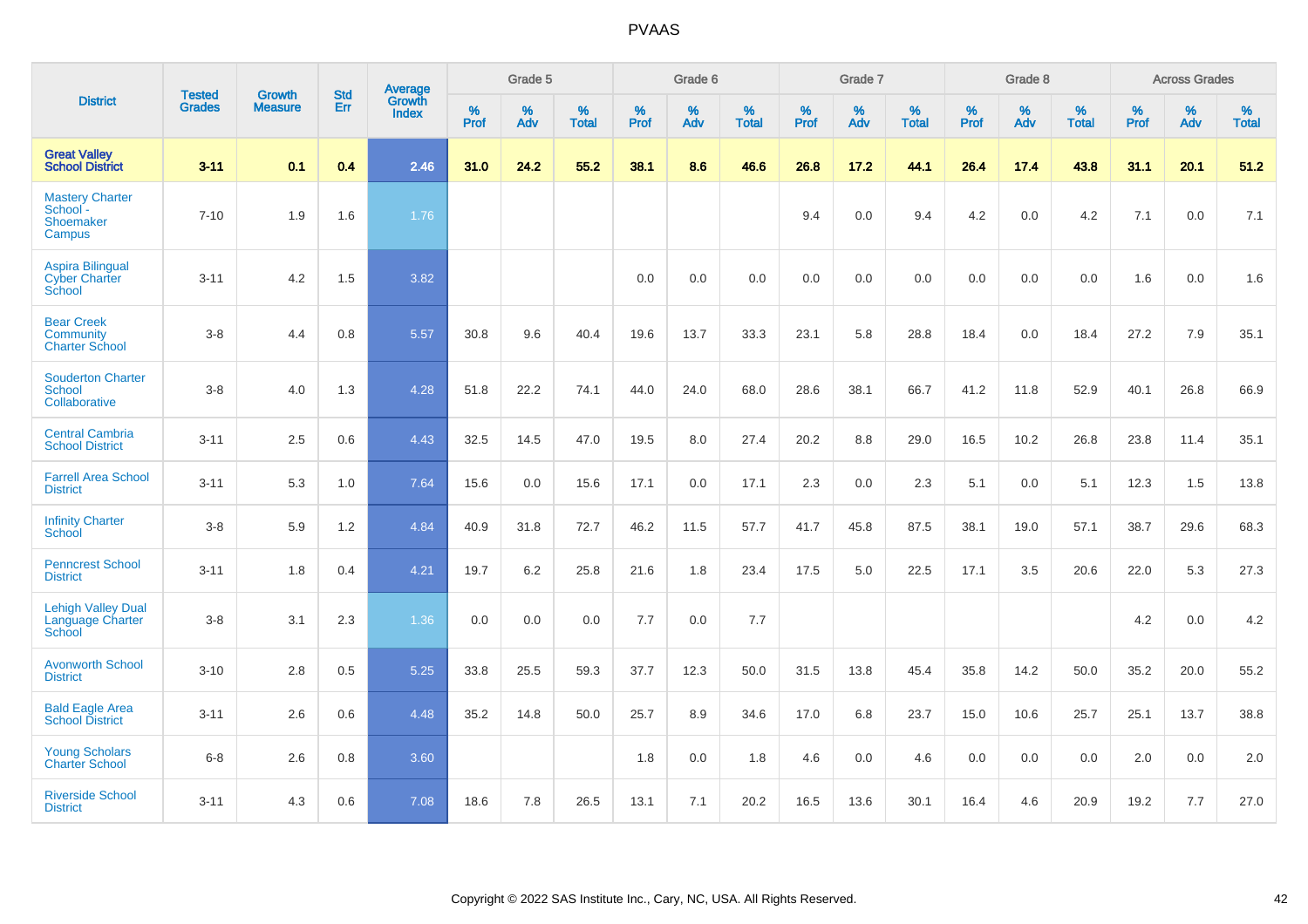|                                                                  | <b>Tested</b> | <b>Growth</b>  | <b>Std</b> | Average                |              | Grade 5  |                   |              | Grade 6  |                   |              | Grade 7  |                   |              | Grade 8  |                   |           | <b>Across Grades</b> |                   |
|------------------------------------------------------------------|---------------|----------------|------------|------------------------|--------------|----------|-------------------|--------------|----------|-------------------|--------------|----------|-------------------|--------------|----------|-------------------|-----------|----------------------|-------------------|
| <b>District</b>                                                  | <b>Grades</b> | <b>Measure</b> | Err        | Growth<br><b>Index</b> | $\%$<br>Prof | %<br>Adv | %<br><b>Total</b> | $\%$<br>Prof | %<br>Adv | %<br><b>Total</b> | $\%$<br>Prof | %<br>Adv | %<br><b>Total</b> | $\%$<br>Prof | %<br>Adv | %<br><b>Total</b> | %<br>Prof | %<br>Adv             | %<br><b>Total</b> |
| <b>Great Valley</b><br><b>School District</b>                    | $3 - 11$      | 0.1            | 0.4        | 2.46                   | 31.0         | 24.2     | 55.2              | 38.1         | 8.6      | 46.6              | 26.8         | 17.2     | 44.1              | 26.4         | 17.4     | 43.8              | 31.1      | 20.1                 | 51.2              |
| <b>Mastery Charter</b><br>School -<br><b>Shoemaker</b><br>Campus | $7 - 10$      | 1.9            | 1.6        | 1.76                   |              |          |                   |              |          |                   | 9.4          | 0.0      | 9.4               | 4.2          | 0.0      | 4.2               | 7.1       | 0.0                  | 7.1               |
| <b>Aspira Bilingual</b><br><b>Cyber Charter</b><br>School        | $3 - 11$      | 4.2            | 1.5        | 3.82                   |              |          |                   | 0.0          | 0.0      | 0.0               | 0.0          | 0.0      | 0.0               | 0.0          | 0.0      | 0.0               | 1.6       | 0.0                  | 1.6               |
| <b>Bear Creek</b><br><b>Community</b><br><b>Charter School</b>   | $3 - 8$       | 4.4            | 0.8        | 5.57                   | 30.8         | 9.6      | 40.4              | 19.6         | 13.7     | 33.3              | 23.1         | 5.8      | 28.8              | 18.4         | 0.0      | 18.4              | 27.2      | 7.9                  | 35.1              |
| <b>Souderton Charter</b><br>School<br>Collaborative              | $3-8$         | 4.0            | 1.3        | 4.28                   | 51.8         | 22.2     | 74.1              | 44.0         | 24.0     | 68.0              | 28.6         | 38.1     | 66.7              | 41.2         | 11.8     | 52.9              | 40.1      | 26.8                 | 66.9              |
| <b>Central Cambria</b><br><b>School District</b>                 | $3 - 11$      | 2.5            | 0.6        | 4.43                   | 32.5         | 14.5     | 47.0              | 19.5         | 8.0      | 27.4              | 20.2         | 8.8      | 29.0              | 16.5         | 10.2     | 26.8              | 23.8      | 11.4                 | 35.1              |
| <b>Farrell Area School</b><br><b>District</b>                    | $3 - 11$      | 5.3            | 1.0        | 7.64                   | 15.6         | 0.0      | 15.6              | 17.1         | 0.0      | 17.1              | 2.3          | 0.0      | 2.3               | 5.1          | 0.0      | 5.1               | 12.3      | 1.5                  | 13.8              |
| <b>Infinity Charter</b><br><b>School</b>                         | $3-8$         | 5.9            | 1.2        | 4.84                   | 40.9         | 31.8     | 72.7              | 46.2         | 11.5     | 57.7              | 41.7         | 45.8     | 87.5              | 38.1         | 19.0     | 57.1              | 38.7      | 29.6                 | 68.3              |
| <b>Penncrest School</b><br><b>District</b>                       | $3 - 11$      | 1.8            | 0.4        | 4.21                   | 19.7         | $6.2\,$  | 25.8              | 21.6         | 1.8      | 23.4              | 17.5         | 5.0      | 22.5              | 17.1         | 3.5      | 20.6              | 22.0      | 5.3                  | 27.3              |
| <b>Lehigh Valley Dual</b><br>Language Charter<br>School          | $3 - 8$       | 3.1            | 2.3        | 1.36                   | 0.0          | 0.0      | 0.0               | 7.7          | 0.0      | 7.7               |              |          |                   |              |          |                   | 4.2       | 0.0                  | 4.2               |
| <b>Avonworth School</b><br><b>District</b>                       | $3 - 10$      | 2.8            | 0.5        | 5.25                   | 33.8         | 25.5     | 59.3              | 37.7         | 12.3     | 50.0              | 31.5         | 13.8     | 45.4              | 35.8         | 14.2     | 50.0              | 35.2      | 20.0                 | 55.2              |
| <b>Bald Eagle Area</b><br><b>School District</b>                 | $3 - 11$      | 2.6            | 0.6        | 4.48                   | 35.2         | 14.8     | 50.0              | 25.7         | 8.9      | 34.6              | 17.0         | 6.8      | 23.7              | 15.0         | 10.6     | 25.7              | 25.1      | 13.7                 | 38.8              |
| <b>Young Scholars</b><br><b>Charter School</b>                   | $6 - 8$       | 2.6            | 0.8        | 3.60                   |              |          |                   | 1.8          | 0.0      | 1.8               | 4.6          | 0.0      | 4.6               | 0.0          | 0.0      | 0.0               | 2.0       | 0.0                  | 2.0               |
| <b>Riverside School</b><br><b>District</b>                       | $3 - 11$      | 4.3            | 0.6        | 7.08                   | 18.6         | 7.8      | 26.5              | 13.1         | 7.1      | 20.2              | 16.5         | 13.6     | 30.1              | 16.4         | 4.6      | 20.9              | 19.2      | 7.7                  | 27.0              |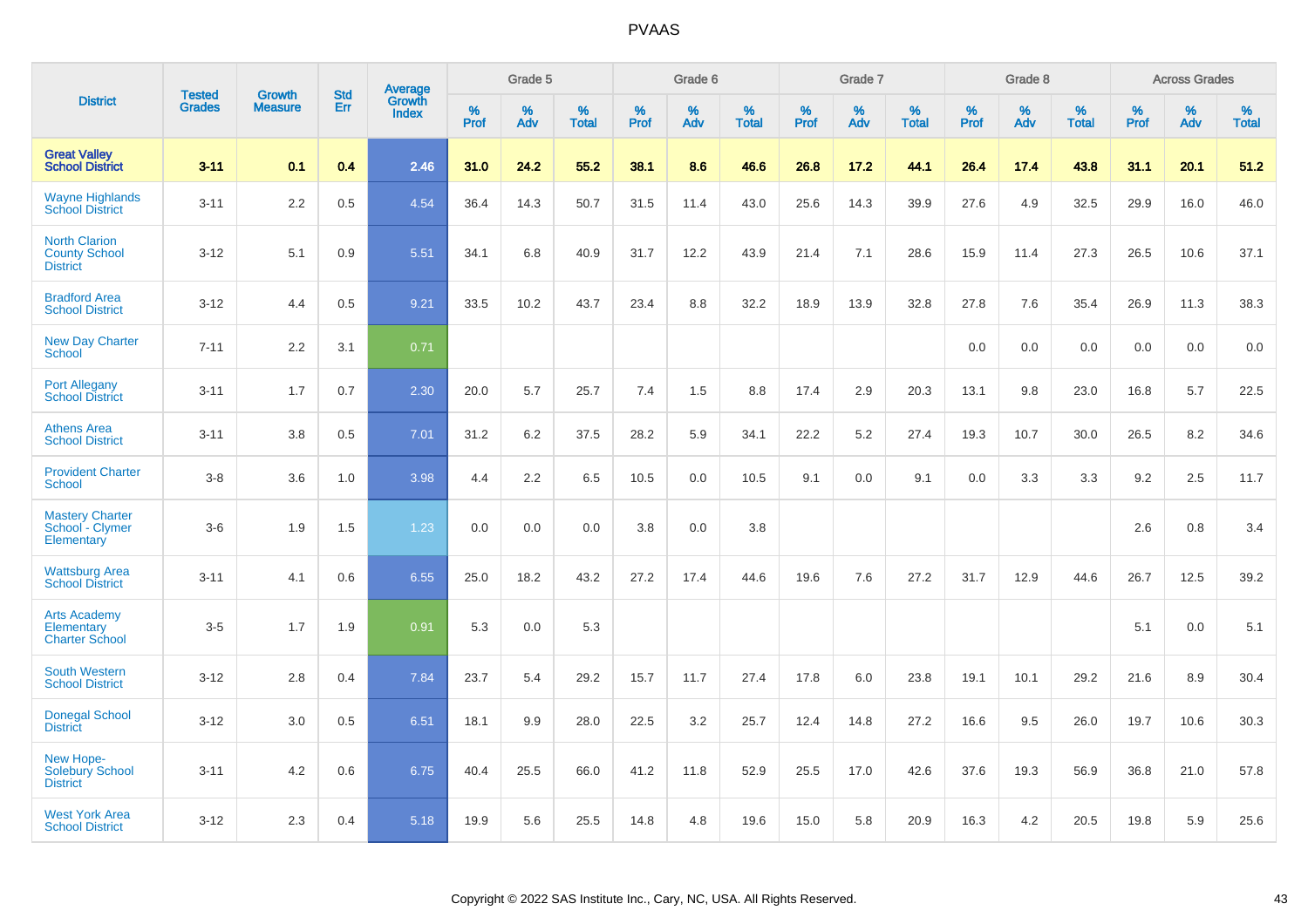|                                                                 |                                | <b>Growth</b>  | <b>Std</b> | Average                |              | Grade 5  |                   |           | Grade 6  |                   |           | Grade 7  |                   |           | Grade 8  |                   |           | <b>Across Grades</b> |                   |
|-----------------------------------------------------------------|--------------------------------|----------------|------------|------------------------|--------------|----------|-------------------|-----------|----------|-------------------|-----------|----------|-------------------|-----------|----------|-------------------|-----------|----------------------|-------------------|
| <b>District</b>                                                 | <b>Tested</b><br><b>Grades</b> | <b>Measure</b> | <b>Err</b> | Growth<br><b>Index</b> | $\%$<br>Prof | %<br>Adv | %<br><b>Total</b> | %<br>Prof | %<br>Adv | %<br><b>Total</b> | %<br>Prof | %<br>Adv | %<br><b>Total</b> | %<br>Prof | %<br>Adv | %<br><b>Total</b> | %<br>Prof | %<br>Adv             | %<br><b>Total</b> |
| <b>Great Valley</b><br><b>School District</b>                   | $3 - 11$                       | 0.1            | 0.4        | 2.46                   | 31.0         | 24.2     | 55.2              | 38.1      | 8.6      | 46.6              | 26.8      | 17.2     | 44.1              | 26.4      | 17.4     | 43.8              | 31.1      | 20.1                 | 51.2              |
| <b>Wayne Highlands</b><br><b>School District</b>                | $3 - 11$                       | 2.2            | 0.5        | 4.54                   | 36.4         | 14.3     | 50.7              | 31.5      | 11.4     | 43.0              | 25.6      | 14.3     | 39.9              | 27.6      | 4.9      | 32.5              | 29.9      | 16.0                 | 46.0              |
| <b>North Clarion</b><br><b>County School</b><br><b>District</b> | $3 - 12$                       | 5.1            | 0.9        | 5.51                   | 34.1         | 6.8      | 40.9              | 31.7      | 12.2     | 43.9              | 21.4      | 7.1      | 28.6              | 15.9      | 11.4     | 27.3              | 26.5      | 10.6                 | 37.1              |
| <b>Bradford Area</b><br><b>School District</b>                  | $3 - 12$                       | 4.4            | 0.5        | 9.21                   | 33.5         | 10.2     | 43.7              | 23.4      | 8.8      | 32.2              | 18.9      | 13.9     | 32.8              | 27.8      | 7.6      | 35.4              | 26.9      | 11.3                 | 38.3              |
| <b>New Day Charter</b><br><b>School</b>                         | $7 - 11$                       | 2.2            | 3.1        | 0.71                   |              |          |                   |           |          |                   |           |          |                   | 0.0       | 0.0      | 0.0               | 0.0       | 0.0                  | 0.0               |
| <b>Port Allegany</b><br><b>School District</b>                  | $3 - 11$                       | 1.7            | 0.7        | 2.30                   | 20.0         | 5.7      | 25.7              | 7.4       | 1.5      | 8.8               | 17.4      | 2.9      | 20.3              | 13.1      | 9.8      | 23.0              | 16.8      | 5.7                  | 22.5              |
| <b>Athens Area</b><br><b>School District</b>                    | $3 - 11$                       | 3.8            | 0.5        | 7.01                   | 31.2         | 6.2      | 37.5              | 28.2      | 5.9      | 34.1              | 22.2      | 5.2      | 27.4              | 19.3      | 10.7     | 30.0              | 26.5      | 8.2                  | 34.6              |
| <b>Provident Charter</b><br><b>School</b>                       | $3 - 8$                        | 3.6            | 1.0        | 3.98                   | 4.4          | 2.2      | 6.5               | 10.5      | 0.0      | 10.5              | 9.1       | 0.0      | 9.1               | 0.0       | 3.3      | 3.3               | 9.2       | 2.5                  | 11.7              |
| <b>Mastery Charter</b><br>School - Clymer<br>Elementary         | $3-6$                          | 1.9            | 1.5        | 1.23                   | 0.0          | 0.0      | 0.0               | 3.8       | 0.0      | 3.8               |           |          |                   |           |          |                   | 2.6       | 0.8                  | 3.4               |
| <b>Wattsburg Area</b><br><b>School District</b>                 | $3 - 11$                       | 4.1            | 0.6        | 6.55                   | 25.0         | 18.2     | 43.2              | 27.2      | 17.4     | 44.6              | 19.6      | 7.6      | 27.2              | 31.7      | 12.9     | 44.6              | 26.7      | 12.5                 | 39.2              |
| <b>Arts Academy</b><br>Elementary<br><b>Charter School</b>      | $3-5$                          | 1.7            | 1.9        | 0.91                   | 5.3          | 0.0      | 5.3               |           |          |                   |           |          |                   |           |          |                   | 5.1       | 0.0                  | 5.1               |
| <b>South Western</b><br><b>School District</b>                  | $3 - 12$                       | 2.8            | 0.4        | 7.84                   | 23.7         | 5.4      | 29.2              | 15.7      | 11.7     | 27.4              | 17.8      | 6.0      | 23.8              | 19.1      | 10.1     | 29.2              | 21.6      | 8.9                  | 30.4              |
| <b>Donegal School</b><br><b>District</b>                        | $3 - 12$                       | 3.0            | 0.5        | 6.51                   | 18.1         | 9.9      | 28.0              | 22.5      | 3.2      | 25.7              | 12.4      | 14.8     | 27.2              | 16.6      | 9.5      | 26.0              | 19.7      | 10.6                 | 30.3              |
| New Hope-<br><b>Solebury School</b><br><b>District</b>          | $3 - 11$                       | 4.2            | 0.6        | 6.75                   | 40.4         | 25.5     | 66.0              | 41.2      | 11.8     | 52.9              | 25.5      | 17.0     | 42.6              | 37.6      | 19.3     | 56.9              | 36.8      | 21.0                 | 57.8              |
| <b>West York Area</b><br><b>School District</b>                 | $3 - 12$                       | 2.3            | 0.4        | 5.18                   | 19.9         | 5.6      | 25.5              | 14.8      | 4.8      | 19.6              | 15.0      | 5.8      | 20.9              | 16.3      | 4.2      | 20.5              | 19.8      | 5.9                  | 25.6              |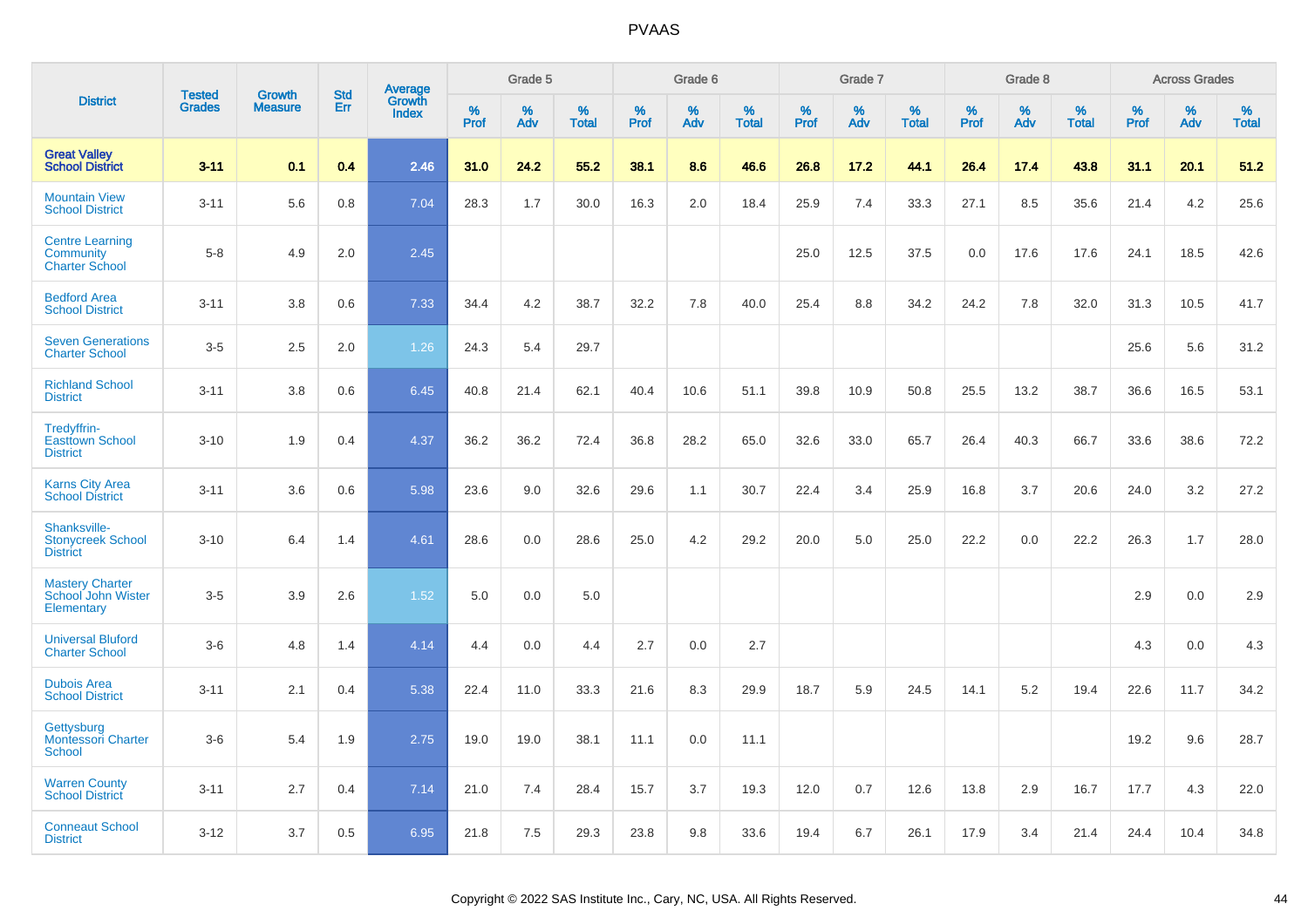|                                                              |                                |                                 | <b>Std</b> |                            |                     | Grade 5  |                   |                     | Grade 6  |                   |              | Grade 7  |                   |              | Grade 8  |                   |              | <b>Across Grades</b> |                      |
|--------------------------------------------------------------|--------------------------------|---------------------------------|------------|----------------------------|---------------------|----------|-------------------|---------------------|----------|-------------------|--------------|----------|-------------------|--------------|----------|-------------------|--------------|----------------------|----------------------|
| <b>District</b>                                              | <b>Tested</b><br><b>Grades</b> | <b>Growth</b><br><b>Measure</b> | Err        | Average<br>Growth<br>Index | $\%$<br><b>Prof</b> | %<br>Adv | %<br><b>Total</b> | $\%$<br><b>Prof</b> | %<br>Adv | %<br><b>Total</b> | $\%$<br>Prof | %<br>Adv | %<br><b>Total</b> | $\%$<br>Prof | %<br>Adv | %<br><b>Total</b> | $\%$<br>Prof | %<br>Adv             | $\%$<br><b>Total</b> |
| <b>Great Valley</b><br><b>School District</b>                | $3 - 11$                       | 0.1                             | 0.4        | 2.46                       | 31.0                | 24.2     | 55.2              | 38.1                | 8.6      | 46.6              | 26.8         | 17.2     | 44.1              | 26.4         | 17.4     | 43.8              | 31.1         | 20.1                 | 51.2                 |
| <b>Mountain View</b><br><b>School District</b>               | $3 - 11$                       | 5.6                             | 0.8        | 7.04                       | 28.3                | 1.7      | 30.0              | 16.3                | 2.0      | 18.4              | 25.9         | 7.4      | 33.3              | 27.1         | 8.5      | 35.6              | 21.4         | 4.2                  | 25.6                 |
| <b>Centre Learning</b><br>Community<br><b>Charter School</b> | $5 - 8$                        | 4.9                             | 2.0        | 2.45                       |                     |          |                   |                     |          |                   | 25.0         | 12.5     | 37.5              | 0.0          | 17.6     | 17.6              | 24.1         | 18.5                 | 42.6                 |
| <b>Bedford Area</b><br><b>School District</b>                | $3 - 11$                       | 3.8                             | 0.6        | 7.33                       | 34.4                | 4.2      | 38.7              | 32.2                | 7.8      | 40.0              | 25.4         | 8.8      | 34.2              | 24.2         | 7.8      | 32.0              | 31.3         | 10.5                 | 41.7                 |
| <b>Seven Generations</b><br><b>Charter School</b>            | $3-5$                          | 2.5                             | 2.0        | 1.26                       | 24.3                | 5.4      | 29.7              |                     |          |                   |              |          |                   |              |          |                   | 25.6         | 5.6                  | 31.2                 |
| <b>Richland School</b><br><b>District</b>                    | $3 - 11$                       | 3.8                             | 0.6        | 6.45                       | 40.8                | 21.4     | 62.1              | 40.4                | 10.6     | 51.1              | 39.8         | 10.9     | 50.8              | 25.5         | 13.2     | 38.7              | 36.6         | 16.5                 | 53.1                 |
| Tredyffrin-<br><b>Easttown School</b><br><b>District</b>     | $3 - 10$                       | 1.9                             | 0.4        | 4.37                       | 36.2                | 36.2     | 72.4              | 36.8                | 28.2     | 65.0              | 32.6         | 33.0     | 65.7              | 26.4         | 40.3     | 66.7              | 33.6         | 38.6                 | 72.2                 |
| <b>Karns City Area</b><br><b>School District</b>             | $3 - 11$                       | 3.6                             | 0.6        | 5.98                       | 23.6                | 9.0      | 32.6              | 29.6                | 1.1      | 30.7              | 22.4         | 3.4      | 25.9              | 16.8         | 3.7      | 20.6              | 24.0         | 3.2                  | 27.2                 |
| Shanksville-<br><b>Stonycreek School</b><br><b>District</b>  | $3 - 10$                       | 6.4                             | 1.4        | 4.61                       | 28.6                | 0.0      | 28.6              | 25.0                | 4.2      | 29.2              | 20.0         | 5.0      | 25.0              | 22.2         | 0.0      | 22.2              | 26.3         | 1.7                  | 28.0                 |
| <b>Mastery Charter</b><br>School John Wister<br>Elementary   | $3-5$                          | 3.9                             | 2.6        | 1.52                       | 5.0                 | 0.0      | 5.0               |                     |          |                   |              |          |                   |              |          |                   | 2.9          | 0.0                  | 2.9                  |
| <b>Universal Bluford</b><br><b>Charter School</b>            | $3-6$                          | 4.8                             | 1.4        | 4.14                       | 4.4                 | 0.0      | 4.4               | 2.7                 | 0.0      | 2.7               |              |          |                   |              |          |                   | 4.3          | 0.0                  | 4.3                  |
| <b>Dubois Area</b><br><b>School District</b>                 | $3 - 11$                       | 2.1                             | 0.4        | 5.38                       | 22.4                | 11.0     | 33.3              | 21.6                | 8.3      | 29.9              | 18.7         | 5.9      | 24.5              | 14.1         | 5.2      | 19.4              | 22.6         | 11.7                 | 34.2                 |
| Gettysburg<br><b>Montessori Charter</b><br>School            | $3-6$                          | 5.4                             | 1.9        | 2.75                       | 19.0                | 19.0     | 38.1              | 11.1                | 0.0      | 11.1              |              |          |                   |              |          |                   | 19.2         | 9.6                  | 28.7                 |
| <b>Warren County</b><br><b>School District</b>               | $3 - 11$                       | 2.7                             | 0.4        | 7.14                       | 21.0                | 7.4      | 28.4              | 15.7                | 3.7      | 19.3              | 12.0         | 0.7      | 12.6              | 13.8         | 2.9      | 16.7              | 17.7         | 4.3                  | 22.0                 |
| <b>Conneaut School</b><br><b>District</b>                    | $3 - 12$                       | 3.7                             | 0.5        | 6.95                       | 21.8                | 7.5      | 29.3              | 23.8                | 9.8      | 33.6              | 19.4         | 6.7      | 26.1              | 17.9         | 3.4      | 21.4              | 24.4         | 10.4                 | 34.8                 |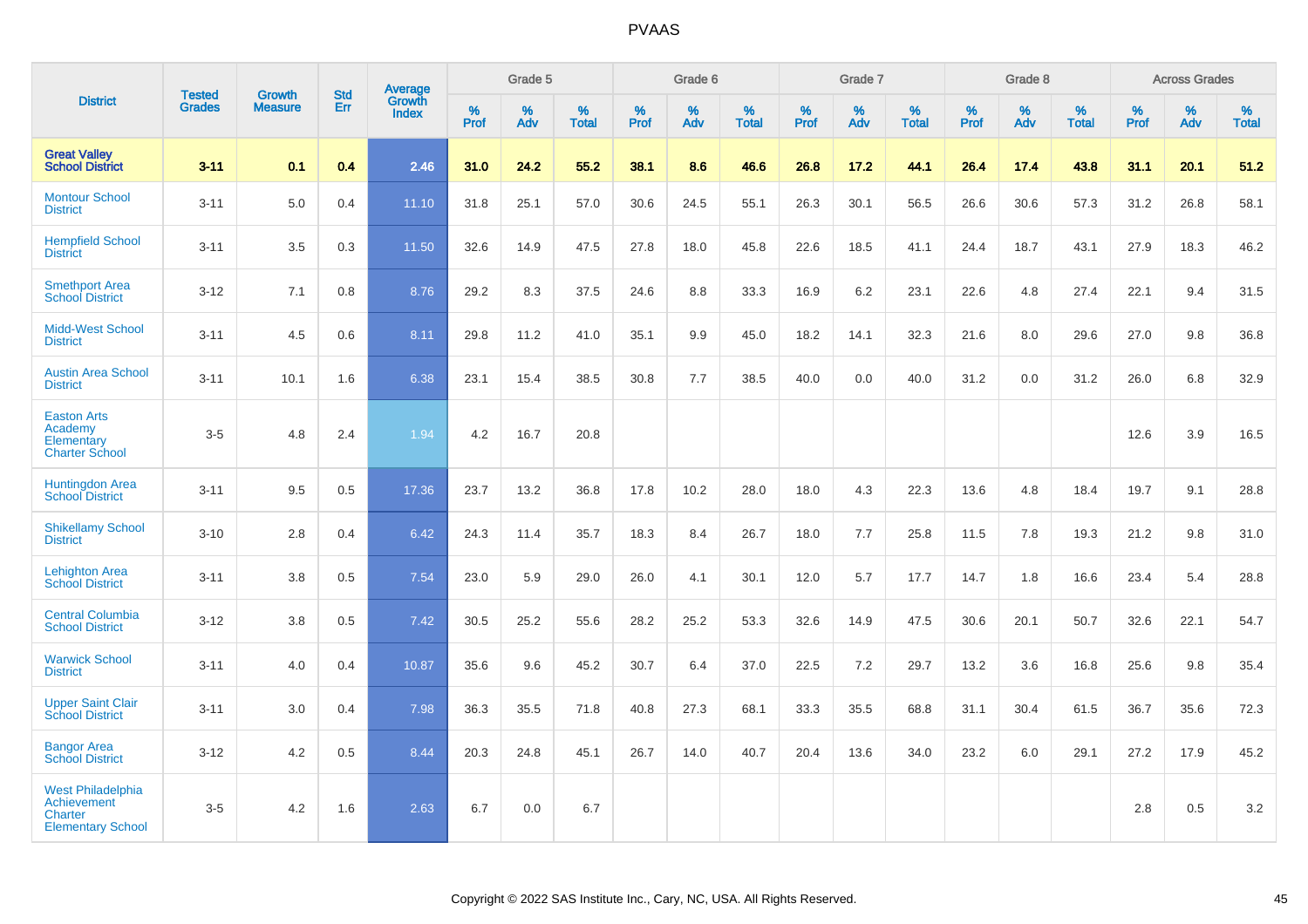|                                                                                              |                                |                                 |                   | Average                |              | Grade 5  |                   |           | Grade 6  |                   |              | Grade 7  |                   |           | Grade 8  |                   |           | <b>Across Grades</b> |                   |
|----------------------------------------------------------------------------------------------|--------------------------------|---------------------------------|-------------------|------------------------|--------------|----------|-------------------|-----------|----------|-------------------|--------------|----------|-------------------|-----------|----------|-------------------|-----------|----------------------|-------------------|
| <b>District</b>                                                                              | <b>Tested</b><br><b>Grades</b> | <b>Growth</b><br><b>Measure</b> | <b>Std</b><br>Err | Growth<br><b>Index</b> | $\%$<br>Prof | %<br>Adv | %<br><b>Total</b> | %<br>Prof | %<br>Adv | %<br><b>Total</b> | $\%$<br>Prof | %<br>Adv | %<br><b>Total</b> | %<br>Prof | %<br>Adv | %<br><b>Total</b> | %<br>Prof | %<br>Adv             | %<br><b>Total</b> |
| <b>Great Valley</b><br><b>School District</b>                                                | $3 - 11$                       | 0.1                             | 0.4               | 2.46                   | 31.0         | 24.2     | 55.2              | 38.1      | 8.6      | 46.6              | 26.8         | 17.2     | 44.1              | 26.4      | 17.4     | 43.8              | 31.1      | 20.1                 | 51.2              |
| <b>Montour School</b><br><b>District</b>                                                     | $3 - 11$                       | 5.0                             | 0.4               | 11.10                  | 31.8         | 25.1     | 57.0              | 30.6      | 24.5     | 55.1              | 26.3         | 30.1     | 56.5              | 26.6      | 30.6     | 57.3              | 31.2      | 26.8                 | 58.1              |
| <b>Hempfield School</b><br><b>District</b>                                                   | $3 - 11$                       | 3.5                             | 0.3               | 11.50                  | 32.6         | 14.9     | 47.5              | 27.8      | 18.0     | 45.8              | 22.6         | 18.5     | 41.1              | 24.4      | 18.7     | 43.1              | 27.9      | 18.3                 | 46.2              |
| <b>Smethport Area</b><br><b>School District</b>                                              | $3 - 12$                       | 7.1                             | 0.8               | 8.76                   | 29.2         | 8.3      | 37.5              | 24.6      | 8.8      | 33.3              | 16.9         | 6.2      | 23.1              | 22.6      | 4.8      | 27.4              | 22.1      | 9.4                  | 31.5              |
| <b>Midd-West School</b><br><b>District</b>                                                   | $3 - 11$                       | 4.5                             | 0.6               | 8.11                   | 29.8         | 11.2     | 41.0              | 35.1      | 9.9      | 45.0              | 18.2         | 14.1     | 32.3              | 21.6      | 8.0      | 29.6              | 27.0      | 9.8                  | 36.8              |
| <b>Austin Area School</b><br><b>District</b>                                                 | $3 - 11$                       | 10.1                            | 1.6               | 6.38                   | 23.1         | 15.4     | 38.5              | 30.8      | 7.7      | 38.5              | 40.0         | 0.0      | 40.0              | 31.2      | 0.0      | 31.2              | 26.0      | 6.8                  | 32.9              |
| <b>Easton Arts</b><br>Academy<br>Elementary<br><b>Charter School</b>                         | $3-5$                          | 4.8                             | 2.4               | 1.94                   | 4.2          | 16.7     | 20.8              |           |          |                   |              |          |                   |           |          |                   | 12.6      | 3.9                  | 16.5              |
| <b>Huntingdon Area</b><br><b>School District</b>                                             | $3 - 11$                       | 9.5                             | 0.5               | 17.36                  | 23.7         | 13.2     | 36.8              | 17.8      | 10.2     | 28.0              | 18.0         | 4.3      | 22.3              | 13.6      | 4.8      | 18.4              | 19.7      | 9.1                  | 28.8              |
| <b>Shikellamy School</b><br><b>District</b>                                                  | $3 - 10$                       | 2.8                             | 0.4               | 6.42                   | 24.3         | 11.4     | 35.7              | 18.3      | 8.4      | 26.7              | 18.0         | 7.7      | 25.8              | 11.5      | 7.8      | 19.3              | 21.2      | 9.8                  | 31.0              |
| <b>Lehighton Area</b><br><b>School District</b>                                              | $3 - 11$                       | 3.8                             | 0.5               | 7.54                   | 23.0         | 5.9      | 29.0              | 26.0      | 4.1      | 30.1              | 12.0         | 5.7      | 17.7              | 14.7      | 1.8      | 16.6              | 23.4      | 5.4                  | 28.8              |
| <b>Central Columbia</b><br><b>School District</b>                                            | $3 - 12$                       | 3.8                             | 0.5               | 7.42                   | 30.5         | 25.2     | 55.6              | 28.2      | 25.2     | 53.3              | 32.6         | 14.9     | 47.5              | 30.6      | 20.1     | 50.7              | 32.6      | 22.1                 | 54.7              |
| <b>Warwick School</b><br><b>District</b>                                                     | $3 - 11$                       | 4.0                             | 0.4               | 10.87                  | 35.6         | 9.6      | 45.2              | 30.7      | 6.4      | 37.0              | 22.5         | 7.2      | 29.7              | 13.2      | 3.6      | 16.8              | 25.6      | 9.8                  | 35.4              |
| <b>Upper Saint Clair</b><br><b>School District</b>                                           | $3 - 11$                       | 3.0                             | 0.4               | 7.98                   | 36.3         | 35.5     | 71.8              | 40.8      | 27.3     | 68.1              | 33.3         | 35.5     | 68.8              | 31.1      | 30.4     | 61.5              | 36.7      | 35.6                 | 72.3              |
| <b>Bangor Area</b><br><b>School District</b>                                                 | $3 - 12$                       | 4.2                             | 0.5               | 8.44                   | 20.3         | 24.8     | 45.1              | 26.7      | 14.0     | 40.7              | 20.4         | 13.6     | 34.0              | 23.2      | 6.0      | 29.1              | 27.2      | 17.9                 | 45.2              |
| <b>West Philadelphia</b><br><b>Achievement</b><br><b>Charter</b><br><b>Elementary School</b> | $3-5$                          | 4.2                             | 1.6               | 2.63                   | 6.7          | 0.0      | 6.7               |           |          |                   |              |          |                   |           |          |                   | 2.8       | 0.5                  | $3.2\,$           |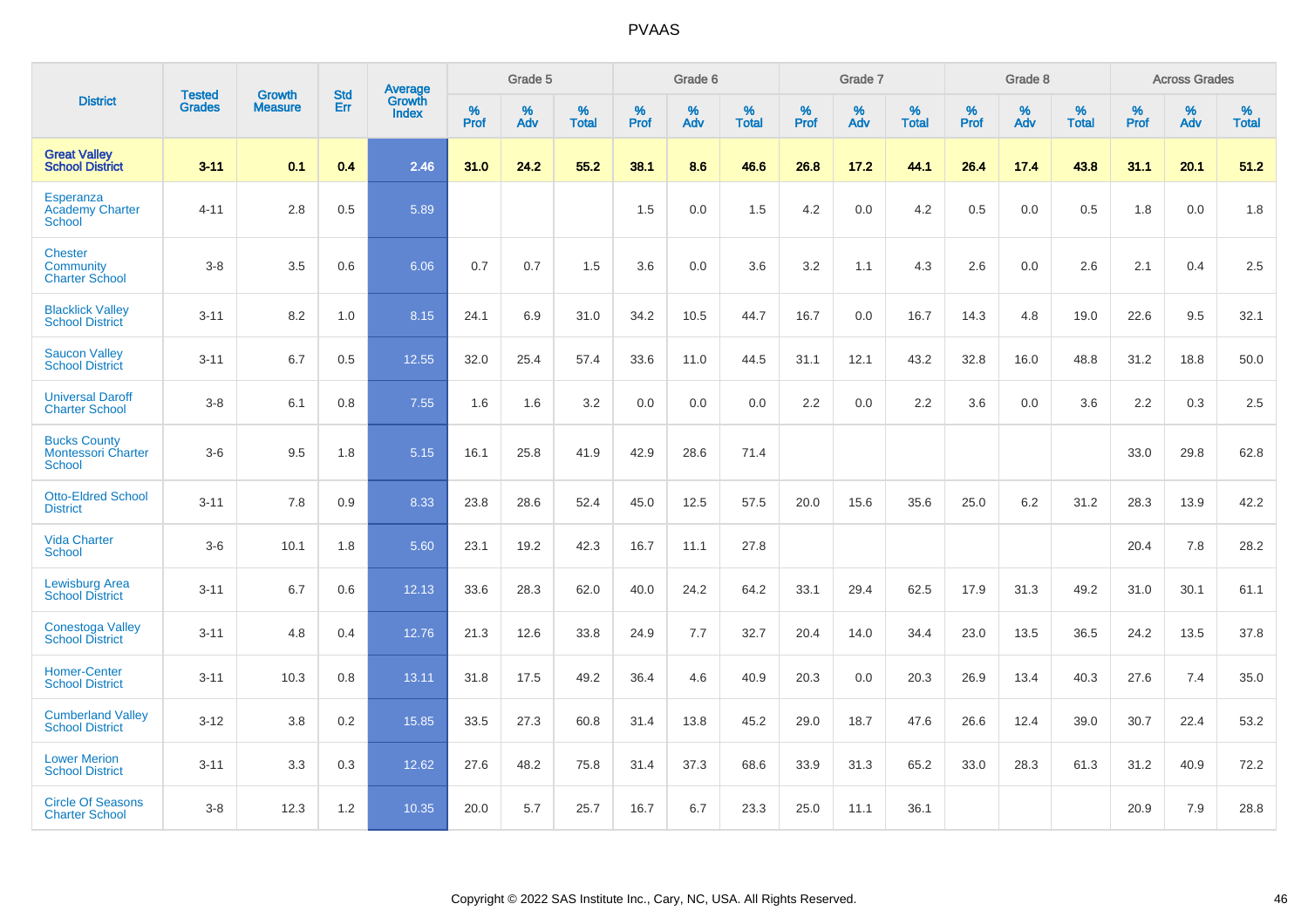|                                                                   | <b>Tested</b> | <b>Growth</b>  | <b>Std</b> | Average                       |           | Grade 5  |                   |           | Grade 6  |                   |           | Grade 7  |                   |           | Grade 8  |                   |           | <b>Across Grades</b> |                   |
|-------------------------------------------------------------------|---------------|----------------|------------|-------------------------------|-----------|----------|-------------------|-----------|----------|-------------------|-----------|----------|-------------------|-----------|----------|-------------------|-----------|----------------------|-------------------|
| <b>District</b>                                                   | <b>Grades</b> | <b>Measure</b> | Err        | <b>Growth</b><br><b>Index</b> | %<br>Prof | %<br>Adv | %<br><b>Total</b> | %<br>Prof | %<br>Adv | %<br><b>Total</b> | %<br>Prof | %<br>Adv | %<br><b>Total</b> | %<br>Prof | %<br>Adv | %<br><b>Total</b> | %<br>Prof | %<br>Adv             | %<br><b>Total</b> |
| <b>Great Valley</b><br><b>School District</b>                     | $3 - 11$      | 0.1            | 0.4        | 2.46                          | 31.0      | 24.2     | 55.2              | 38.1      | 8.6      | 46.6              | 26.8      | 17.2     | 44.1              | 26.4      | 17.4     | 43.8              | 31.1      | 20.1                 | 51.2              |
| Esperanza<br><b>Academy Charter</b><br>School                     | $4 - 11$      | 2.8            | 0.5        | 5.89                          |           |          |                   | 1.5       | 0.0      | 1.5               | 4.2       | 0.0      | 4.2               | 0.5       | 0.0      | 0.5               | 1.8       | 0.0                  | 1.8               |
| <b>Chester</b><br>Community<br><b>Charter School</b>              | $3 - 8$       | 3.5            | 0.6        | 6.06                          | 0.7       | 0.7      | 1.5               | 3.6       | 0.0      | 3.6               | 3.2       | 1.1      | 4.3               | 2.6       | 0.0      | 2.6               | 2.1       | 0.4                  | 2.5               |
| <b>Blacklick Valley</b><br><b>School District</b>                 | $3 - 11$      | 8.2            | 1.0        | 8.15                          | 24.1      | 6.9      | 31.0              | 34.2      | 10.5     | 44.7              | 16.7      | 0.0      | 16.7              | 14.3      | 4.8      | 19.0              | 22.6      | 9.5                  | 32.1              |
| <b>Saucon Valley</b><br><b>School District</b>                    | $3 - 11$      | 6.7            | 0.5        | 12.55                         | 32.0      | 25.4     | 57.4              | 33.6      | 11.0     | 44.5              | 31.1      | 12.1     | 43.2              | 32.8      | 16.0     | 48.8              | 31.2      | 18.8                 | 50.0              |
| <b>Universal Daroff</b><br><b>Charter School</b>                  | $3 - 8$       | 6.1            | 0.8        | 7.55                          | 1.6       | 1.6      | 3.2               | 0.0       | 0.0      | 0.0               | 2.2       | 0.0      | 2.2               | 3.6       | 0.0      | 3.6               | 2.2       | 0.3                  | 2.5               |
| <b>Bucks County</b><br><b>Montessori Charter</b><br><b>School</b> | $3-6$         | 9.5            | 1.8        | 5.15                          | 16.1      | 25.8     | 41.9              | 42.9      | 28.6     | 71.4              |           |          |                   |           |          |                   | 33.0      | 29.8                 | 62.8              |
| <b>Otto-Eldred School</b><br><b>District</b>                      | $3 - 11$      | 7.8            | 0.9        | 8.33                          | 23.8      | 28.6     | 52.4              | 45.0      | 12.5     | 57.5              | 20.0      | 15.6     | 35.6              | 25.0      | 6.2      | 31.2              | 28.3      | 13.9                 | 42.2              |
| <b>Vida Charter</b><br><b>School</b>                              | $3-6$         | 10.1           | 1.8        | 5.60                          | 23.1      | 19.2     | 42.3              | 16.7      | 11.1     | 27.8              |           |          |                   |           |          |                   | 20.4      | 7.8                  | 28.2              |
| <b>Lewisburg Area</b><br><b>School District</b>                   | $3 - 11$      | 6.7            | 0.6        | 12.13                         | 33.6      | 28.3     | 62.0              | 40.0      | 24.2     | 64.2              | 33.1      | 29.4     | 62.5              | 17.9      | 31.3     | 49.2              | 31.0      | 30.1                 | 61.1              |
| <b>Conestoga Valley</b><br><b>School District</b>                 | $3 - 11$      | 4.8            | 0.4        | 12.76                         | 21.3      | 12.6     | 33.8              | 24.9      | 7.7      | 32.7              | 20.4      | 14.0     | 34.4              | 23.0      | 13.5     | 36.5              | 24.2      | 13.5                 | 37.8              |
| <b>Homer-Center</b><br><b>School District</b>                     | $3 - 11$      | 10.3           | 0.8        | 13.11                         | 31.8      | 17.5     | 49.2              | 36.4      | 4.6      | 40.9              | 20.3      | 0.0      | 20.3              | 26.9      | 13.4     | 40.3              | 27.6      | 7.4                  | 35.0              |
| <b>Cumberland Valley</b><br><b>School District</b>                | $3 - 12$      | 3.8            | 0.2        | 15.85                         | 33.5      | 27.3     | 60.8              | 31.4      | 13.8     | 45.2              | 29.0      | 18.7     | 47.6              | 26.6      | 12.4     | 39.0              | 30.7      | 22.4                 | 53.2              |
| <b>Lower Merion</b><br><b>School District</b>                     | $3 - 11$      | 3.3            | 0.3        | 12.62                         | 27.6      | 48.2     | 75.8              | 31.4      | 37.3     | 68.6              | 33.9      | 31.3     | 65.2              | 33.0      | 28.3     | 61.3              | 31.2      | 40.9                 | 72.2              |
| <b>Circle Of Seasons</b><br><b>Charter School</b>                 | $3 - 8$       | 12.3           | 1.2        | 10.35                         | 20.0      | 5.7      | 25.7              | 16.7      | 6.7      | 23.3              | 25.0      | 11.1     | 36.1              |           |          |                   | 20.9      | 7.9                  | 28.8              |